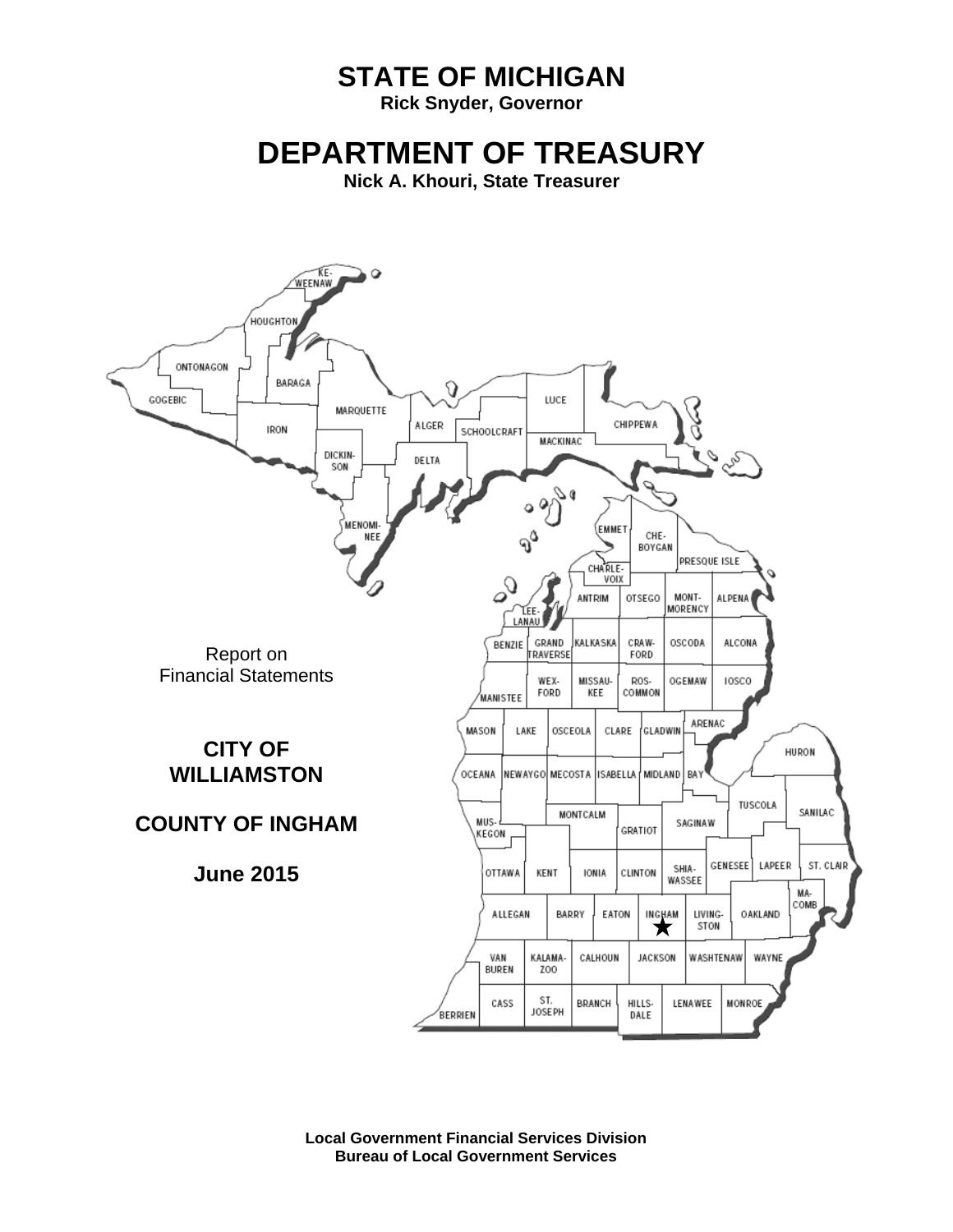# **STATE OF MICHIGAN**

**Rick Snyder, Governor** 

# **DEPARTMENT OF TREASURY**

**Nick A. Khouri, State Treasurer** 



**Local Government Financial Services Division Bureau of Local Government Services**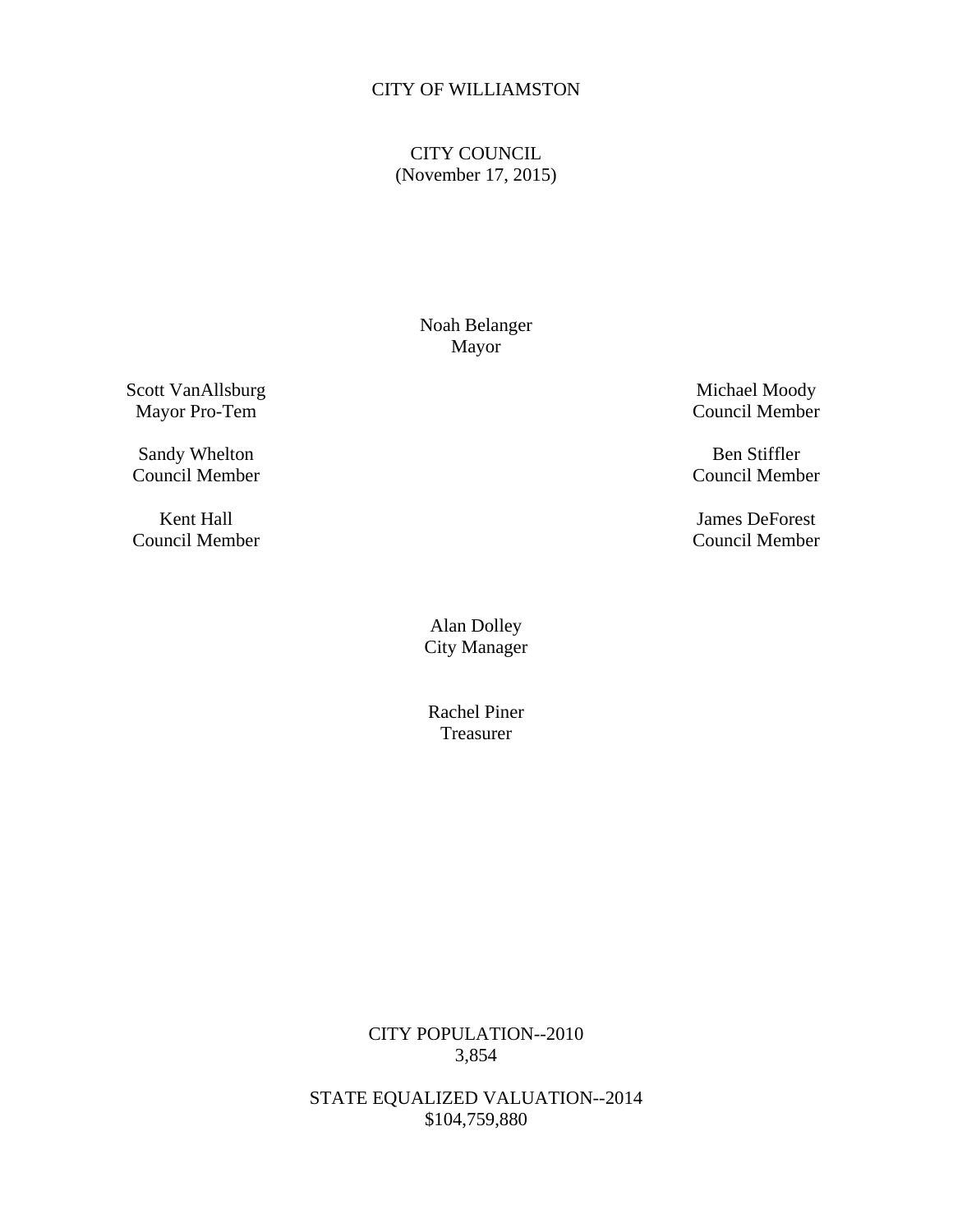CITY COUNCIL (November 17, 2015)

> Noah Belanger Mayor

Scott VanAllsburg Michael Moody<br>Mayor Pro-Tem Council Member Mayor Pro-Tem

Sandy Whelton Ben Stiffler Council Member Council Member

Council Member

Kent Hall James DeForest<br>
1991 - James DeForest<br>
2001 - Council Member

Alan Dolley City Manager

Rachel Piner Treasurer

CITY POPULATION--2010 3,854

STATE EQUALIZED VALUATION--2014 \$104,759,880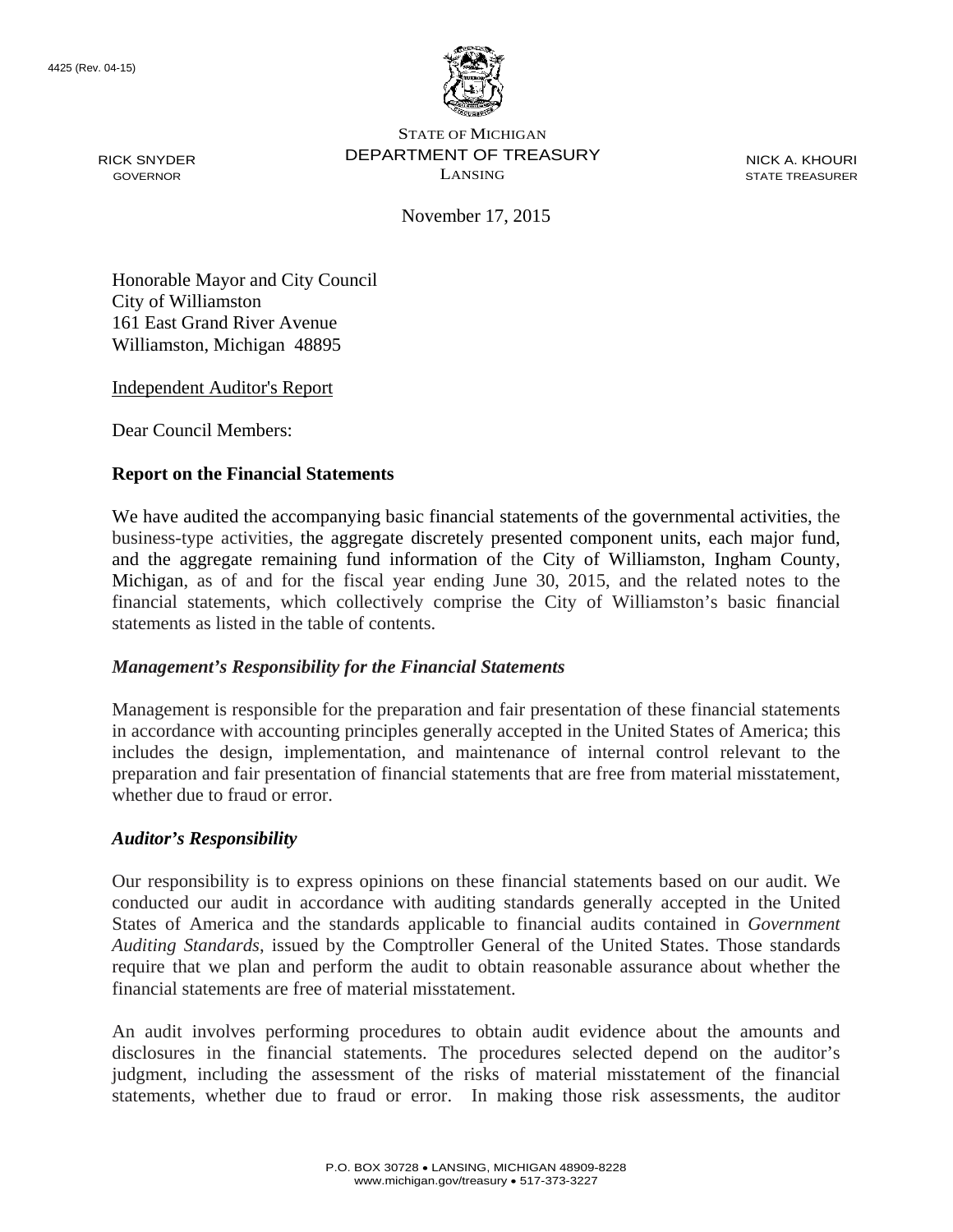

RICK SNYDER GOVERNOR

STATE OF MICHIGAN DEPARTMENT OF TREASURY LANSING

NICK A. KHOURI STATE TREASURER

November 17, 2015

Honorable Mayor and City Council City of Williamston 161 East Grand River Avenue Williamston, Michigan 48895

Independent Auditor's Report

Dear Council Members:

### **Report on the Financial Statements**

We have audited the accompanying basic financial statements of the governmental activities, the business-type activities, the aggregate discretely presented component units, each major fund, and the aggregate remaining fund information of the City of Williamston, Ingham County, Michigan, as of and for the fiscal year ending June 30, 2015, and the related notes to the financial statements, which collectively comprise the City of Williamston's basic financial statements as listed in the table of contents.

#### *Management's Responsibility for the Financial Statements*

Management is responsible for the preparation and fair presentation of these financial statements in accordance with accounting principles generally accepted in the United States of America; this includes the design, implementation, and maintenance of internal control relevant to the preparation and fair presentation of financial statements that are free from material misstatement, whether due to fraud or error.

#### *Auditor's Responsibility*

Our responsibility is to express opinions on these financial statements based on our audit. We conducted our audit in accordance with auditing standards generally accepted in the United States of America and the standards applicable to financial audits contained in *Government Auditing Standards*, issued by the Comptroller General of the United States. Those standards require that we plan and perform the audit to obtain reasonable assurance about whether the financial statements are free of material misstatement.

An audit involves performing procedures to obtain audit evidence about the amounts and disclosures in the financial statements. The procedures selected depend on the auditor's judgment, including the assessment of the risks of material misstatement of the financial statements, whether due to fraud or error. In making those risk assessments, the auditor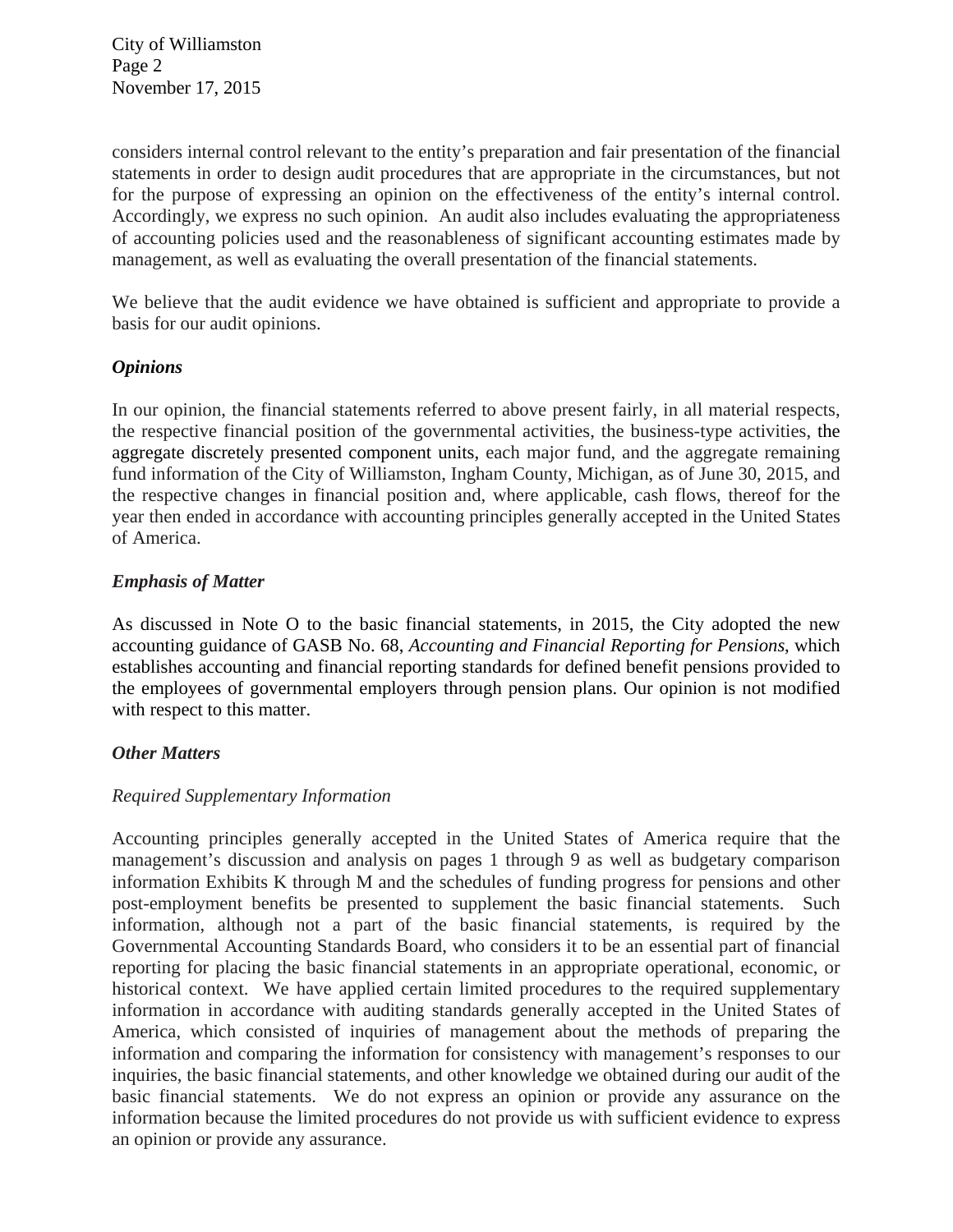City of Williamston Page 2 November 17, 2015

considers internal control relevant to the entity's preparation and fair presentation of the financial statements in order to design audit procedures that are appropriate in the circumstances, but not for the purpose of expressing an opinion on the effectiveness of the entity's internal control. Accordingly, we express no such opinion. An audit also includes evaluating the appropriateness of accounting policies used and the reasonableness of significant accounting estimates made by management, as well as evaluating the overall presentation of the financial statements.

We believe that the audit evidence we have obtained is sufficient and appropriate to provide a basis for our audit opinions.

# *Opinions*

In our opinion, the financial statements referred to above present fairly, in all material respects, the respective financial position of the governmental activities, the business-type activities, the aggregate discretely presented component units, each major fund, and the aggregate remaining fund information of the City of Williamston, Ingham County, Michigan, as of June 30, 2015, and the respective changes in financial position and, where applicable, cash flows, thereof for the year then ended in accordance with accounting principles generally accepted in the United States of America.

# *Emphasis of Matter*

As discussed in Note O to the basic financial statements, in 2015, the City adopted the new accounting guidance of GASB No. 68, *Accounting and Financial Reporting for Pensions*, which establishes accounting and financial reporting standards for defined benefit pensions provided to the employees of governmental employers through pension plans. Our opinion is not modified with respect to this matter.

# *Other Matters*

# *Required Supplementary Information*

Accounting principles generally accepted in the United States of America require that the management's discussion and analysis on pages 1 through 9 as well as budgetary comparison information Exhibits K through M and the schedules of funding progress for pensions and other post-employment benefits be presented to supplement the basic financial statements. Such information, although not a part of the basic financial statements, is required by the Governmental Accounting Standards Board, who considers it to be an essential part of financial reporting for placing the basic financial statements in an appropriate operational, economic, or historical context. We have applied certain limited procedures to the required supplementary information in accordance with auditing standards generally accepted in the United States of America, which consisted of inquiries of management about the methods of preparing the information and comparing the information for consistency with management's responses to our inquiries, the basic financial statements, and other knowledge we obtained during our audit of the basic financial statements. We do not express an opinion or provide any assurance on the information because the limited procedures do not provide us with sufficient evidence to express an opinion or provide any assurance.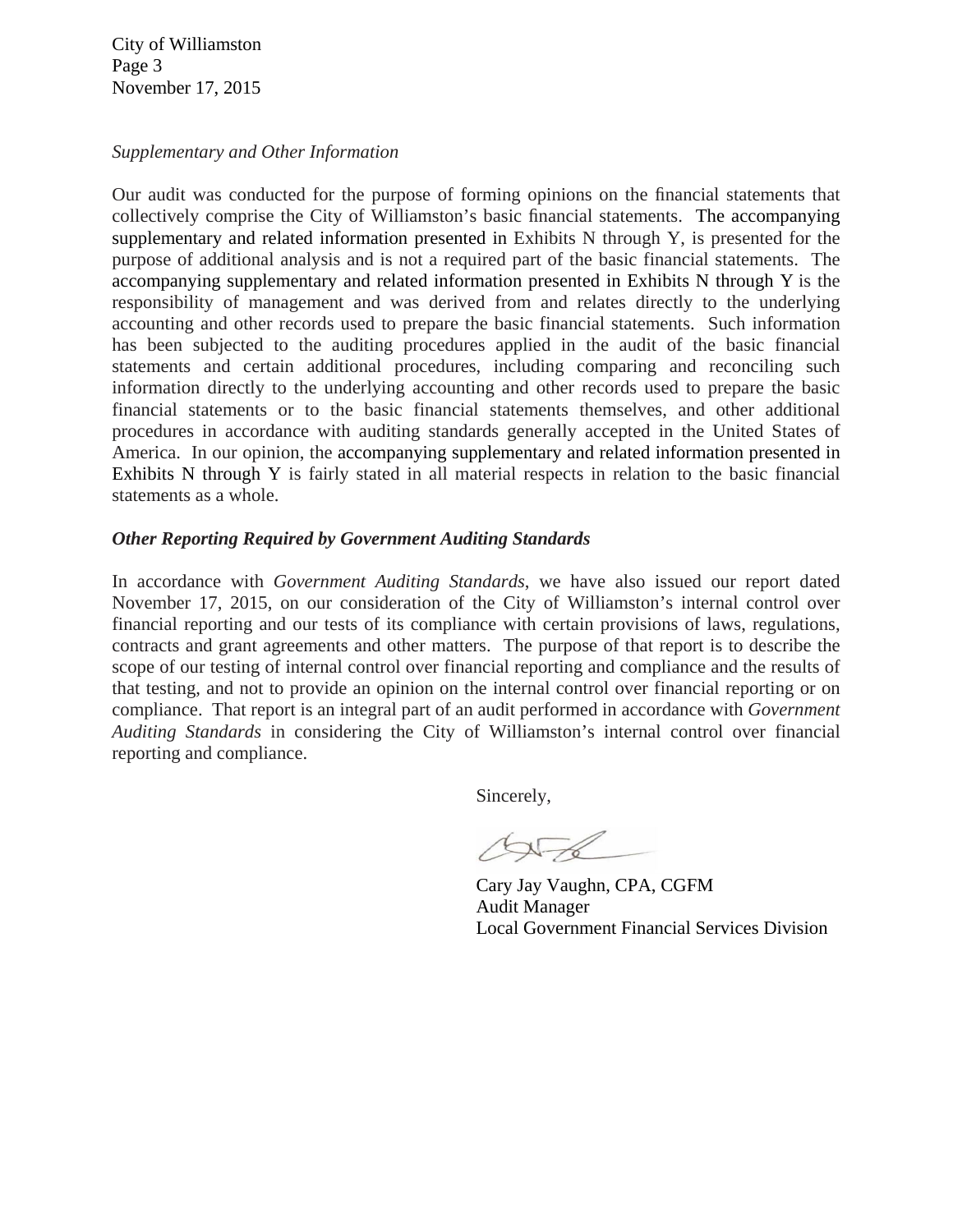City of Williamston Page 3 November 17, 2015

### *Supplementary and Other Information*

Our audit was conducted for the purpose of forming opinions on the financial statements that collectively comprise the City of Williamston's basic financial statements. The accompanying supplementary and related information presented in Exhibits N through Y, is presented for the purpose of additional analysis and is not a required part of the basic financial statements. The accompanying supplementary and related information presented in Exhibits N through Y is the responsibility of management and was derived from and relates directly to the underlying accounting and other records used to prepare the basic financial statements. Such information has been subjected to the auditing procedures applied in the audit of the basic financial statements and certain additional procedures, including comparing and reconciling such information directly to the underlying accounting and other records used to prepare the basic financial statements or to the basic financial statements themselves, and other additional procedures in accordance with auditing standards generally accepted in the United States of America. In our opinion, the accompanying supplementary and related information presented in Exhibits N through Y is fairly stated in all material respects in relation to the basic financial statements as a whole.

### *Other Reporting Required by Government Auditing Standards*

In accordance with *Government Auditing Standards*, we have also issued our report dated November 17, 2015, on our consideration of the City of Williamston's internal control over financial reporting and our tests of its compliance with certain provisions of laws, regulations, contracts and grant agreements and other matters. The purpose of that report is to describe the scope of our testing of internal control over financial reporting and compliance and the results of that testing, and not to provide an opinion on the internal control over financial reporting or on compliance. That report is an integral part of an audit performed in accordance with *Government Auditing Standards* in considering the City of Williamston's internal control over financial reporting and compliance.

Sincerely,

 $\triangle F$ 

Cary Jay Vaughn, CPA, CGFM Audit Manager Local Government Financial Services Division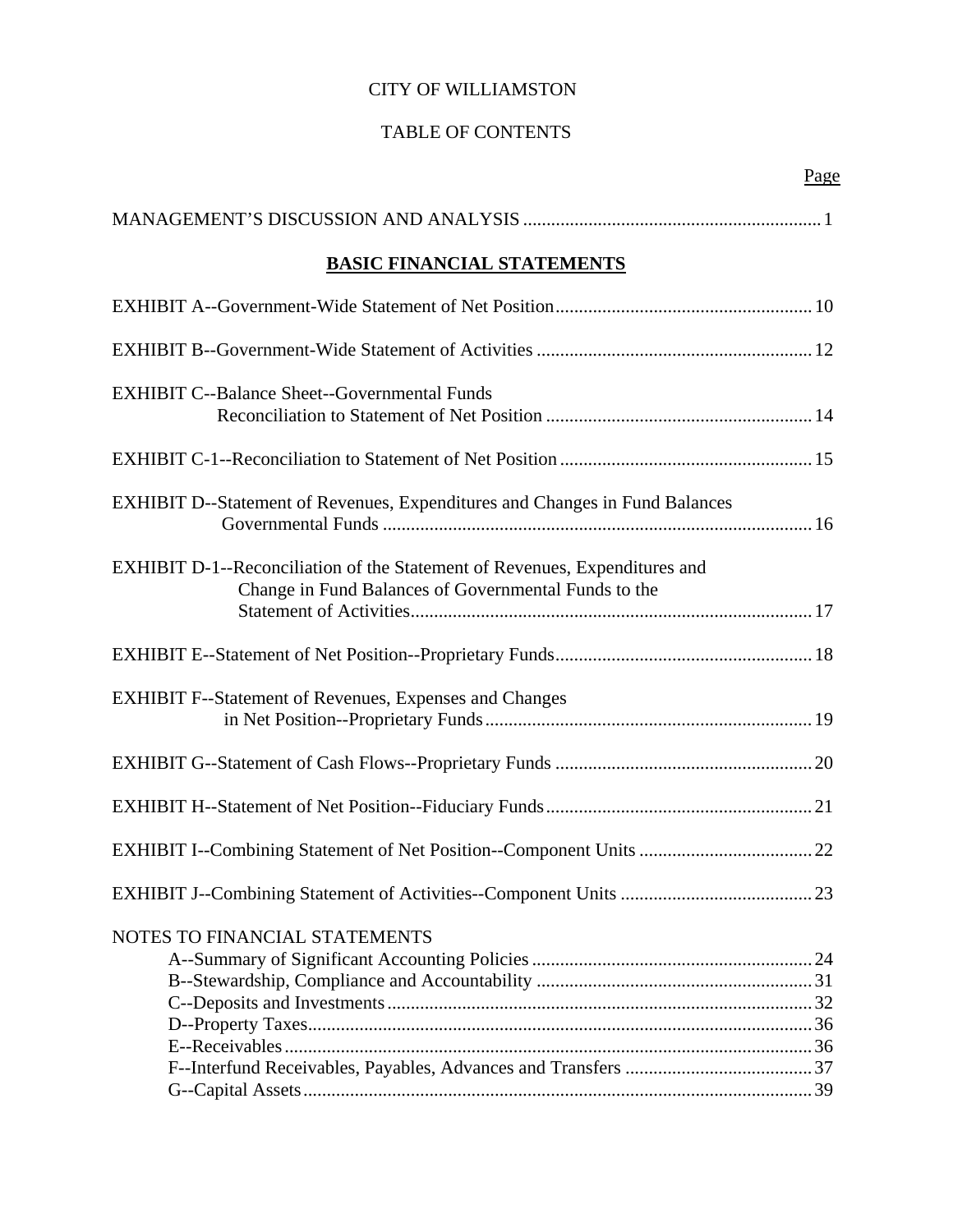# TABLE OF CONTENTS

| Page                                                                                                                                      |  |
|-------------------------------------------------------------------------------------------------------------------------------------------|--|
|                                                                                                                                           |  |
| <b>BASIC FINANCIAL STATEMENTS</b>                                                                                                         |  |
|                                                                                                                                           |  |
|                                                                                                                                           |  |
| <b>EXHIBIT C--Balance Sheet--Governmental Funds</b>                                                                                       |  |
|                                                                                                                                           |  |
| <b>EXHIBIT D--Statement of Revenues, Expenditures and Changes in Fund Balances</b>                                                        |  |
| <b>EXHIBIT D-1--Reconciliation of the Statement of Revenues, Expenditures and</b><br>Change in Fund Balances of Governmental Funds to the |  |
|                                                                                                                                           |  |
| <b>EXHIBIT F--Statement of Revenues, Expenses and Changes</b>                                                                             |  |
|                                                                                                                                           |  |
|                                                                                                                                           |  |
|                                                                                                                                           |  |
|                                                                                                                                           |  |
| NOTES TO FINANCIAL STATEMENTS                                                                                                             |  |
|                                                                                                                                           |  |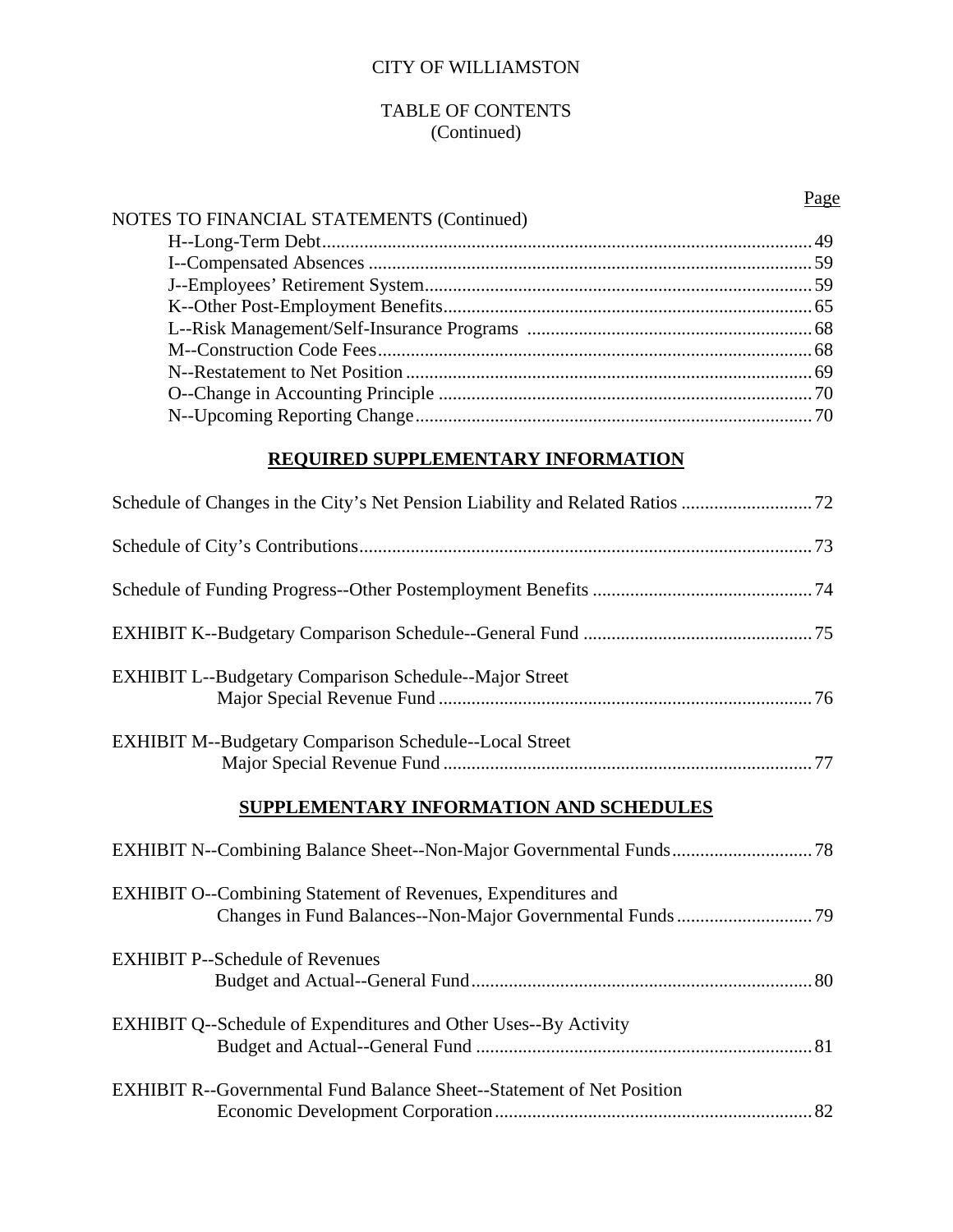# TABLE OF CONTENTS (Continued)

| NOTES TO FINANCIAL STATEMENTS (Continued) |  |
|-------------------------------------------|--|
|                                           |  |
|                                           |  |
|                                           |  |
|                                           |  |
|                                           |  |
|                                           |  |
|                                           |  |
|                                           |  |
|                                           |  |
|                                           |  |

# **REQUIRED SUPPLEMENTARY INFORMATION**

| <b>EXHIBIT L--Budgetary Comparison Schedule--Major Street</b>       |
|---------------------------------------------------------------------|
| <b>EXHIBIT M--Budgetary Comparison Schedule--Local Street</b>       |
| SUPPLEMENTARY INFORMATION AND SCHEDULES                             |
|                                                                     |
| <b>EXHIBIT O--Combining Statement of Revenues, Expenditures and</b> |

| <b>EXHIBIT Q--Schedule of Expenditures and Other Uses--By Activity</b> |  |
|------------------------------------------------------------------------|--|
|                                                                        |  |
|                                                                        |  |

EXHIBIT P--Schedule of Revenues

| <b>EXHIBIT R--Governmental Fund Balance Sheet--Statement of Net Position</b> |  |
|------------------------------------------------------------------------------|--|
|                                                                              |  |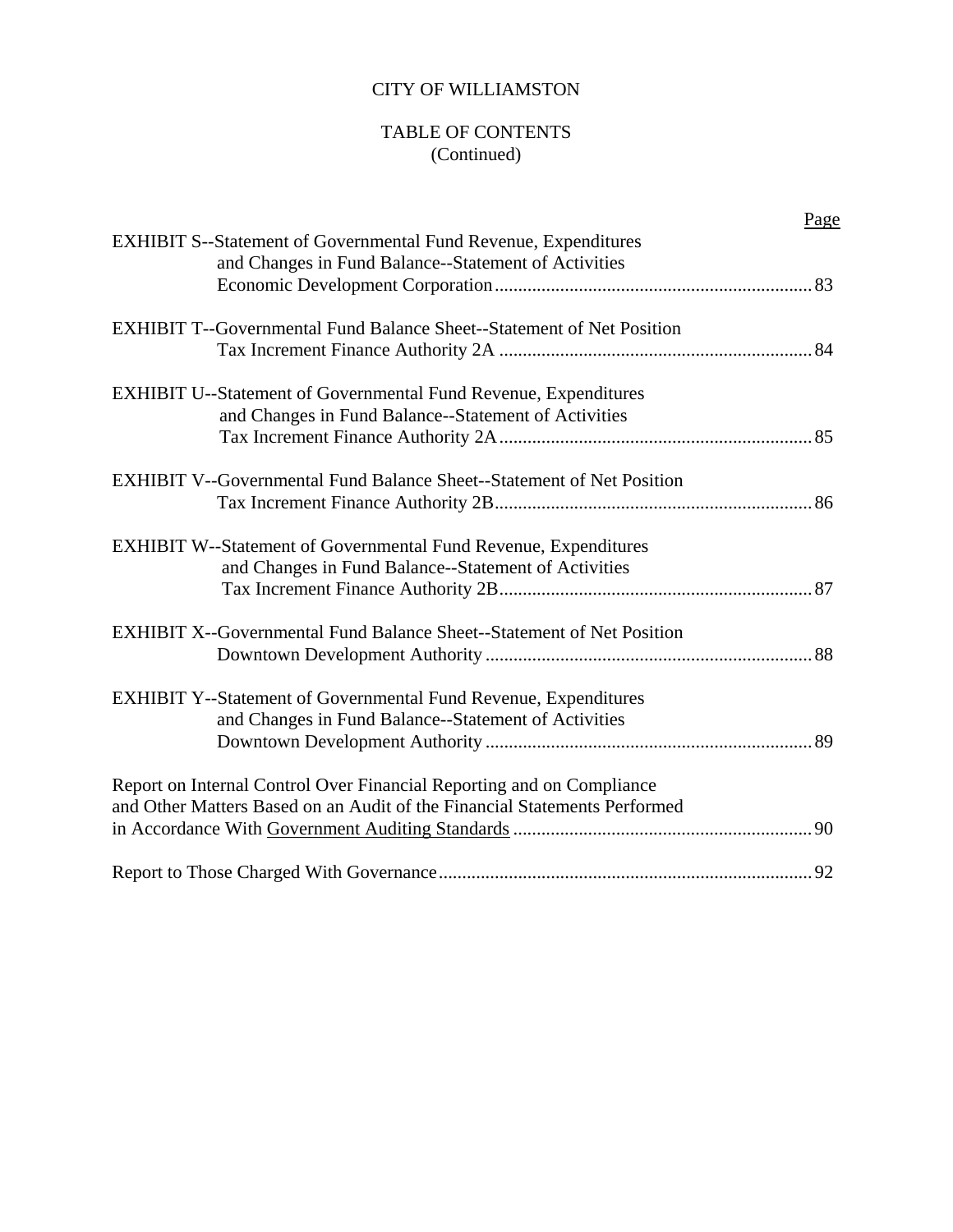# TABLE OF CONTENTS (Continued)

|                                                                              | Page |
|------------------------------------------------------------------------------|------|
| <b>EXHIBIT S--Statement of Governmental Fund Revenue, Expenditures</b>       |      |
| and Changes in Fund Balance--Statement of Activities                         |      |
|                                                                              |      |
| EXHIBIT T--Governmental Fund Balance Sheet--Statement of Net Position        |      |
|                                                                              |      |
| <b>EXHIBIT U--Statement of Governmental Fund Revenue, Expenditures</b>       |      |
| and Changes in Fund Balance--Statement of Activities                         |      |
|                                                                              |      |
| <b>EXHIBIT V--Governmental Fund Balance Sheet--Statement of Net Position</b> |      |
|                                                                              |      |
|                                                                              |      |
| <b>EXHIBIT W--Statement of Governmental Fund Revenue, Expenditures</b>       |      |
| and Changes in Fund Balance--Statement of Activities                         |      |
|                                                                              |      |
| EXHIBIT X--Governmental Fund Balance Sheet--Statement of Net Position        |      |
|                                                                              |      |
|                                                                              |      |
| <b>EXHIBIT Y--Statement of Governmental Fund Revenue, Expenditures</b>       |      |
| and Changes in Fund Balance--Statement of Activities                         |      |
|                                                                              |      |
| Report on Internal Control Over Financial Reporting and on Compliance        |      |
| and Other Matters Based on an Audit of the Financial Statements Performed    |      |
|                                                                              |      |
|                                                                              |      |
|                                                                              |      |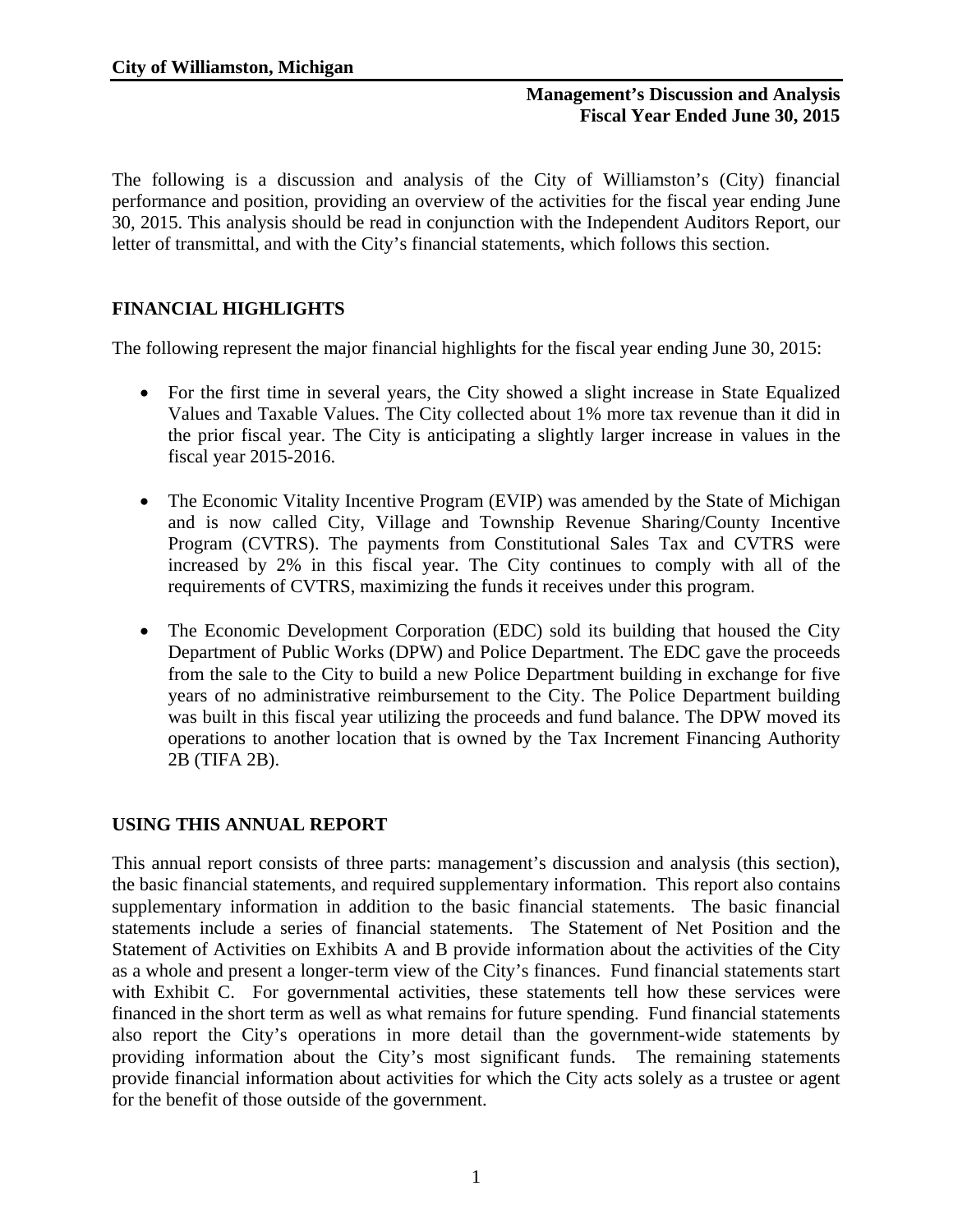#### **Management's Discussion and Analysis Fiscal Year Ended June 30, 2015**

The following is a discussion and analysis of the City of Williamston's (City) financial performance and position, providing an overview of the activities for the fiscal year ending June 30, 2015. This analysis should be read in conjunction with the Independent Auditors Report, our letter of transmittal, and with the City's financial statements, which follows this section.

# **FINANCIAL HIGHLIGHTS**

The following represent the major financial highlights for the fiscal year ending June 30, 2015:

- For the first time in several years, the City showed a slight increase in State Equalized Values and Taxable Values. The City collected about 1% more tax revenue than it did in the prior fiscal year. The City is anticipating a slightly larger increase in values in the fiscal year 2015-2016.
- The Economic Vitality Incentive Program (EVIP) was amended by the State of Michigan and is now called City, Village and Township Revenue Sharing/County Incentive Program (CVTRS). The payments from Constitutional Sales Tax and CVTRS were increased by 2% in this fiscal year. The City continues to comply with all of the requirements of CVTRS, maximizing the funds it receives under this program.
- The Economic Development Corporation (EDC) sold its building that housed the City Department of Public Works (DPW) and Police Department. The EDC gave the proceeds from the sale to the City to build a new Police Department building in exchange for five years of no administrative reimbursement to the City. The Police Department building was built in this fiscal year utilizing the proceeds and fund balance. The DPW moved its operations to another location that is owned by the Tax Increment Financing Authority 2B (TIFA 2B).

# **USING THIS ANNUAL REPORT**

This annual report consists of three parts: management's discussion and analysis (this section), the basic financial statements, and required supplementary information. This report also contains supplementary information in addition to the basic financial statements. The basic financial statements include a series of financial statements. The Statement of Net Position and the Statement of Activities on Exhibits A and B provide information about the activities of the City as a whole and present a longer-term view of the City's finances. Fund financial statements start with Exhibit C. For governmental activities, these statements tell how these services were financed in the short term as well as what remains for future spending. Fund financial statements also report the City's operations in more detail than the government-wide statements by providing information about the City's most significant funds. The remaining statements provide financial information about activities for which the City acts solely as a trustee or agent for the benefit of those outside of the government.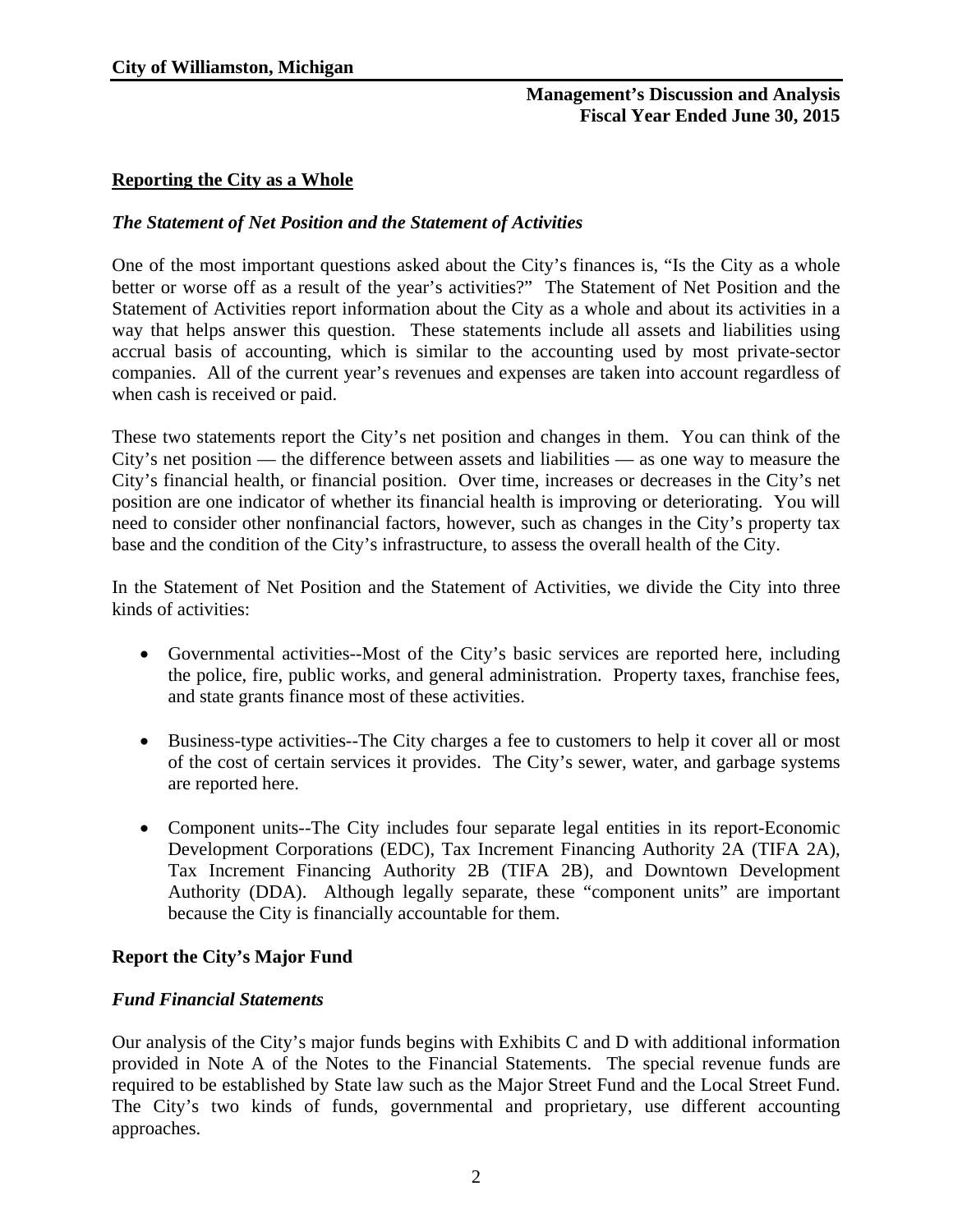# **Reporting the City as a Whole**

# *The Statement of Net Position and the Statement of Activities*

One of the most important questions asked about the City's finances is, "Is the City as a whole better or worse off as a result of the year's activities?" The Statement of Net Position and the Statement of Activities report information about the City as a whole and about its activities in a way that helps answer this question. These statements include all assets and liabilities using accrual basis of accounting, which is similar to the accounting used by most private-sector companies. All of the current year's revenues and expenses are taken into account regardless of when cash is received or paid.

These two statements report the City's net position and changes in them. You can think of the City's net position — the difference between assets and liabilities — as one way to measure the City's financial health, or financial position. Over time, increases or decreases in the City's net position are one indicator of whether its financial health is improving or deteriorating. You will need to consider other nonfinancial factors, however, such as changes in the City's property tax base and the condition of the City's infrastructure, to assess the overall health of the City.

In the Statement of Net Position and the Statement of Activities, we divide the City into three kinds of activities:

- Governmental activities--Most of the City's basic services are reported here, including the police, fire, public works, and general administration. Property taxes, franchise fees, and state grants finance most of these activities.
- Business-type activities--The City charges a fee to customers to help it cover all or most of the cost of certain services it provides. The City's sewer, water, and garbage systems are reported here.
- Component units--The City includes four separate legal entities in its report-Economic Development Corporations (EDC), Tax Increment Financing Authority 2A (TIFA 2A), Tax Increment Financing Authority 2B (TIFA 2B), and Downtown Development Authority (DDA). Although legally separate, these "component units" are important because the City is financially accountable for them.

# **Report the City's Major Fund**

### *Fund Financial Statements*

Our analysis of the City's major funds begins with Exhibits C and D with additional information provided in Note A of the Notes to the Financial Statements. The special revenue funds are required to be established by State law such as the Major Street Fund and the Local Street Fund. The City's two kinds of funds, governmental and proprietary, use different accounting approaches.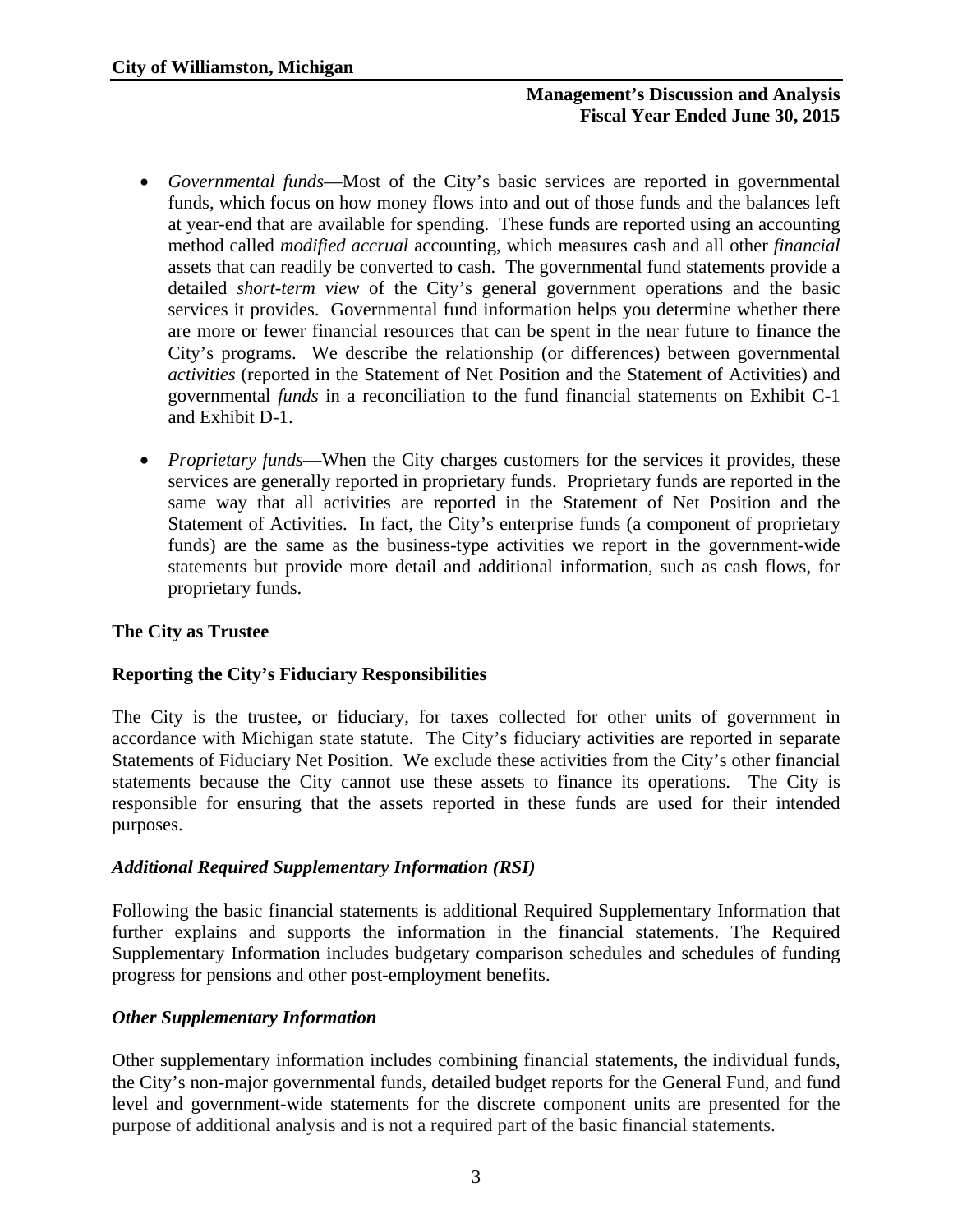### **Management's Discussion and Analysis Fiscal Year Ended June 30, 2015**

- *Governmental funds*—Most of the City's basic services are reported in governmental funds, which focus on how money flows into and out of those funds and the balances left at year-end that are available for spending. These funds are reported using an accounting method called *modified accrual* accounting, which measures cash and all other *financial*  assets that can readily be converted to cash. The governmental fund statements provide a detailed *short-term view* of the City's general government operations and the basic services it provides. Governmental fund information helps you determine whether there are more or fewer financial resources that can be spent in the near future to finance the City's programs. We describe the relationship (or differences) between governmental *activities* (reported in the Statement of Net Position and the Statement of Activities) and governmental *funds* in a reconciliation to the fund financial statements on Exhibit C-1 and Exhibit D-1.
- *Proprietary funds*—When the City charges customers for the services it provides, these services are generally reported in proprietary funds. Proprietary funds are reported in the same way that all activities are reported in the Statement of Net Position and the Statement of Activities. In fact, the City's enterprise funds (a component of proprietary funds) are the same as the business-type activities we report in the government-wide statements but provide more detail and additional information, such as cash flows, for proprietary funds.

# **The City as Trustee**

# **Reporting the City's Fiduciary Responsibilities**

The City is the trustee, or fiduciary, for taxes collected for other units of government in accordance with Michigan state statute. The City's fiduciary activities are reported in separate Statements of Fiduciary Net Position. We exclude these activities from the City's other financial statements because the City cannot use these assets to finance its operations. The City is responsible for ensuring that the assets reported in these funds are used for their intended purposes.

### *Additional Required Supplementary Information (RSI)*

Following the basic financial statements is additional Required Supplementary Information that further explains and supports the information in the financial statements. The Required Supplementary Information includes budgetary comparison schedules and schedules of funding progress for pensions and other post-employment benefits.

### *Other Supplementary Information*

Other supplementary information includes combining financial statements, the individual funds, the City's non-major governmental funds, detailed budget reports for the General Fund, and fund level and government-wide statements for the discrete component units are presented for the purpose of additional analysis and is not a required part of the basic financial statements.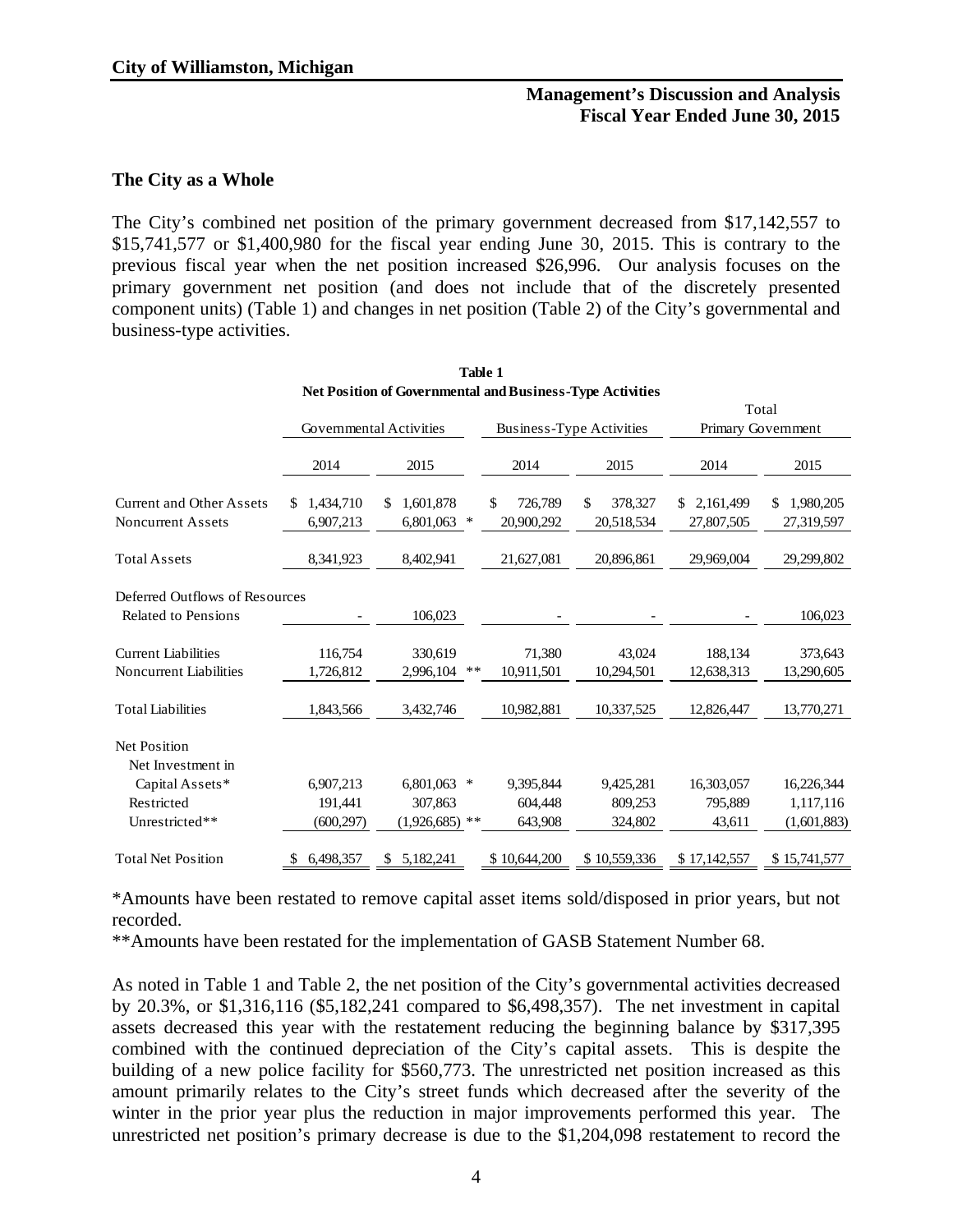### **The City as a Whole**

The City's combined net position of the primary government decreased from \$17,142,557 to \$15,741,577 or \$1,400,980 for the fiscal year ending June 30, 2015. This is contrary to the previous fiscal year when the net position increased \$26,996. Our analysis focuses on the primary government net position (and does not include that of the discretely presented component units) (Table 1) and changes in net position (Table 2) of the City's governmental and business-type activities.

|                                                              |                              |                                | Total                       |                             |                           |                               |  |  |  |
|--------------------------------------------------------------|------------------------------|--------------------------------|-----------------------------|-----------------------------|---------------------------|-------------------------------|--|--|--|
|                                                              | Governmental Activities      |                                | Business-Type Activities    |                             | Primary Government        |                               |  |  |  |
|                                                              | 2014                         | 2015                           | 2014                        | 2015                        | 2014                      | 2015                          |  |  |  |
| <b>Current and Other Assets</b><br><b>Noncurrent Assets</b>  | 1,434,710<br>S.<br>6,907,213 | 1,601,878<br>S.<br>6,801,063 * | \$<br>726,789<br>20,900,292 | \$<br>378,327<br>20,518,534 | \$2,161,499<br>27,807,505 | 1,980,205<br>\$<br>27,319,597 |  |  |  |
| <b>Total Assets</b>                                          | 8,341,923                    | 8,402,941                      | 21,627,081                  | 20,896,861                  | 29,969,004                | 29,299,802                    |  |  |  |
| Deferred Outflows of Resources<br><b>Related to Pensions</b> |                              | 106,023                        |                             |                             |                           | 106,023                       |  |  |  |
| <b>Current Liabilities</b><br><b>Noncurrent Liabilities</b>  | 116,754<br>1,726,812         | 330.619<br>2,996,104 **        | 71,380<br>10,911,501        | 43,024<br>10,294,501        | 188,134<br>12,638,313     | 373,643<br>13,290,605         |  |  |  |
| <b>Total Liabilities</b>                                     | 1,843,566                    | 3,432,746                      | 10,982,881                  | 10,337,525                  | 12,826,447                | 13,770,271                    |  |  |  |
| Net Position<br>Net Investment in                            |                              |                                |                             |                             |                           |                               |  |  |  |
| Capital Assets*<br>Restricted                                | 6,907,213<br>191,441         | 6,801,063<br>$\ast$<br>307,863 | 9,395,844<br>604,448        | 9,425,281<br>809,253        | 16,303,057<br>795,889     | 16,226,344<br>1,117,116       |  |  |  |
| Unrestricted**                                               | (600, 297)                   | $(1,926,685)$ **               | 643,908                     | 324,802                     | 43,611                    | (1,601,883)                   |  |  |  |
| <b>Total Net Position</b>                                    | 6,498,357<br>S.              | \$5,182,241                    | \$10,644,200                | \$10,559,336                | \$17,142,557              | \$15,741,577                  |  |  |  |

**Table 1 Net Position of Governmental and Business-Type Activities**

\*Amounts have been restated to remove capital asset items sold/disposed in prior years, but not recorded.

\*\*Amounts have been restated for the implementation of GASB Statement Number 68.

As noted in Table 1 and Table 2, the net position of the City's governmental activities decreased by 20.3%, or \$1,316,116 (\$5,182,241 compared to \$6,498,357). The net investment in capital assets decreased this year with the restatement reducing the beginning balance by \$317,395 combined with the continued depreciation of the City's capital assets. This is despite the building of a new police facility for \$560,773. The unrestricted net position increased as this amount primarily relates to the City's street funds which decreased after the severity of the winter in the prior year plus the reduction in major improvements performed this year. The unrestricted net position's primary decrease is due to the \$1,204,098 restatement to record the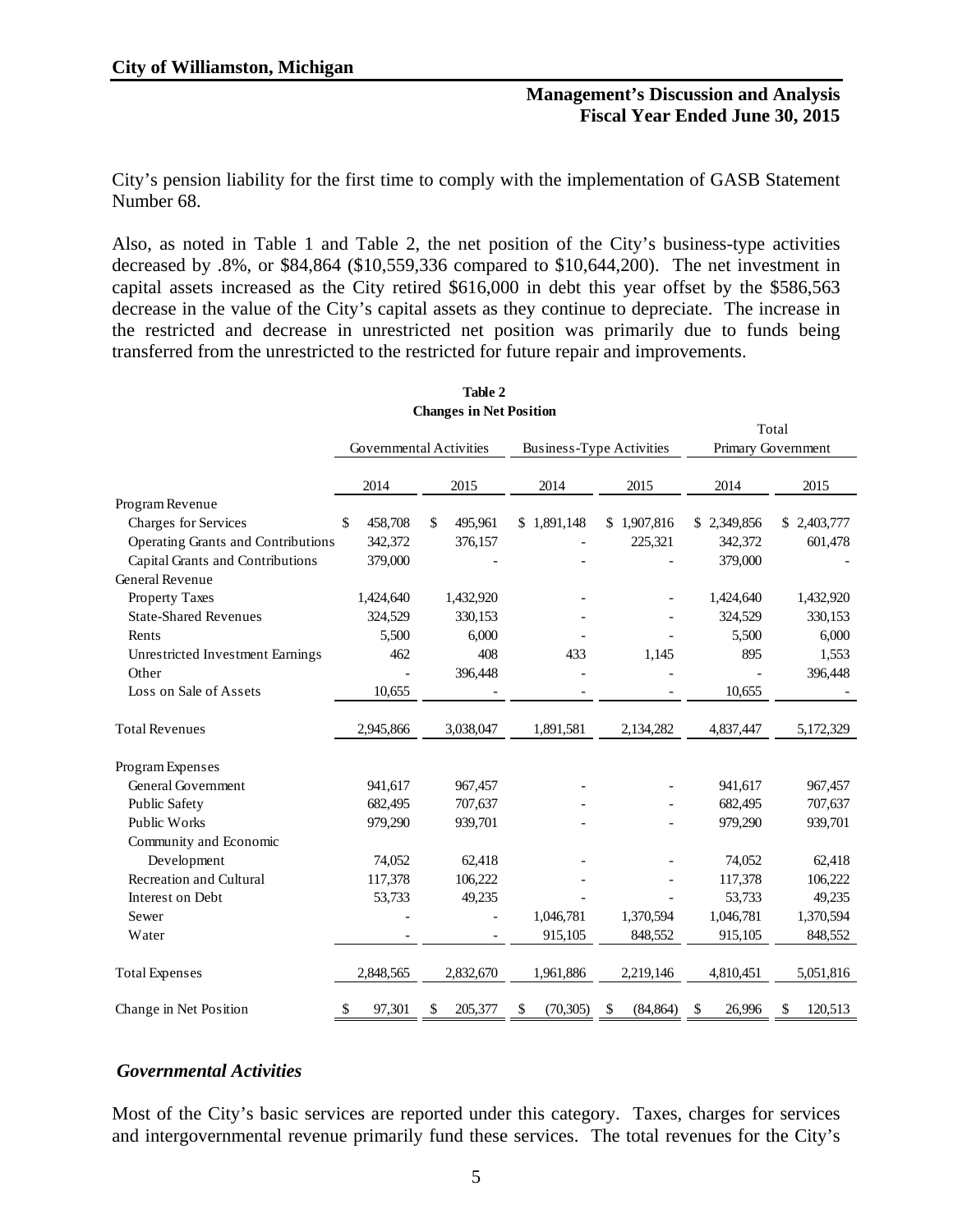### **Management's Discussion and Analysis Fiscal Year Ended June 30, 2015**

Total Contractor

City's pension liability for the first time to comply with the implementation of GASB Statement Number 68.

Also, as noted in Table 1 and Table 2, the net position of the City's business-type activities decreased by .8%, or \$84,864 (\$10,559,336 compared to \$10,644,200). The net investment in capital assets increased as the City retired \$616,000 in debt this year offset by the \$586,563 decrease in the value of the City's capital assets as they continue to depreciate. The increase in the restricted and decrease in unrestricted net position was primarily due to funds being transferred from the unrestricted to the restricted for future repair and improvements.

|                                    |                         |                          |                 |                                 | 1 отан             |               |  |  |
|------------------------------------|-------------------------|--------------------------|-----------------|---------------------------------|--------------------|---------------|--|--|
|                                    | Governmental Activities |                          |                 | <b>Business-Type Activities</b> | Primary Government |               |  |  |
|                                    |                         |                          |                 |                                 |                    |               |  |  |
|                                    | 2014                    | 2015                     | 2014            | 2015                            | 2014               | 2015          |  |  |
| Program Revenue                    |                         |                          |                 |                                 |                    |               |  |  |
| Charges for Services               | \$<br>458,708           | \$<br>495,961            | \$1,891,148     | \$1,907,816                     | \$2,349,856        | \$2,403,777   |  |  |
| Operating Grants and Contributions | 342,372                 | 376,157                  |                 | 225,321                         | 342,372            | 601,478       |  |  |
| Capital Grants and Contributions   | 379,000                 |                          |                 |                                 | 379,000            |               |  |  |
| General Revenue                    |                         |                          |                 |                                 |                    |               |  |  |
| Property Taxes                     | 1,424,640               | 1,432,920                |                 |                                 | 1,424,640          | 1,432,920     |  |  |
| <b>State-Shared Revenues</b>       | 324,529                 | 330,153                  |                 |                                 | 324,529            | 330,153       |  |  |
| Rents                              | 5,500                   | 6,000                    |                 |                                 | 5,500              | 6,000         |  |  |
| Unrestricted Investment Earnings   | 462                     | 408                      | 433             | 1,145                           | 895                | 1,553         |  |  |
| Other                              |                         | 396,448                  |                 |                                 |                    | 396,448       |  |  |
| Loss on Sale of Assets             | 10,655                  |                          |                 |                                 | 10,655             |               |  |  |
|                                    |                         |                          |                 |                                 |                    |               |  |  |
| <b>Total Revenues</b>              | 2,945,866               | 3,038,047                | 1,891,581       | 2,134,282                       | 4,837,447          | 5,172,329     |  |  |
| Program Expenses                   |                         |                          |                 |                                 |                    |               |  |  |
| General Government                 | 941,617                 | 967,457                  |                 |                                 | 941,617            | 967,457       |  |  |
| Public Safety                      | 682,495                 | 707,637                  |                 |                                 | 682,495            | 707,637       |  |  |
| Public Works                       | 979,290                 | 939,701                  |                 |                                 | 979,290            | 939,701       |  |  |
| Community and Economic             |                         |                          |                 |                                 |                    |               |  |  |
| Development                        | 74,052                  | 62,418                   |                 |                                 | 74,052             | 62,418        |  |  |
| Recreation and Cultural            | 117,378                 | 106,222                  |                 |                                 | 117,378            | 106,222       |  |  |
| Interest on Debt                   | 53,733                  | 49,235                   |                 |                                 | 53,733             | 49,235        |  |  |
| Sewer                              |                         |                          | 1,046,781       | 1,370,594                       | 1,046,781          | 1,370,594     |  |  |
| Water                              |                         | $\overline{\phantom{a}}$ | 915,105         | 848,552                         | 915,105            | 848,552       |  |  |
| <b>Total Expenses</b>              | 2,848,565               | 2,832,670                | 1,961,886       | 2,219,146                       | 4,810,451          | 5,051,816     |  |  |
| Change in Net Position             | \$<br>97,301            | 205,377<br>\$            | (70, 305)<br>\$ | (84, 864)<br>\$                 | 26,996<br>\$       | \$<br>120,513 |  |  |

#### **Table 2 Changes in Net Position**

# *Governmental Activities*

Most of the City's basic services are reported under this category. Taxes, charges for services and intergovernmental revenue primarily fund these services. The total revenues for the City's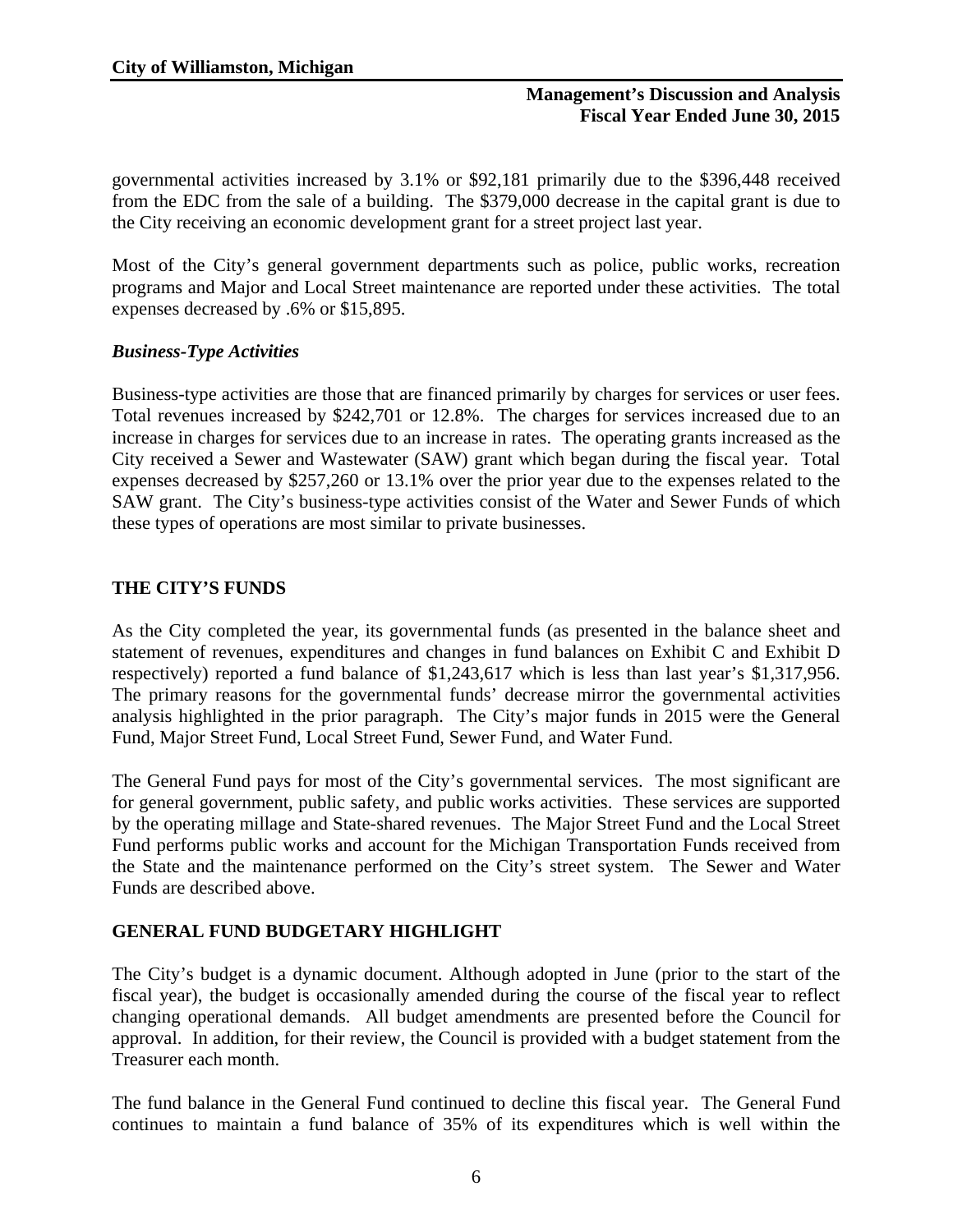#### **Management's Discussion and Analysis Fiscal Year Ended June 30, 2015**

governmental activities increased by 3.1% or \$92,181 primarily due to the \$396,448 received from the EDC from the sale of a building. The \$379,000 decrease in the capital grant is due to the City receiving an economic development grant for a street project last year.

Most of the City's general government departments such as police, public works, recreation programs and Major and Local Street maintenance are reported under these activities. The total expenses decreased by .6% or \$15,895.

# *Business-Type Activities*

Business-type activities are those that are financed primarily by charges for services or user fees. Total revenues increased by \$242,701 or 12.8%. The charges for services increased due to an increase in charges for services due to an increase in rates. The operating grants increased as the City received a Sewer and Wastewater (SAW) grant which began during the fiscal year. Total expenses decreased by \$257,260 or 13.1% over the prior year due to the expenses related to the SAW grant. The City's business-type activities consist of the Water and Sewer Funds of which these types of operations are most similar to private businesses.

# **THE CITY'S FUNDS**

As the City completed the year, its governmental funds (as presented in the balance sheet and statement of revenues, expenditures and changes in fund balances on Exhibit C and Exhibit D respectively) reported a fund balance of \$1,243,617 which is less than last year's \$1,317,956. The primary reasons for the governmental funds' decrease mirror the governmental activities analysis highlighted in the prior paragraph. The City's major funds in 2015 were the General Fund, Major Street Fund, Local Street Fund, Sewer Fund, and Water Fund.

The General Fund pays for most of the City's governmental services. The most significant are for general government, public safety, and public works activities. These services are supported by the operating millage and State-shared revenues. The Major Street Fund and the Local Street Fund performs public works and account for the Michigan Transportation Funds received from the State and the maintenance performed on the City's street system. The Sewer and Water Funds are described above.

# **GENERAL FUND BUDGETARY HIGHLIGHT**

The City's budget is a dynamic document. Although adopted in June (prior to the start of the fiscal year), the budget is occasionally amended during the course of the fiscal year to reflect changing operational demands. All budget amendments are presented before the Council for approval. In addition, for their review, the Council is provided with a budget statement from the Treasurer each month.

The fund balance in the General Fund continued to decline this fiscal year. The General Fund continues to maintain a fund balance of 35% of its expenditures which is well within the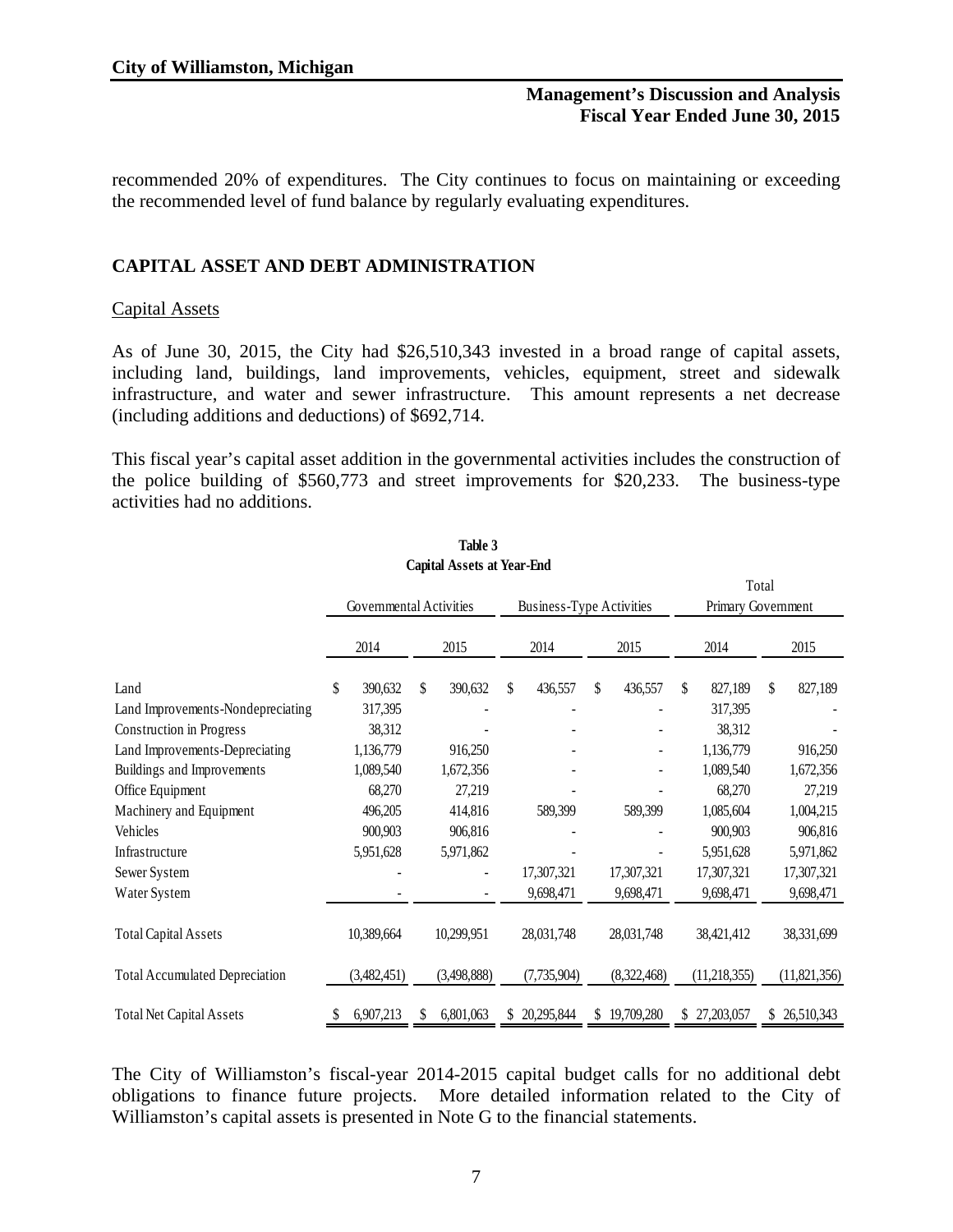recommended 20% of expenditures. The City continues to focus on maintaining or exceeding the recommended level of fund balance by regularly evaluating expenditures.

# **CAPITAL ASSET AND DEBT ADMINISTRATION**

#### Capital Assets

As of June 30, 2015, the City had \$26,510,343 invested in a broad range of capital assets, including land, buildings, land improvements, vehicles, equipment, street and sidewalk infrastructure, and water and sewer infrastructure. This amount represents a net decrease (including additions and deductions) of \$692,714.

This fiscal year's capital asset addition in the governmental activities includes the construction of the police building of \$560,773 and street improvements for \$20,233. The business-type activities had no additions.

|                                       |                         |             |    |                          |      |             |                    | Total       |      |                |    |              |
|---------------------------------------|-------------------------|-------------|----|--------------------------|------|-------------|--------------------|-------------|------|----------------|----|--------------|
|                                       | Governmental Activities |             |    | Business-Type Activities |      |             | Primary Government |             |      |                |    |              |
|                                       |                         | 2014        |    | 2015                     | 2014 |             | 2015               |             | 2014 |                |    | 2015         |
|                                       |                         |             |    |                          |      |             |                    |             |      |                |    |              |
| Land                                  | \$                      | 390,632     | \$ | 390,632                  | \$   | 436,557     | \$                 | 436,557     | \$   | 827,189        | \$ | 827,189      |
| Land Improvements-Nondepreciating     |                         | 317,395     |    |                          |      |             |                    |             |      | 317,395        |    |              |
| Construction in Progress              |                         | 38,312      |    |                          |      |             |                    |             |      | 38,312         |    |              |
| Land Improvements-Depreciating        |                         | 1,136,779   |    | 916,250                  |      |             |                    |             |      | 1,136,779      |    | 916,250      |
| Buildings and Improvements            |                         | 1,089,540   |    | 1,672,356                |      |             |                    |             |      | 1,089,540      |    | 1,672,356    |
| Office Equipment                      |                         | 68,270      |    | 27,219                   |      |             |                    |             |      | 68,270         |    | 27,219       |
| Machinery and Equipment               |                         | 496,205     |    | 414,816                  |      | 589,399     |                    | 589,399     |      | 1,085,604      |    | 1,004,215    |
| Vehicles                              |                         | 900,903     |    | 906,816                  |      |             |                    |             |      | 900,903        |    | 906,816      |
| Infrastructure                        |                         | 5,951,628   |    | 5,971,862                |      |             |                    |             |      | 5,951,628      |    | 5,971,862    |
| Sewer System                          |                         |             |    |                          |      | 17,307,321  |                    | 17,307,321  |      | 17,307,321     |    | 17,307,321   |
| Water System                          |                         |             |    |                          |      | 9,698,471   |                    | 9,698,471   |      | 9,698,471      |    | 9,698,471    |
|                                       |                         |             |    |                          |      |             |                    |             |      |                |    |              |
| <b>Total Capital Assets</b>           |                         | 10,389,664  |    | 10,299,951               |      | 28,031,748  |                    | 28,031,748  |      | 38,421,412     |    | 38,331,699   |
|                                       |                         |             |    |                          |      |             |                    |             |      |                |    |              |
| <b>Total Accumulated Depreciation</b> |                         | (3,482,451) |    | (3,498,888)              |      | (7,735,904) |                    | (8,322,468) |      | (11, 218, 355) |    | (11,821,356) |
|                                       |                         |             |    |                          |      |             |                    |             |      |                |    |              |
| <b>Total Net Capital Assets</b>       |                         | 6,907,213   |    | 6,801,063                |      | 20,295,844  | S                  | 19,709,280  | S.   | 27,203,057     | S. | 26,510,343   |

#### **Table 3 Capital Assets at Year-End**

The City of Williamston's fiscal-year 2014-2015 capital budget calls for no additional debt obligations to finance future projects. More detailed information related to the City of Williamston's capital assets is presented in Note G to the financial statements.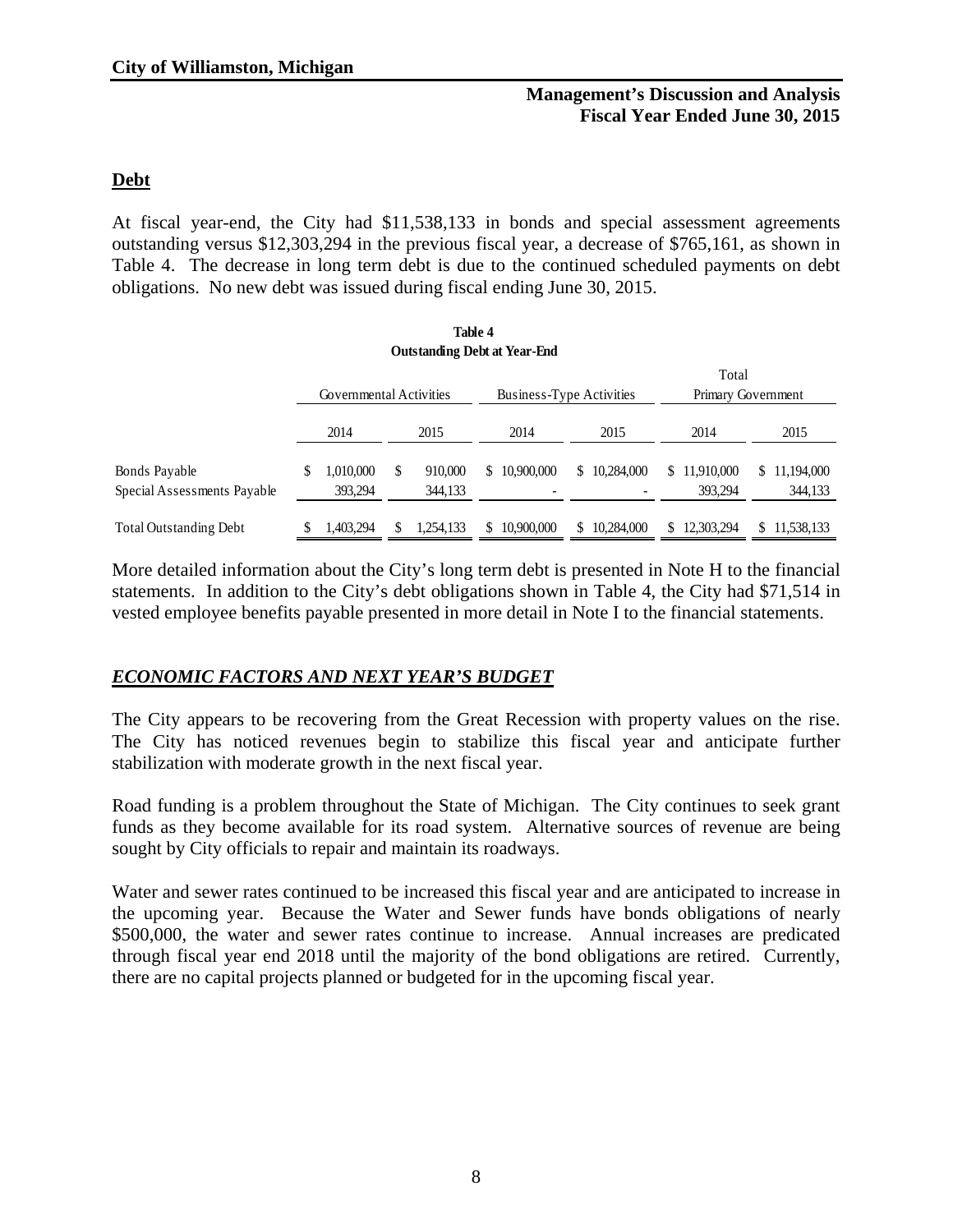#### **Management's Discussion and Analysis Fiscal Year Ended June 30, 2015**

### **Debt**

At fiscal year-end, the City had \$11,538,133 in bonds and special assessment agreements outstanding versus \$12,303,294 in the previous fiscal year, a decrease of \$765,161, as shown in Table 4. The decrease in long term debt is due to the continued scheduled payments on debt obligations. No new debt was issued during fiscal ending June 30, 2015.

**Table 4**

|                                              |                                                     |   | тамс т<br><b>Outstanding Debt at Year-End</b> |    |            |     |                    |    |                       |    |                       |
|----------------------------------------------|-----------------------------------------------------|---|-----------------------------------------------|----|------------|-----|--------------------|----|-----------------------|----|-----------------------|
|                                              | Governmental Activities<br>Business-Type Activities |   |                                               |    |            |     | Primary Government |    |                       |    |                       |
|                                              | 2014                                                |   | 2015                                          |    | 2014       |     | 2015               |    | 2014                  |    | 2015                  |
| Bonds Payable<br>Special Assessments Payable | \$<br>,010,000<br>393,294                           | S | 910,000<br>344,133                            | S. | 10.900,000 | \$. | 10,284,000         | S. | 11,910,000<br>393,294 | S. | 11,194,000<br>344,133 |
| <b>Total Outstanding Debt</b>                | ,403,294                                            |   | 1.254.133                                     |    | 10.900.000 | S.  | 10,284,000         |    | 12,303,294            | S. | 11,538,133            |

More detailed information about the City's long term debt is presented in Note H to the financial statements. In addition to the City's debt obligations shown in Table 4, the City had \$71,514 in vested employee benefits payable presented in more detail in Note I to the financial statements.

### *ECONOMIC FACTORS AND NEXT YEAR'S BUDGET*

The City appears to be recovering from the Great Recession with property values on the rise. The City has noticed revenues begin to stabilize this fiscal year and anticipate further stabilization with moderate growth in the next fiscal year.

Road funding is a problem throughout the State of Michigan. The City continues to seek grant funds as they become available for its road system. Alternative sources of revenue are being sought by City officials to repair and maintain its roadways.

Water and sewer rates continued to be increased this fiscal year and are anticipated to increase in the upcoming year. Because the Water and Sewer funds have bonds obligations of nearly \$500,000, the water and sewer rates continue to increase. Annual increases are predicated through fiscal year end 2018 until the majority of the bond obligations are retired. Currently, there are no capital projects planned or budgeted for in the upcoming fiscal year.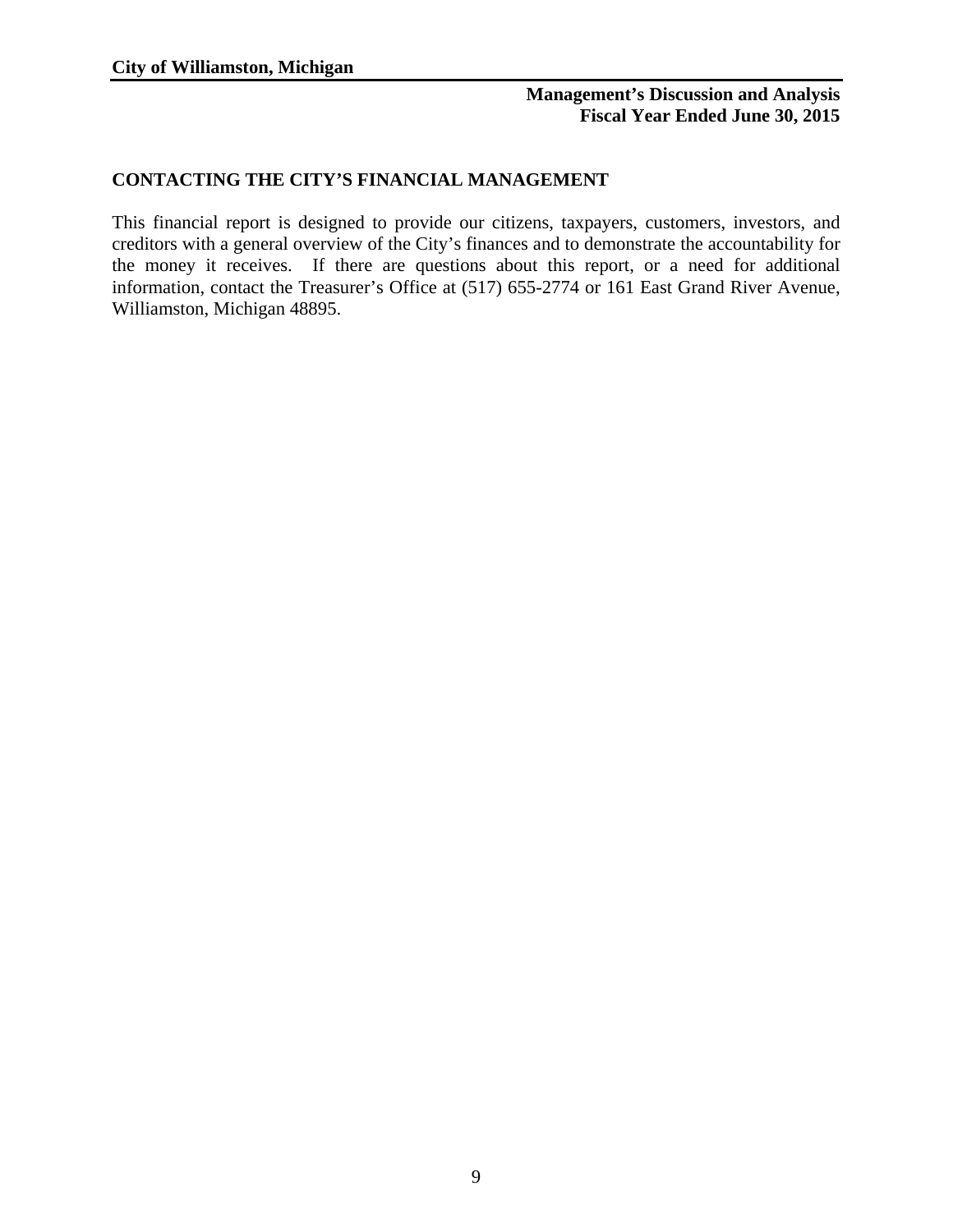# **Management's Discussion and Analysis Fiscal Year Ended June 30, 2015**

# **CONTACTING THE CITY'S FINANCIAL MANAGEMENT**

This financial report is designed to provide our citizens, taxpayers, customers, investors, and creditors with a general overview of the City's finances and to demonstrate the accountability for the money it receives. If there are questions about this report, or a need for additional information, contact the Treasurer's Office at (517) 655-2774 or 161 East Grand River Avenue, Williamston, Michigan 48895.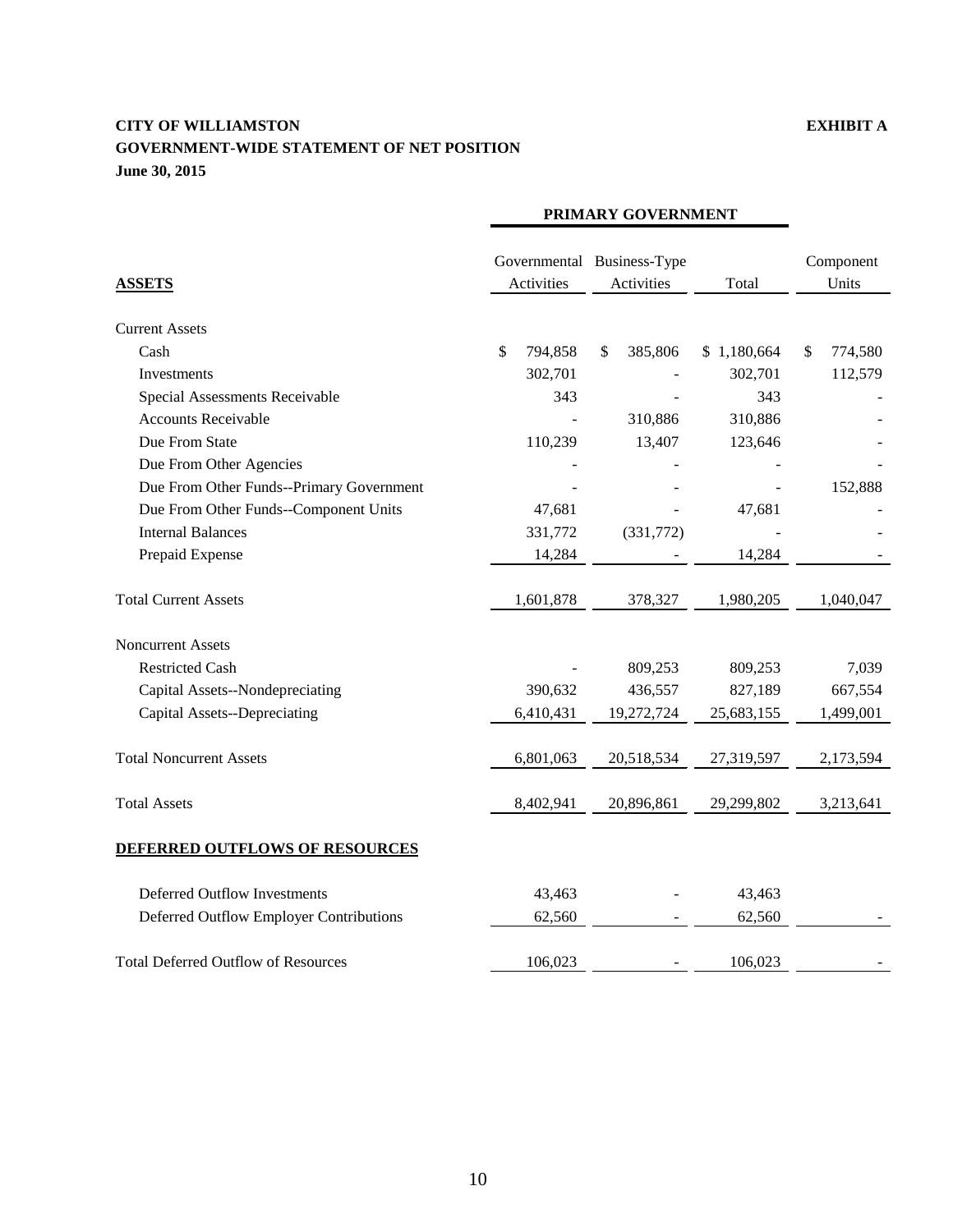# **CITY OF WILLIAMSTON EXHIBIT A GOVERNMENT-WIDE STATEMENT OF NET POSITION June 30, 2015**

| <b>ASSETS</b>                              |    | Activities | Governmental Business-Type<br>Activities |            | Total       | Component |           |
|--------------------------------------------|----|------------|------------------------------------------|------------|-------------|-----------|-----------|
|                                            |    |            |                                          |            |             |           | Units     |
| <b>Current Assets</b>                      |    |            |                                          |            |             |           |           |
| Cash                                       | \$ | 794,858    | \$                                       | 385,806    | \$1,180,664 | \$        | 774,580   |
| Investments                                |    | 302,701    |                                          |            | 302,701     |           | 112,579   |
| Special Assessments Receivable             |    | 343        |                                          |            | 343         |           |           |
| <b>Accounts Receivable</b>                 |    |            |                                          | 310,886    | 310,886     |           |           |
| Due From State                             |    | 110,239    |                                          | 13,407     | 123,646     |           |           |
| Due From Other Agencies                    |    |            |                                          |            |             |           |           |
| Due From Other Funds--Primary Government   |    |            |                                          |            |             |           | 152,888   |
| Due From Other Funds--Component Units      |    | 47,681     |                                          |            | 47,681      |           |           |
| <b>Internal Balances</b>                   |    | 331,772    |                                          | (331,772)  |             |           |           |
| Prepaid Expense                            |    | 14,284     |                                          |            | 14,284      |           |           |
| <b>Total Current Assets</b>                |    | 1,601,878  |                                          | 378,327    | 1,980,205   |           | 1,040,047 |
| Noncurrent Assets                          |    |            |                                          |            |             |           |           |
| <b>Restricted Cash</b>                     |    |            |                                          | 809,253    | 809,253     |           | 7,039     |
| Capital Assets--Nondepreciating            |    | 390,632    |                                          | 436,557    | 827,189     |           | 667,554   |
| <b>Capital Assets--Depreciating</b>        |    | 6,410,431  |                                          | 19,272,724 | 25,683,155  |           | 1,499,001 |
| <b>Total Noncurrent Assets</b>             |    | 6,801,063  |                                          | 20,518,534 | 27,319,597  |           | 2,173,594 |
| <b>Total Assets</b>                        |    | 8,402,941  |                                          | 20,896,861 | 29,299,802  |           | 3,213,641 |
| <b>DEFERRED OUTFLOWS OF RESOURCES</b>      |    |            |                                          |            |             |           |           |
| <b>Deferred Outflow Investments</b>        |    | 43,463     |                                          |            | 43,463      |           |           |
| Deferred Outflow Employer Contributions    |    | 62,560     |                                          |            | 62,560      |           |           |
| <b>Total Deferred Outflow of Resources</b> |    | 106,023    |                                          |            | 106,023     |           |           |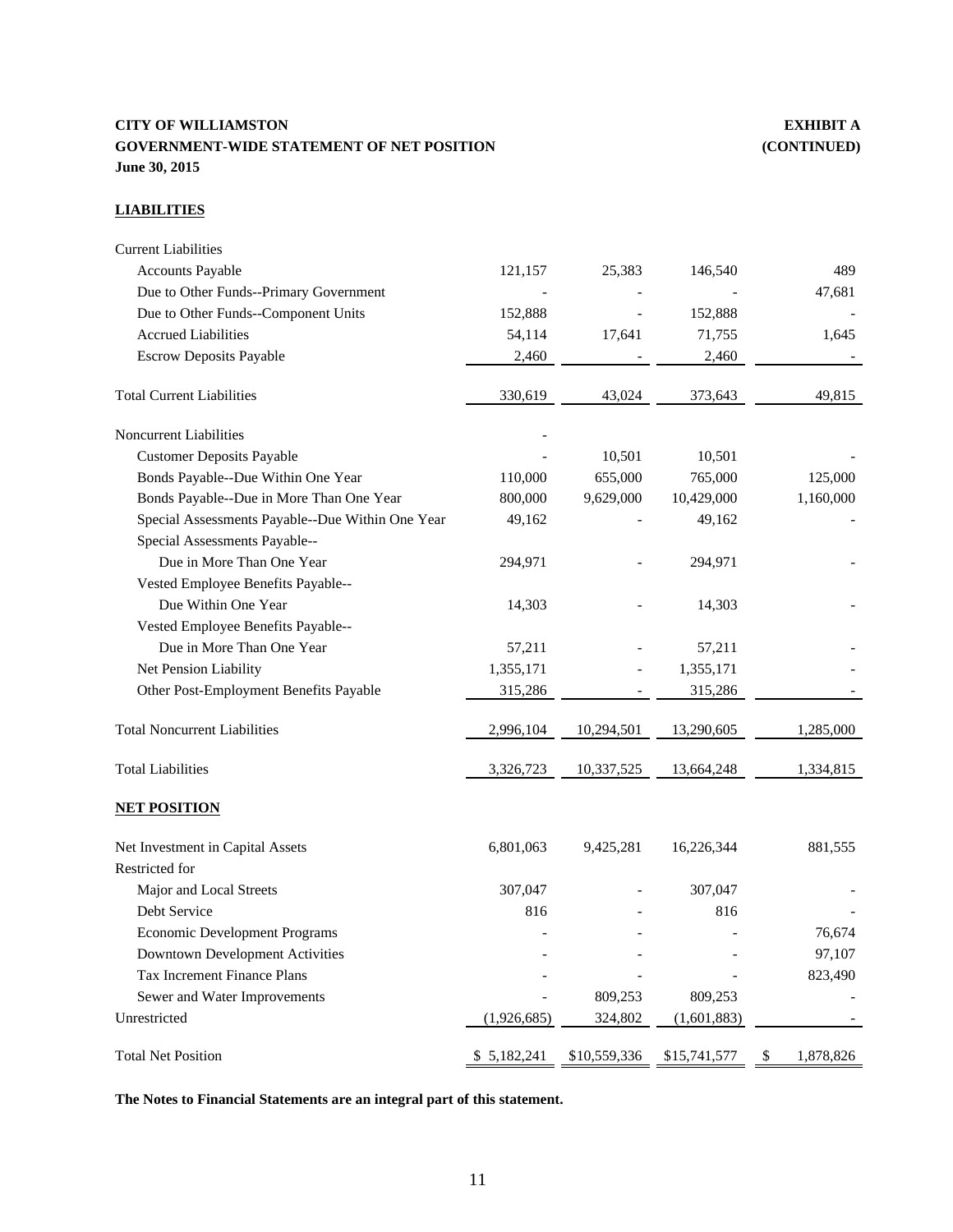# **CITY OF WILLIAMSTON EXHIBIT A GOVERNMENT-WIDE STATEMENT OF NET POSITION (CONTINUED) June 30, 2015**

# **LIABILITIES**

| <b>Current Liabilities</b>                       |             |              |              |                 |
|--------------------------------------------------|-------------|--------------|--------------|-----------------|
| <b>Accounts Payable</b>                          | 121,157     | 25,383       | 146,540      | 489             |
| Due to Other Funds--Primary Government           |             |              |              | 47,681          |
| Due to Other Funds--Component Units              | 152,888     |              | 152,888      |                 |
| <b>Accrued Liabilities</b>                       | 54,114      | 17,641       | 71,755       | 1,645           |
| <b>Escrow Deposits Payable</b>                   | 2,460       |              | 2,460        |                 |
| <b>Total Current Liabilities</b>                 | 330,619     | 43,024       | 373,643      | 49,815          |
| Noncurrent Liabilities                           |             |              |              |                 |
| <b>Customer Deposits Payable</b>                 |             | 10,501       | 10,501       |                 |
| Bonds Payable--Due Within One Year               | 110,000     | 655,000      | 765,000      | 125,000         |
| Bonds Payable--Due in More Than One Year         | 800,000     | 9,629,000    | 10,429,000   | 1,160,000       |
| Special Assessments Payable--Due Within One Year | 49,162      |              | 49,162       |                 |
| Special Assessments Payable--                    |             |              |              |                 |
| Due in More Than One Year                        | 294,971     |              | 294,971      |                 |
| Vested Employee Benefits Payable--               |             |              |              |                 |
| Due Within One Year                              | 14,303      |              | 14,303       |                 |
| Vested Employee Benefits Payable--               |             |              |              |                 |
| Due in More Than One Year                        | 57,211      |              | 57,211       |                 |
| Net Pension Liability                            | 1,355,171   |              | 1,355,171    |                 |
| Other Post-Employment Benefits Payable           | 315,286     |              | 315,286      |                 |
| <b>Total Noncurrent Liabilities</b>              | 2,996,104   | 10,294,501   | 13,290,605   | 1,285,000       |
| <b>Total Liabilities</b>                         | 3,326,723   | 10,337,525   | 13,664,248   | 1,334,815       |
| <b>NET POSITION</b>                              |             |              |              |                 |
| Net Investment in Capital Assets                 | 6,801,063   | 9,425,281    | 16,226,344   | 881,555         |
| Restricted for                                   |             |              |              |                 |
| Major and Local Streets                          | 307,047     |              | 307,047      |                 |
| Debt Service                                     | 816         |              | 816          |                 |
| <b>Economic Development Programs</b>             |             |              |              | 76,674          |
| <b>Downtown Development Activities</b>           |             |              |              | 97,107          |
| <b>Tax Increment Finance Plans</b>               |             |              |              | 823,490         |
| Sewer and Water Improvements                     |             | 809,253      | 809,253      |                 |
| Unrestricted                                     | (1,926,685) | 324,802      | (1,601,883)  |                 |
| <b>Total Net Position</b>                        | \$5,182,241 | \$10,559,336 | \$15,741,577 | \$<br>1,878,826 |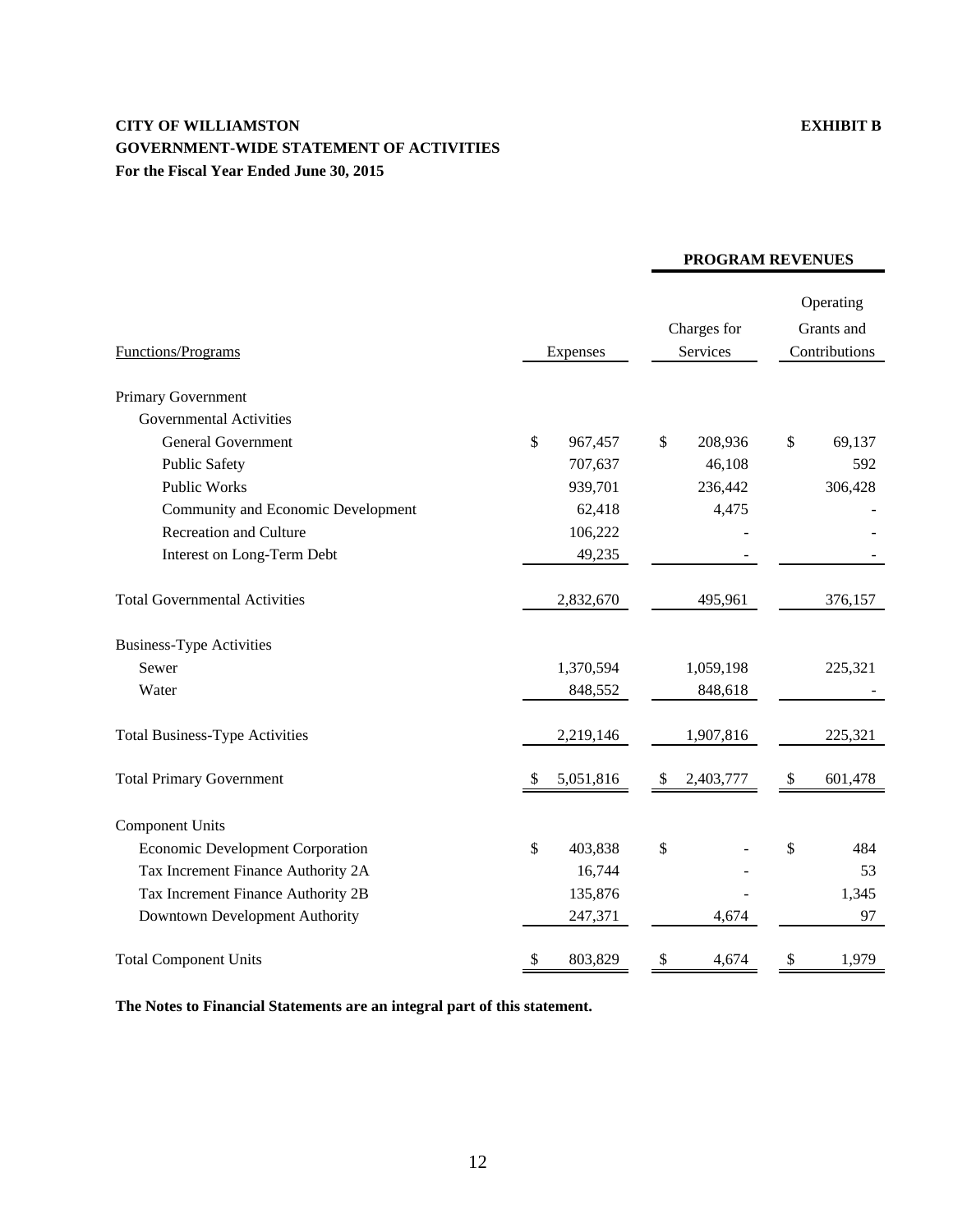# **CITY OF WILLIAMSTON EXHIBIT B GOVERNMENT-WIDE STATEMENT OF ACTIVITIES For the Fiscal Year Ended June 30, 2015**

#### **PROGRAM REVENUES**

|                                       |              |           |    |             |               | Operating |  |
|---------------------------------------|--------------|-----------|----|-------------|---------------|-----------|--|
|                                       |              |           |    | Charges for | Grants and    |           |  |
| Functions/Programs                    |              | Expenses  |    | Services    | Contributions |           |  |
|                                       |              |           |    |             |               |           |  |
| Primary Government                    |              |           |    |             |               |           |  |
| <b>Governmental Activities</b>        |              |           |    |             |               |           |  |
| <b>General Government</b>             | \$           | 967,457   | \$ | 208,936     | \$            | 69,137    |  |
| <b>Public Safety</b>                  |              | 707,637   |    | 46,108      |               | 592       |  |
| <b>Public Works</b>                   |              | 939,701   |    | 236,442     |               | 306,428   |  |
| Community and Economic Development    |              | 62,418    |    | 4,475       |               |           |  |
| <b>Recreation and Culture</b>         |              | 106,222   |    |             |               |           |  |
| Interest on Long-Term Debt            |              | 49,235    |    |             |               |           |  |
| <b>Total Governmental Activities</b>  | 2,832,670    |           |    | 495,961     |               | 376,157   |  |
| <b>Business-Type Activities</b>       |              |           |    |             |               |           |  |
| Sewer                                 |              | 1,370,594 |    | 1,059,198   |               | 225,321   |  |
| Water                                 |              | 848,552   |    | 848,618     |               |           |  |
| <b>Total Business-Type Activities</b> |              | 2,219,146 |    | 1,907,816   |               | 225,321   |  |
| <b>Total Primary Government</b>       | <sup>2</sup> | 5,051,816 | S. | 2,403,777   | -S            | 601,478   |  |
| <b>Component Units</b>                |              |           |    |             |               |           |  |
| Economic Development Corporation      | \$           | 403,838   | \$ |             | \$            | 484       |  |
| Tax Increment Finance Authority 2A    |              | 16,744    |    |             |               | 53        |  |
| Tax Increment Finance Authority 2B    |              | 135,876   |    |             |               | 1,345     |  |
| Downtown Development Authority        |              | 247,371   |    | 4,674       |               | 97        |  |
| <b>Total Component Units</b>          | \$           | 803,829   | \$ | 4,674       | \$            | 1,979     |  |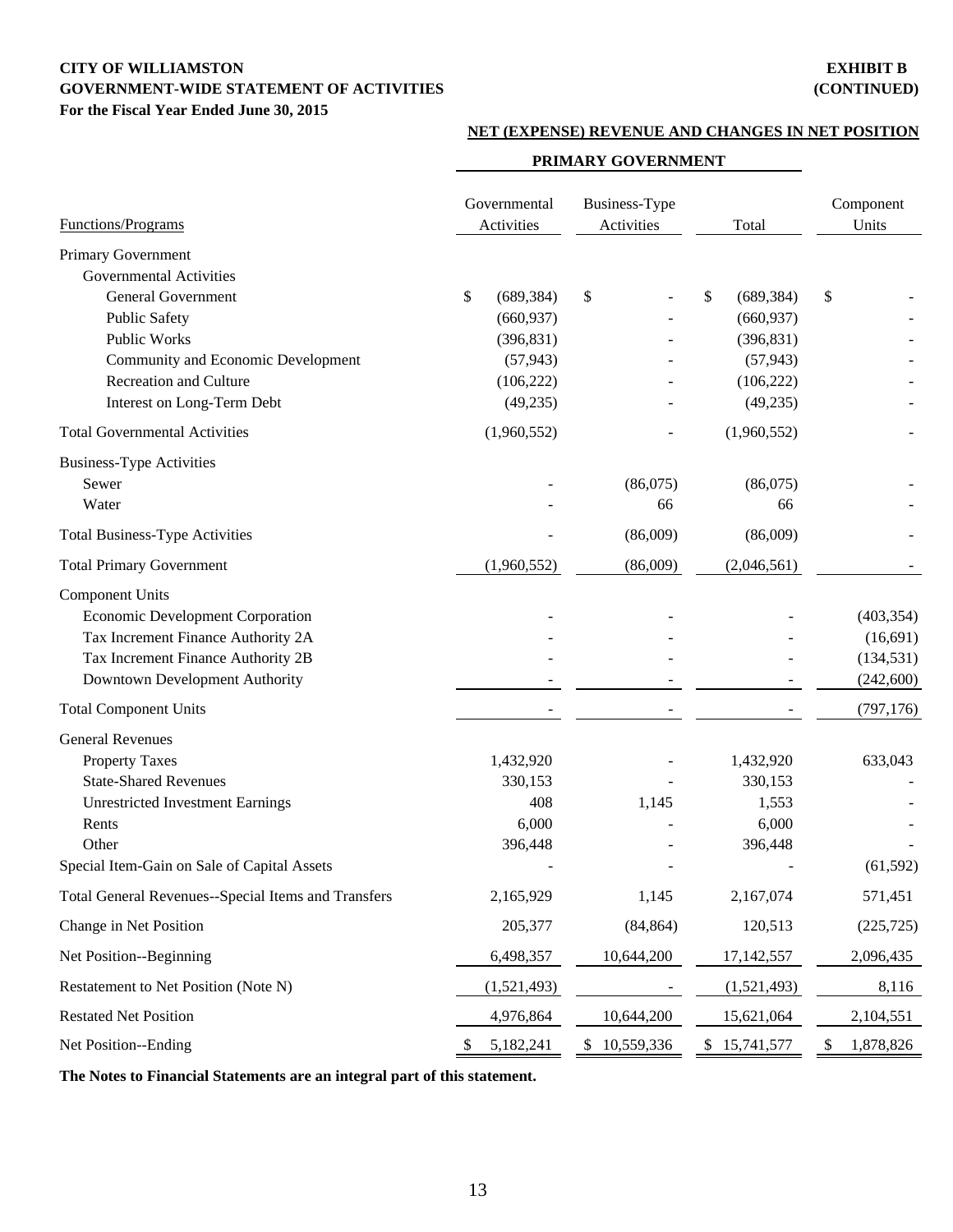#### **CITY OF WILLIAMSTON EXHIBIT B GOVERNMENT-WIDE STATEMENT OF ACTIVITIES (CONTINUED) For the Fiscal Year Ended June 30, 2015**

#### **NET (EXPENSE) REVENUE AND CHANGES IN NET POSITION**

|                                                     | PRIMARY GOVERNMENT         |                             |                  |                    |
|-----------------------------------------------------|----------------------------|-----------------------------|------------------|--------------------|
| Functions/Programs                                  | Governmental<br>Activities | Business-Type<br>Activities | Total            | Component<br>Units |
| Primary Government                                  |                            |                             |                  |                    |
| <b>Governmental Activities</b>                      |                            |                             |                  |                    |
| <b>General Government</b>                           | \$<br>(689, 384)           | \$                          | \$<br>(689, 384) | \$                 |
| <b>Public Safety</b>                                | (660, 937)                 |                             | (660, 937)       |                    |
| <b>Public Works</b>                                 | (396, 831)                 |                             | (396, 831)       |                    |
| Community and Economic Development                  | (57, 943)                  |                             | (57, 943)        |                    |
| <b>Recreation and Culture</b>                       | (106, 222)                 |                             | (106, 222)       |                    |
| Interest on Long-Term Debt                          | (49, 235)                  |                             | (49, 235)        |                    |
| <b>Total Governmental Activities</b>                | (1,960,552)                |                             | (1,960,552)      |                    |
| <b>Business-Type Activities</b>                     |                            |                             |                  |                    |
| Sewer                                               |                            | (86,075)                    | (86,075)         |                    |
| Water                                               |                            | 66                          | 66               |                    |
| <b>Total Business-Type Activities</b>               |                            | (86,009)                    | (86,009)         |                    |
| <b>Total Primary Government</b>                     | (1,960,552)                | (86,009)                    | (2,046,561)      |                    |
| <b>Component Units</b>                              |                            |                             |                  |                    |
| <b>Economic Development Corporation</b>             |                            |                             |                  | (403, 354)         |
| Tax Increment Finance Authority 2A                  |                            |                             |                  | (16,691)           |
| Tax Increment Finance Authority 2B                  |                            |                             |                  | (134, 531)         |
| Downtown Development Authority                      |                            |                             |                  | (242, 600)         |
| <b>Total Component Units</b>                        |                            |                             |                  | (797, 176)         |
| <b>General Revenues</b>                             |                            |                             |                  |                    |
| <b>Property Taxes</b>                               | 1,432,920                  |                             | 1,432,920        | 633,043            |
| <b>State-Shared Revenues</b>                        | 330,153                    |                             | 330,153          |                    |
| <b>Unrestricted Investment Earnings</b>             | 408                        | 1,145                       | 1,553            |                    |
| Rents                                               | 6,000                      |                             | 6,000            |                    |
| Other                                               | 396,448                    |                             | 396,448          |                    |
| Special Item-Gain on Sale of Capital Assets         |                            |                             |                  | (61, 592)          |
| Total General Revenues--Special Items and Transfers | 2,165,929                  | 1,145                       | 2,167,074        | 571,451            |
| Change in Net Position                              | 205,377                    | (84, 864)                   | 120,513          | (225, 725)         |
| Net Position--Beginning                             | 6,498,357                  | 10,644,200                  | 17, 142, 557     | 2,096,435          |
| Restatement to Net Position (Note N)                | (1,521,493)                |                             | (1,521,493)      | 8,116              |
| <b>Restated Net Position</b>                        | 4,976,864                  | 10,644,200                  | 15,621,064       | 2,104,551          |
| Net Position--Ending                                | \$<br>5,182,241            | \$10,559,336                | \$15,741,577     | \$<br>1,878,826    |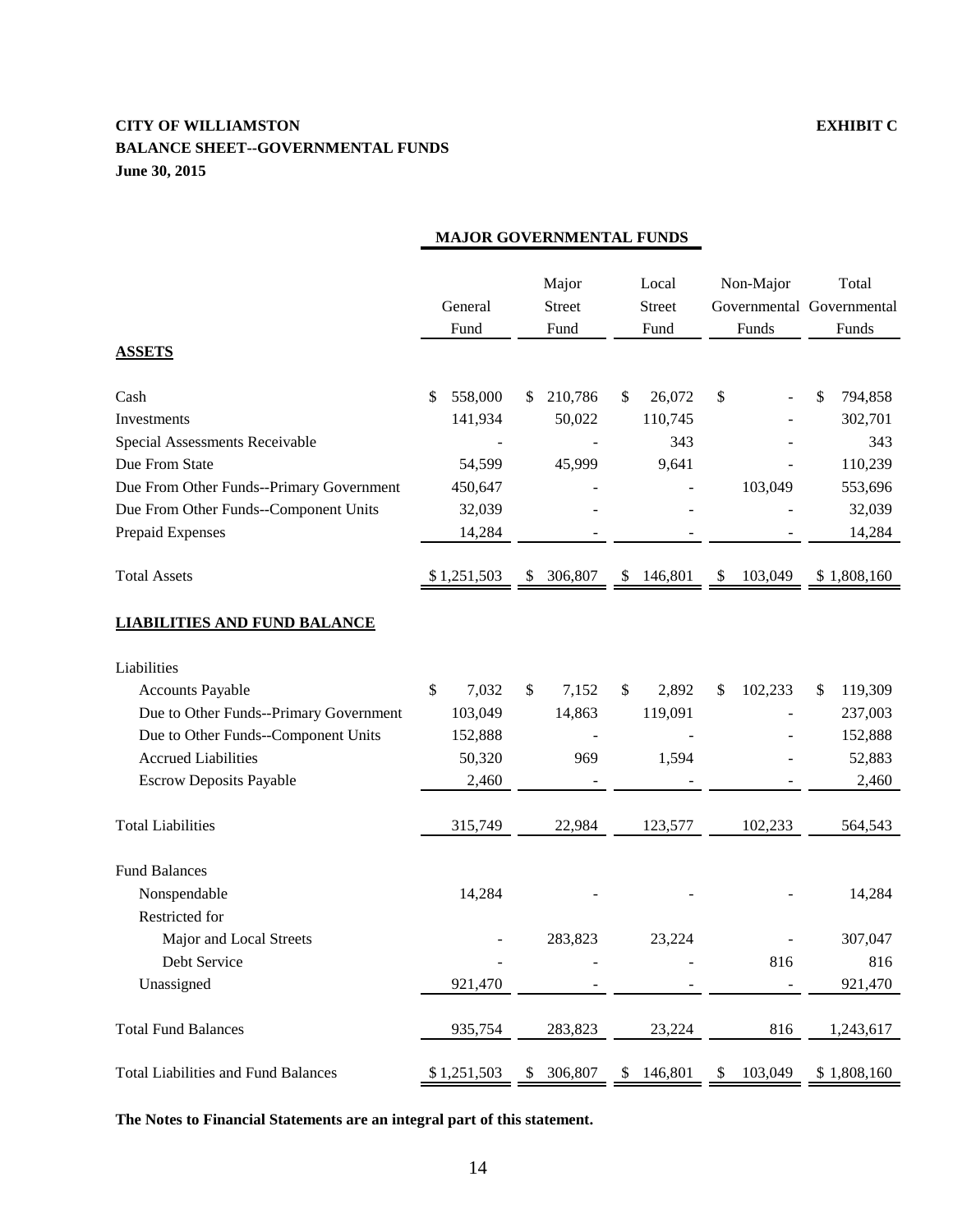# **CITY OF WILLIAMSTON EXHIBIT C BALANCE SHEET--GOVERNMENTAL FUNDS June 30, 2015**

| <b>ASSETS</b>                              | General<br>Fund | Major<br><b>Street</b><br>Fund | Local<br><b>Street</b><br>Fund | Non-Major<br>Funds                   | Total<br>Governmental Governmental<br>Funds |
|--------------------------------------------|-----------------|--------------------------------|--------------------------------|--------------------------------------|---------------------------------------------|
| Cash                                       | 558,000<br>\$   | 210,786<br>S.                  | \$<br>26,072                   | \$                                   | \$<br>794,858                               |
| Investments                                | 141,934         | 50,022                         | 110,745                        |                                      | 302,701                                     |
| Special Assessments Receivable             |                 |                                | 343                            |                                      | 343                                         |
| Due From State                             | 54,599          | 45,999                         | 9,641                          |                                      | 110,239                                     |
| Due From Other Funds--Primary Government   | 450,647         |                                |                                | 103,049                              | 553,696                                     |
| Due From Other Funds--Component Units      | 32,039          |                                |                                |                                      | 32,039                                      |
| Prepaid Expenses                           | 14,284          |                                |                                |                                      | 14,284                                      |
| <b>Total Assets</b>                        | \$1,251,503     | 306,807<br>\$                  | 146,801<br>\$                  | 103,049<br>$\boldsymbol{\mathsf{S}}$ | \$1,808,160                                 |
| <b>LIABILITIES AND FUND BALANCE</b>        |                 |                                |                                |                                      |                                             |
| Liabilities                                |                 |                                |                                |                                      |                                             |
| <b>Accounts Payable</b>                    | \$<br>7,032     | \$<br>7,152                    | \$<br>2,892                    | 102,233<br>\$                        | 119,309<br>\$                               |
| Due to Other Funds--Primary Government     | 103,049         | 14,863                         | 119,091                        |                                      | 237,003                                     |
| Due to Other Funds--Component Units        | 152,888         |                                |                                |                                      | 152,888                                     |
| <b>Accrued Liabilities</b>                 | 50,320          | 969                            | 1,594                          |                                      | 52,883                                      |
| <b>Escrow Deposits Payable</b>             | 2,460           |                                |                                |                                      | 2,460                                       |
| <b>Total Liabilities</b>                   | 315,749         | 22,984                         | 123,577                        | 102,233                              | 564,543                                     |
| <b>Fund Balances</b>                       |                 |                                |                                |                                      |                                             |
| Nonspendable                               | 14,284          |                                |                                |                                      | 14,284                                      |
| Restricted for                             |                 |                                |                                |                                      |                                             |
| Major and Local Streets                    |                 | 283,823                        | 23,224                         |                                      | 307,047                                     |
| Debt Service                               |                 |                                |                                | 816                                  | 816                                         |
| Unassigned                                 | 921,470         |                                |                                |                                      | 921,470                                     |
| <b>Total Fund Balances</b>                 | 935,754         | 283,823                        | 23,224                         | 816                                  | 1,243,617                                   |
| <b>Total Liabilities and Fund Balances</b> | \$1,251,503     | \$ 306,807                     | \$146,801                      | \$<br>103,049                        | \$1,808,160                                 |

#### **MAJOR GOVERNMENTAL FUNDS**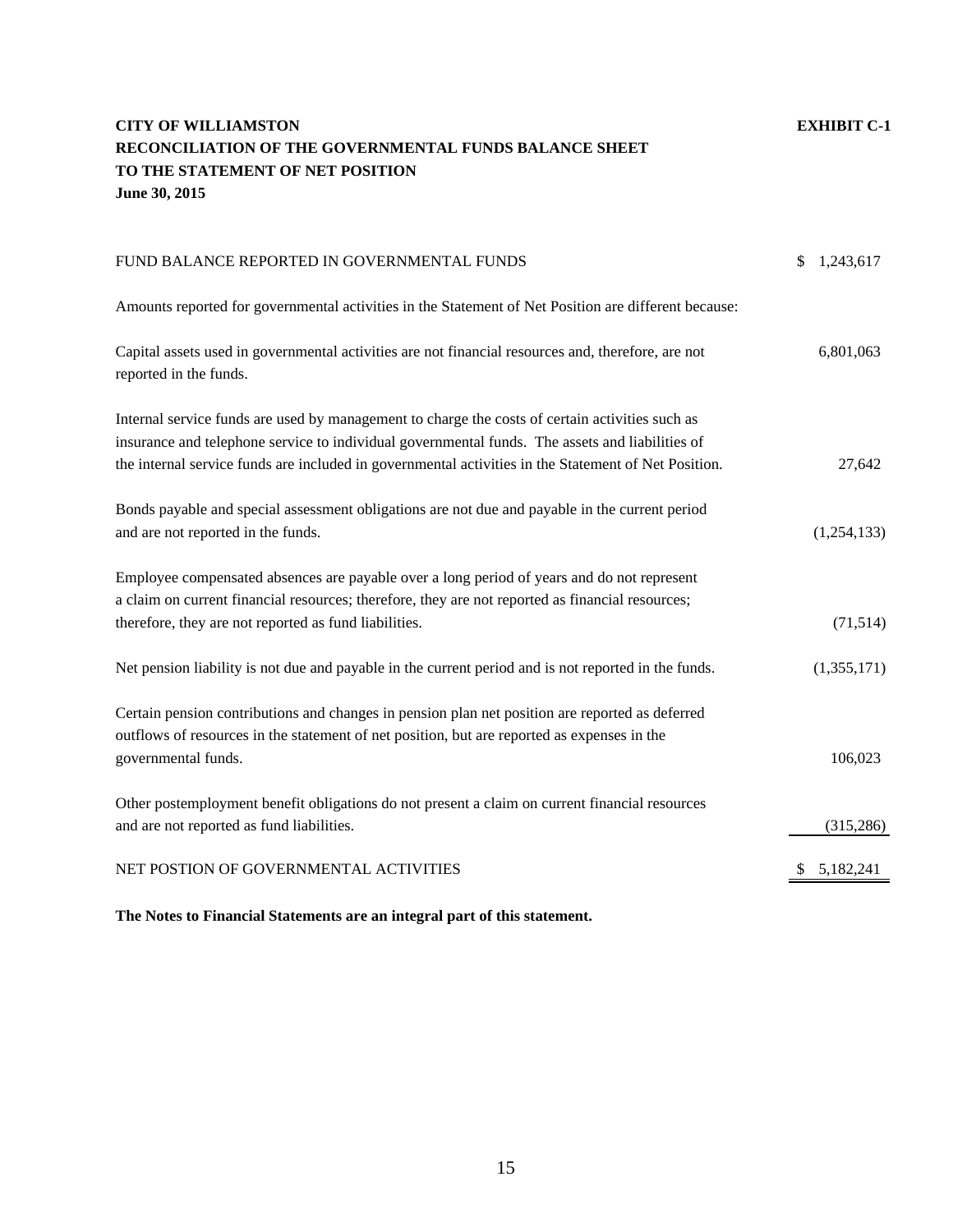# **CITY OF WILLIAMSTON EXHIBIT C-1 RECONCILIATION OF THE GOVERNMENTAL FUNDS BALANCE SHEET TO THE STATEMENT OF NET POSITION June 30, 2015**

| FUND BALANCE REPORTED IN GOVERNMENTAL FUNDS                                                                                                                                                                                                             | 1,243,617   |
|---------------------------------------------------------------------------------------------------------------------------------------------------------------------------------------------------------------------------------------------------------|-------------|
| Amounts reported for governmental activities in the Statement of Net Position are different because:                                                                                                                                                    |             |
| Capital assets used in governmental activities are not financial resources and, therefore, are not<br>reported in the funds.                                                                                                                            | 6,801,063   |
| Internal service funds are used by management to charge the costs of certain activities such as<br>insurance and telephone service to individual governmental funds. The assets and liabilities of                                                      |             |
| the internal service funds are included in governmental activities in the Statement of Net Position.                                                                                                                                                    | 27,642      |
| Bonds payable and special assessment obligations are not due and payable in the current period<br>and are not reported in the funds.                                                                                                                    | (1,254,133) |
| Employee compensated absences are payable over a long period of years and do not represent<br>a claim on current financial resources; therefore, they are not reported as financial resources;<br>therefore, they are not reported as fund liabilities. | (71,514)    |
| Net pension liability is not due and payable in the current period and is not reported in the funds.                                                                                                                                                    | (1,355,171) |
| Certain pension contributions and changes in pension plan net position are reported as deferred<br>outflows of resources in the statement of net position, but are reported as expenses in the<br>governmental funds.                                   | 106,023     |
| Other postemployment benefit obligations do not present a claim on current financial resources<br>and are not reported as fund liabilities.                                                                                                             | (315, 286)  |
| NET POSTION OF GOVERNMENTAL ACTIVITIES                                                                                                                                                                                                                  | \$5,182,241 |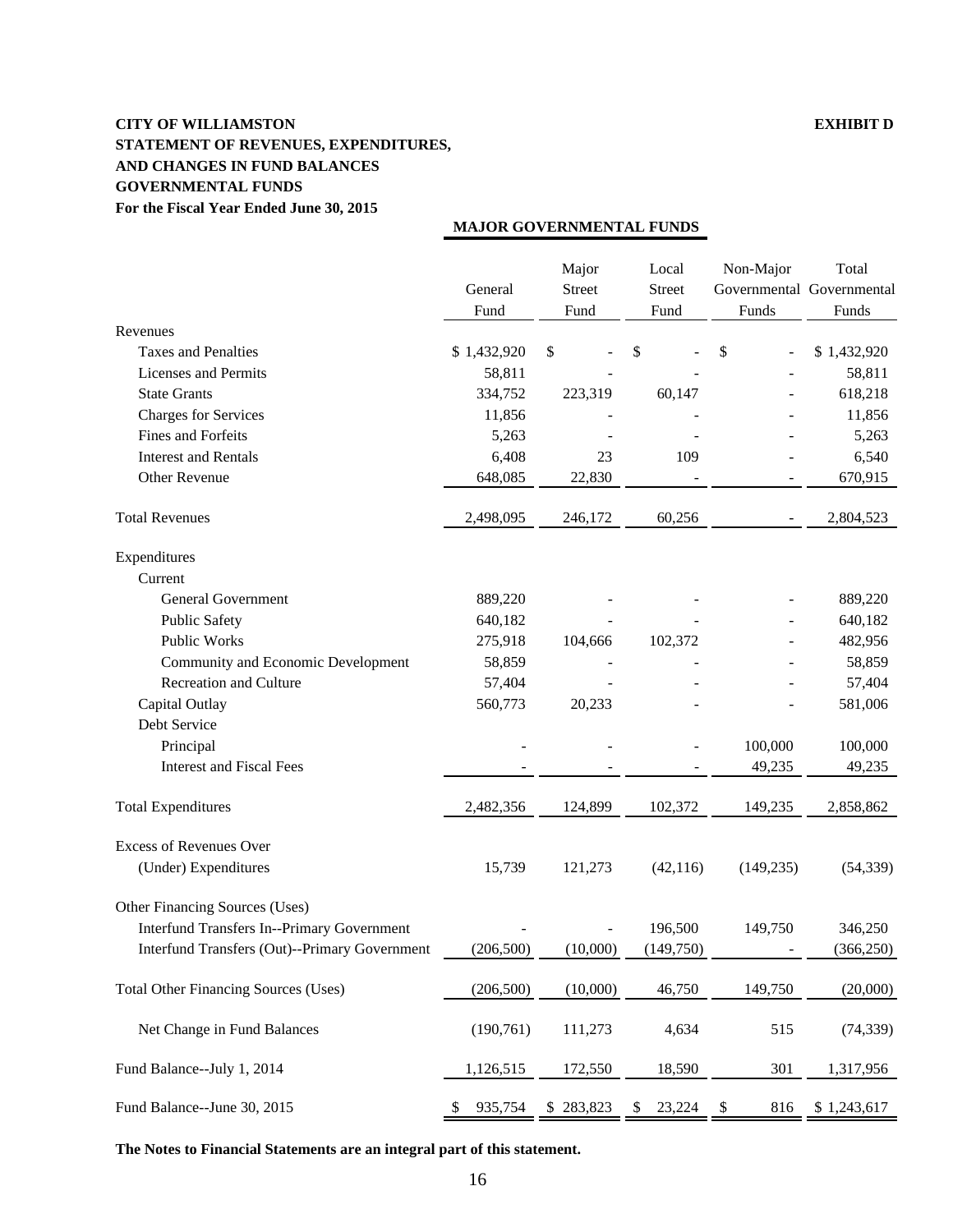#### **CITY OF WILLIAMSTON EXHIBIT D STATEMENT OF REVENUES, EXPENDITURES, AND CHANGES IN FUND BALANCES GOVERNMENTAL FUNDS For the Fiscal Year Ended June 30, 2015**

|                                                   | General<br>Fund | Major<br><b>Street</b><br>Fund | Local<br>Street<br>Fund | Non-Major<br>Funds | Total<br>Governmental Governmental<br>Funds |
|---------------------------------------------------|-----------------|--------------------------------|-------------------------|--------------------|---------------------------------------------|
| Revenues                                          |                 |                                |                         |                    |                                             |
| <b>Taxes and Penalties</b>                        | \$1,432,920     | \$                             | \$                      | \$                 | \$1,432,920                                 |
| <b>Licenses and Permits</b>                       | 58,811          |                                |                         |                    | 58,811                                      |
| <b>State Grants</b>                               | 334,752         | 223,319                        | 60,147                  |                    | 618,218                                     |
| <b>Charges for Services</b><br>Fines and Forfeits | 11,856<br>5,263 |                                |                         |                    | 11,856                                      |
| <b>Interest and Rentals</b>                       | 6,408           | 23                             | 109                     |                    | 5,263                                       |
| <b>Other Revenue</b>                              | 648,085         |                                |                         |                    | 6,540                                       |
|                                                   |                 | 22,830                         |                         |                    | 670,915                                     |
| <b>Total Revenues</b>                             | 2,498,095       | 246,172                        | 60,256                  |                    | 2,804,523                                   |
| Expenditures                                      |                 |                                |                         |                    |                                             |
| Current                                           |                 |                                |                         |                    |                                             |
| <b>General Government</b>                         | 889,220         |                                |                         |                    | 889,220                                     |
| <b>Public Safety</b>                              | 640,182         |                                |                         |                    | 640,182                                     |
| Public Works                                      | 275,918         | 104,666                        | 102,372                 |                    | 482,956                                     |
| Community and Economic Development                | 58,859          |                                |                         |                    | 58,859                                      |
| <b>Recreation and Culture</b>                     | 57,404          |                                |                         |                    | 57,404                                      |
| Capital Outlay                                    | 560,773         | 20,233                         |                         |                    | 581,006                                     |
| Debt Service                                      |                 |                                |                         |                    |                                             |
| Principal                                         |                 |                                |                         | 100,000            | 100,000                                     |
| <b>Interest and Fiscal Fees</b>                   |                 |                                |                         | 49,235             | 49,235                                      |
| <b>Total Expenditures</b>                         | 2,482,356       | 124,899                        | 102,372                 | 149,235            | 2,858,862                                   |
| <b>Excess of Revenues Over</b>                    |                 |                                |                         |                    |                                             |
| (Under) Expenditures                              | 15,739          | 121,273                        | (42, 116)               | (149, 235)         | (54, 339)                                   |
| Other Financing Sources (Uses)                    |                 |                                |                         |                    |                                             |
| Interfund Transfers In--Primary Government        |                 |                                | 196,500                 | 149,750            | 346,250                                     |
| Interfund Transfers (Out)--Primary Government     | (206, 500)      | (10,000)                       | (149, 750)              |                    | (366, 250)                                  |
| <b>Total Other Financing Sources (Uses)</b>       | (206, 500)      | (10,000)                       | 46,750                  | 149,750            | (20,000)                                    |
| Net Change in Fund Balances                       | (190, 761)      | 111,273                        | 4,634                   | 515                | (74, 339)                                   |
| Fund Balance--July 1, 2014                        | 1,126,515       | 172,550                        | 18,590                  | 301                | 1,317,956                                   |
| Fund Balance--June 30, 2015                       | 935,754         | 283,823<br>\$                  | 23,224                  | 816<br>\$          | \$1,243,617                                 |

#### **MAJOR GOVERNMENTAL FUNDS**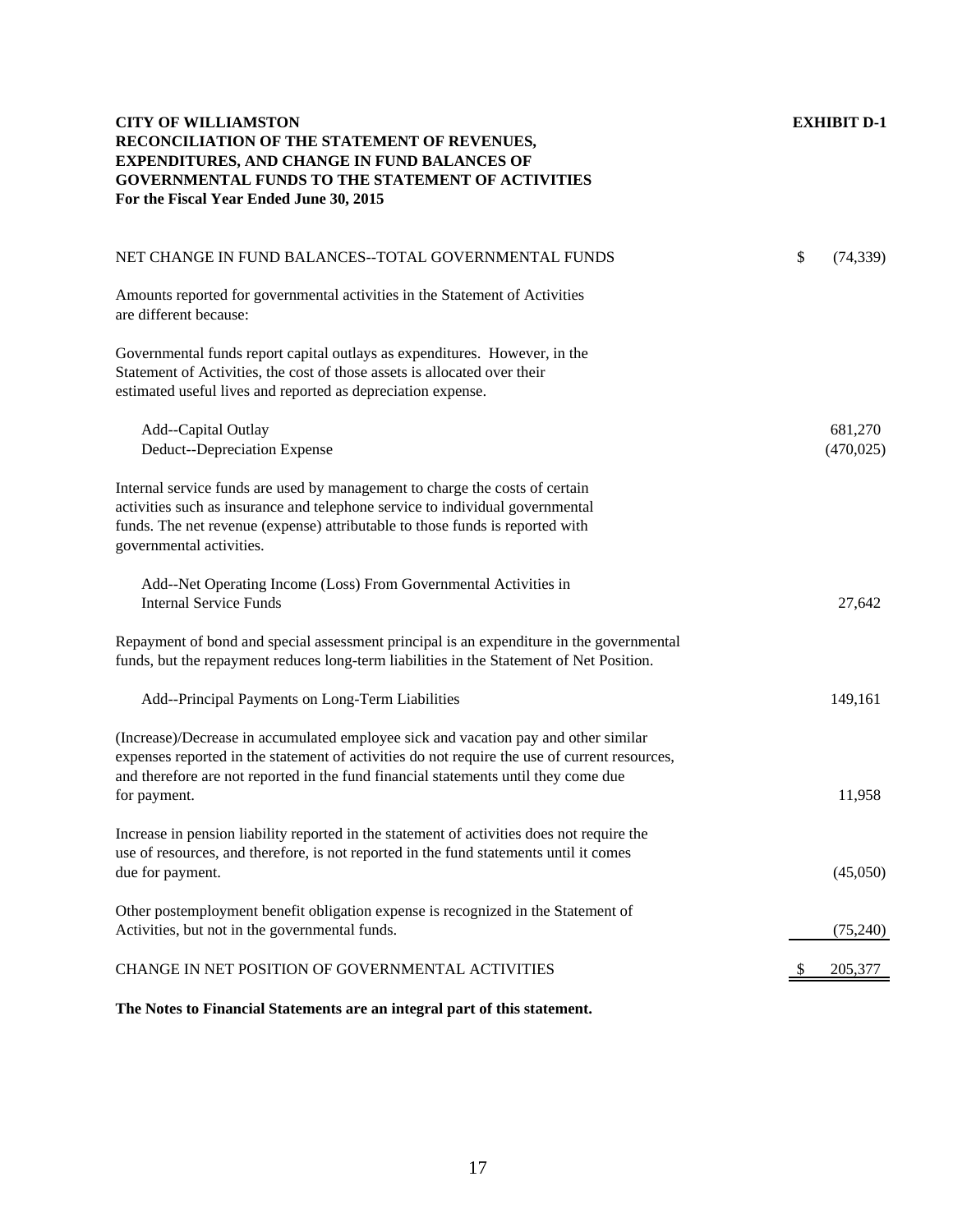| <b>CITY OF WILLIAMSTON</b><br>RECONCILIATION OF THE STATEMENT OF REVENUES,<br><b>EXPENDITURES, AND CHANGE IN FUND BALANCES OF</b><br>GOVERNMENTAL FUNDS TO THE STATEMENT OF ACTIVITIES<br>For the Fiscal Year Ended June 30, 2015                                                           | <b>EXHIBIT D-1</b>    |
|---------------------------------------------------------------------------------------------------------------------------------------------------------------------------------------------------------------------------------------------------------------------------------------------|-----------------------|
| NET CHANGE IN FUND BALANCES--TOTAL GOVERNMENTAL FUNDS                                                                                                                                                                                                                                       | \$<br>(74, 339)       |
| Amounts reported for governmental activities in the Statement of Activities<br>are different because:                                                                                                                                                                                       |                       |
| Governmental funds report capital outlays as expenditures. However, in the<br>Statement of Activities, the cost of those assets is allocated over their<br>estimated useful lives and reported as depreciation expense.                                                                     |                       |
| Add--Capital Outlay<br>Deduct--Depreciation Expense                                                                                                                                                                                                                                         | 681,270<br>(470, 025) |
| Internal service funds are used by management to charge the costs of certain<br>activities such as insurance and telephone service to individual governmental<br>funds. The net revenue (expense) attributable to those funds is reported with<br>governmental activities.                  |                       |
| Add--Net Operating Income (Loss) From Governmental Activities in<br><b>Internal Service Funds</b>                                                                                                                                                                                           | 27,642                |
| Repayment of bond and special assessment principal is an expenditure in the governmental<br>funds, but the repayment reduces long-term liabilities in the Statement of Net Position.                                                                                                        |                       |
| Add--Principal Payments on Long-Term Liabilities                                                                                                                                                                                                                                            | 149,161               |
| (Increase)/Decrease in accumulated employee sick and vacation pay and other similar<br>expenses reported in the statement of activities do not require the use of current resources,<br>and therefore are not reported in the fund financial statements until they come due<br>for payment. | 11,958                |
| Increase in pension liability reported in the statement of activities does not require the<br>use of resources, and therefore, is not reported in the fund statements until it comes<br>due for payment.                                                                                    | (45,050)              |
| Other postemployment benefit obligation expense is recognized in the Statement of<br>Activities, but not in the governmental funds.                                                                                                                                                         | (75,240)              |
| CHANGE IN NET POSITION OF GOVERNMENTAL ACTIVITIES                                                                                                                                                                                                                                           | 205,377               |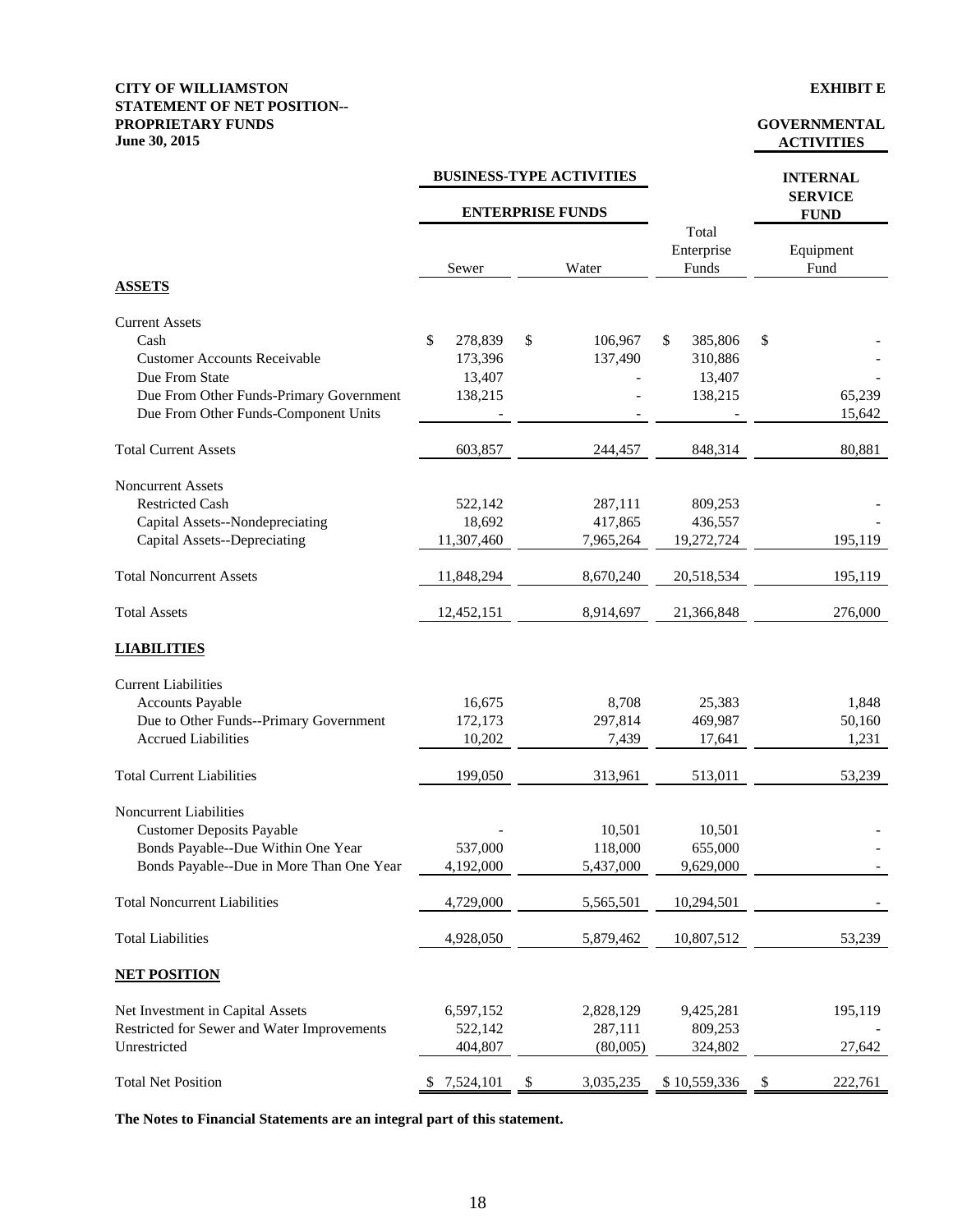#### **CITY OF WILLIAMSTON EXHIBIT E STATEMENT OF NET POSITION-- PROPRIETARY FUNDS June 30, 2015**

| <b>GOVERNMENTAL</b> |
|---------------------|
| <b>ACTIVITIES</b>   |

|                                                                                                                                                                           |                                               | <b>BUSINESS-TYPE ACTIVITIES</b> |                                               | <b>INTERNAL</b>               |
|---------------------------------------------------------------------------------------------------------------------------------------------------------------------------|-----------------------------------------------|---------------------------------|-----------------------------------------------|-------------------------------|
|                                                                                                                                                                           |                                               | <b>ENTERPRISE FUNDS</b>         |                                               | <b>SERVICE</b><br><b>FUND</b> |
|                                                                                                                                                                           | Sewer                                         | Water                           | Total<br>Enterprise<br>Funds                  | Equipment<br>Fund             |
| <b>ASSETS</b>                                                                                                                                                             |                                               |                                 |                                               |                               |
| <b>Current Assets</b><br>Cash<br><b>Customer Accounts Receivable</b><br>Due From State<br>Due From Other Funds-Primary Government<br>Due From Other Funds-Component Units | \$<br>278,839<br>173,396<br>13,407<br>138,215 | \$<br>106,967<br>137,490        | \$<br>385,806<br>310,886<br>13,407<br>138,215 | \$<br>65,239<br>15,642        |
| <b>Total Current Assets</b>                                                                                                                                               | 603,857                                       | 244,457                         | 848,314                                       | 80,881                        |
| Noncurrent Assets<br><b>Restricted Cash</b><br>Capital Assets--Nondepreciating<br><b>Capital Assets--Depreciating</b>                                                     | 522,142<br>18,692<br>11,307,460               | 287,111<br>417,865<br>7,965,264 | 809,253<br>436,557<br>19,272,724              | 195,119                       |
| <b>Total Noncurrent Assets</b>                                                                                                                                            | 11,848,294                                    | 8,670,240                       | 20,518,534                                    | 195,119                       |
| <b>Total Assets</b>                                                                                                                                                       | 12,452,151                                    | 8,914,697                       | 21,366,848                                    | 276,000                       |
| <b>LIABILITIES</b>                                                                                                                                                        |                                               |                                 |                                               |                               |
| <b>Current Liabilities</b><br><b>Accounts Payable</b><br>Due to Other Funds--Primary Government<br><b>Accrued Liabilities</b>                                             | 16,675<br>172,173<br>10,202                   | 297,814                         | 8,708<br>25,383<br>469,987<br>7,439<br>17,641 | 1,848<br>50,160<br>1,231      |
| <b>Total Current Liabilities</b>                                                                                                                                          | 199,050                                       | 313,961                         | 513,011                                       | 53,239                        |
| <b>Noncurrent Liabilities</b><br><b>Customer Deposits Payable</b><br>Bonds Payable--Due Within One Year<br>Bonds Payable--Due in More Than One Year                       | 537,000<br>4,192,000                          | 10,501<br>118,000<br>5,437,000  | 10,501<br>655,000<br>9,629,000                |                               |
| <b>Total Noncurrent Liabilities</b>                                                                                                                                       | 4,729,000                                     | 5,565,501                       | 10,294,501                                    |                               |
| <b>Total Liabilities</b>                                                                                                                                                  | 4,928,050                                     | 5,879,462                       | 10,807,512                                    | 53,239                        |
| <b>NET POSITION</b>                                                                                                                                                       |                                               |                                 |                                               |                               |
| Net Investment in Capital Assets<br>Restricted for Sewer and Water Improvements<br>Unrestricted                                                                           | 6,597,152<br>522,142<br>404,807               | 2,828,129<br>287,111            | 9,425,281<br>809,253<br>(80,005)<br>324,802   | 195,119<br>27,642             |
| <b>Total Net Position</b>                                                                                                                                                 | \$7,524,101                                   | \$<br>3,035,235                 | \$10,559,336                                  | \$<br>222,761                 |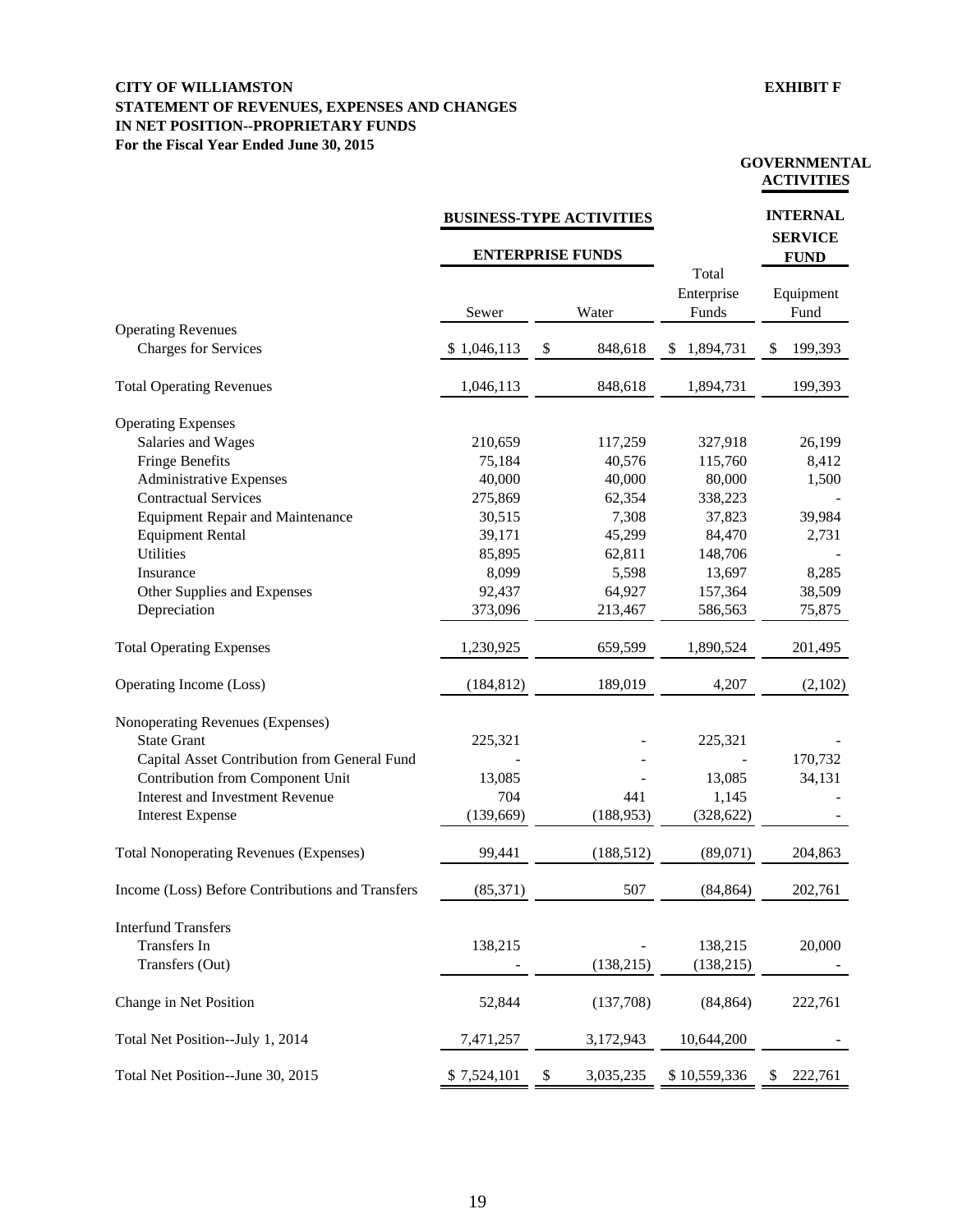#### **CITY OF WILLIAMSTON EXHIBIT F STATEMENT OF REVENUES, EXPENSES AND CHANGES IN NET POSITION--PROPRIETARY FUNDS For the Fiscal Year Ended June 30, 2015**

#### **GOVERNMENTAL ACTIVITIES**

|                                                          | <b>BUSINESS-TYPE ACTIVITIES</b> |                 |                              | <b>INTERNAL</b>               |
|----------------------------------------------------------|---------------------------------|-----------------|------------------------------|-------------------------------|
|                                                          | <b>ENTERPRISE FUNDS</b>         |                 |                              | <b>SERVICE</b><br><b>FUND</b> |
|                                                          | Sewer                           | Water           | Total<br>Enterprise<br>Funds | Equipment<br>Fund             |
| <b>Operating Revenues</b><br><b>Charges for Services</b> | \$1,046,113                     | \$<br>848,618   | 1,894,731<br>\$              | 199,393<br>\$                 |
|                                                          |                                 |                 |                              |                               |
| <b>Total Operating Revenues</b>                          | 1,046,113                       | 848,618         | 1,894,731                    | 199,393                       |
| <b>Operating Expenses</b>                                |                                 |                 |                              |                               |
| Salaries and Wages                                       | 210,659                         | 117,259         | 327,918                      | 26,199                        |
| <b>Fringe Benefits</b>                                   | 75,184                          | 40,576          | 115,760                      | 8,412                         |
| <b>Administrative Expenses</b>                           | 40,000                          | 40,000          | 80,000                       | 1,500                         |
| <b>Contractual Services</b>                              | 275,869                         | 62,354          | 338,223                      |                               |
| <b>Equipment Repair and Maintenance</b>                  | 30,515                          | 7,308           | 37,823                       | 39,984                        |
| <b>Equipment Rental</b>                                  | 39,171                          | 45,299          | 84,470                       | 2,731                         |
| Utilities                                                | 85,895                          | 62,811          | 148,706                      |                               |
| Insurance                                                | 8,099                           | 5,598           | 13,697                       | 8,285                         |
| Other Supplies and Expenses                              | 92,437                          | 64,927          | 157,364                      | 38,509                        |
| Depreciation                                             | 373,096                         | 213,467         | 586,563                      | 75,875                        |
| <b>Total Operating Expenses</b>                          | 1,230,925                       | 659,599         | 1,890,524                    | 201,495                       |
| Operating Income (Loss)                                  | (184, 812)                      | 189,019         | 4,207                        | (2,102)                       |
| Nonoperating Revenues (Expenses)<br><b>State Grant</b>   | 225,321                         |                 | 225,321                      |                               |
| Capital Asset Contribution from General Fund             |                                 |                 |                              | 170,732                       |
| Contribution from Component Unit                         | 13,085                          |                 | 13,085                       | 34,131                        |
| <b>Interest and Investment Revenue</b>                   | 704                             | 441             | 1,145                        |                               |
| <b>Interest Expense</b>                                  | (139, 669)                      | (188, 953)      | (328, 622)                   |                               |
| <b>Total Nonoperating Revenues (Expenses)</b>            | 99,441                          | (188, 512)      | (89,071)                     | 204,863                       |
| Income (Loss) Before Contributions and Transfers         | (85,371)                        | 507             | (84, 864)                    | 202,761                       |
| <b>Interfund Transfers</b>                               |                                 |                 |                              |                               |
| Transfers In                                             | 138,215                         |                 | 138,215                      | 20,000                        |
| Transfers (Out)                                          |                                 | (138, 215)      | (138, 215)                   |                               |
| Change in Net Position                                   | 52,844                          | (137,708)       | (84, 864)                    | 222,761                       |
| Total Net Position--July 1, 2014                         | 7,471,257                       | 3,172,943       | 10,644,200                   |                               |
| Total Net Position--June 30, 2015                        | \$7,524,101                     | \$<br>3,035,235 | \$10,559,336                 | \$<br>222,761                 |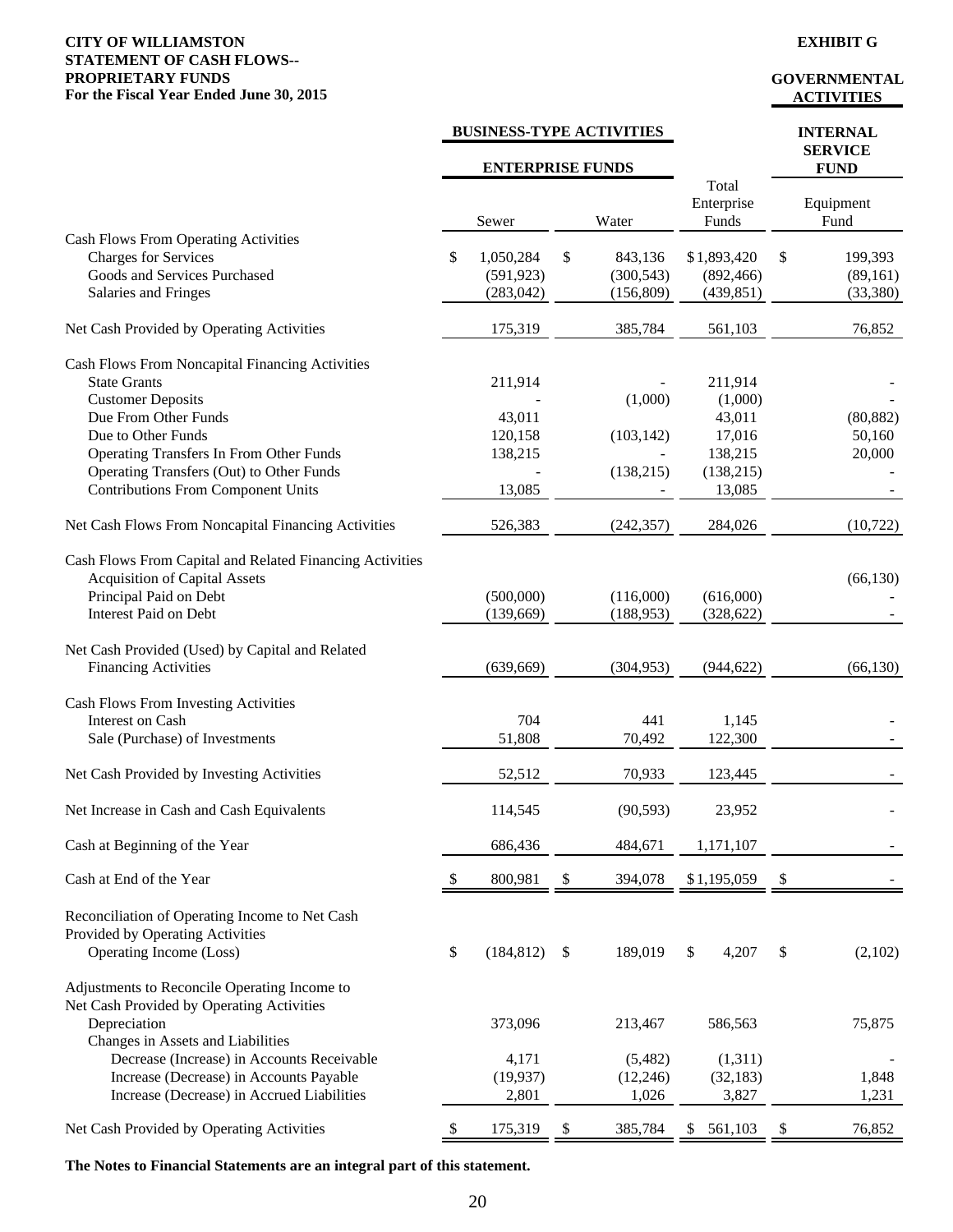#### **CITY OF WILLIAMSTON EXHIBIT G STATEMENT OF CASH FLOWS-- PROPRIETARY FUNDS GOVERNMENTAL** For the Fiscal Year Ended June 30, 2015

| <b>GOVERNMENTAI</b> |  |
|---------------------|--|
| <b>ACTIVITIES</b>   |  |

|                                                                                                                                                                                                                                                                                      | <b>BUSINESS-TYPE ACTIVITIES</b> |                                                   |    |                                     |                                                                           | <b>INTERNAL</b>                       |
|--------------------------------------------------------------------------------------------------------------------------------------------------------------------------------------------------------------------------------------------------------------------------------------|---------------------------------|---------------------------------------------------|----|-------------------------------------|---------------------------------------------------------------------------|---------------------------------------|
|                                                                                                                                                                                                                                                                                      |                                 | <b>ENTERPRISE FUNDS</b>                           |    |                                     |                                                                           | <b>SERVICE</b><br><b>FUND</b>         |
|                                                                                                                                                                                                                                                                                      |                                 | Sewer                                             |    | Water                               | Total<br>Enterprise<br>Funds                                              | Equipment<br>Fund                     |
| <b>Cash Flows From Operating Activities</b><br><b>Charges for Services</b><br>Goods and Services Purchased<br>Salaries and Fringes                                                                                                                                                   | \$                              | 1,050,284<br>(591, 923)<br>(283, 042)             | \$ | 843,136<br>(300, 543)<br>(156, 809) | \$1,893,420<br>(892, 466)<br>(439, 851)                                   | \$<br>199,393<br>(89,161)<br>(33,380) |
| Net Cash Provided by Operating Activities                                                                                                                                                                                                                                            |                                 | 175,319                                           |    | 385,784                             | 561,103                                                                   | 76,852                                |
| Cash Flows From Noncapital Financing Activities<br><b>State Grants</b><br><b>Customer Deposits</b><br>Due From Other Funds<br>Due to Other Funds<br>Operating Transfers In From Other Funds<br>Operating Transfers (Out) to Other Funds<br><b>Contributions From Component Units</b> |                                 | 211,914<br>43,011<br>120,158<br>138,215<br>13,085 |    | (1,000)<br>(103, 142)<br>(138, 215) | 211,914<br>(1,000)<br>43,011<br>17,016<br>138,215<br>(138, 215)<br>13,085 | (80, 882)<br>50,160<br>20,000         |
| Net Cash Flows From Noncapital Financing Activities                                                                                                                                                                                                                                  |                                 | 526,383                                           |    | (242, 357)                          | 284,026                                                                   | (10, 722)                             |
| Cash Flows From Capital and Related Financing Activities<br><b>Acquisition of Capital Assets</b><br>Principal Paid on Debt<br><b>Interest Paid on Debt</b>                                                                                                                           |                                 | (500,000)<br>(139, 669)                           |    | (116,000)<br>(188, 953)             | (616,000)<br>(328, 622)                                                   | (66, 130)                             |
| Net Cash Provided (Used) by Capital and Related<br><b>Financing Activities</b>                                                                                                                                                                                                       |                                 | (639, 669)                                        |    | (304, 953)                          | (944, 622)                                                                | (66, 130)                             |
| Cash Flows From Investing Activities<br><b>Interest on Cash</b><br>Sale (Purchase) of Investments                                                                                                                                                                                    |                                 | 704<br>51,808                                     |    | 441<br>70,492                       | 1,145<br>122,300                                                          |                                       |
| Net Cash Provided by Investing Activities                                                                                                                                                                                                                                            |                                 | 52,512                                            |    | 70,933                              | 123,445                                                                   |                                       |
| Net Increase in Cash and Cash Equivalents                                                                                                                                                                                                                                            |                                 | 114,545                                           |    | (90, 593)                           | 23,952                                                                    |                                       |
| Cash at Beginning of the Year                                                                                                                                                                                                                                                        |                                 | 686,436                                           |    | 484,671                             | 1,171,107                                                                 |                                       |
| Cash at End of the Year                                                                                                                                                                                                                                                              | \$                              | 800,981                                           | \$ | 394,078                             | \$1,195,059                                                               | \$                                    |
| Reconciliation of Operating Income to Net Cash<br>Provided by Operating Activities<br>Operating Income (Loss)                                                                                                                                                                        | \$                              | (184, 812)                                        | \$ | 189,019                             | \$<br>4,207                                                               | \$<br>(2,102)                         |
| Adjustments to Reconcile Operating Income to<br>Net Cash Provided by Operating Activities<br>Depreciation<br>Changes in Assets and Liabilities<br>Decrease (Increase) in Accounts Receivable<br>Increase (Decrease) in Accounts Payable                                              |                                 | 373,096<br>4,171<br>(19, 937)                     |    | 213,467<br>(5,482)<br>(12,246)      | 586,563<br>(1,311)<br>(32, 183)                                           | 75,875<br>1,848                       |
| Increase (Decrease) in Accrued Liabilities                                                                                                                                                                                                                                           |                                 | 2,801                                             |    | 1,026                               | 3,827                                                                     | 1,231                                 |
| Net Cash Provided by Operating Activities                                                                                                                                                                                                                                            | \$                              | 175,319                                           | \$ | 385,784                             | \$<br>561,103                                                             | \$<br>76,852                          |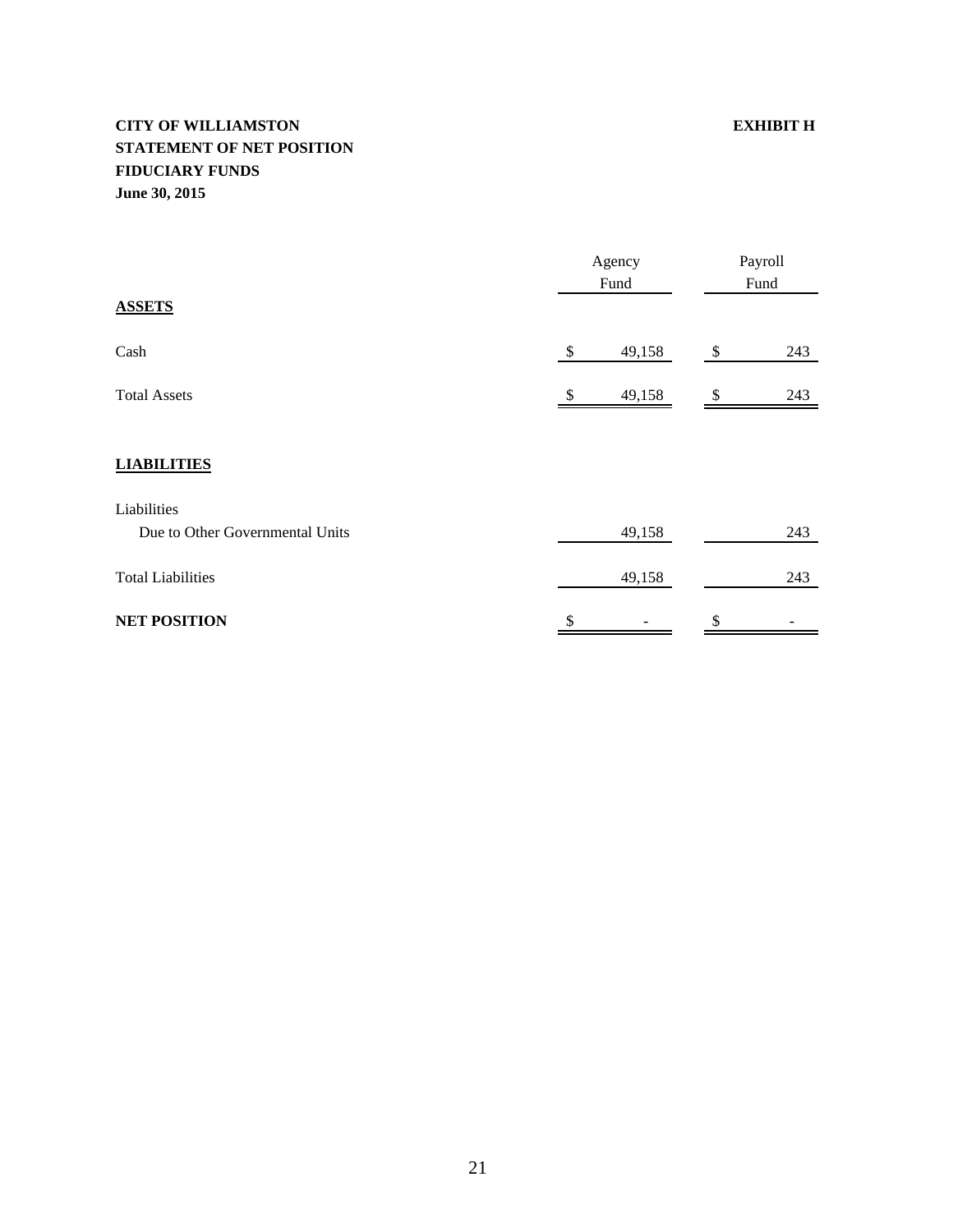# **CITY OF WILLIAMSTON EXHIBIT H STATEMENT OF NET POSITION FIDUCIARY FUNDS June 30, 2015**

|                                 |               | Agency<br>Fund | Payroll<br>Fund |     |  |
|---------------------------------|---------------|----------------|-----------------|-----|--|
| <b>ASSETS</b>                   |               |                |                 |     |  |
| Cash                            | $\frac{1}{2}$ | 49,158         | \$              | 243 |  |
| <b>Total Assets</b>             |               | 49,158         | \$              | 243 |  |
| <b>LIABILITIES</b>              |               |                |                 |     |  |
| Liabilities                     |               |                |                 |     |  |
| Due to Other Governmental Units |               | 49,158         |                 | 243 |  |
| <b>Total Liabilities</b>        |               | 49,158         |                 | 243 |  |
| <b>NET POSITION</b>             | \$            |                | \$              |     |  |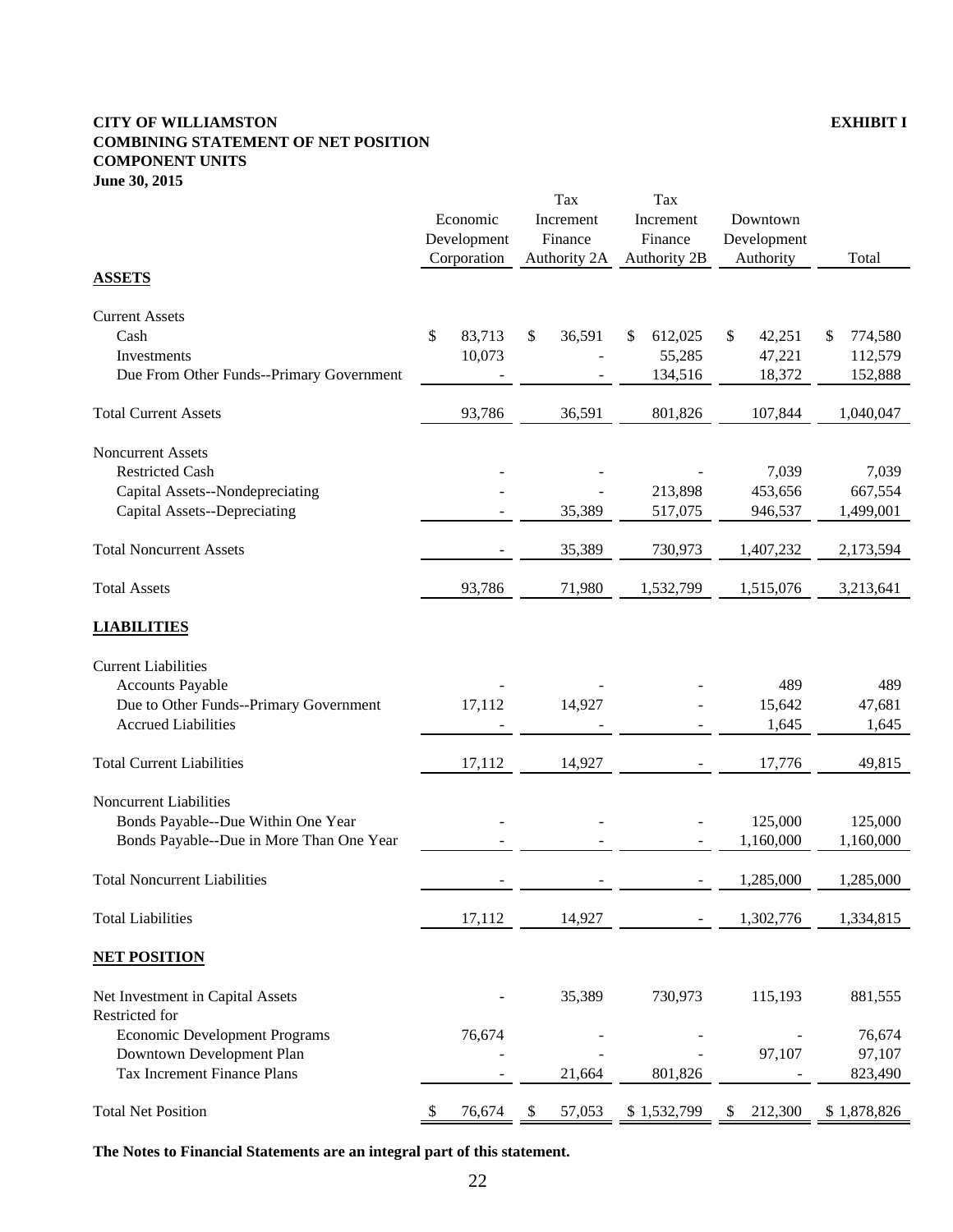#### **CITY OF WILLIAMSTON EXHIBIT I COMBINING STATEMENT OF NET POSITION COMPONENT UNITS June 30, 2015**

|                                                    | Economic<br>Development<br>Corporation |        | Tax<br>Increment<br>Finance |              | Tax          |               |             |           |
|----------------------------------------------------|----------------------------------------|--------|-----------------------------|--------------|--------------|---------------|-------------|-----------|
|                                                    |                                        |        |                             |              | Increment    | Downtown      |             |           |
|                                                    |                                        |        |                             |              | Finance      | Development   |             |           |
|                                                    |                                        |        |                             | Authority 2A | Authority 2B | Authority     | Total       |           |
| <b>ASSETS</b>                                      |                                        |        |                             |              |              |               |             |           |
| <b>Current Assets</b>                              |                                        |        |                             |              |              |               |             |           |
| Cash                                               | \$                                     | 83,713 | \$                          | 36,591       | 612,025<br>S | \$<br>42,251  | \$          | 774,580   |
| Investments                                        |                                        | 10,073 |                             |              | 55,285       | 47,221        |             | 112,579   |
| Due From Other Funds--Primary Government           |                                        |        |                             |              | 134,516      | 18,372        |             | 152,888   |
| <b>Total Current Assets</b>                        |                                        | 93,786 |                             | 36,591       | 801,826      | 107,844       |             | 1,040,047 |
| <b>Noncurrent Assets</b>                           |                                        |        |                             |              |              |               |             |           |
| <b>Restricted Cash</b>                             |                                        |        |                             |              |              | 7,039         |             | 7,039     |
| Capital Assets--Nondepreciating                    |                                        |        |                             |              | 213,898      | 453,656       |             | 667,554   |
| Capital Assets--Depreciating                       |                                        |        |                             | 35,389       | 517,075      | 946,537       |             | 1,499,001 |
| <b>Total Noncurrent Assets</b>                     |                                        |        |                             | 35,389       | 730,973      | 1,407,232     |             | 2,173,594 |
| <b>Total Assets</b>                                |                                        | 93,786 |                             | 71,980       | 1,532,799    | 1,515,076     |             | 3,213,641 |
| <b>LIABILITIES</b>                                 |                                        |        |                             |              |              |               |             |           |
| <b>Current Liabilities</b>                         |                                        |        |                             |              |              |               |             |           |
| <b>Accounts Payable</b>                            |                                        |        |                             |              |              | 489           |             | 489       |
| Due to Other Funds--Primary Government             |                                        | 17,112 |                             | 14,927       |              | 15,642        |             | 47,681    |
| <b>Accrued Liabilities</b>                         |                                        |        |                             |              |              | 1,645         |             | 1,645     |
|                                                    |                                        |        |                             |              |              |               |             |           |
| <b>Total Current Liabilities</b>                   |                                        | 17,112 |                             | 14,927       |              | 17,776        |             | 49,815    |
| <b>Noncurrent Liabilities</b>                      |                                        |        |                             |              |              |               |             |           |
| Bonds Payable--Due Within One Year                 |                                        |        |                             |              |              | 125,000       |             | 125,000   |
| Bonds Payable--Due in More Than One Year           |                                        |        |                             |              |              | 1,160,000     |             | 1,160,000 |
|                                                    |                                        |        |                             |              |              |               |             |           |
| <b>Total Noncurrent Liabilities</b>                |                                        |        |                             |              |              | 1,285,000     |             | 1,285,000 |
| <b>Total Liabilities</b>                           |                                        | 17,112 |                             | 14,927       |              | 1,302,776     |             | 1,334,815 |
| <b>NET POSITION</b>                                |                                        |        |                             |              |              |               |             |           |
|                                                    |                                        |        |                             |              |              |               |             |           |
| Net Investment in Capital Assets<br>Restricted for |                                        |        |                             | 35,389       | 730,973      | 115,193       |             | 881,555   |
|                                                    |                                        |        |                             |              |              |               |             |           |
| <b>Economic Development Programs</b>               |                                        | 76,674 |                             |              |              |               |             | 76,674    |
| Downtown Development Plan                          |                                        |        |                             |              |              | 97,107        |             | 97,107    |
| <b>Tax Increment Finance Plans</b>                 |                                        |        |                             | 21,664       | 801,826      |               |             | 823,490   |
| <b>Total Net Position</b>                          | \$                                     | 76,674 | \$                          | 57,053       | \$1,532,799  | 212,300<br>\$ | \$1,878,826 |           |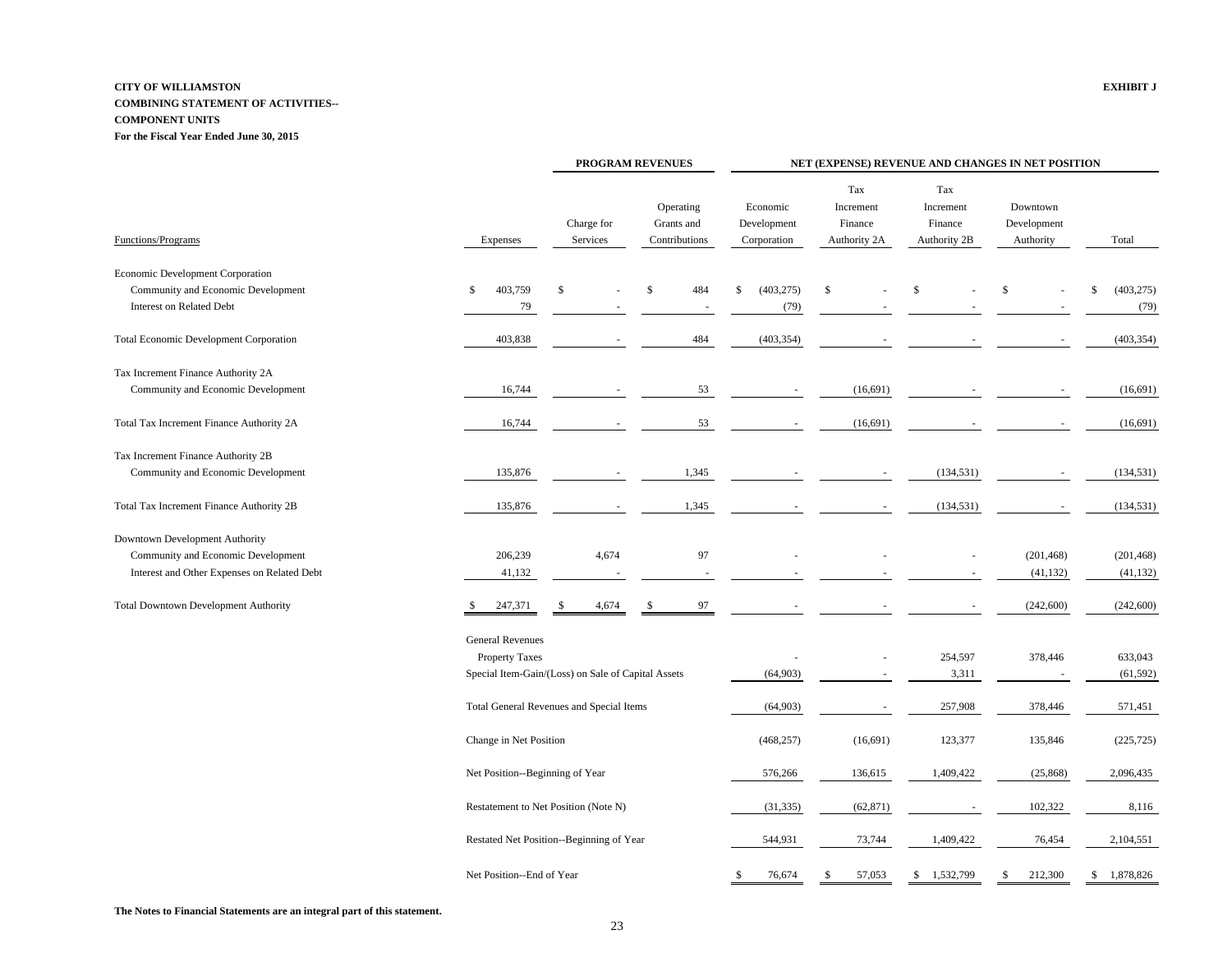#### **CITY OF WILLIAMSTON EXHIBIT J COMBINING STATEMENT OF ACTIVITIES-- COMPONENT UNITS For the Fiscal Year Ended June 30, 2015**

|                                               |                                                                    |                                                    | PROGRAM REVENUES                         | NET (EXPENSE) REVENUE AND CHANGES IN NET POSITION |                                             |                                             |                                      |                  |  |
|-----------------------------------------------|--------------------------------------------------------------------|----------------------------------------------------|------------------------------------------|---------------------------------------------------|---------------------------------------------|---------------------------------------------|--------------------------------------|------------------|--|
| Functions/Programs                            | Expenses                                                           | Charge for<br>Services                             | Operating<br>Grants and<br>Contributions | Economic<br>Development<br>Corporation            | Tax<br>Increment<br>Finance<br>Authority 2A | Tax<br>Increment<br>Finance<br>Authority 2B | Downtown<br>Development<br>Authority | Total            |  |
| Economic Development Corporation              |                                                                    |                                                    |                                          |                                                   |                                             |                                             |                                      |                  |  |
| Community and Economic Development            | 403,759<br>\$                                                      | \$                                                 | 484<br><sup>\$</sup>                     | (403, 275)<br>\$                                  | \$                                          | .S                                          | $\mathbb{S}$                         | (403, 275)<br>\$ |  |
| <b>Interest on Related Debt</b>               | 79                                                                 |                                                    |                                          | (79)                                              |                                             |                                             |                                      | (79)             |  |
| <b>Total Economic Development Corporation</b> | 403,838                                                            |                                                    | 484                                      | (403, 354)                                        |                                             |                                             |                                      | (403, 354)       |  |
| Tax Increment Finance Authority 2A            |                                                                    |                                                    |                                          |                                                   |                                             |                                             |                                      |                  |  |
| Community and Economic Development            | 16,744                                                             |                                                    | 53                                       |                                                   | (16, 691)                                   |                                             |                                      | (16, 691)        |  |
| Total Tax Increment Finance Authority 2A      | 16,744                                                             |                                                    | 53                                       |                                                   | (16, 691)                                   |                                             |                                      | (16, 691)        |  |
| Tax Increment Finance Authority 2B            |                                                                    |                                                    |                                          |                                                   |                                             |                                             |                                      |                  |  |
| Community and Economic Development            | 135,876                                                            |                                                    | 1,345                                    |                                                   |                                             | (134, 531)                                  |                                      | (134, 531)       |  |
| Total Tax Increment Finance Authority 2B      | 135,876                                                            |                                                    | 1,345                                    |                                                   |                                             | (134, 531)                                  |                                      | (134, 531)       |  |
| Downtown Development Authority                |                                                                    |                                                    |                                          |                                                   |                                             |                                             |                                      |                  |  |
| Community and Economic Development            | 206,239                                                            | 4,674                                              | 97                                       |                                                   |                                             |                                             | (201, 468)                           | (201, 468)       |  |
| Interest and Other Expenses on Related Debt   | 41,132                                                             |                                                    |                                          |                                                   |                                             |                                             | (41, 132)                            | (41, 132)        |  |
| <b>Total Downtown Development Authority</b>   | 247,371<br>-S                                                      | 4,674                                              | 97                                       |                                                   |                                             |                                             | (242,600)                            | (242,600)        |  |
|                                               | <b>General Revenues</b><br><b>Property Taxes</b>                   |                                                    |                                          |                                                   |                                             | 254,597                                     | 378,446                              | 633,043          |  |
|                                               |                                                                    | Special Item-Gain/(Loss) on Sale of Capital Assets |                                          | (64,903)                                          |                                             | 3,311                                       |                                      | (61, 592)        |  |
|                                               |                                                                    |                                                    |                                          |                                                   |                                             |                                             |                                      |                  |  |
|                                               | Total General Revenues and Special Items<br>Change in Net Position |                                                    |                                          | (64,903)                                          |                                             | 257,908                                     | 378,446                              | 571,451          |  |
|                                               |                                                                    |                                                    |                                          | (468, 257)                                        | (16,691)                                    | 123,377                                     | 135,846                              | (225, 725)       |  |
|                                               | Net Position--Beginning of Year                                    |                                                    | 576,266                                  | 136,615                                           | 1,409,422                                   | (25, 868)                                   | 2,096,435                            |                  |  |
| Restatement to Net Position (Note N)          |                                                                    |                                                    |                                          | (31, 335)                                         | (62, 871)                                   |                                             | 102,322                              | 8,116            |  |
|                                               |                                                                    | Restated Net Position--Beginning of Year           |                                          | 544,931                                           | 73,744                                      | 1,409,422                                   | 76,454                               | 2,104,551        |  |
|                                               | Net Position--End of Year                                          |                                                    |                                          | \$<br>76,674                                      | \$<br>57,053                                | 1,532,799<br>\$                             | 212,300<br>\$                        | \$1,878,826      |  |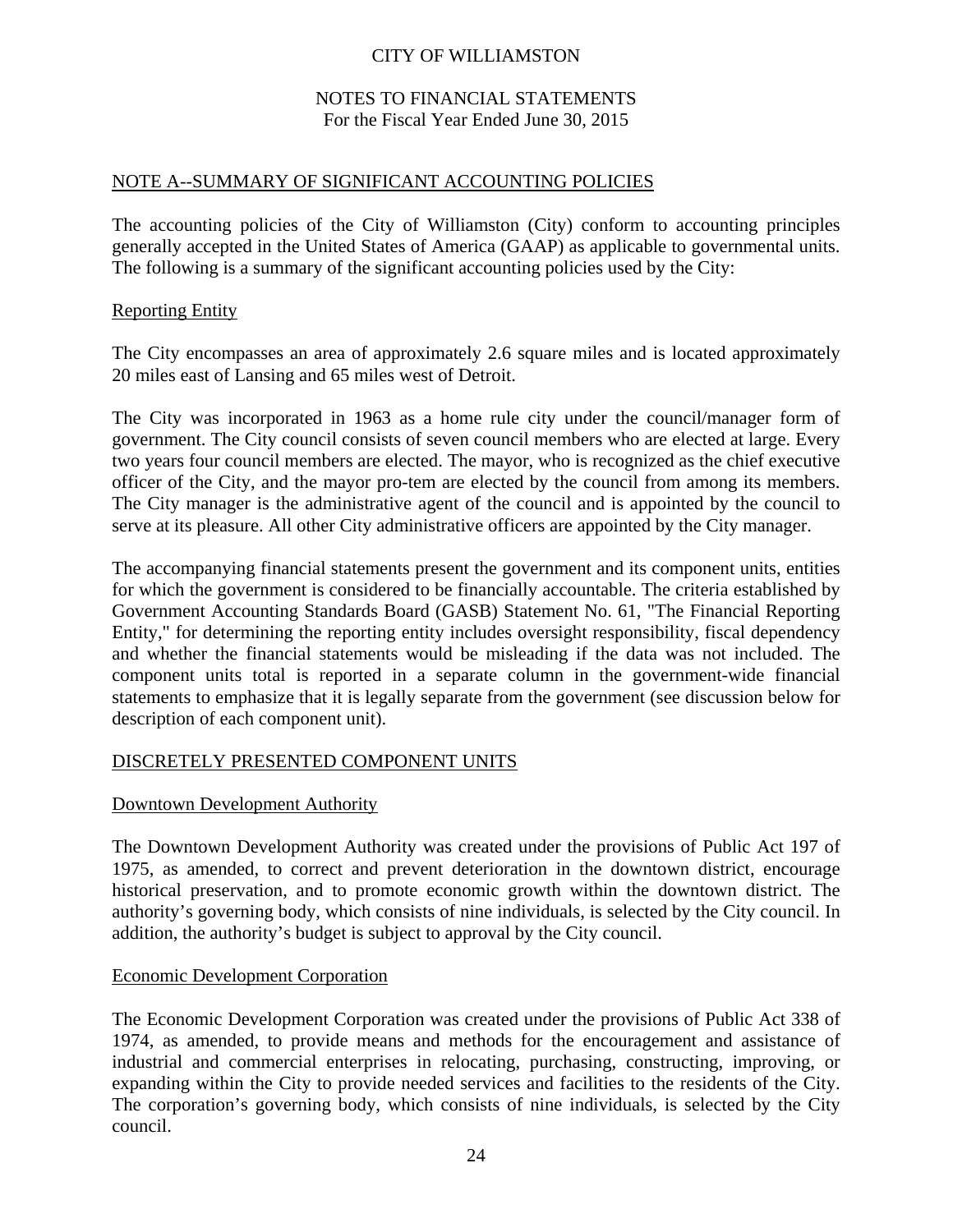# NOTES TO FINANCIAL STATEMENTS For the Fiscal Year Ended June 30, 2015

### NOTE A--SUMMARY OF SIGNIFICANT ACCOUNTING POLICIES

The accounting policies of the City of Williamston (City) conform to accounting principles generally accepted in the United States of America (GAAP) as applicable to governmental units. The following is a summary of the significant accounting policies used by the City:

#### Reporting Entity

The City encompasses an area of approximately 2.6 square miles and is located approximately 20 miles east of Lansing and 65 miles west of Detroit.

The City was incorporated in 1963 as a home rule city under the council/manager form of government. The City council consists of seven council members who are elected at large. Every two years four council members are elected. The mayor, who is recognized as the chief executive officer of the City, and the mayor pro-tem are elected by the council from among its members. The City manager is the administrative agent of the council and is appointed by the council to serve at its pleasure. All other City administrative officers are appointed by the City manager.

The accompanying financial statements present the government and its component units, entities for which the government is considered to be financially accountable. The criteria established by Government Accounting Standards Board (GASB) Statement No. 61, "The Financial Reporting Entity," for determining the reporting entity includes oversight responsibility, fiscal dependency and whether the financial statements would be misleading if the data was not included. The component units total is reported in a separate column in the government-wide financial statements to emphasize that it is legally separate from the government (see discussion below for description of each component unit).

### DISCRETELY PRESENTED COMPONENT UNITS

#### Downtown Development Authority

The Downtown Development Authority was created under the provisions of Public Act 197 of 1975, as amended, to correct and prevent deterioration in the downtown district, encourage historical preservation, and to promote economic growth within the downtown district. The authority's governing body, which consists of nine individuals, is selected by the City council. In addition, the authority's budget is subject to approval by the City council.

#### Economic Development Corporation

The Economic Development Corporation was created under the provisions of Public Act 338 of 1974, as amended, to provide means and methods for the encouragement and assistance of industrial and commercial enterprises in relocating, purchasing, constructing, improving, or expanding within the City to provide needed services and facilities to the residents of the City. The corporation's governing body, which consists of nine individuals, is selected by the City council.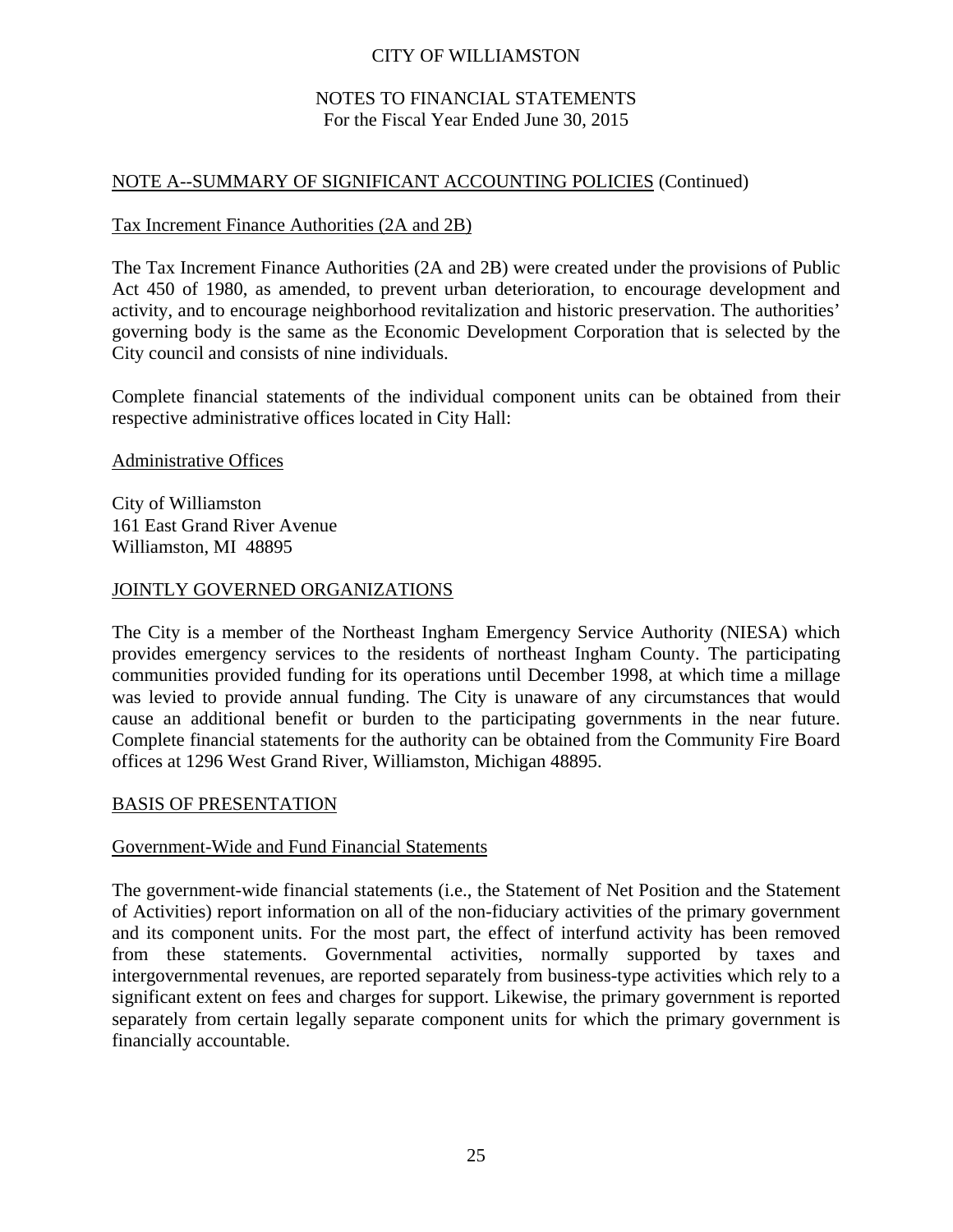# NOTES TO FINANCIAL STATEMENTS For the Fiscal Year Ended June 30, 2015

# NOTE A--SUMMARY OF SIGNIFICANT ACCOUNTING POLICIES (Continued)

#### Tax Increment Finance Authorities (2A and 2B)

The Tax Increment Finance Authorities (2A and 2B) were created under the provisions of Public Act 450 of 1980, as amended, to prevent urban deterioration, to encourage development and activity, and to encourage neighborhood revitalization and historic preservation. The authorities' governing body is the same as the Economic Development Corporation that is selected by the City council and consists of nine individuals.

Complete financial statements of the individual component units can be obtained from their respective administrative offices located in City Hall:

Administrative Offices

City of Williamston 161 East Grand River Avenue Williamston, MI 48895

#### JOINTLY GOVERNED ORGANIZATIONS

The City is a member of the Northeast Ingham Emergency Service Authority (NIESA) which provides emergency services to the residents of northeast Ingham County. The participating communities provided funding for its operations until December 1998, at which time a millage was levied to provide annual funding. The City is unaware of any circumstances that would cause an additional benefit or burden to the participating governments in the near future. Complete financial statements for the authority can be obtained from the Community Fire Board offices at 1296 West Grand River, Williamston, Michigan 48895.

#### BASIS OF PRESENTATION

### Government-Wide and Fund Financial Statements

The government-wide financial statements (i.e., the Statement of Net Position and the Statement of Activities) report information on all of the non-fiduciary activities of the primary government and its component units. For the most part, the effect of interfund activity has been removed from these statements. Governmental activities, normally supported by taxes and intergovernmental revenues, are reported separately from business-type activities which rely to a significant extent on fees and charges for support. Likewise, the primary government is reported separately from certain legally separate component units for which the primary government is financially accountable.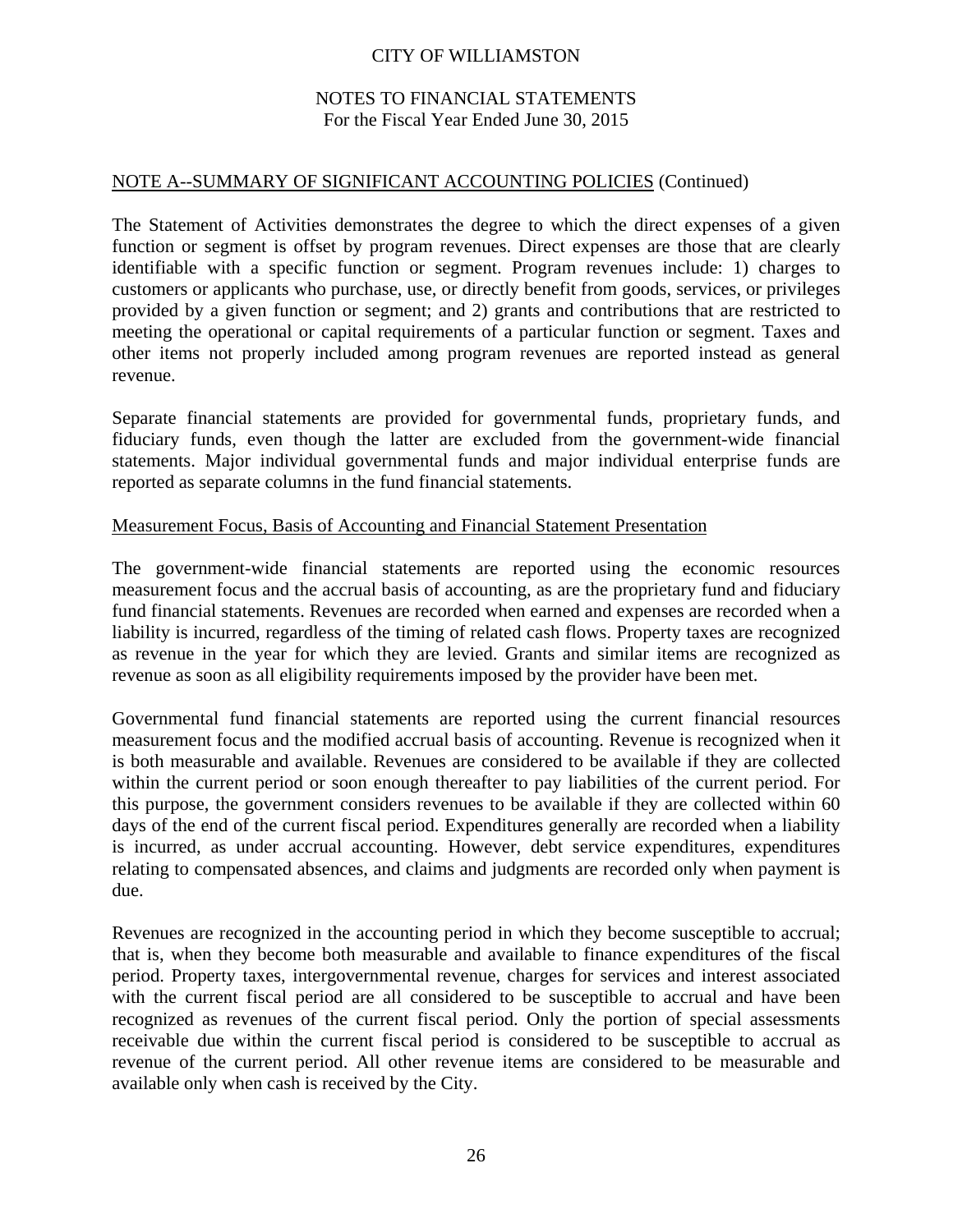# NOTES TO FINANCIAL STATEMENTS For the Fiscal Year Ended June 30, 2015

# NOTE A--SUMMARY OF SIGNIFICANT ACCOUNTING POLICIES (Continued)

The Statement of Activities demonstrates the degree to which the direct expenses of a given function or segment is offset by program revenues. Direct expenses are those that are clearly identifiable with a specific function or segment. Program revenues include: 1) charges to customers or applicants who purchase, use, or directly benefit from goods, services, or privileges provided by a given function or segment; and 2) grants and contributions that are restricted to meeting the operational or capital requirements of a particular function or segment. Taxes and other items not properly included among program revenues are reported instead as general revenue.

Separate financial statements are provided for governmental funds, proprietary funds, and fiduciary funds, even though the latter are excluded from the government-wide financial statements. Major individual governmental funds and major individual enterprise funds are reported as separate columns in the fund financial statements.

### Measurement Focus, Basis of Accounting and Financial Statement Presentation

The government-wide financial statements are reported using the economic resources measurement focus and the accrual basis of accounting, as are the proprietary fund and fiduciary fund financial statements. Revenues are recorded when earned and expenses are recorded when a liability is incurred, regardless of the timing of related cash flows. Property taxes are recognized as revenue in the year for which they are levied. Grants and similar items are recognized as revenue as soon as all eligibility requirements imposed by the provider have been met.

Governmental fund financial statements are reported using the current financial resources measurement focus and the modified accrual basis of accounting. Revenue is recognized when it is both measurable and available. Revenues are considered to be available if they are collected within the current period or soon enough thereafter to pay liabilities of the current period. For this purpose, the government considers revenues to be available if they are collected within 60 days of the end of the current fiscal period. Expenditures generally are recorded when a liability is incurred, as under accrual accounting. However, debt service expenditures, expenditures relating to compensated absences, and claims and judgments are recorded only when payment is due.

Revenues are recognized in the accounting period in which they become susceptible to accrual; that is, when they become both measurable and available to finance expenditures of the fiscal period. Property taxes, intergovernmental revenue, charges for services and interest associated with the current fiscal period are all considered to be susceptible to accrual and have been recognized as revenues of the current fiscal period. Only the portion of special assessments receivable due within the current fiscal period is considered to be susceptible to accrual as revenue of the current period. All other revenue items are considered to be measurable and available only when cash is received by the City.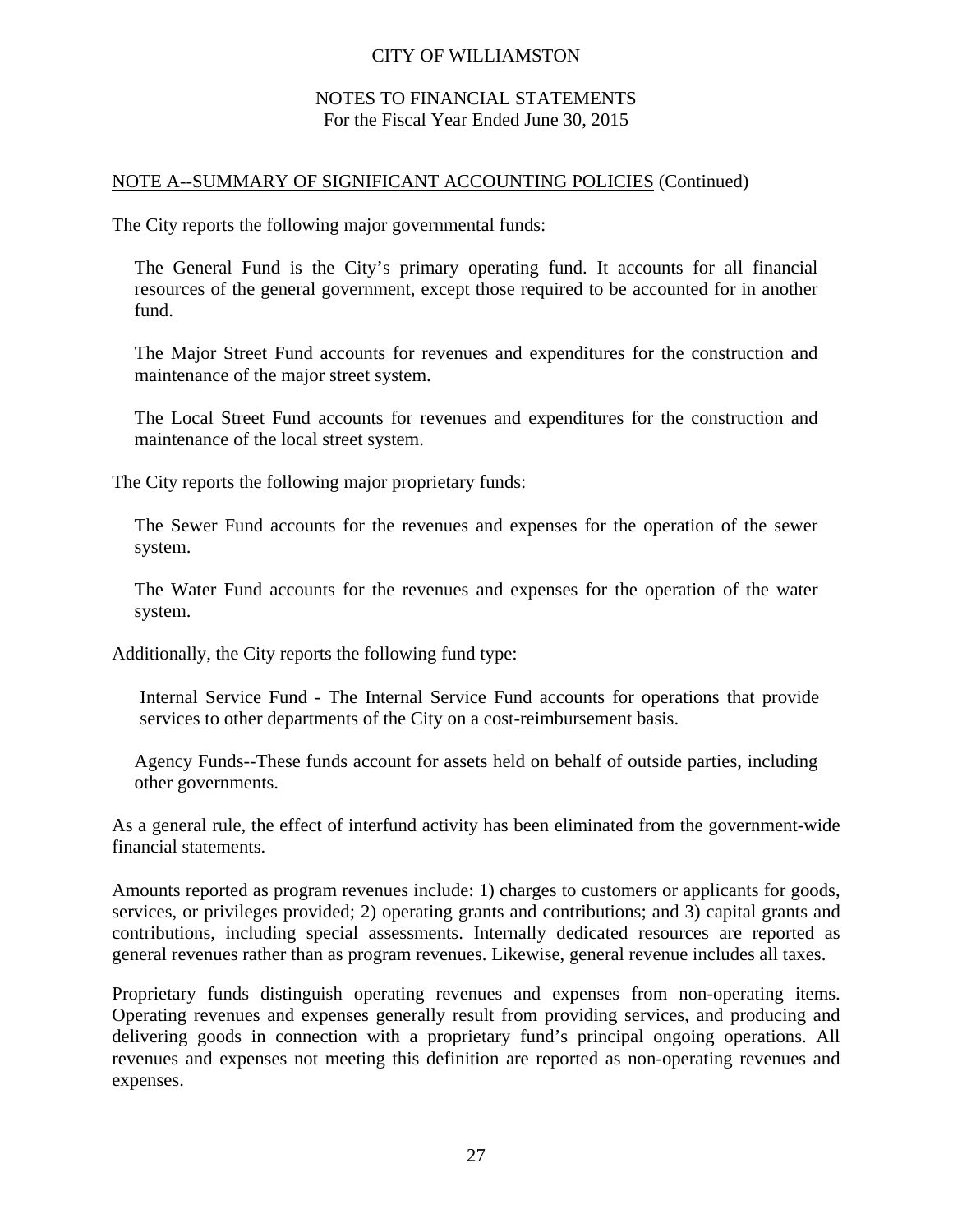### NOTES TO FINANCIAL STATEMENTS For the Fiscal Year Ended June 30, 2015

#### NOTE A--SUMMARY OF SIGNIFICANT ACCOUNTING POLICIES (Continued)

The City reports the following major governmental funds:

The General Fund is the City's primary operating fund. It accounts for all financial resources of the general government, except those required to be accounted for in another fund.

The Major Street Fund accounts for revenues and expenditures for the construction and maintenance of the major street system.

The Local Street Fund accounts for revenues and expenditures for the construction and maintenance of the local street system.

The City reports the following major proprietary funds:

The Sewer Fund accounts for the revenues and expenses for the operation of the sewer system.

The Water Fund accounts for the revenues and expenses for the operation of the water system.

Additionally, the City reports the following fund type:

Internal Service Fund - The Internal Service Fund accounts for operations that provide services to other departments of the City on a cost-reimbursement basis.

Agency Funds--These funds account for assets held on behalf of outside parties, including other governments.

As a general rule, the effect of interfund activity has been eliminated from the government-wide financial statements.

Amounts reported as program revenues include: 1) charges to customers or applicants for goods, services, or privileges provided; 2) operating grants and contributions; and 3) capital grants and contributions, including special assessments. Internally dedicated resources are reported as general revenues rather than as program revenues. Likewise, general revenue includes all taxes.

Proprietary funds distinguish operating revenues and expenses from non-operating items. Operating revenues and expenses generally result from providing services, and producing and delivering goods in connection with a proprietary fund's principal ongoing operations. All revenues and expenses not meeting this definition are reported as non-operating revenues and expenses.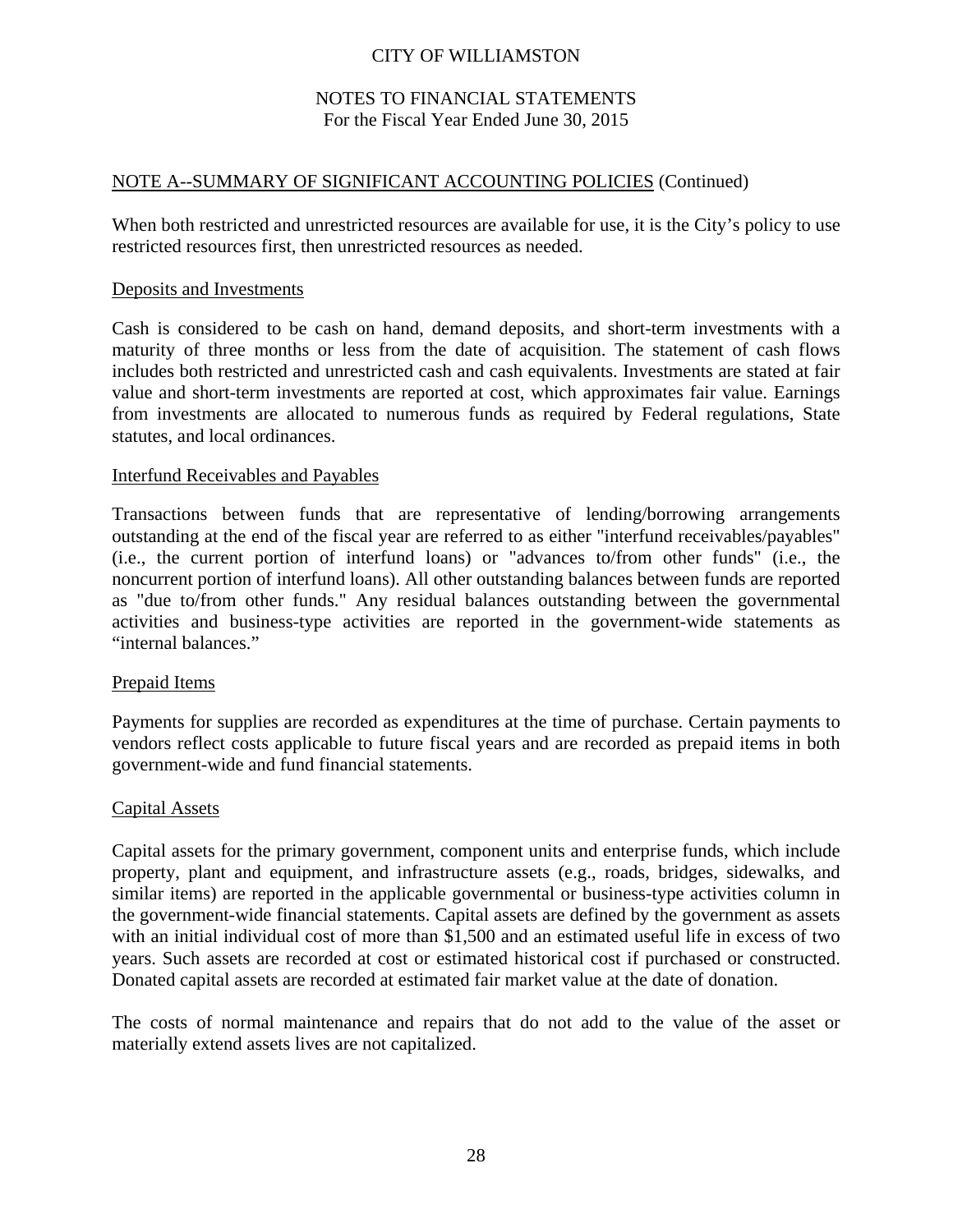# NOTES TO FINANCIAL STATEMENTS For the Fiscal Year Ended June 30, 2015

### NOTE A--SUMMARY OF SIGNIFICANT ACCOUNTING POLICIES (Continued)

When both restricted and unrestricted resources are available for use, it is the City's policy to use restricted resources first, then unrestricted resources as needed.

#### Deposits and Investments

Cash is considered to be cash on hand, demand deposits, and short-term investments with a maturity of three months or less from the date of acquisition. The statement of cash flows includes both restricted and unrestricted cash and cash equivalents. Investments are stated at fair value and short-term investments are reported at cost, which approximates fair value. Earnings from investments are allocated to numerous funds as required by Federal regulations, State statutes, and local ordinances.

#### Interfund Receivables and Payables

Transactions between funds that are representative of lending/borrowing arrangements outstanding at the end of the fiscal year are referred to as either "interfund receivables/payables" (i.e., the current portion of interfund loans) or "advances to/from other funds" (i.e., the noncurrent portion of interfund loans). All other outstanding balances between funds are reported as "due to/from other funds." Any residual balances outstanding between the governmental activities and business-type activities are reported in the government-wide statements as "internal balances."

#### Prepaid Items

Payments for supplies are recorded as expenditures at the time of purchase. Certain payments to vendors reflect costs applicable to future fiscal years and are recorded as prepaid items in both government-wide and fund financial statements.

#### Capital Assets

Capital assets for the primary government, component units and enterprise funds, which include property, plant and equipment, and infrastructure assets (e.g., roads, bridges, sidewalks, and similar items) are reported in the applicable governmental or business-type activities column in the government-wide financial statements. Capital assets are defined by the government as assets with an initial individual cost of more than \$1,500 and an estimated useful life in excess of two years. Such assets are recorded at cost or estimated historical cost if purchased or constructed. Donated capital assets are recorded at estimated fair market value at the date of donation.

The costs of normal maintenance and repairs that do not add to the value of the asset or materially extend assets lives are not capitalized.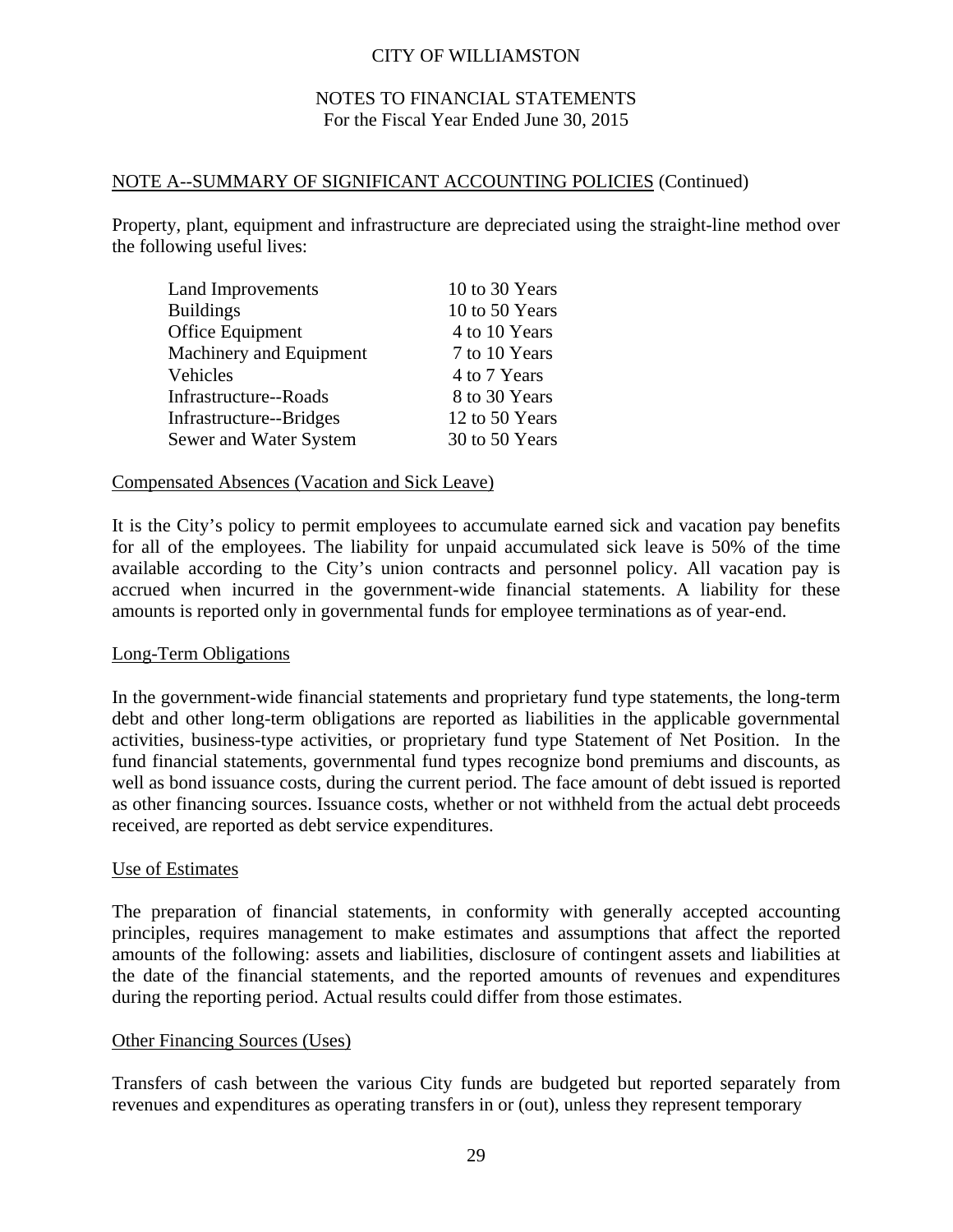# NOTES TO FINANCIAL STATEMENTS For the Fiscal Year Ended June 30, 2015

## NOTE A--SUMMARY OF SIGNIFICANT ACCOUNTING POLICIES (Continued)

Property, plant, equipment and infrastructure are depreciated using the straight-line method over the following useful lives:

| <b>Land Improvements</b> | 10 to 30 Years |
|--------------------------|----------------|
| <b>Buildings</b>         | 10 to 50 Years |
| Office Equipment         | 4 to 10 Years  |
| Machinery and Equipment  | 7 to 10 Years  |
| Vehicles                 | 4 to 7 Years   |
| Infrastructure--Roads    | 8 to 30 Years  |
| Infrastructure--Bridges  | 12 to 50 Years |
| Sewer and Water System   | 30 to 50 Years |

### Compensated Absences (Vacation and Sick Leave)

It is the City's policy to permit employees to accumulate earned sick and vacation pay benefits for all of the employees. The liability for unpaid accumulated sick leave is 50% of the time available according to the City's union contracts and personnel policy. All vacation pay is accrued when incurred in the government-wide financial statements. A liability for these amounts is reported only in governmental funds for employee terminations as of year-end.

#### Long-Term Obligations

In the government-wide financial statements and proprietary fund type statements, the long-term debt and other long-term obligations are reported as liabilities in the applicable governmental activities, business-type activities, or proprietary fund type Statement of Net Position. In the fund financial statements, governmental fund types recognize bond premiums and discounts, as well as bond issuance costs, during the current period. The face amount of debt issued is reported as other financing sources. Issuance costs, whether or not withheld from the actual debt proceeds received, are reported as debt service expenditures.

## Use of Estimates

The preparation of financial statements, in conformity with generally accepted accounting principles, requires management to make estimates and assumptions that affect the reported amounts of the following: assets and liabilities, disclosure of contingent assets and liabilities at the date of the financial statements, and the reported amounts of revenues and expenditures during the reporting period. Actual results could differ from those estimates.

#### Other Financing Sources (Uses)

Transfers of cash between the various City funds are budgeted but reported separately from revenues and expenditures as operating transfers in or (out), unless they represent temporary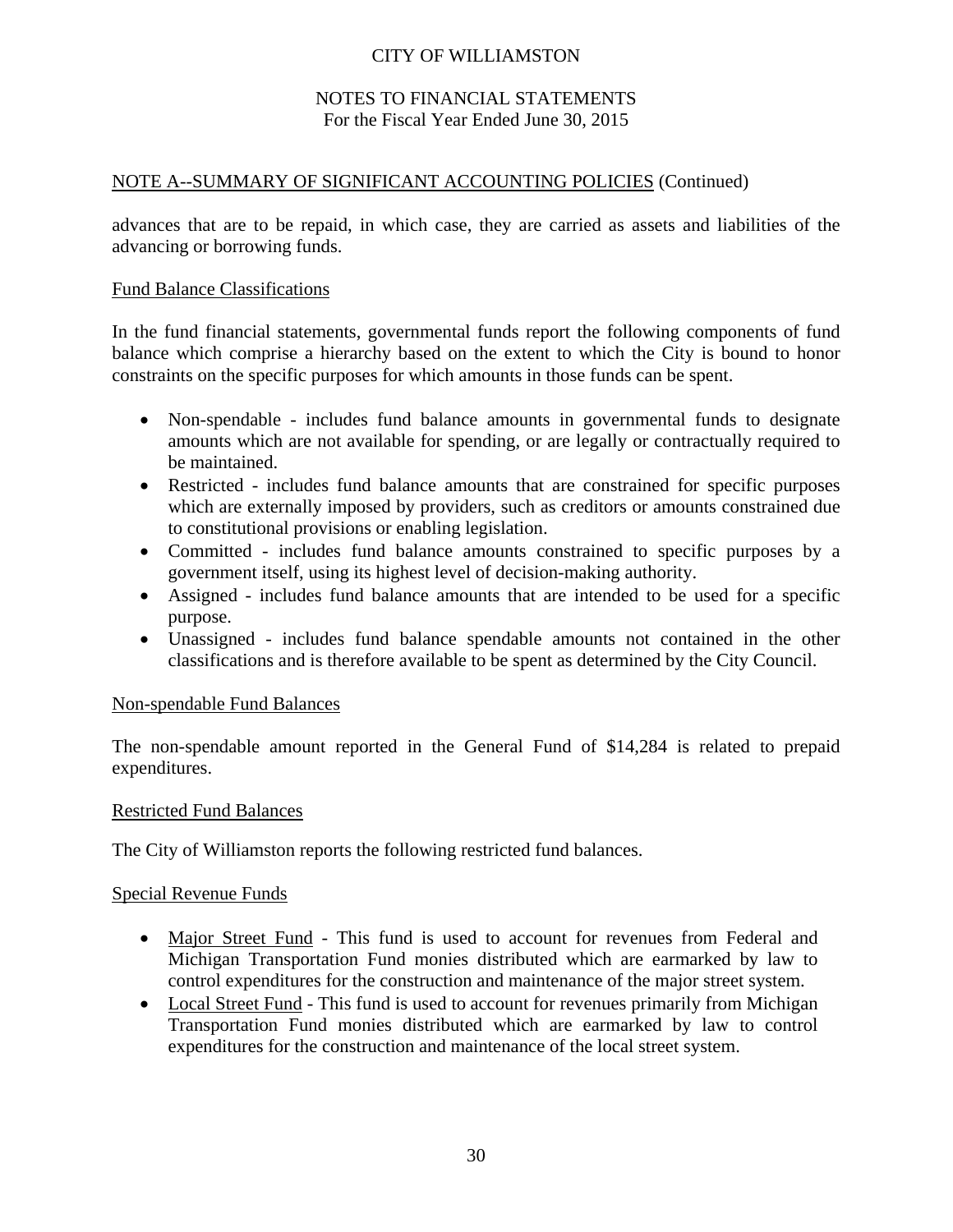# NOTES TO FINANCIAL STATEMENTS For the Fiscal Year Ended June 30, 2015

# NOTE A--SUMMARY OF SIGNIFICANT ACCOUNTING POLICIES (Continued)

advances that are to be repaid, in which case, they are carried as assets and liabilities of the advancing or borrowing funds.

### Fund Balance Classifications

In the fund financial statements, governmental funds report the following components of fund balance which comprise a hierarchy based on the extent to which the City is bound to honor constraints on the specific purposes for which amounts in those funds can be spent.

- Non-spendable includes fund balance amounts in governmental funds to designate amounts which are not available for spending, or are legally or contractually required to be maintained.
- Restricted includes fund balance amounts that are constrained for specific purposes which are externally imposed by providers, such as creditors or amounts constrained due to constitutional provisions or enabling legislation.
- Committed includes fund balance amounts constrained to specific purposes by a government itself, using its highest level of decision-making authority.
- Assigned includes fund balance amounts that are intended to be used for a specific purpose.
- Unassigned includes fund balance spendable amounts not contained in the other classifications and is therefore available to be spent as determined by the City Council.

## Non-spendable Fund Balances

The non-spendable amount reported in the General Fund of \$14,284 is related to prepaid expenditures.

#### Restricted Fund Balances

The City of Williamston reports the following restricted fund balances.

## Special Revenue Funds

- Major Street Fund This fund is used to account for revenues from Federal and Michigan Transportation Fund monies distributed which are earmarked by law to control expenditures for the construction and maintenance of the major street system.
- Local Street Fund This fund is used to account for revenues primarily from Michigan Transportation Fund monies distributed which are earmarked by law to control expenditures for the construction and maintenance of the local street system.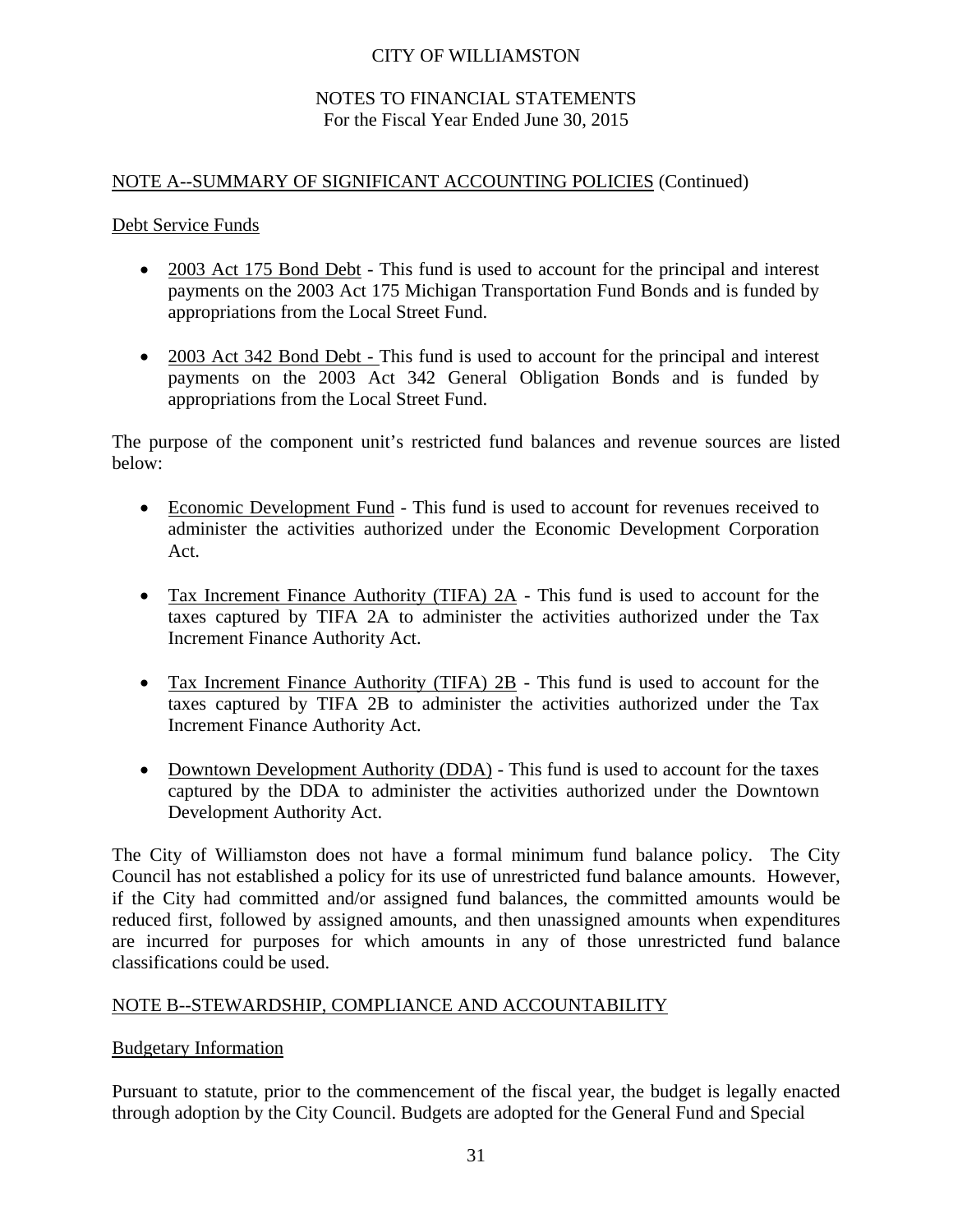# NOTES TO FINANCIAL STATEMENTS For the Fiscal Year Ended June 30, 2015

# NOTE A--SUMMARY OF SIGNIFICANT ACCOUNTING POLICIES (Continued)

## Debt Service Funds

- 2003 Act 175 Bond Debt This fund is used to account for the principal and interest payments on the 2003 Act 175 Michigan Transportation Fund Bonds and is funded by appropriations from the Local Street Fund.
- 2003 Act 342 Bond Debt This fund is used to account for the principal and interest payments on the 2003 Act 342 General Obligation Bonds and is funded by appropriations from the Local Street Fund.

The purpose of the component unit's restricted fund balances and revenue sources are listed below:

- Economic Development Fund This fund is used to account for revenues received to administer the activities authorized under the Economic Development Corporation Act.
- Tax Increment Finance Authority (TIFA) 2A This fund is used to account for the taxes captured by TIFA 2A to administer the activities authorized under the Tax Increment Finance Authority Act.
- Tax Increment Finance Authority (TIFA) 2B This fund is used to account for the taxes captured by TIFA 2B to administer the activities authorized under the Tax Increment Finance Authority Act.
- Downtown Development Authority (DDA) This fund is used to account for the taxes captured by the DDA to administer the activities authorized under the Downtown Development Authority Act.

The City of Williamston does not have a formal minimum fund balance policy. The City Council has not established a policy for its use of unrestricted fund balance amounts. However, if the City had committed and/or assigned fund balances, the committed amounts would be reduced first, followed by assigned amounts, and then unassigned amounts when expenditures are incurred for purposes for which amounts in any of those unrestricted fund balance classifications could be used.

# NOTE B--STEWARDSHIP, COMPLIANCE AND ACCOUNTABILITY

## Budgetary Information

Pursuant to statute, prior to the commencement of the fiscal year, the budget is legally enacted through adoption by the City Council. Budgets are adopted for the General Fund and Special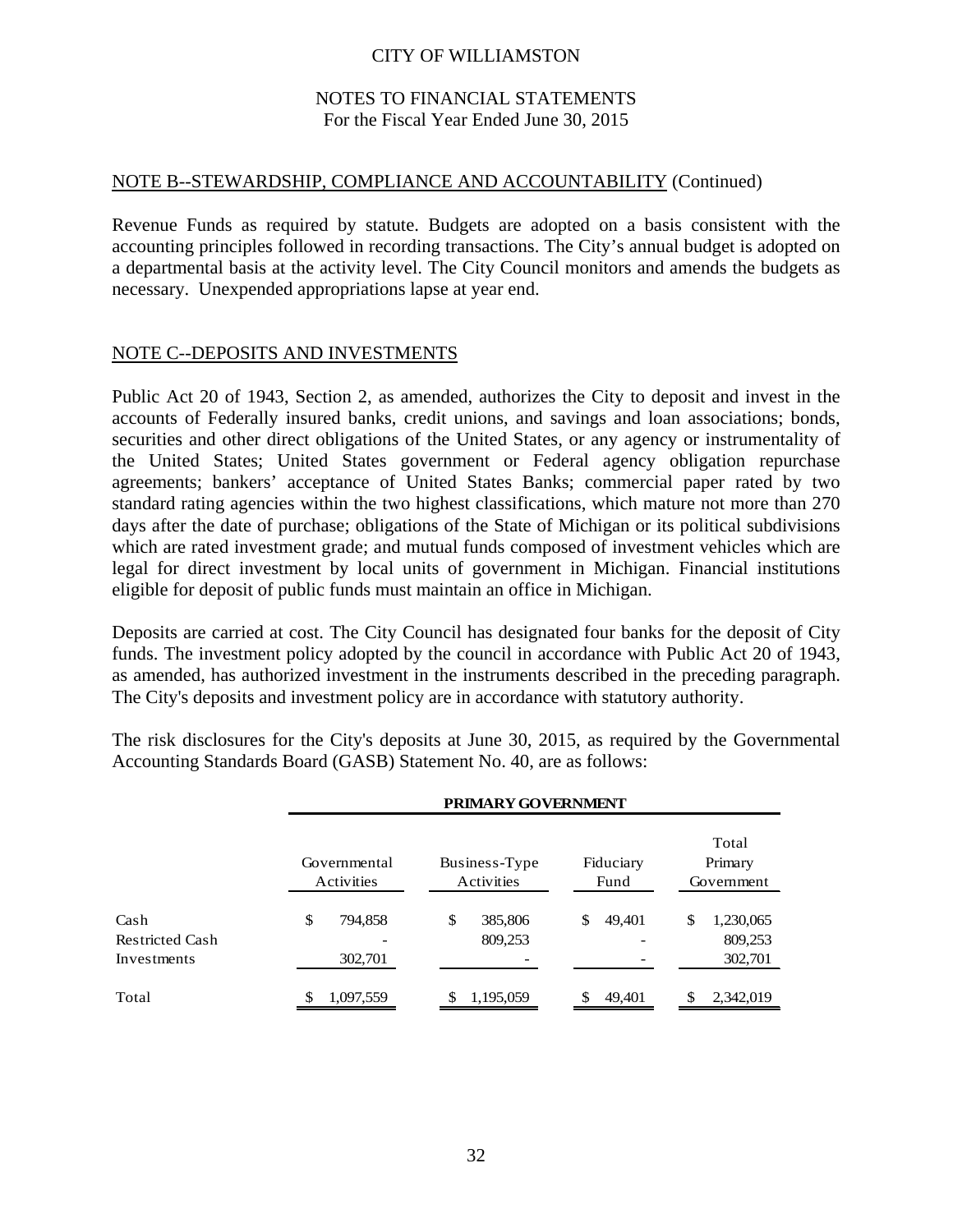# NOTES TO FINANCIAL STATEMENTS For the Fiscal Year Ended June 30, 2015

## NOTE B--STEWARDSHIP, COMPLIANCE AND ACCOUNTABILITY (Continued)

Revenue Funds as required by statute. Budgets are adopted on a basis consistent with the accounting principles followed in recording transactions. The City's annual budget is adopted on a departmental basis at the activity level. The City Council monitors and amends the budgets as necessary. Unexpended appropriations lapse at year end.

### NOTE C--DEPOSITS AND INVESTMENTS

Public Act 20 of 1943, Section 2, as amended, authorizes the City to deposit and invest in the accounts of Federally insured banks, credit unions, and savings and loan associations; bonds, securities and other direct obligations of the United States, or any agency or instrumentality of the United States; United States government or Federal agency obligation repurchase agreements; bankers' acceptance of United States Banks; commercial paper rated by two standard rating agencies within the two highest classifications, which mature not more than 270 days after the date of purchase; obligations of the State of Michigan or its political subdivisions which are rated investment grade; and mutual funds composed of investment vehicles which are legal for direct investment by local units of government in Michigan. Financial institutions eligible for deposit of public funds must maintain an office in Michigan.

Deposits are carried at cost. The City Council has designated four banks for the deposit of City funds. The investment policy adopted by the council in accordance with Public Act 20 of 1943, as amended, has authorized investment in the instruments described in the preceding paragraph. The City's deposits and investment policy are in accordance with statutory authority.

The risk disclosures for the City's deposits at June 30, 2015, as required by the Governmental Accounting Standards Board (GASB) Statement No. 40, are as follows:

|                                               | PRIMARY GOVERNMENT         |                             |                   |                                       |  |  |
|-----------------------------------------------|----------------------------|-----------------------------|-------------------|---------------------------------------|--|--|
|                                               | Governmental<br>Activities | Business-Type<br>Activities | Fiduciary<br>Fund | Total<br>Primary<br>Government        |  |  |
| Cash<br><b>Restricted Cash</b><br>Investments | \$<br>794,858<br>302,701   | \$<br>385,806<br>809,253    | \$<br>49,401      | \$<br>1,230,065<br>809,253<br>302,701 |  |  |
| Total                                         | 1,097,559                  | 1,195,059                   | 49,401            | \$<br>2,342,019                       |  |  |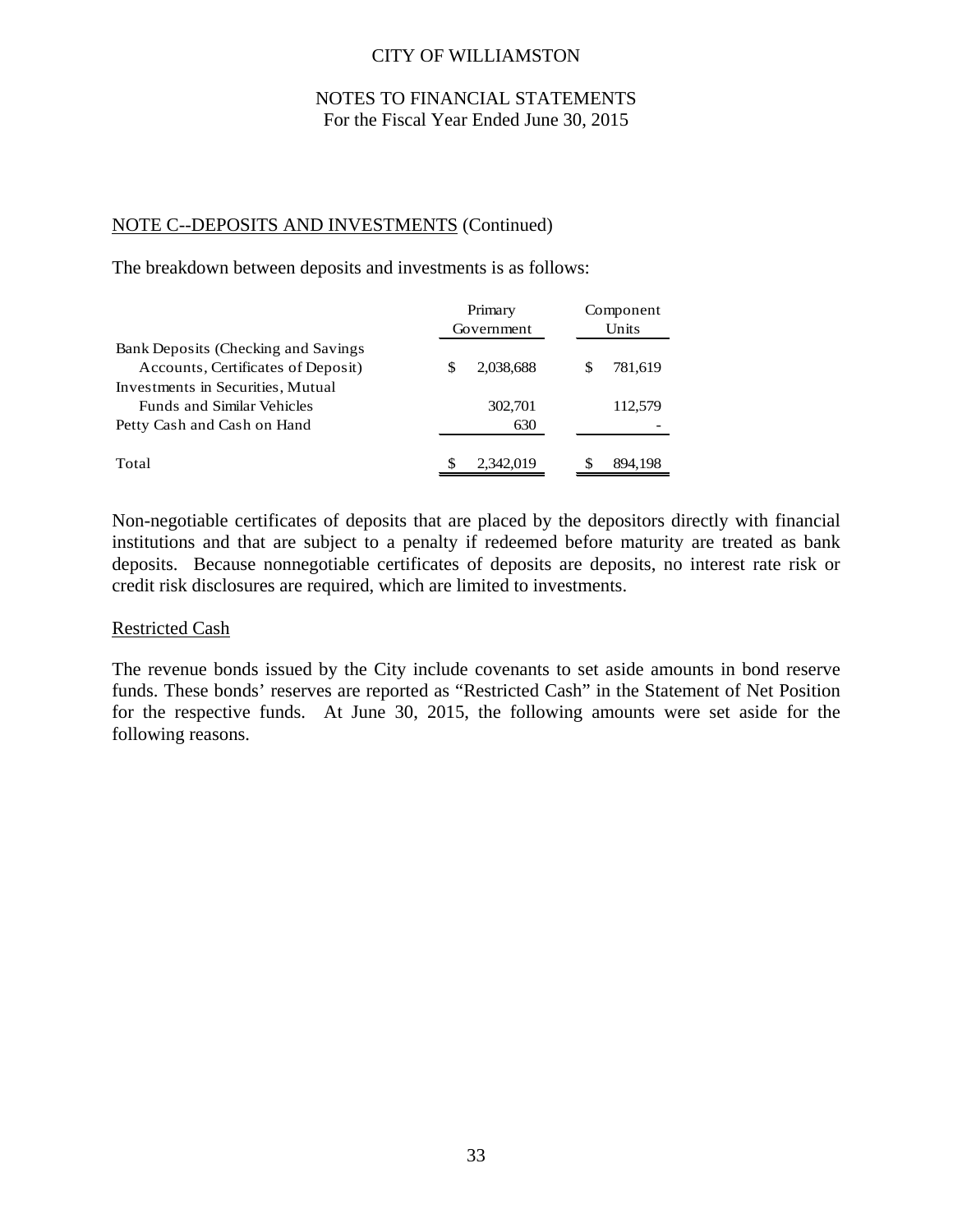# NOTES TO FINANCIAL STATEMENTS For the Fiscal Year Ended June 30, 2015

### NOTE C--DEPOSITS AND INVESTMENTS (Continued)

The breakdown between deposits and investments is as follows:

|                                     | Primary<br>Government | Component<br>Units |
|-------------------------------------|-----------------------|--------------------|
| Bank Deposits (Checking and Savings |                       |                    |
| Accounts, Certificates of Deposit)  | 2,038,688<br>S        | 781,619            |
| Investments in Securities, Mutual   |                       |                    |
| <b>Funds and Similar Vehicles</b>   | 302,701               | 112,579            |
| Petty Cash and Cash on Hand         | 630                   |                    |
|                                     |                       |                    |
| Total                               | 2,342,019             | 894,198            |

Non-negotiable certificates of deposits that are placed by the depositors directly with financial institutions and that are subject to a penalty if redeemed before maturity are treated as bank deposits. Because nonnegotiable certificates of deposits are deposits, no interest rate risk or credit risk disclosures are required, which are limited to investments.

#### Restricted Cash

The revenue bonds issued by the City include covenants to set aside amounts in bond reserve funds. These bonds' reserves are reported as "Restricted Cash" in the Statement of Net Position for the respective funds. At June 30, 2015, the following amounts were set aside for the following reasons.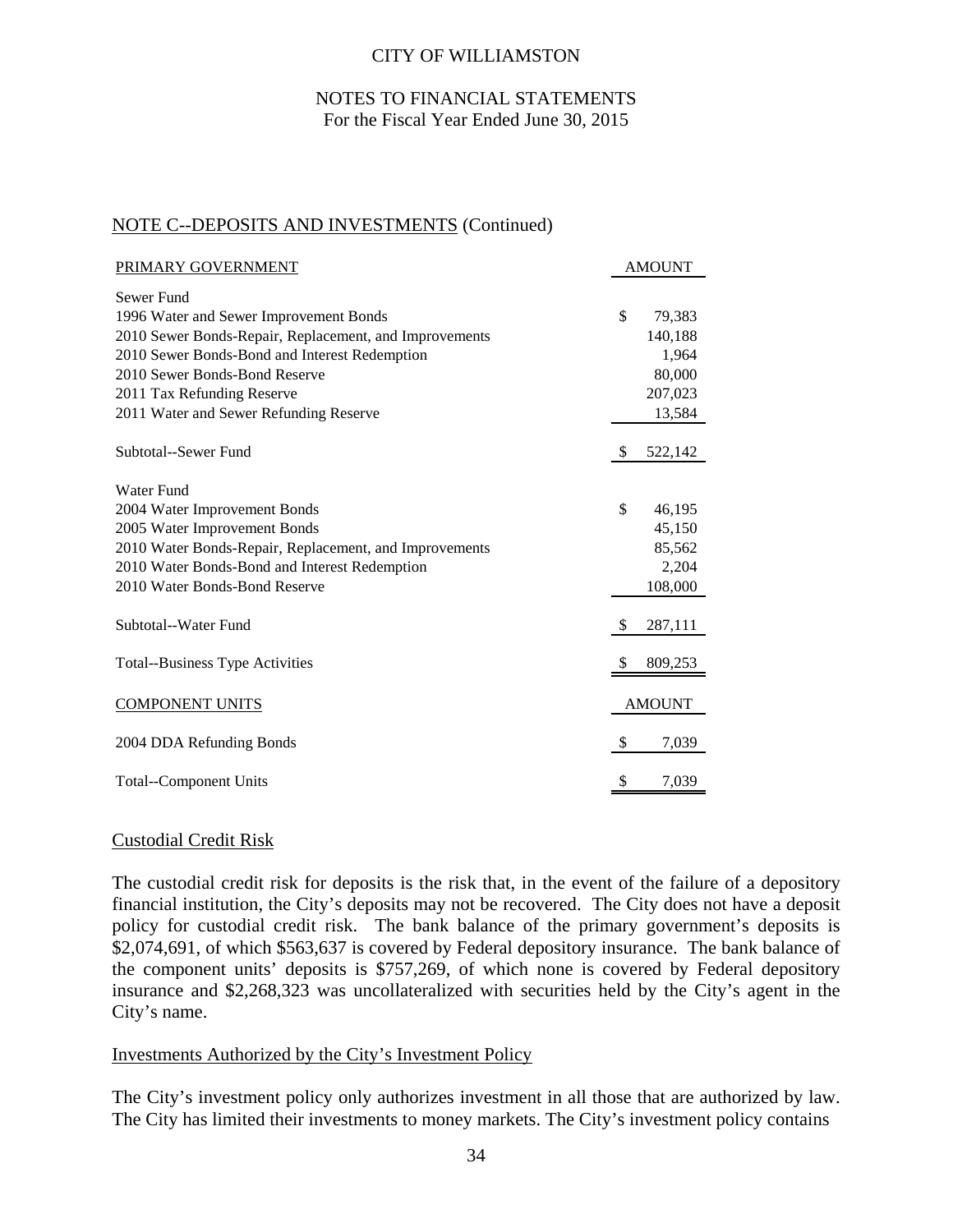# NOTES TO FINANCIAL STATEMENTS For the Fiscal Year Ended June 30, 2015

## NOTE C--DEPOSITS AND INVESTMENTS (Continued)

| PRIMARY GOVERNMENT                                     |               | <b>AMOUNT</b> |
|--------------------------------------------------------|---------------|---------------|
| Sewer Fund                                             |               |               |
| 1996 Water and Sewer Improvement Bonds                 | \$            | 79,383        |
| 2010 Sewer Bonds-Repair, Replacement, and Improvements |               | 140,188       |
| 2010 Sewer Bonds-Bond and Interest Redemption          |               | 1,964         |
| 2010 Sewer Bonds-Bond Reserve                          |               | 80,000        |
| 2011 Tax Refunding Reserve                             |               | 207,023       |
| 2011 Water and Sewer Refunding Reserve                 |               | 13,584        |
| Subtotal--Sewer Fund                                   | <sup>\$</sup> | 522,142       |
| <b>Water Fund</b>                                      |               |               |
| 2004 Water Improvement Bonds                           | \$            | 46,195        |
| 2005 Water Improvement Bonds                           |               | 45,150        |
| 2010 Water Bonds-Repair, Replacement, and Improvements |               | 85,562        |
| 2010 Water Bonds-Bond and Interest Redemption          |               | 2,204         |
| 2010 Water Bonds-Bond Reserve                          |               | 108,000       |
| Subtotal--Water Fund                                   | S             | 287,111       |
| <b>Total--Business Type Activities</b>                 |               | 809,253       |
| <b>COMPONENT UNITS</b>                                 |               | <b>AMOUNT</b> |
| 2004 DDA Refunding Bonds                               | \$            | 7,039         |
| <b>Total--Component Units</b>                          | \$            | 7,039         |

## Custodial Credit Risk

The custodial credit risk for deposits is the risk that, in the event of the failure of a depository financial institution, the City's deposits may not be recovered. The City does not have a deposit policy for custodial credit risk. The bank balance of the primary government's deposits is \$2,074,691, of which \$563,637 is covered by Federal depository insurance. The bank balance of the component units' deposits is \$757,269, of which none is covered by Federal depository insurance and \$2,268,323 was uncollateralized with securities held by the City's agent in the City's name.

### Investments Authorized by the City's Investment Policy

The City's investment policy only authorizes investment in all those that are authorized by law. The City has limited their investments to money markets. The City's investment policy contains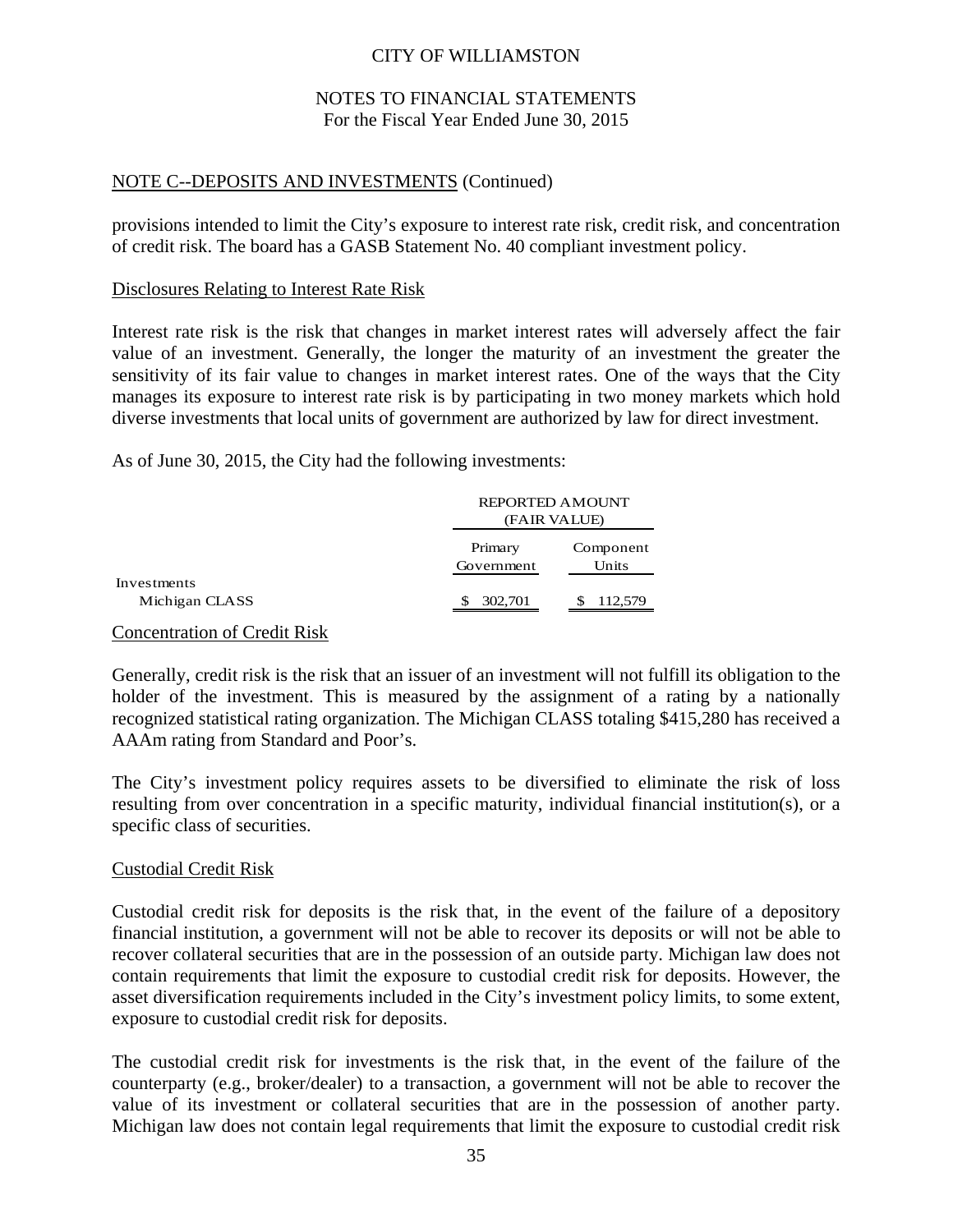# NOTES TO FINANCIAL STATEMENTS For the Fiscal Year Ended June 30, 2015

# NOTE C--DEPOSITS AND INVESTMENTS (Continued)

provisions intended to limit the City's exposure to interest rate risk, credit risk, and concentration of credit risk. The board has a GASB Statement No. 40 compliant investment policy.

### Disclosures Relating to Interest Rate Risk

Interest rate risk is the risk that changes in market interest rates will adversely affect the fair value of an investment. Generally, the longer the maturity of an investment the greater the sensitivity of its fair value to changes in market interest rates. One of the ways that the City manages its exposure to interest rate risk is by participating in two money markets which hold diverse investments that local units of government are authorized by law for direct investment.

As of June 30, 2015, the City had the following investments:

|                |                       | <b>REPORTED AMOUNT</b><br>(FAIR VALUE) |  |  |
|----------------|-----------------------|----------------------------------------|--|--|
|                | Primary<br>Government | Component<br>Units                     |  |  |
| Investments    |                       |                                        |  |  |
| Michigan CLASS | 302,701               | 112,579                                |  |  |

## Concentration of Credit Risk

Generally, credit risk is the risk that an issuer of an investment will not fulfill its obligation to the holder of the investment. This is measured by the assignment of a rating by a nationally recognized statistical rating organization. The Michigan CLASS totaling \$415,280 has received a AAAm rating from Standard and Poor's.

The City's investment policy requires assets to be diversified to eliminate the risk of loss resulting from over concentration in a specific maturity, individual financial institution(s), or a specific class of securities.

## Custodial Credit Risk

Custodial credit risk for deposits is the risk that, in the event of the failure of a depository financial institution, a government will not be able to recover its deposits or will not be able to recover collateral securities that are in the possession of an outside party. Michigan law does not contain requirements that limit the exposure to custodial credit risk for deposits. However, the asset diversification requirements included in the City's investment policy limits, to some extent, exposure to custodial credit risk for deposits.

The custodial credit risk for investments is the risk that, in the event of the failure of the counterparty (e.g., broker/dealer) to a transaction, a government will not be able to recover the value of its investment or collateral securities that are in the possession of another party. Michigan law does not contain legal requirements that limit the exposure to custodial credit risk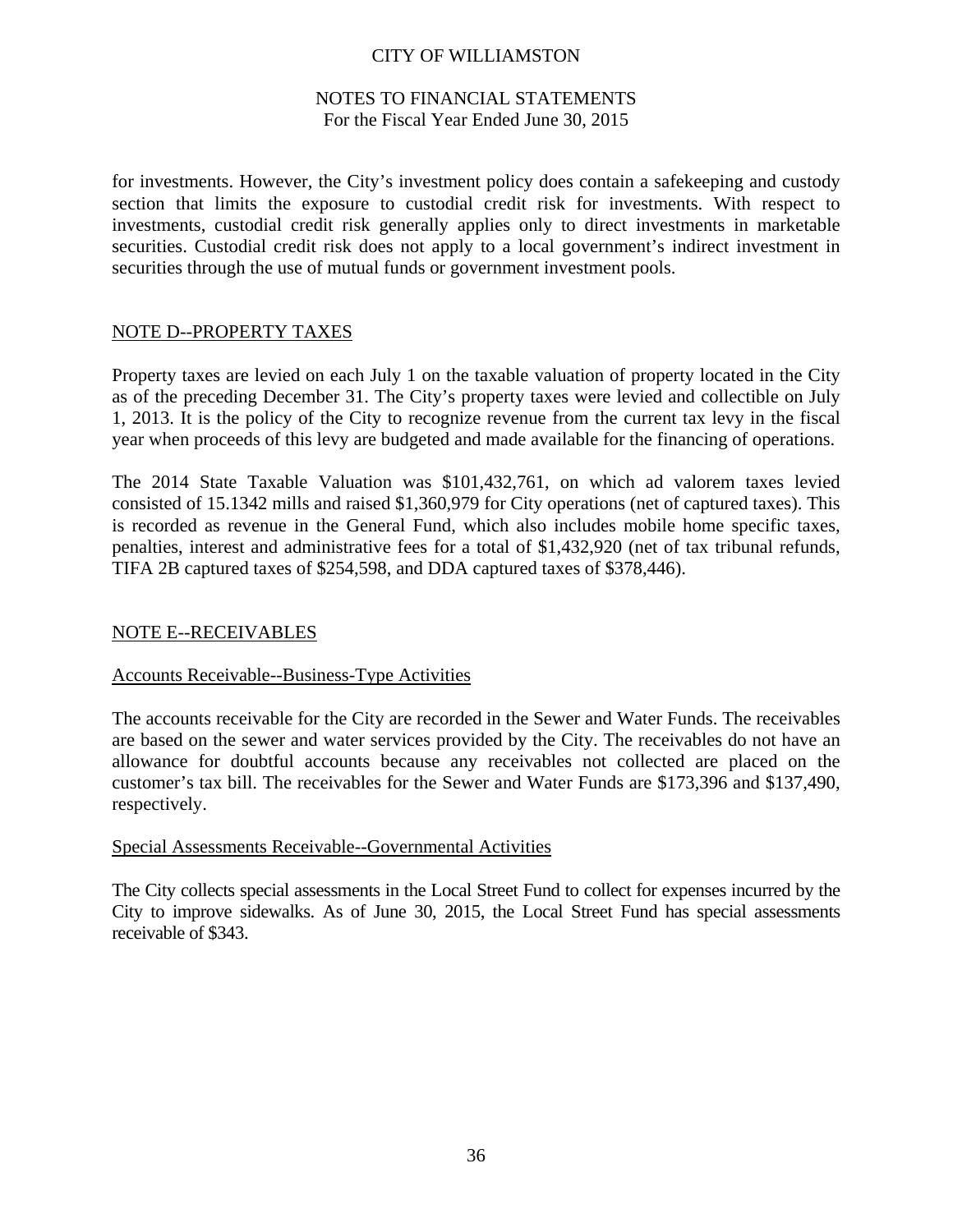# NOTES TO FINANCIAL STATEMENTS For the Fiscal Year Ended June 30, 2015

for investments. However, the City's investment policy does contain a safekeeping and custody section that limits the exposure to custodial credit risk for investments. With respect to investments, custodial credit risk generally applies only to direct investments in marketable securities. Custodial credit risk does not apply to a local government's indirect investment in securities through the use of mutual funds or government investment pools.

## NOTE D--PROPERTY TAXES

Property taxes are levied on each July 1 on the taxable valuation of property located in the City as of the preceding December 31. The City's property taxes were levied and collectible on July 1, 2013. It is the policy of the City to recognize revenue from the current tax levy in the fiscal year when proceeds of this levy are budgeted and made available for the financing of operations.

The 2014 State Taxable Valuation was \$101,432,761, on which ad valorem taxes levied consisted of 15.1342 mills and raised \$1,360,979 for City operations (net of captured taxes). This is recorded as revenue in the General Fund, which also includes mobile home specific taxes, penalties, interest and administrative fees for a total of \$1,432,920 (net of tax tribunal refunds, TIFA 2B captured taxes of \$254,598, and DDA captured taxes of \$378,446).

## NOTE E--RECEIVABLES

## Accounts Receivable--Business-Type Activities

The accounts receivable for the City are recorded in the Sewer and Water Funds. The receivables are based on the sewer and water services provided by the City. The receivables do not have an allowance for doubtful accounts because any receivables not collected are placed on the customer's tax bill. The receivables for the Sewer and Water Funds are \$173,396 and \$137,490, respectively.

## Special Assessments Receivable--Governmental Activities

The City collects special assessments in the Local Street Fund to collect for expenses incurred by the City to improve sidewalks. As of June 30, 2015, the Local Street Fund has special assessments receivable of \$343.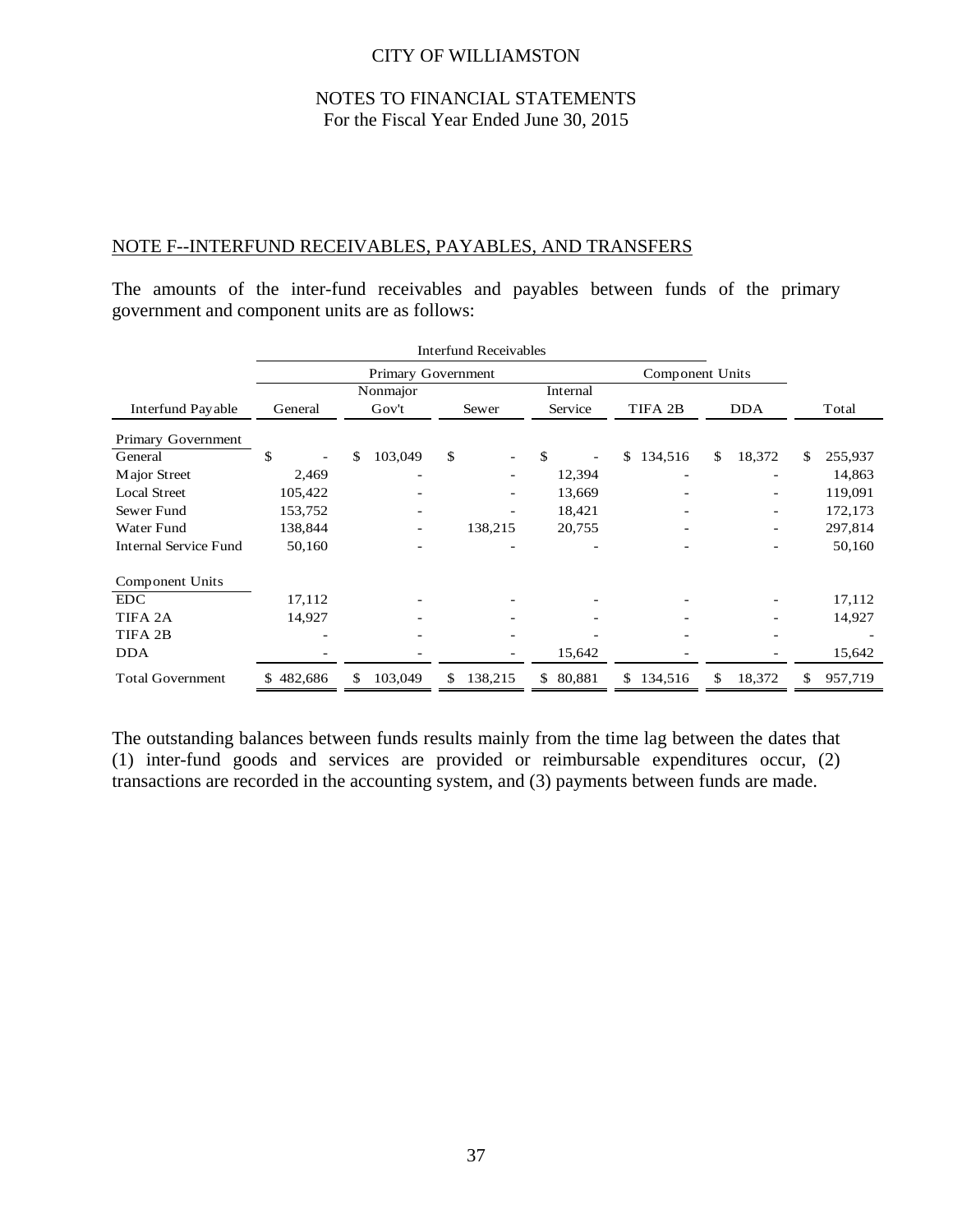## NOTES TO FINANCIAL STATEMENTS For the Fiscal Year Ended June 30, 2015

#### NOTE F--INTERFUND RECEIVABLES, PAYABLES, AND TRANSFERS

The amounts of the inter-fund receivables and payables between funds of the primary government and component units are as follows:

|                              |                                       |                | <b>Interfund Receivables</b> |              |                          |                          |               |
|------------------------------|---------------------------------------|----------------|------------------------------|--------------|--------------------------|--------------------------|---------------|
|                              | Primary Government<br>Component Units |                |                              |              |                          |                          |               |
|                              |                                       | Nonmajor       |                              | Internal     |                          |                          |               |
| Interfund Payable            | General                               | Gov't          | Sewer                        | Service      | TIFA 2B                  | <b>DDA</b>               | Total         |
| Primary Government           |                                       |                |                              |              |                          |                          |               |
| General                      | \$                                    | \$<br>103,049  | \$                           | \$           | 134,516<br>\$            | \$<br>18,372             | \$<br>255,937 |
| Major Street                 | 2,469                                 |                |                              | 12,394       | $\overline{\phantom{0}}$ | $\overline{\phantom{a}}$ | 14,863        |
| <b>Local Street</b>          | 105,422                               |                |                              | 13,669       |                          | $\overline{\phantom{a}}$ | 119,091       |
| Sewer Fund                   | 153,752                               |                |                              | 18,421       |                          | $\overline{\phantom{a}}$ | 172,173       |
| <b>Water Fund</b>            | 138,844                               |                | 138,215                      | 20,755       |                          | $\overline{\phantom{a}}$ | 297,814       |
| <b>Internal Service Fund</b> | 50,160                                |                |                              |              |                          | ۰                        | 50,160        |
| Component Units              |                                       |                |                              |              |                          |                          |               |
| <b>EDC</b>                   | 17,112                                |                |                              |              |                          |                          | 17,112        |
| TIFA <sub>2</sub> A          | 14,927                                |                |                              |              |                          |                          | 14,927        |
| TIFA 2B                      |                                       |                |                              |              |                          |                          |               |
| <b>DDA</b>                   |                                       |                |                              | 15,642       |                          |                          | 15,642        |
| <b>Total Government</b>      | 482,686<br>S.                         | 103,049<br>\$. | 138,215<br>S.                | 80,881<br>\$ | 134,516<br>\$            | 18,372<br>\$             | 957,719<br>\$ |

The outstanding balances between funds results mainly from the time lag between the dates that (1) inter-fund goods and services are provided or reimbursable expenditures occur, (2) transactions are recorded in the accounting system, and (3) payments between funds are made.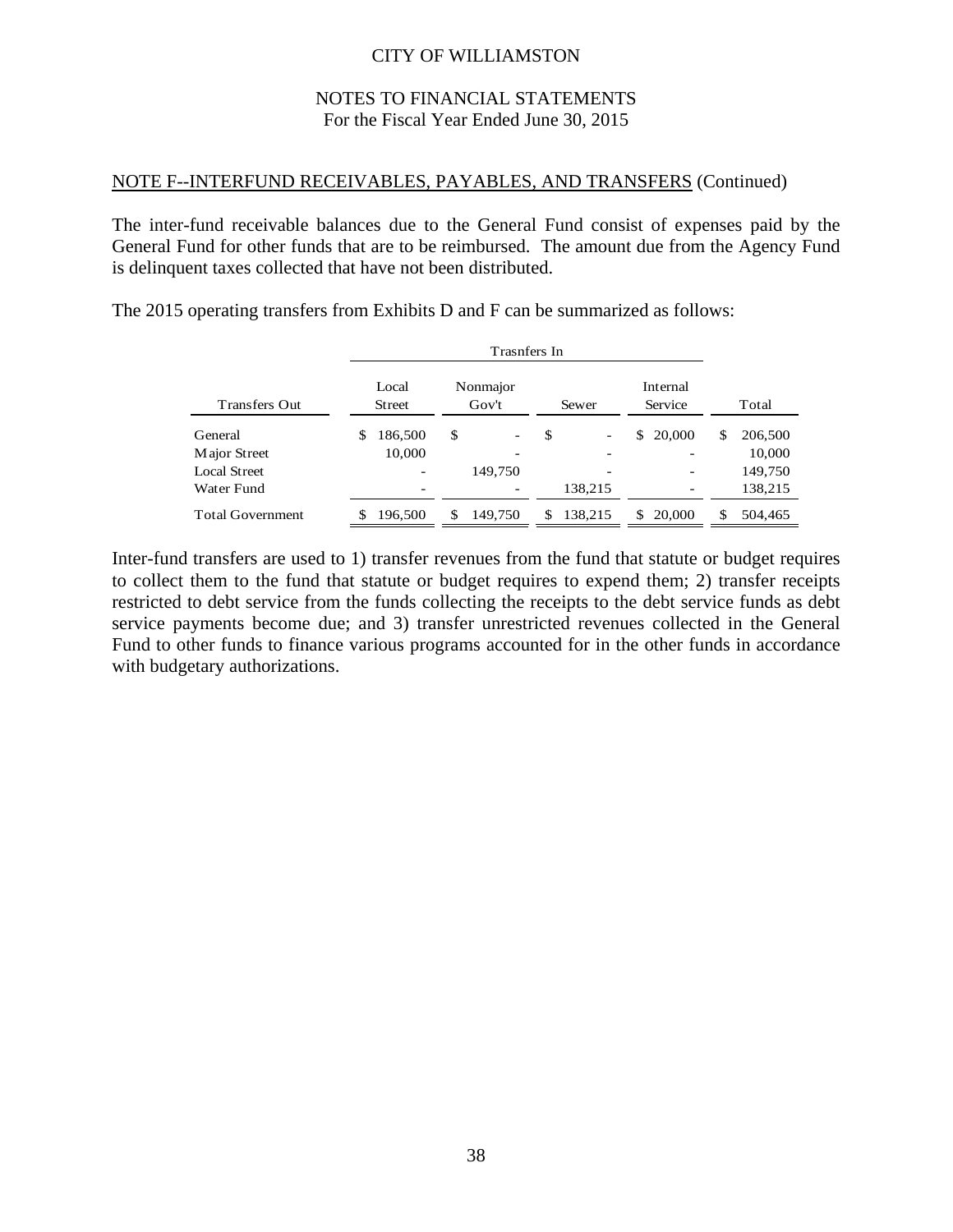### NOTES TO FINANCIAL STATEMENTS For the Fiscal Year Ended June 30, 2015

#### NOTE F--INTERFUND RECEIVABLES, PAYABLES, AND TRANSFERS (Continued)

The inter-fund receivable balances due to the General Fund consist of expenses paid by the General Fund for other funds that are to be reimbursed. The amount due from the Agency Fund is delinquent taxes collected that have not been distributed.

|                         |   | Trasnfers In           |    |                   |    |         |    |                     |               |
|-------------------------|---|------------------------|----|-------------------|----|---------|----|---------------------|---------------|
| <b>Transfers Out</b>    |   | Local<br><b>Street</b> |    | Nonmajor<br>Gov't |    | Sewer   |    | Internal<br>Service | Total         |
| General                 | S | 186,500                | \$ | ۰                 | \$ | -       | \$ | 20,000              | \$<br>206,500 |
| Major Street            |   | 10,000                 |    |                   |    |         |    |                     | 10,000        |
| <b>Local Street</b>     |   |                        |    | 149,750           |    |         |    |                     | 149,750       |
| Water Fund              |   | -                      |    |                   |    | 138,215 |    | -                   | 138,215       |
| <b>Total Government</b> | S | 196,500                | S  | 149,750           | \$ | 138.215 | \$ | 20,000              | \$<br>504,465 |

The 2015 operating transfers from Exhibits D and F can be summarized as follows:

Inter-fund transfers are used to 1) transfer revenues from the fund that statute or budget requires to collect them to the fund that statute or budget requires to expend them; 2) transfer receipts restricted to debt service from the funds collecting the receipts to the debt service funds as debt service payments become due; and 3) transfer unrestricted revenues collected in the General Fund to other funds to finance various programs accounted for in the other funds in accordance with budgetary authorizations.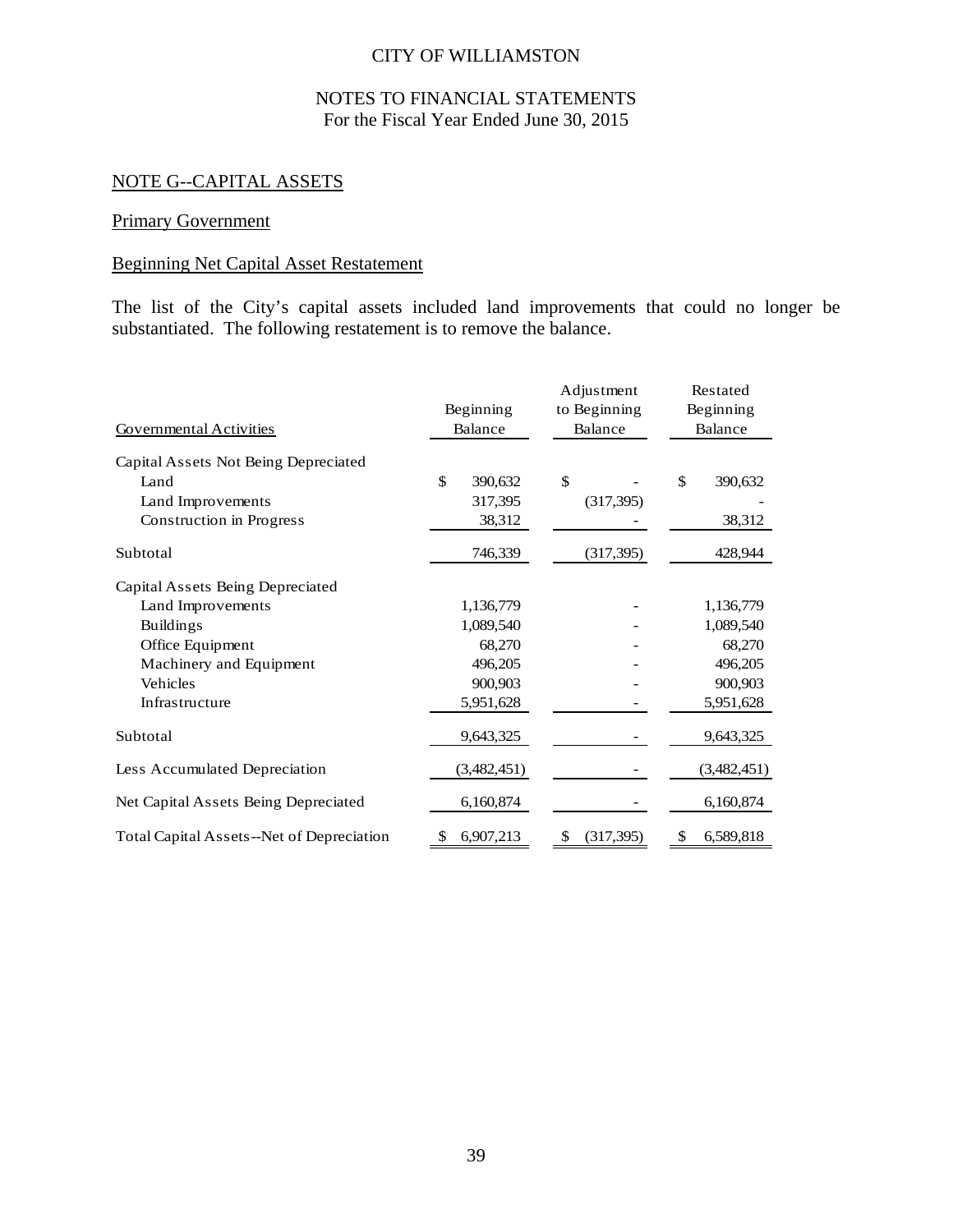# NOTES TO FINANCIAL STATEMENTS For the Fiscal Year Ended June 30, 2015

# NOTE G--CAPITAL ASSETS

### Primary Government

# Beginning Net Capital Asset Restatement

The list of the City's capital assets included land improvements that could no longer be substantiated. The following restatement is to remove the balance.

|                                           | Beginning      | Adjustment<br>to Beginning | Restated<br>Beginning |
|-------------------------------------------|----------------|----------------------------|-----------------------|
| Governmental Activities                   | Balance        | Balance                    | Balance               |
| Capital Assets Not Being Depreciated      |                |                            |                       |
| Land                                      | \$<br>390,632  | \$                         | \$<br>390,632         |
| Land Improvements                         | 317,395        | (317, 395)                 |                       |
| Construction in Progress                  | 38,312         |                            | 38,312                |
| Subtotal                                  | 746,339        | (317, 395)                 | 428,944               |
| Capital Assets Being Depreciated          |                |                            |                       |
| Land Improvements                         | 1,136,779      |                            | 1,136,779             |
| <b>Buildings</b>                          | 1,089,540      |                            | 1,089,540             |
| Office Equipment                          | 68,270         |                            | 68,270                |
| Machinery and Equipment                   | 496,205        |                            | 496,205               |
| Vehicles                                  | 900,903        |                            | 900,903               |
| Infrastructure                            | 5,951,628      |                            | 5,951,628             |
| Subtotal                                  | 9,643,325      |                            | 9,643,325             |
| Less Accumulated Depreciation             | (3,482,451)    |                            | (3,482,451)           |
| Net Capital Assets Being Depreciated      | 6,160,874      |                            | 6,160,874             |
| Total Capital Assets--Net of Depreciation | 6,907,213<br>S | \$<br>(317, 395)           | 6,589,818<br>\$       |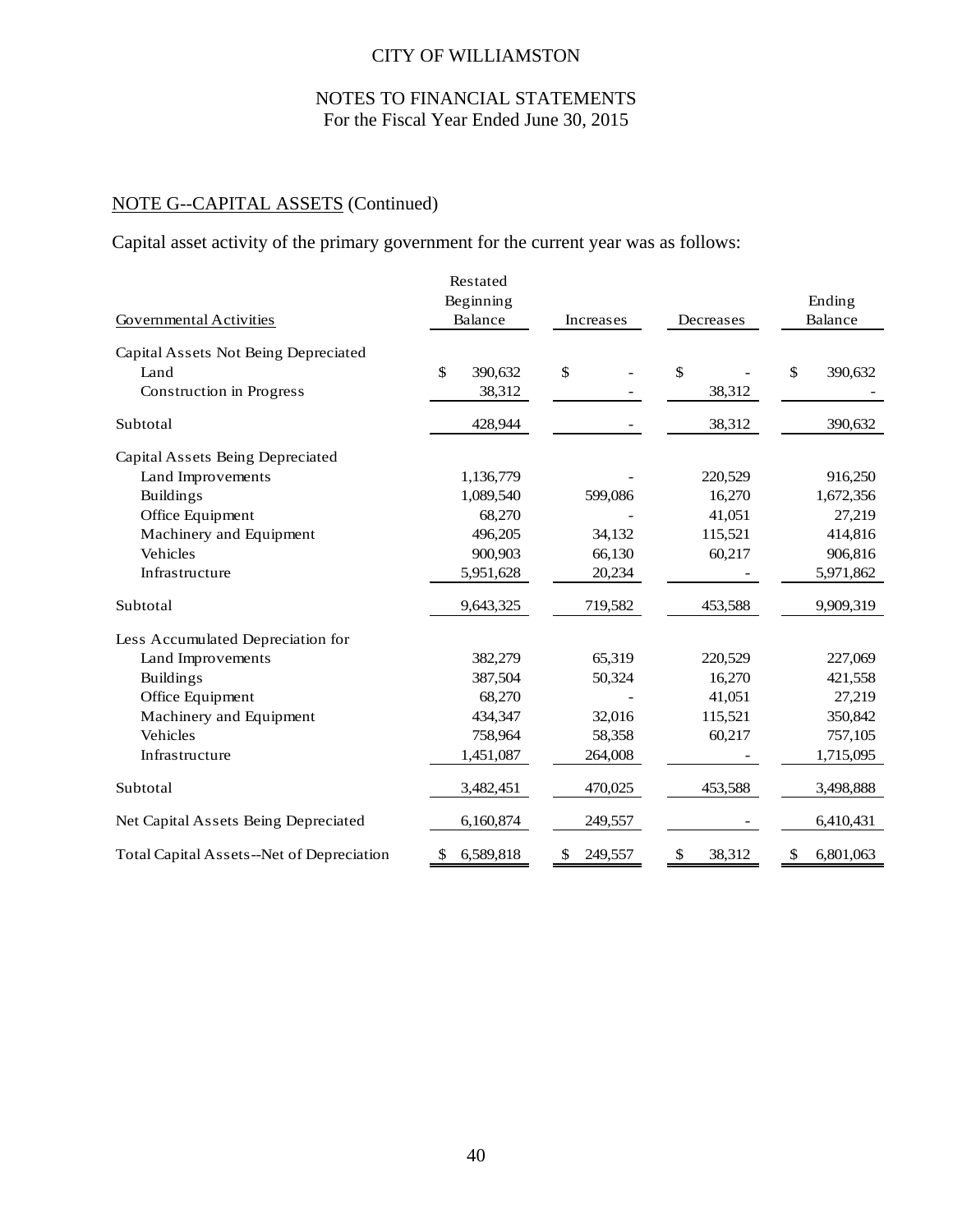# NOTES TO FINANCIAL STATEMENTS For the Fiscal Year Ended June 30, 2015

# NOTE G--CAPITAL ASSETS (Continued)

Capital asset activity of the primary government for the current year was as follows:

|                                           | Restated        |               |              |                 |
|-------------------------------------------|-----------------|---------------|--------------|-----------------|
|                                           | Beginning       |               |              | Ending          |
| Governmental Activities                   | Balance         | Increases     | Decreases    | Balance         |
| Capital Assets Not Being Depreciated      |                 |               |              |                 |
| Land                                      | \$<br>390,632   | \$            | \$           | \$<br>390,632   |
| Construction in Progress                  | 38,312          |               | 38,312       |                 |
| Subtotal                                  | 428,944         |               | 38,312       | 390,632         |
| Capital Assets Being Depreciated          |                 |               |              |                 |
| Land Improvements                         | 1,136,779       |               | 220,529      | 916,250         |
| <b>Buildings</b>                          | 1,089,540       | 599,086       | 16,270       | 1,672,356       |
| Office Equipment                          | 68,270          |               | 41,051       | 27,219          |
| Machinery and Equipment                   | 496,205         | 34,132        | 115,521      | 414,816         |
| Vehicles                                  | 900,903         | 66,130        | 60,217       | 906,816         |
| Infrastructure                            | 5,951,628       | 20,234        |              | 5,971,862       |
| Subtotal                                  | 9,643,325       | 719,582       | 453,588      | 9,909,319       |
| Less Accumulated Depreciation for         |                 |               |              |                 |
| Land Improvements                         | 382,279         | 65,319        | 220,529      | 227,069         |
| <b>Buildings</b>                          | 387,504         | 50,324        | 16,270       | 421,558         |
| Office Equipment                          | 68,270          |               | 41,051       | 27,219          |
| Machinery and Equipment                   | 434,347         | 32,016        | 115,521      | 350,842         |
| Vehicles                                  | 758,964         | 58,358        | 60,217       | 757,105         |
| Infrastructure                            | 1,451,087       | 264,008       |              | 1,715,095       |
| Subtotal                                  | 3,482,451       | 470,025       | 453,588      | 3,498,888       |
| Net Capital Assets Being Depreciated      | 6,160,874       | 249,557       |              | 6,410,431       |
| Total Capital Assets--Net of Depreciation | 6,589,818<br>\$ | \$<br>249,557 | \$<br>38,312 | 6,801,063<br>\$ |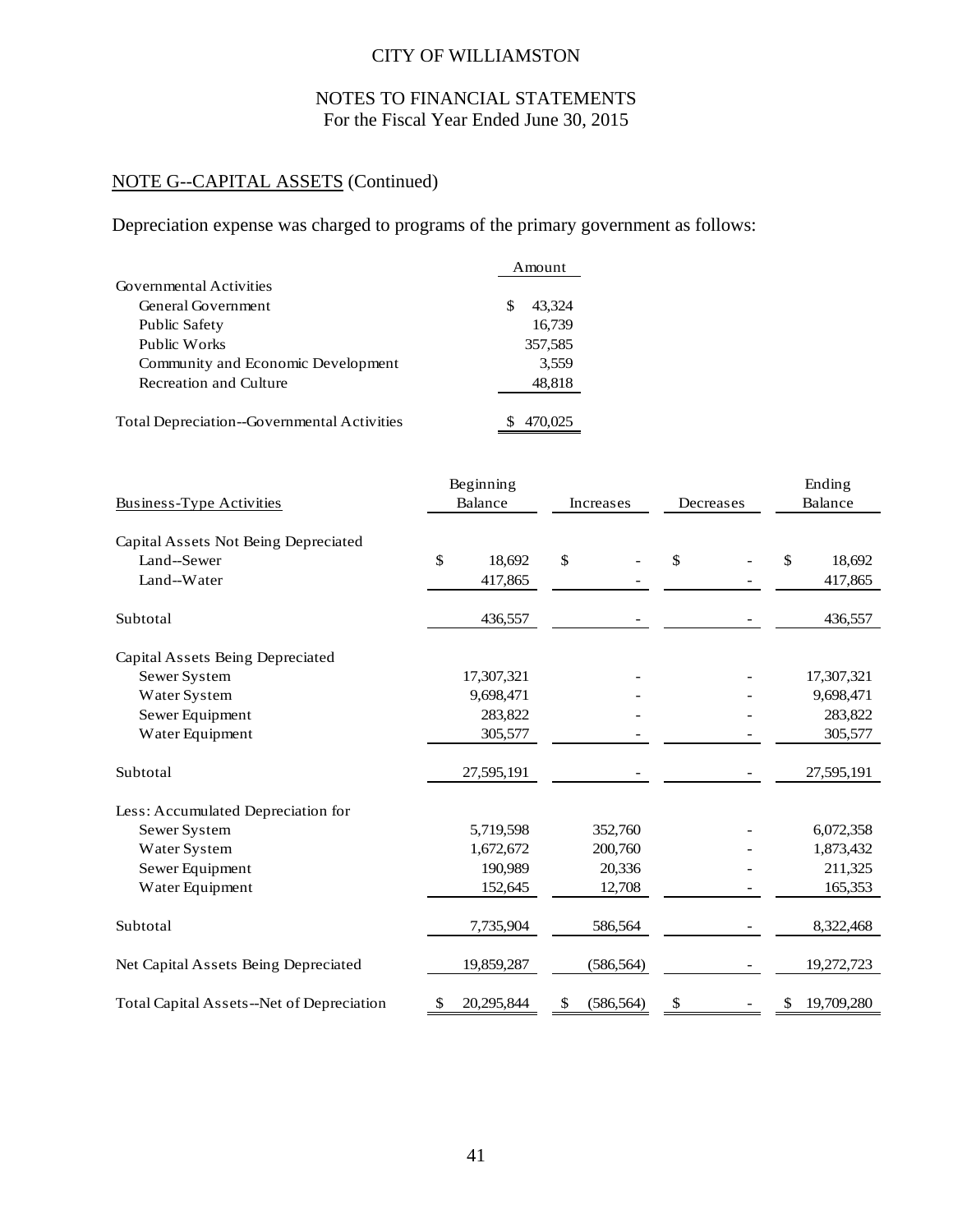# NOTES TO FINANCIAL STATEMENTS For the Fiscal Year Ended June 30, 2015

# NOTE G--CAPITAL ASSETS (Continued)

Depreciation expense was charged to programs of the primary government as follows:

|                                                    | Amount      |
|----------------------------------------------------|-------------|
| Governmental Activities                            |             |
| General Government                                 | 43,324<br>S |
| Public Safety                                      | 16,739      |
| Public Works                                       | 357,585     |
| Community and Economic Development                 | 3,559       |
| Recreation and Culture                             | 48,818      |
| <b>Total Depreciation--Governmental Activities</b> | 470,025     |

|                                                  | Beginning        |                  |           | Ending          |
|--------------------------------------------------|------------------|------------------|-----------|-----------------|
| <b>Business-Type Activities</b>                  | Balance          | Increases        | Decreases | Balance         |
| Capital Assets Not Being Depreciated             |                  |                  |           |                 |
| Land--Sewer                                      | \$<br>18,692     | \$               | \$        | \$<br>18,692    |
| Land--Water                                      | 417,865          |                  |           | 417,865         |
| Subtotal                                         | 436,557          |                  |           | 436,557         |
| Capital Assets Being Depreciated                 |                  |                  |           |                 |
| Sewer System                                     | 17,307,321       |                  |           | 17,307,321      |
| Water System                                     | 9,698,471        |                  |           | 9,698,471       |
| Sewer Equipment                                  | 283,822          |                  |           | 283,822         |
| Water Equipment                                  | 305,577          |                  |           | 305,577         |
| Subtotal                                         | 27,595,191       |                  |           | 27,595,191      |
| Less: Accumulated Depreciation for               |                  |                  |           |                 |
| Sewer System                                     | 5,719,598        | 352,760          |           | 6,072,358       |
| Water System                                     | 1,672,672        | 200,760          |           | 1,873,432       |
| Sewer Equipment                                  | 190,989          | 20,336           |           | 211,325         |
| Water Equipment                                  | 152,645          | 12,708           |           | 165,353         |
| Subtotal                                         | 7,735,904        | 586,564          |           | 8,322,468       |
| Net Capital Assets Being Depreciated             | 19,859,287       | (586, 564)       |           | 19,272,723      |
| <b>Total Capital Assets--Net of Depreciation</b> | 20,295,844<br>\$ | (586, 564)<br>\$ | \$        | 19,709,280<br>S |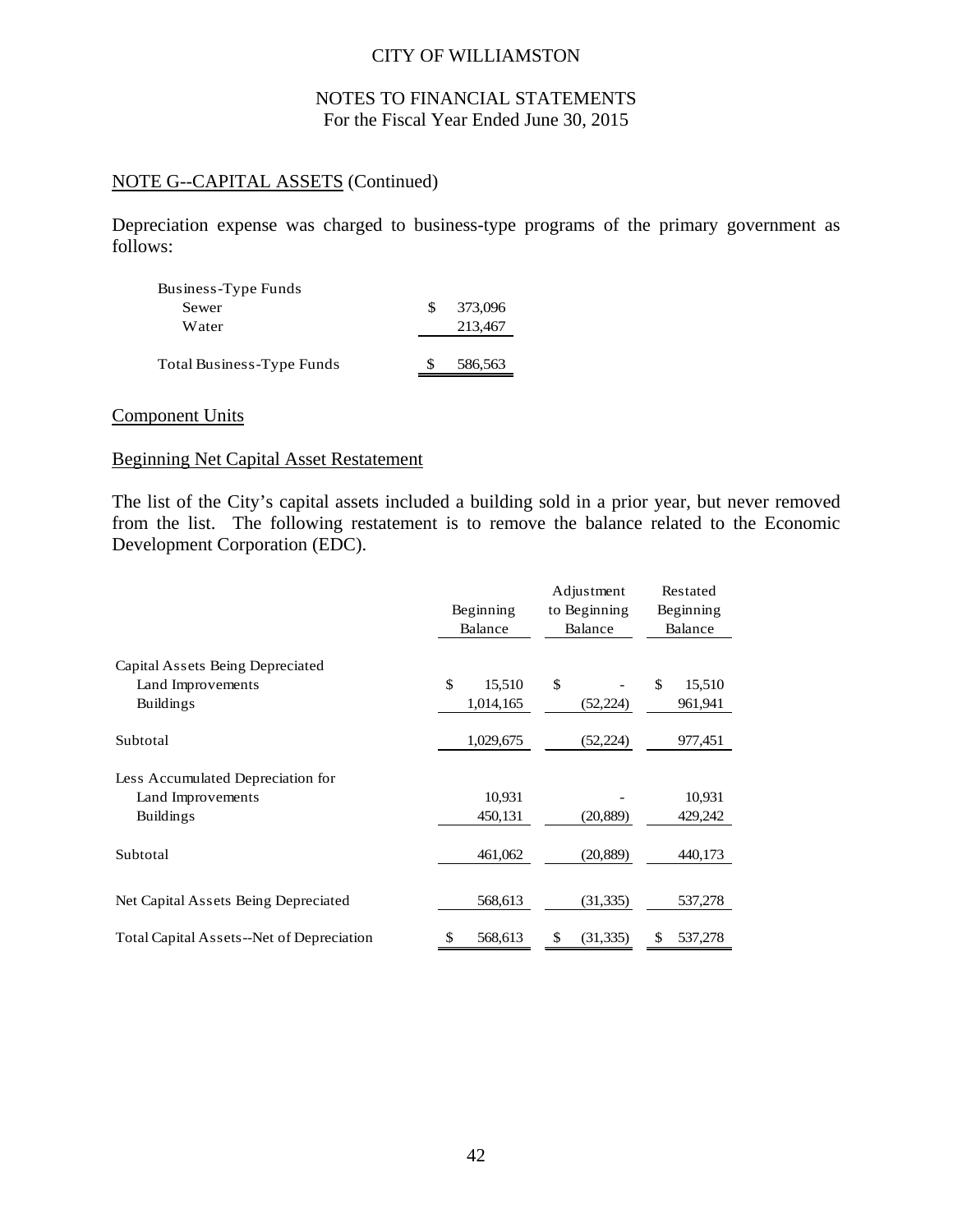## NOTES TO FINANCIAL STATEMENTS For the Fiscal Year Ended June 30, 2015

### NOTE G--CAPITAL ASSETS (Continued)

Depreciation expense was charged to business-type programs of the primary government as follows:

| Business-Type Funds       |     |         |
|---------------------------|-----|---------|
| Sewer                     | \$. | 373,096 |
| Water                     |     | 213.467 |
|                           |     |         |
| Total Business-Type Funds |     | 586,563 |

# Component Units

# Beginning Net Capital Asset Restatement

The list of the City's capital assets included a building sold in a prior year, but never removed from the list. The following restatement is to remove the balance related to the Economic Development Corporation (EDC).

|                                           | Beginning<br>Balance | Adjustment<br>to Beginning<br>Balance | Restated<br>Beginning<br>Balance |
|-------------------------------------------|----------------------|---------------------------------------|----------------------------------|
| Capital Assets Being Depreciated          |                      |                                       |                                  |
| Land Improvements                         | \$<br>15,510         | \$                                    | \$<br>15,510                     |
| <b>Buildings</b>                          | 1,014,165            | (52, 224)                             | 961,941                          |
|                                           |                      |                                       |                                  |
| Subtotal                                  | 1,029,675            | (52, 224)                             | 977,451                          |
| Less Accumulated Depreciation for         |                      |                                       |                                  |
| Land Improvements                         | 10,931               |                                       | 10,931                           |
| <b>Buildings</b>                          | 450,131              | (20, 889)                             | 429,242                          |
| Subtotal                                  | 461,062              | (20, 889)                             | 440,173                          |
| Net Capital Assets Being Depreciated      | 568,613              | (31, 335)                             | 537,278                          |
|                                           |                      |                                       |                                  |
| Total Capital Assets--Net of Depreciation | 568,613<br>\$        | \$<br>(31, 335)                       | 537,278<br>\$                    |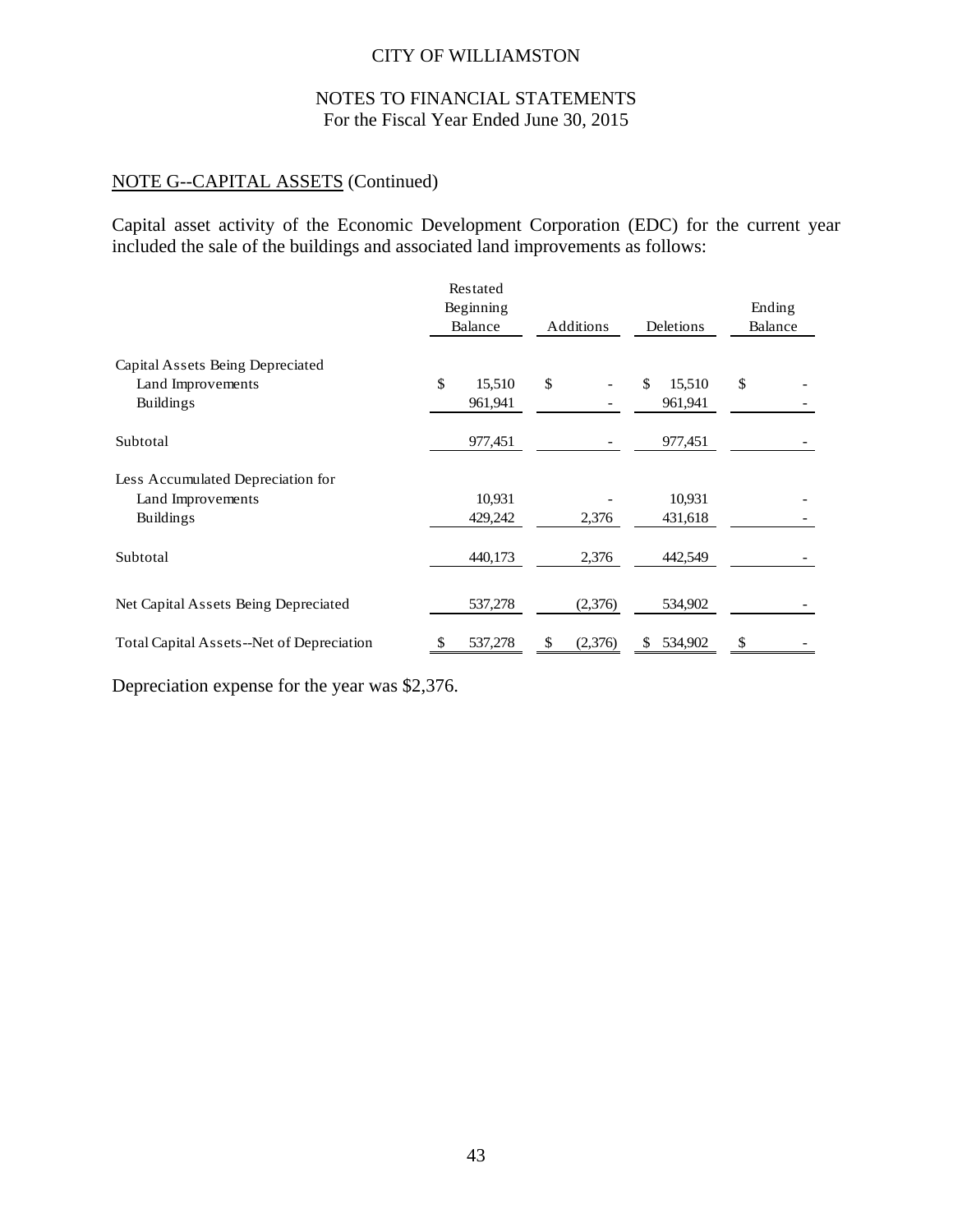# NOTES TO FINANCIAL STATEMENTS For the Fiscal Year Ended June 30, 2015

# NOTE G--CAPITAL ASSETS (Continued)

Capital asset activity of the Economic Development Corporation (EDC) for the current year included the sale of the buildings and associated land improvements as follows:

|                                           | Restated<br>Beginning<br>Balance |              | Additions | Deletions              | Ending<br>Balance |
|-------------------------------------------|----------------------------------|--------------|-----------|------------------------|-------------------|
| Capital Assets Being Depreciated          |                                  |              |           |                        |                   |
| Land Improvements                         | \$<br>15,510                     | $\mathbb{S}$ |           | $\mathbb{S}$<br>15,510 | \$                |
| <b>Buildings</b>                          | 961,941                          |              |           | 961,941                |                   |
| Subtotal                                  | 977,451                          |              |           | 977,451                |                   |
| Less Accumulated Depreciation for         |                                  |              |           |                        |                   |
| Land Improvements                         | 10,931                           |              |           | 10,931                 |                   |
| <b>Buildings</b>                          | 429,242                          |              | 2,376     | 431,618                |                   |
| Subtotal                                  | 440,173                          |              | 2,376     | 442,549                |                   |
| Net Capital Assets Being Depreciated      | 537,278                          |              | (2,376)   | 534,902                |                   |
| Total Capital Assets--Net of Depreciation | 537,278                          | -S           | (2,376)   | 534,902<br>\$          | -S                |

Depreciation expense for the year was \$2,376.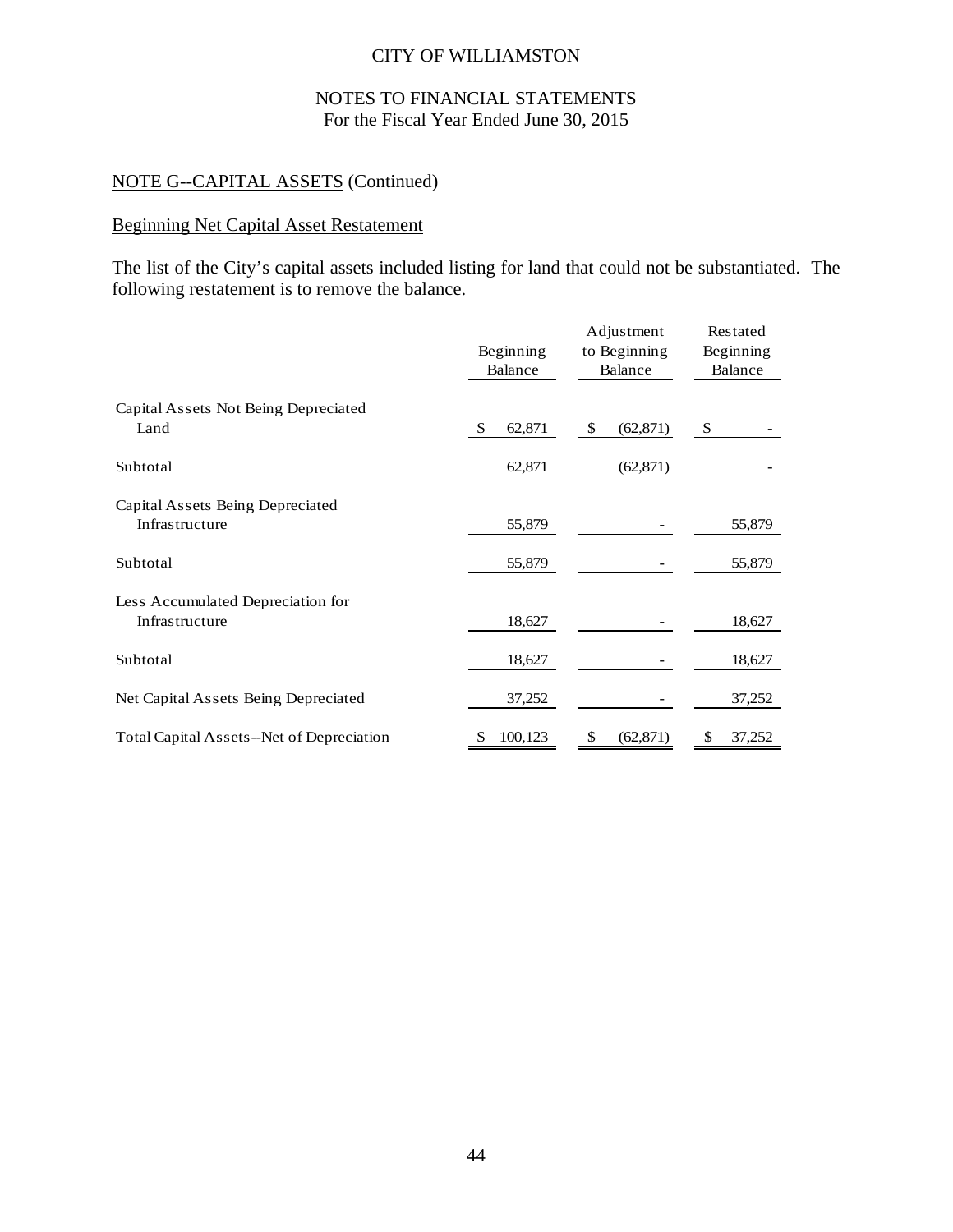# NOTES TO FINANCIAL STATEMENTS For the Fiscal Year Ended June 30, 2015

# NOTE G--CAPITAL ASSETS (Continued)

# Beginning Net Capital Asset Restatement

The list of the City's capital assets included listing for land that could not be substantiated. The following restatement is to remove the balance.

|                                                     | Beginning<br>Balance    | Adjustment<br>to Beginning<br>Balance | Restated<br>Beginning<br>Balance |
|-----------------------------------------------------|-------------------------|---------------------------------------|----------------------------------|
| Capital Assets Not Being Depreciated<br>Land        | <sup>\$</sup><br>62,871 | \$<br>(62, 871)                       | \$                               |
| Subtotal                                            | 62,871                  | (62, 871)                             |                                  |
| Capital Assets Being Depreciated<br>Infrastructure  | 55,879                  |                                       | 55,879                           |
| Subtotal                                            | 55,879                  |                                       | 55,879                           |
| Less Accumulated Depreciation for<br>Infrastructure | 18,627                  |                                       | 18,627                           |
| Subtotal                                            | 18,627                  |                                       | 18,627                           |
| Net Capital Assets Being Depreciated                | 37,252                  |                                       | 37,252                           |
| <b>Total Capital Assets--Net of Depreciation</b>    | 100,123<br>S            | (62, 871)<br>S                        | 37,252<br>S                      |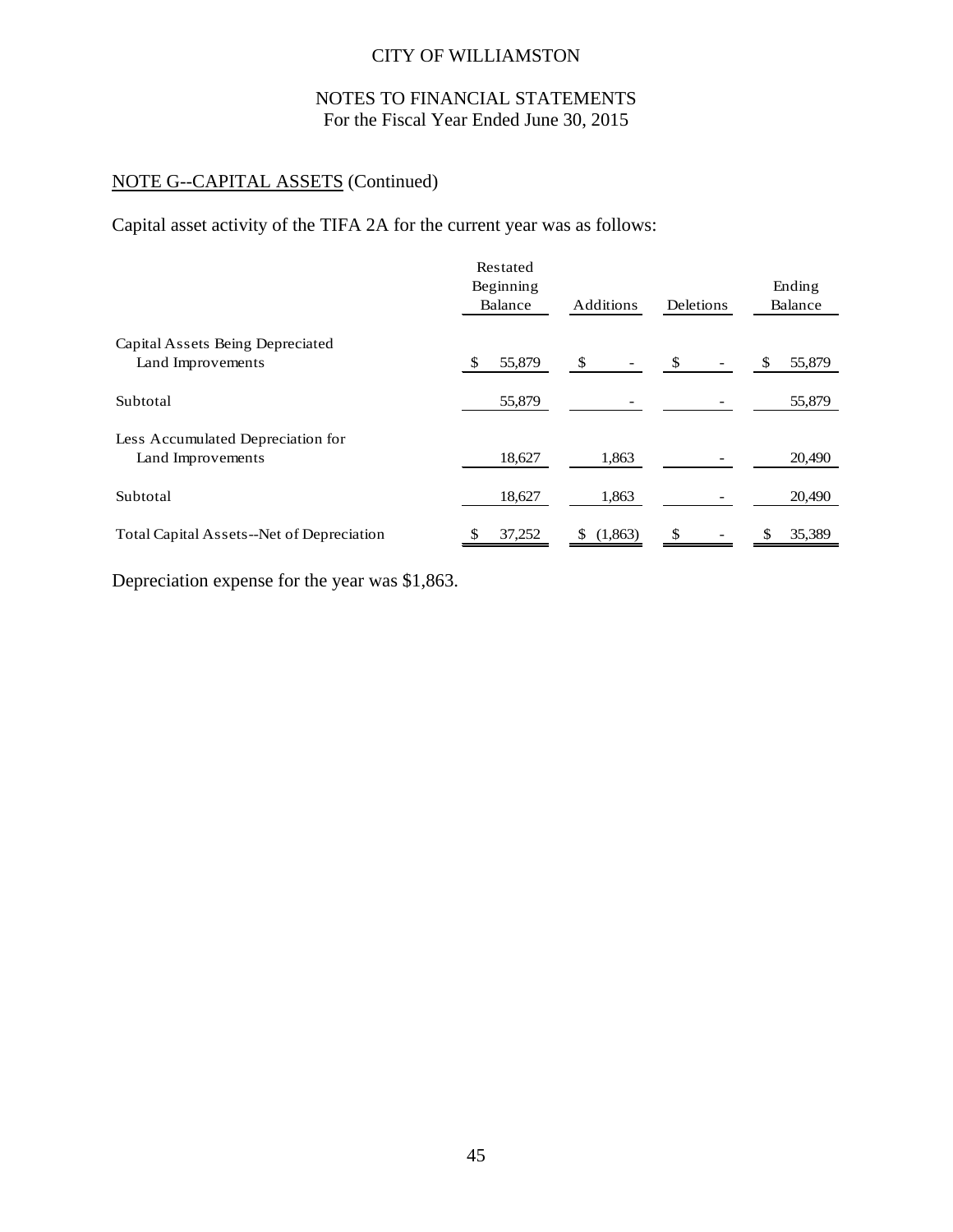# NOTES TO FINANCIAL STATEMENTS For the Fiscal Year Ended June 30, 2015

# NOTE G--CAPITAL ASSETS (Continued)

Capital asset activity of the TIFA 2A for the current year was as follows:

|                                                        | Restated<br>Beginning<br>Balance | Additions | Deletions     | Ending<br>Balance |
|--------------------------------------------------------|----------------------------------|-----------|---------------|-------------------|
| Capital Assets Being Depreciated<br>Land Improvements  | 55,879<br>-\$                    | \$        | <sup>\$</sup> | 55,879            |
| Subtotal                                               | 55,879                           |           |               | 55,879            |
| Less Accumulated Depreciation for<br>Land Improvements | 18,627                           | 1,863     |               | 20,490            |
| Subtotal                                               | 18,627                           | 1,863     |               | 20,490            |
| Total Capital Assets--Net of Depreciation              | 37,252                           | (1,863)   |               | 35,389            |

Depreciation expense for the year was \$1,863.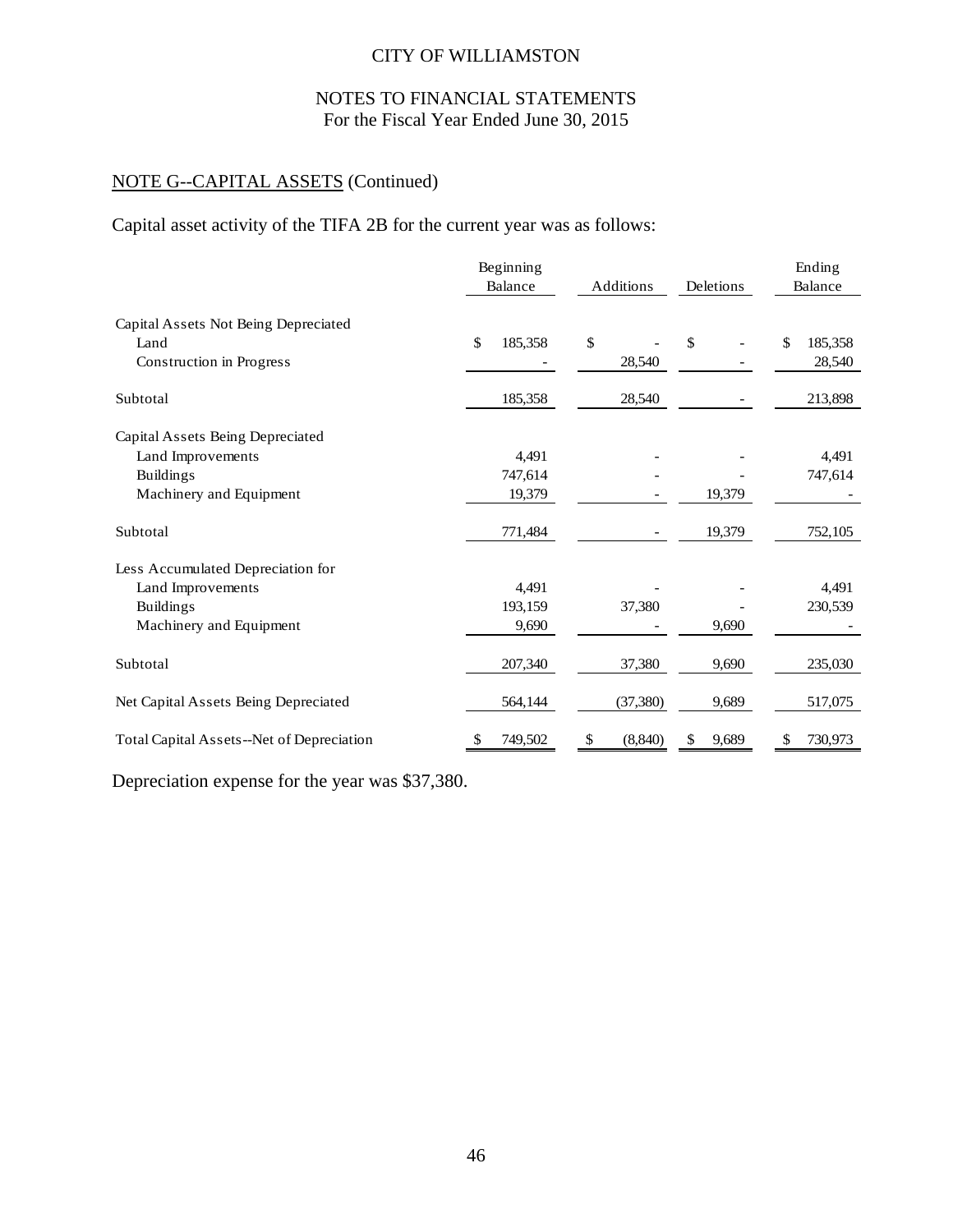# NOTES TO FINANCIAL STATEMENTS For the Fiscal Year Ended June 30, 2015

# NOTE G--CAPITAL ASSETS (Continued)

Capital asset activity of the TIFA 2B for the current year was as follows:

|                                              | Beginning<br>Balance | Additions     | Deletions  | Ending<br>Balance |  |
|----------------------------------------------|----------------------|---------------|------------|-------------------|--|
| Capital Assets Not Being Depreciated<br>Land | \$<br>185,358        | \$            | \$         | 185,358<br>\$     |  |
| Construction in Progress                     |                      | 28,540        |            | 28,540            |  |
| Subtotal                                     | 185,358              | 28,540        |            | 213,898           |  |
| Capital Assets Being Depreciated             |                      |               |            |                   |  |
| Land Improvements                            | 4,491                |               |            | 4,491             |  |
| <b>Buildings</b>                             | 747,614              |               |            | 747,614           |  |
| Machinery and Equipment                      | 19,379               |               | 19,379     |                   |  |
| Subtotal                                     | 771,484              |               | 19,379     | 752,105           |  |
| Less Accumulated Depreciation for            |                      |               |            |                   |  |
| Land Improvements                            | 4,491                |               |            | 4,491             |  |
| <b>Buildings</b>                             | 193,159              | 37,380        |            | 230,539           |  |
| Machinery and Equipment                      | 9,690                |               | 9,690      |                   |  |
| Subtotal                                     | 207,340              | 37,380        | 9,690      | 235,030           |  |
| Net Capital Assets Being Depreciated         | 564,144              | (37, 380)     | 9,689      | 517,075           |  |
| Total Capital Assets--Net of Depreciation    | 749,502              | (8, 840)<br>S | 9,689<br>S | 730,973<br>S      |  |

Depreciation expense for the year was \$37,380.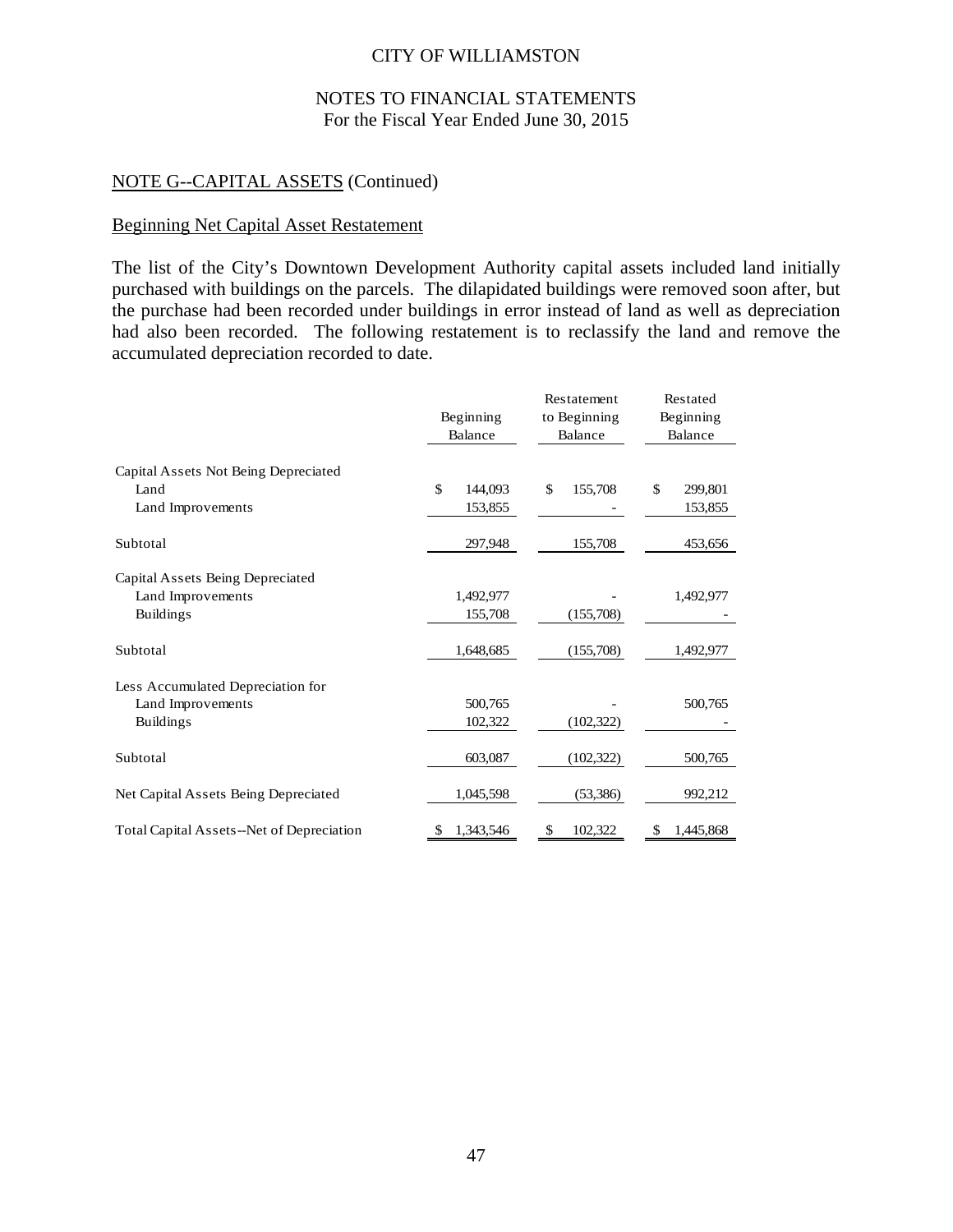## NOTES TO FINANCIAL STATEMENTS For the Fiscal Year Ended June 30, 2015

# NOTE G--CAPITAL ASSETS (Continued)

# Beginning Net Capital Asset Restatement

The list of the City's Downtown Development Authority capital assets included land initially purchased with buildings on the parcels. The dilapidated buildings were removed soon after, but the purchase had been recorded under buildings in error instead of land as well as depreciation had also been recorded. The following restatement is to reclassify the land and remove the accumulated depreciation recorded to date.

|                                                                            | Beginning<br>Balance     | Restatement<br>to Beginning<br>Balance | Restated<br>Beginning<br>Balance |
|----------------------------------------------------------------------------|--------------------------|----------------------------------------|----------------------------------|
| Capital Assets Not Being Depreciated<br>Land<br>Land Improvements          | \$<br>144,093<br>153,855 | \$<br>155,708                          | \$<br>299,801<br>153,855         |
| Subtotal                                                                   | 297,948                  | 155,708                                | 453,656                          |
| Capital Assets Being Depreciated<br>Land Improvements<br><b>Buildings</b>  | 1,492,977<br>155,708     | (155,708)                              | 1,492,977                        |
| Subtotal                                                                   | 1,648,685                | (155,708)                              | 1,492,977                        |
| Less Accumulated Depreciation for<br>Land Improvements<br><b>Buildings</b> | 500,765<br>102,322       | (102, 322)                             | 500,765                          |
| Subtotal                                                                   | 603,087                  | (102, 322)                             | 500,765                          |
| Net Capital Assets Being Depreciated                                       | 1,045,598                | (53,386)                               | 992,212                          |
| Total Capital Assets--Net of Depreciation                                  | 1,343,546                | 102,322<br>S                           | 1,445,868                        |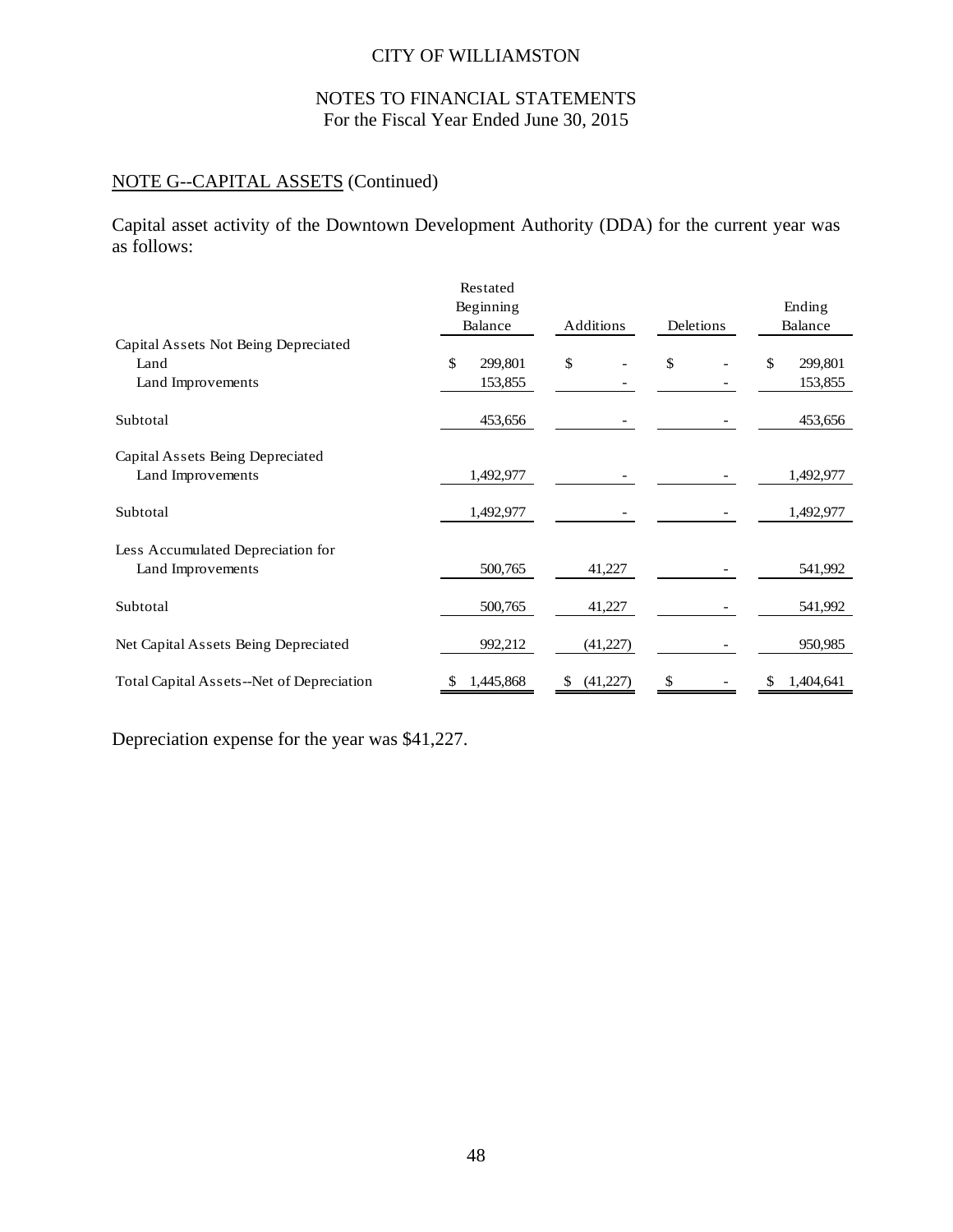# NOTES TO FINANCIAL STATEMENTS For the Fiscal Year Ended June 30, 2015

# NOTE G--CAPITAL ASSETS (Continued)

Capital asset activity of the Downtown Development Authority (DDA) for the current year was as follows:

|                                           | Restated      |               |           |               |
|-------------------------------------------|---------------|---------------|-----------|---------------|
|                                           | Beginning     |               |           | Ending        |
|                                           | Balance       | Additions     | Deletions | Balance       |
| Capital Assets Not Being Depreciated      |               |               |           |               |
| Land                                      | \$<br>299,801 | \$            | \$        | \$<br>299,801 |
| Land Improvements                         | 153,855       |               |           | 153,855       |
| Subtotal                                  | 453,656       |               |           | 453,656       |
| Capital Assets Being Depreciated          |               |               |           |               |
| Land Improvements                         | 1,492,977     |               |           | 1,492,977     |
| Subtotal                                  | 1,492,977     |               |           | 1,492,977     |
| Less Accumulated Depreciation for         |               |               |           |               |
| Land Improvements                         | 500,765       | 41,227        |           | 541,992       |
| Subtotal                                  | 500,765       | 41,227        |           | 541,992       |
| Net Capital Assets Being Depreciated      | 992,212       | (41,227)      |           | 950,985       |
| Total Capital Assets--Net of Depreciation | 1,445,868     | (41,227)<br>S | \$        | 1,404,641     |

Depreciation expense for the year was \$41,227.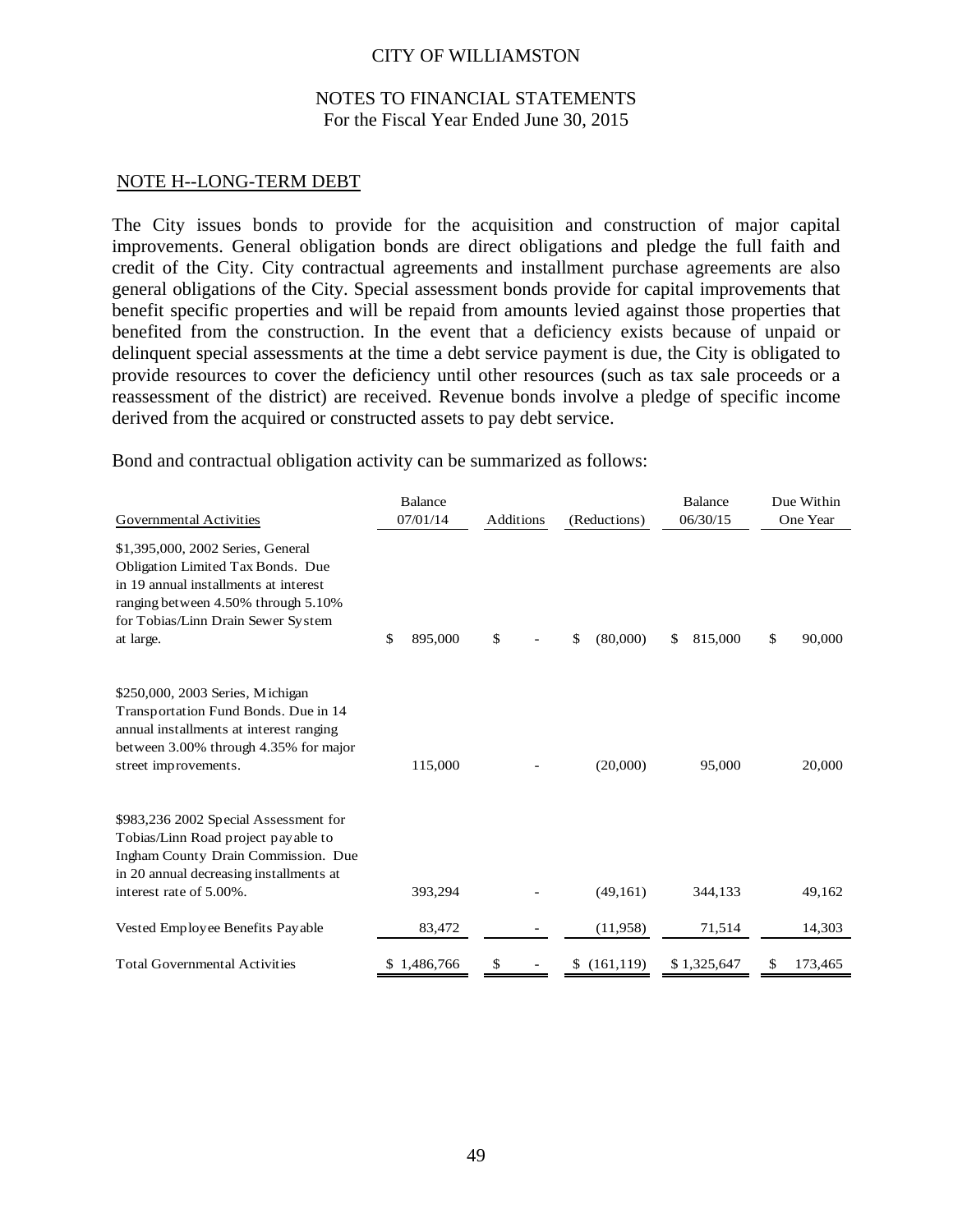### NOTES TO FINANCIAL STATEMENTS For the Fiscal Year Ended June 30, 2015

### NOTE H--LONG-TERM DEBT

The City issues bonds to provide for the acquisition and construction of major capital improvements. General obligation bonds are direct obligations and pledge the full faith and credit of the City. City contractual agreements and installment purchase agreements are also general obligations of the City. Special assessment bonds provide for capital improvements that benefit specific properties and will be repaid from amounts levied against those properties that benefited from the construction. In the event that a deficiency exists because of unpaid or delinquent special assessments at the time a debt service payment is due, the City is obligated to provide resources to cover the deficiency until other resources (such as tax sale proceeds or a reassessment of the district) are received. Revenue bonds involve a pledge of specific income derived from the acquired or constructed assets to pay debt service.

Bond and contractual obligation activity can be summarized as follows:

| Governmental Activities                                                                                                                                                                                   |    | <b>Balance</b><br>07/01/14 | Additions |    | (Reductions) | <b>Balance</b><br>06/30/15 | Due Within<br>One Year |  |
|-----------------------------------------------------------------------------------------------------------------------------------------------------------------------------------------------------------|----|----------------------------|-----------|----|--------------|----------------------------|------------------------|--|
| \$1,395,000, 2002 Series, General<br>Obligation Limited Tax Bonds. Due<br>in 19 annual installments at interest<br>ranging between 4.50% through 5.10%<br>for Tobias/Linn Drain Sewer System<br>at large. | \$ | 895,000                    | \$        | \$ | (80,000)     | \$<br>815,000              | \$<br>90,000           |  |
| \$250,000, 2003 Series, Michigan<br>Transportation Fund Bonds. Due in 14<br>annual installments at interest ranging<br>between 3.00% through 4.35% for major<br>street improvements.                      |    | 115,000                    |           |    | (20,000)     | 95,000                     | 20,000                 |  |
| \$983,236 2002 Special Assessment for<br>Tobias/Linn Road project payable to<br>Ingham County Drain Commission. Due<br>in 20 annual decreasing installments at<br>interest rate of 5.00%.                 |    | 393,294                    |           |    | (49,161)     | 344,133                    | 49,162                 |  |
| Vested Employee Benefits Payable                                                                                                                                                                          |    | 83,472                     |           |    | (11,958)     | 71,514                     | 14,303                 |  |
| <b>Total Governmental Activities</b>                                                                                                                                                                      | S. | 1,486,766                  | \$        | \$ | (161, 119)   | \$1,325,647                | \$<br>173.465          |  |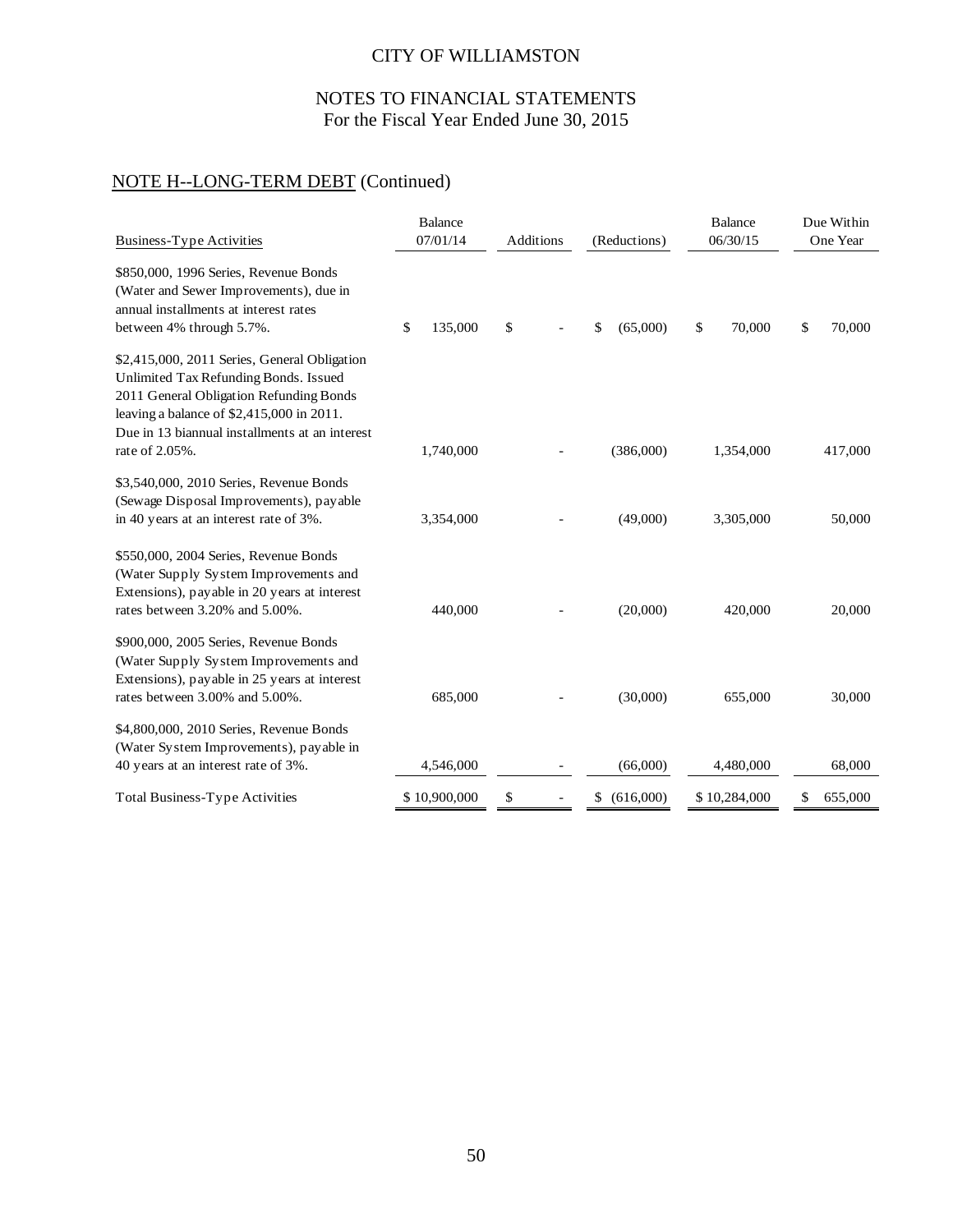# NOTES TO FINANCIAL STATEMENTS For the Fiscal Year Ended June 30, 2015

# NOTE H--LONG-TERM DEBT (Continued)

| Business-Type Activities                                                                                                                                                                                                        | <b>Balance</b><br>07/01/14 | Additions | (Reductions)    | <b>Balance</b><br>06/30/15 | Due Within<br>One Year |  |
|---------------------------------------------------------------------------------------------------------------------------------------------------------------------------------------------------------------------------------|----------------------------|-----------|-----------------|----------------------------|------------------------|--|
| \$850,000, 1996 Series, Revenue Bonds<br>(Water and Sewer Improvements), due in<br>annual installments at interest rates<br>between 4% through 5.7%.                                                                            | \$<br>135,000              | \$        | \$<br>(65,000)  | \$<br>70,000               | \$<br>70,000           |  |
| \$2,415,000, 2011 Series, General Obligation<br>Unlimited Tax Refunding Bonds. Issued<br>2011 General Obligation Refunding Bonds<br>leaving a balance of \$2,415,000 in 2011.<br>Due in 13 biannual installments at an interest |                            |           |                 |                            |                        |  |
| rate of 2.05%.                                                                                                                                                                                                                  | 1,740,000                  |           | (386,000)       | 1,354,000                  | 417,000                |  |
| \$3,540,000, 2010 Series, Revenue Bonds<br>(Sewage Disposal Improvements), payable<br>in 40 years at an interest rate of 3%.                                                                                                    | 3,354,000                  |           | (49,000)        | 3,305,000                  | 50,000                 |  |
| \$550,000, 2004 Series, Revenue Bonds<br>(Water Supply System Improvements and<br>Extensions), payable in 20 years at interest<br>rates between 3.20% and 5.00%.                                                                | 440,000                    |           | (20,000)        | 420,000                    | 20,000                 |  |
| \$900,000, 2005 Series, Revenue Bonds<br>(Water Supply System Improvements and<br>Extensions), payable in 25 years at interest<br>rates between 3.00% and 5.00%.                                                                | 685,000                    |           | (30,000)        | 655,000                    | 30,000                 |  |
| \$4,800,000, 2010 Series, Revenue Bonds<br>(Water System Improvements), payable in<br>40 years at an interest rate of 3%.                                                                                                       | 4,546,000                  |           | (66,000)        | 4,480,000                  | 68,000                 |  |
| <b>Total Business-Type Activities</b>                                                                                                                                                                                           | \$10,900,000               | \$        | (616,000)<br>\$ | \$10,284,000               | \$<br>655,000          |  |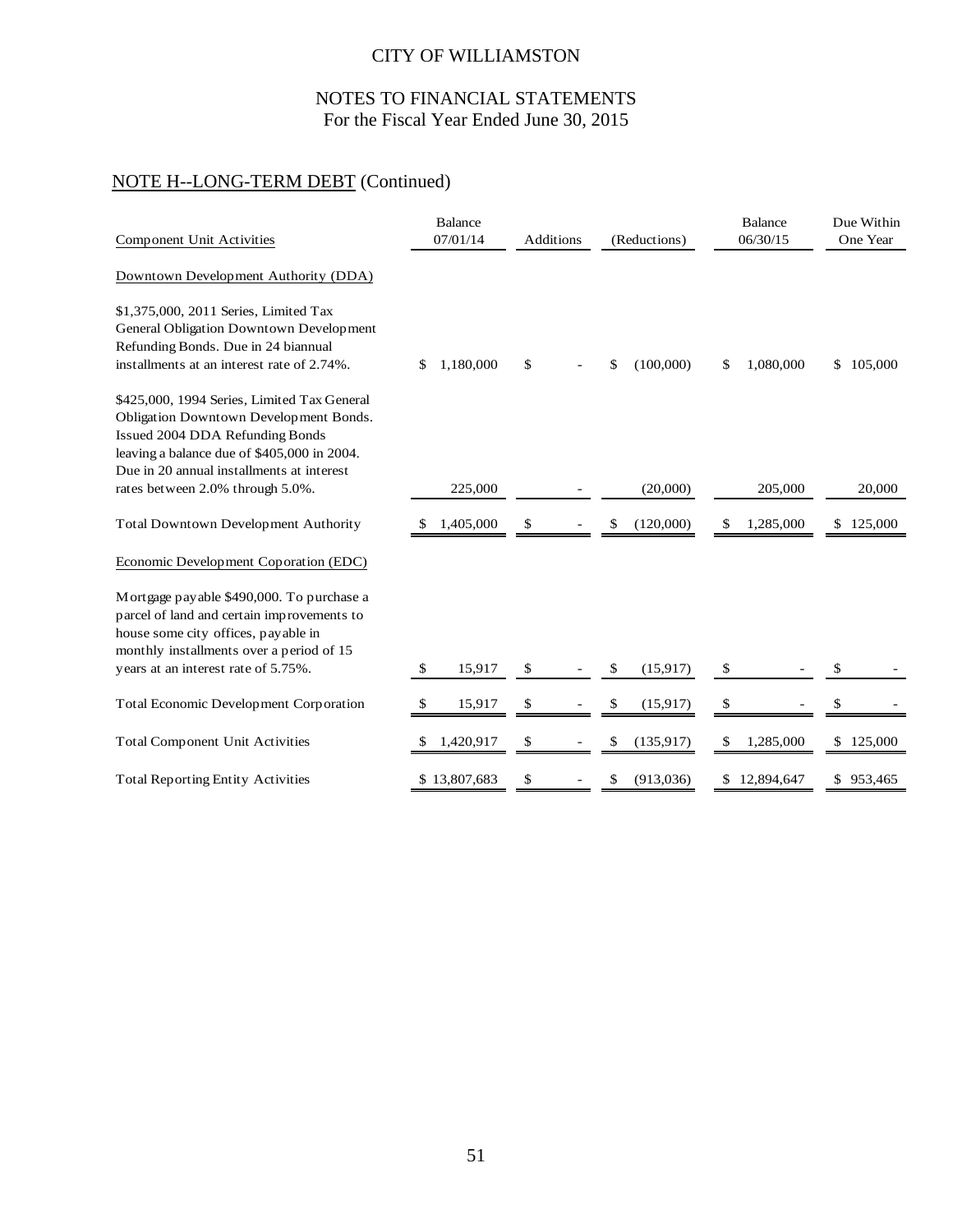# NOTES TO FINANCIAL STATEMENTS For the Fiscal Year Ended June 30, 2015

# NOTE H--LONG-TERM DEBT (Continued)

| <b>Component Unit Activities</b>                                                                                                                                                                                     | <b>Balance</b><br>07/01/14 | <b>Additions</b> | (Reductions)     | <b>Balance</b><br>06/30/15 | Due Within<br>One Year |  |
|----------------------------------------------------------------------------------------------------------------------------------------------------------------------------------------------------------------------|----------------------------|------------------|------------------|----------------------------|------------------------|--|
| Downtown Development Authority (DDA)                                                                                                                                                                                 |                            |                  |                  |                            |                        |  |
| \$1,375,000, 2011 Series, Limited Tax<br>General Obligation Downtown Development<br>Refunding Bonds. Due in 24 biannual<br>installments at an interest rate of 2.74%.                                                | 1,180,000<br>\$            | \$               | (100,000)<br>\$  | 1,080,000<br>S             | 105,000<br>\$          |  |
| \$425,000, 1994 Series, Limited Tax General<br>Obligation Downtown Development Bonds.<br>Issued 2004 DDA Refunding Bonds<br>leaving a balance due of \$405,000 in 2004.<br>Due in 20 annual installments at interest |                            |                  |                  |                            |                        |  |
| rates between 2.0% through 5.0%.                                                                                                                                                                                     | 225,000                    |                  | (20,000)         | 205,000                    | 20,000                 |  |
| <b>Total Downtown Development Authority</b>                                                                                                                                                                          | 1,405,000                  | \$               | (120,000)<br>S   | 1,285,000                  | 125,000                |  |
| Economic Development Coporation (EDC)                                                                                                                                                                                |                            |                  |                  |                            |                        |  |
| Mortgage payable \$490,000. To purchase a<br>parcel of land and certain improvements to<br>house some city offices, payable in<br>monthly installments over a period of 15                                           |                            |                  |                  |                            |                        |  |
| years at an interest rate of 5.75%.                                                                                                                                                                                  | 15,917<br>\$               | \$               | (15,917)<br>\$   | \$                         | \$                     |  |
| <b>Total Economic Development Corporation</b>                                                                                                                                                                        | 15,917<br>\$               | \$               | \$<br>(15,917)   | \$                         | \$                     |  |
| <b>Total Component Unit Activities</b>                                                                                                                                                                               | 1,420,917                  | \$               | \$<br>(135, 917) | 1,285,000<br>\$            | \$<br>125,000          |  |
| <b>Total Reporting Entity Activities</b>                                                                                                                                                                             | \$13,807,683               | \$               | \$<br>(913,036)  | 12,894,647<br>\$           | 953.465<br>\$          |  |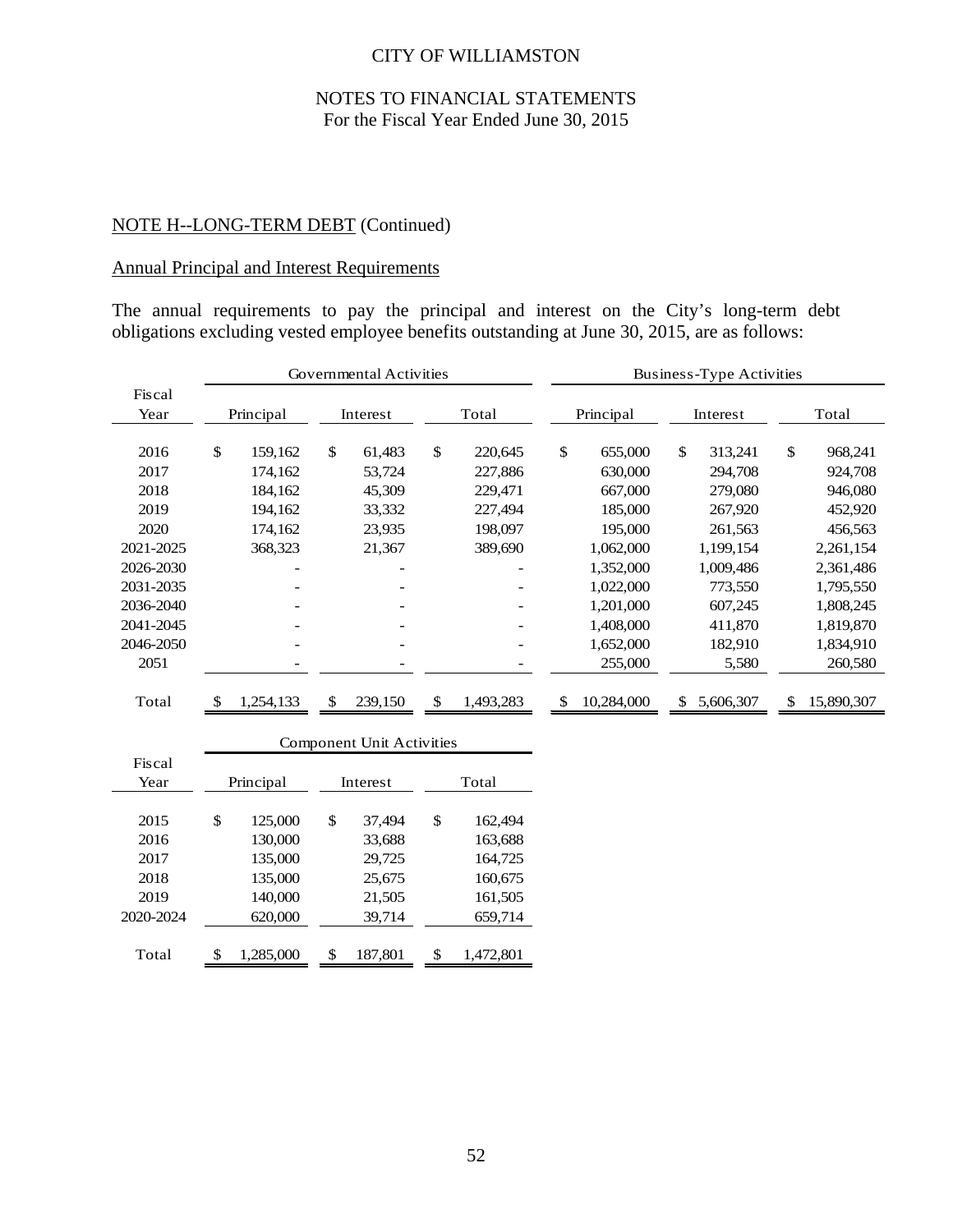# NOTES TO FINANCIAL STATEMENTS For the Fiscal Year Ended June 30, 2015

# NOTE H--LONG-TERM DEBT (Continued)

# Annual Principal and Interest Requirements

The annual requirements to pay the principal and interest on the City's long-term debt obligations excluding vested employee benefits outstanding at June 30, 2015, are as follows:

|                |    |           | Governmental Activities |    |           |    |            | Business-Type Activities |           |              |            |
|----------------|----|-----------|-------------------------|----|-----------|----|------------|--------------------------|-----------|--------------|------------|
| Fiscal<br>Year |    | Principal | Interest                |    | Total     |    | Principal  |                          | Interest  |              | Total      |
| 2016           | \$ | 159,162   | \$<br>61,483            | \$ | 220,645   | \$ | 655,000    | \$                       | 313,241   | $\mathbb{S}$ | 968,241    |
| 2017           |    | 174,162   | 53,724                  |    | 227,886   |    | 630,000    |                          | 294,708   |              | 924,708    |
| 2018           |    | 184,162   | 45,309                  |    | 229,471   |    | 667,000    |                          | 279,080   |              | 946,080    |
| 2019           |    | 194,162   | 33,332                  |    | 227,494   |    | 185,000    |                          | 267,920   |              | 452,920    |
| 2020           |    | 174,162   | 23,935                  |    | 198,097   |    | 195,000    |                          | 261,563   |              | 456,563    |
| 2021-2025      |    | 368,323   | 21,367                  |    | 389,690   |    | 1,062,000  |                          | 1,199,154 |              | 2,261,154  |
| 2026-2030      |    |           |                         |    |           |    | 1,352,000  |                          | 1,009,486 |              | 2,361,486  |
| 2031-2035      |    |           |                         |    |           |    | 1,022,000  |                          | 773,550   |              | 1,795,550  |
| 2036-2040      |    |           |                         |    |           |    | 1,201,000  |                          | 607,245   |              | 1,808,245  |
| 2041-2045      |    |           |                         |    |           |    | 1,408,000  |                          | 411,870   |              | 1,819,870  |
| 2046-2050      |    |           |                         |    |           |    | 1,652,000  |                          | 182,910   |              | 1,834,910  |
| 2051           |    |           |                         |    |           |    | 255,000    |                          | 5,580     |              | 260,580    |
|                |    |           |                         |    |           |    |            |                          |           |              |            |
| Total          | £. | 1,254,133 | \$<br>239,150           | \$ | 1,493,283 | \$ | 10,284,000 | \$.                      | 5,606,307 | \$           | 15,890,307 |

|                | <b>Component Unit Activities</b> |    |         |    |           |  |  |  |  |  |  |
|----------------|----------------------------------|----|---------|----|-----------|--|--|--|--|--|--|
| Fiscal<br>Year | Principal                        |    | Total   |    |           |  |  |  |  |  |  |
|                |                                  |    |         |    |           |  |  |  |  |  |  |
| 2015           | \$<br>125,000                    | \$ | 37,494  | \$ | 162,494   |  |  |  |  |  |  |
| 2016           | 130,000                          |    | 33,688  |    | 163,688   |  |  |  |  |  |  |
| 2017           | 135,000                          |    | 29,725  |    | 164,725   |  |  |  |  |  |  |
| 2018           | 135,000                          |    | 25,675  |    | 160,675   |  |  |  |  |  |  |
| 2019           | 140,000                          |    | 21,505  |    | 161,505   |  |  |  |  |  |  |
| 2020-2024      | 620,000                          |    | 39,714  |    | 659,714   |  |  |  |  |  |  |
|                |                                  |    |         |    |           |  |  |  |  |  |  |
| Total          | \$<br>1,285,000                  | \$ | 187,801 | S  | 1,472,801 |  |  |  |  |  |  |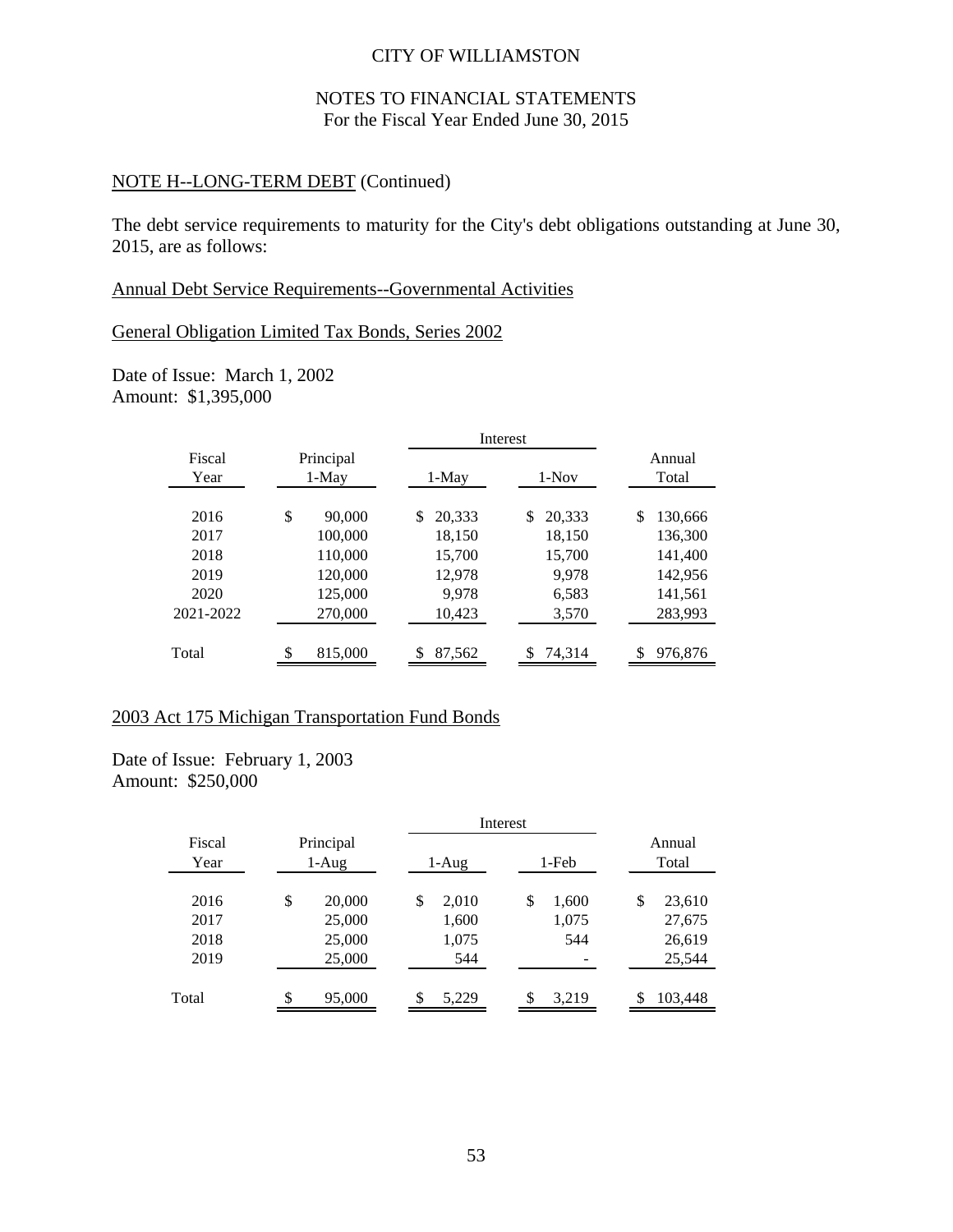## NOTES TO FINANCIAL STATEMENTS For the Fiscal Year Ended June 30, 2015

### NOTE H--LONG-TERM DEBT (Continued)

The debt service requirements to maturity for the City's debt obligations outstanding at June 30, 2015, are as follows:

### Annual Debt Service Requirements--Governmental Activities

# General Obligation Limited Tax Bonds, Series 2002

Date of Issue: March 1, 2002 Amount: \$1,395,000

|                |                    |              | Interest |         |                 |
|----------------|--------------------|--------------|----------|---------|-----------------|
| Fiscal<br>Year | Principal<br>1-May | 1-May        |          | $1-Nov$ | Annual<br>Total |
| 2016           | \$<br>90,000       | \$<br>20,333 | \$       | 20,333  | \$<br>130,666   |
| 2017           | 100,000            | 18,150       |          | 18,150  | 136,300         |
| 2018           | 110,000            | 15,700       |          | 15,700  | 141,400         |
| 2019           | 120,000            | 12,978       |          | 9,978   | 142,956         |
| 2020           | 125,000            | 9.978        |          | 6,583   | 141,561         |
| 2021-2022      | 270,000            | 10,423       |          | 3,570   | 283,993         |
| Total          | \$<br>815,000      | \$<br>87,562 |          | 74,314  | 976,876         |

### 2003 Act 175 Michigan Transportation Fund Bonds

Date of Issue: February 1, 2003 Amount: \$250,000

| Fiscal<br>Year | Principal<br>$1-Aug$ |    | $1-Aug$ | 1-Feb       | Annual<br>Total |
|----------------|----------------------|----|---------|-------------|-----------------|
| 2016           | \$<br>20,000         | \$ | 2,010   | \$<br>1,600 | \$<br>23,610    |
| 2017           | 25,000               |    | 1,600   | 1,075       | 27,675          |
| 2018           | 25,000               |    | 1,075   | 544         | 26,619          |
| 2019           | 25,000               |    | 544     |             | 25,544          |
| Total          | \$<br>95,000         | S  | 5,229   | \$<br>3,219 | 103,448         |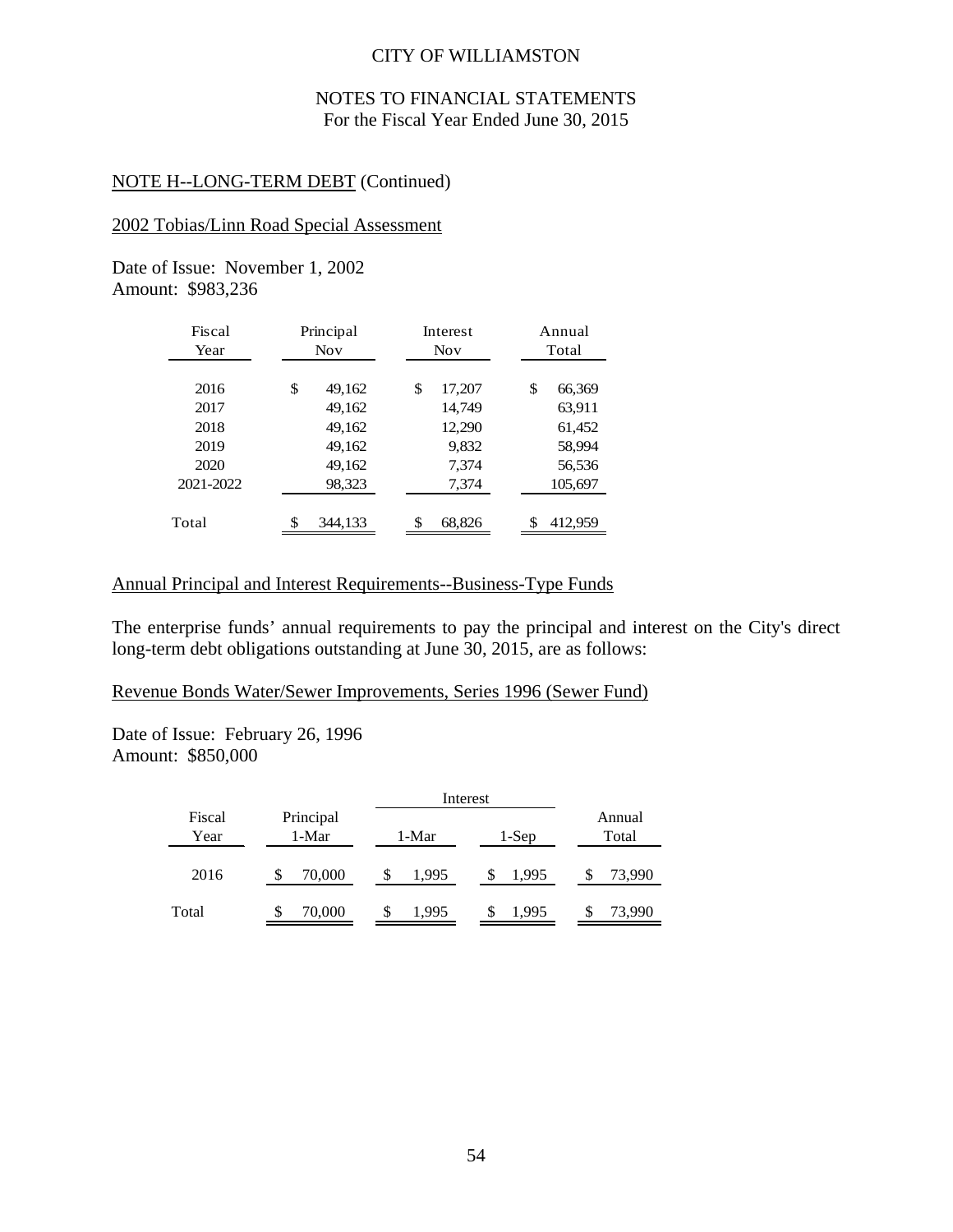## NOTES TO FINANCIAL STATEMENTS For the Fiscal Year Ended June 30, 2015

### NOTE H--LONG-TERM DEBT (Continued)

#### 2002 Tobias/Linn Road Special Assessment

Date of Issue: November 1, 2002 Amount: \$983,236

| Fiscal<br>Year | Principal<br><b>Nov</b> |         | Interest<br><b>Nov</b> |  | Annual<br>Total |         |
|----------------|-------------------------|---------|------------------------|--|-----------------|---------|
| 2016           | \$                      | 49,162  | \$<br>17,207           |  | \$              | 66,369  |
| 2017           |                         | 49,162  | 14,749                 |  |                 | 63,911  |
| 2018           |                         | 49,162  | 12,290                 |  |                 | 61,452  |
| 2019           |                         | 49,162  | 9,832                  |  |                 | 58,994  |
| 2020           |                         | 49,162  | 7,374                  |  |                 | 56,536  |
| 2021-2022      |                         | 98,323  | 7,374                  |  |                 | 105,697 |
|                |                         |         |                        |  |                 |         |
| Total          |                         | 344,133 | \$<br>68,826           |  | \$              | 412,959 |

### Annual Principal and Interest Requirements--Business-Type Funds

The enterprise funds' annual requirements to pay the principal and interest on the City's direct long-term debt obligations outstanding at June 30, 2015, are as follows:

### Revenue Bonds Water/Sewer Improvements, Series 1996 (Sewer Fund)

Date of Issue: February 26, 1996 Amount: \$850,000

|                |                    | Interest |         |                 |
|----------------|--------------------|----------|---------|-----------------|
| Fiscal<br>Year | Principal<br>1-Mar | 1-Mar    | $1-Sep$ | Annual<br>Total |
| 2016           | 70,000<br>S        | 1.995    | 1.995   | 73,990          |
| Total          | 70,000             | 1.995    | 1.995   | 73,990          |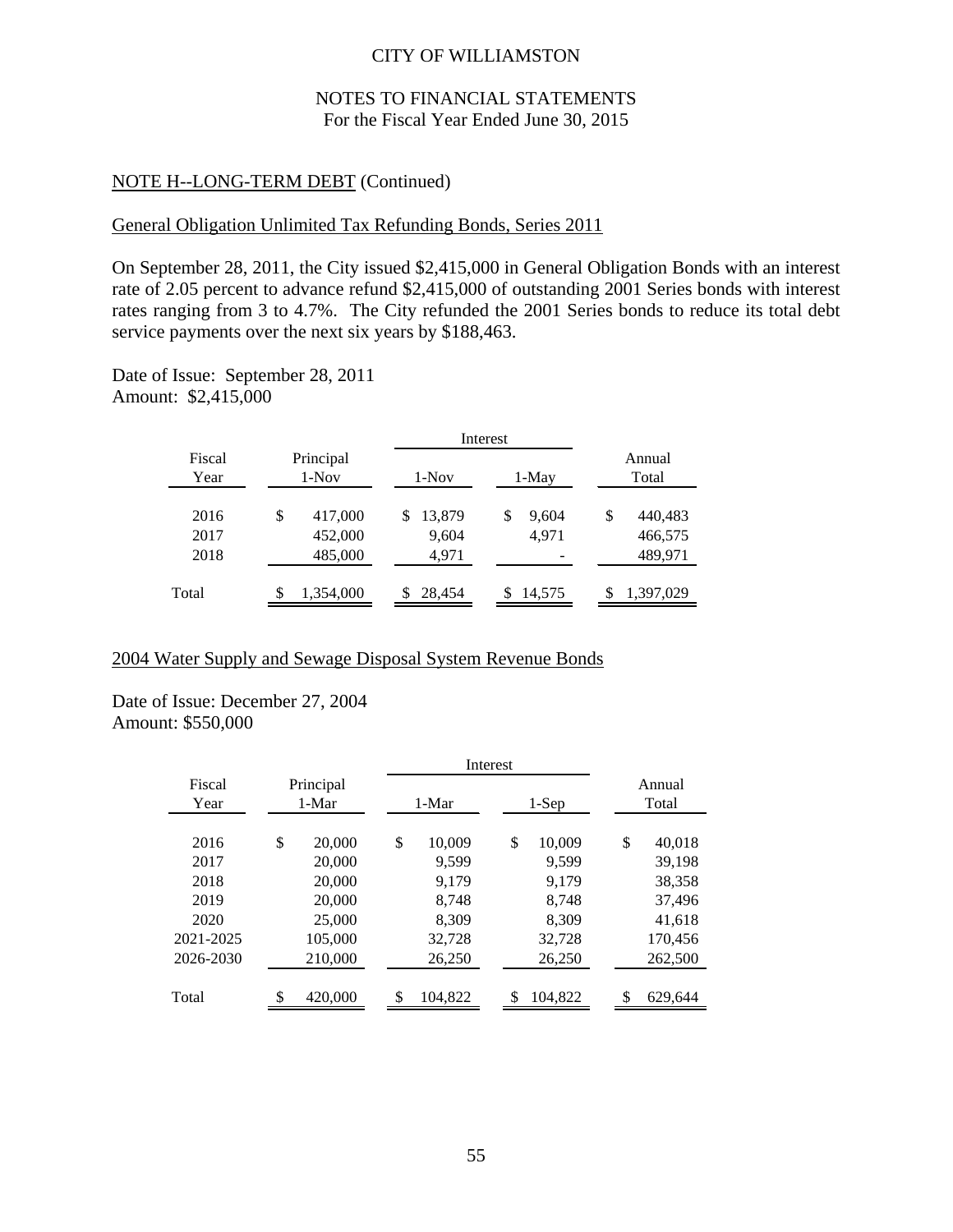## NOTES TO FINANCIAL STATEMENTS For the Fiscal Year Ended June 30, 2015

# NOTE H--LONG-TERM DEBT (Continued)

## General Obligation Unlimited Tax Refunding Bonds, Series 2011

On September 28, 2011, the City issued \$2,415,000 in General Obligation Bonds with an interest rate of 2.05 percent to advance refund \$2,415,000 of outstanding 2001 Series bonds with interest rates ranging from 3 to 4.7%. The City refunded the 2001 Series bonds to reduce its total debt service payments over the next six years by \$188,463.

Date of Issue: September 28, 2011 Amount: \$2,415,000

| Fiscal<br>Year       | Principal<br>$1-Nov$                |   | 1-Nov                    | 1-May                     | Annual<br>Total                     |
|----------------------|-------------------------------------|---|--------------------------|---------------------------|-------------------------------------|
| 2016<br>2017<br>2018 | \$<br>417,000<br>452,000<br>485,000 | S | 13,879<br>9,604<br>4,971 | \$<br>9,604<br>4.971<br>- | \$<br>440,483<br>466,575<br>489,971 |
| Total                | 1,354,000                           |   | 28,454                   | 14,575                    | 1,397,029                           |

### 2004 Water Supply and Sewage Disposal System Revenue Bonds

Date of Issue: December 27, 2004 Amount: \$550,000

|                |                    |     | Interest |    |         |  |    |                 |
|----------------|--------------------|-----|----------|----|---------|--|----|-----------------|
| Fiscal<br>Year | Principal<br>1-Mar |     | $1-Mar$  |    | $1-Sep$ |  |    | Annual<br>Total |
| 2016           | \$<br>20,000       | \$  | 10.009   | \$ | 10,009  |  | \$ | 40,018          |
| 2017           | 20,000             |     | 9.599    |    | 9.599   |  |    | 39,198          |
| 2018           | 20,000             |     | 9.179    |    | 9.179   |  |    | 38,358          |
| 2019           | 20,000             |     | 8.748    |    | 8.748   |  |    | 37,496          |
| 2020           | 25,000             |     | 8.309    |    | 8,309   |  |    | 41,618          |
| 2021-2025      | 105,000            |     | 32,728   |    | 32,728  |  |    | 170,456         |
| 2026-2030      | 210,000            |     | 26,250   |    | 26,250  |  |    | 262,500         |
|                |                    |     |          |    |         |  |    |                 |
| Total          | 420,000            | \$. | 104.822  |    | 104,822 |  |    | 629,644         |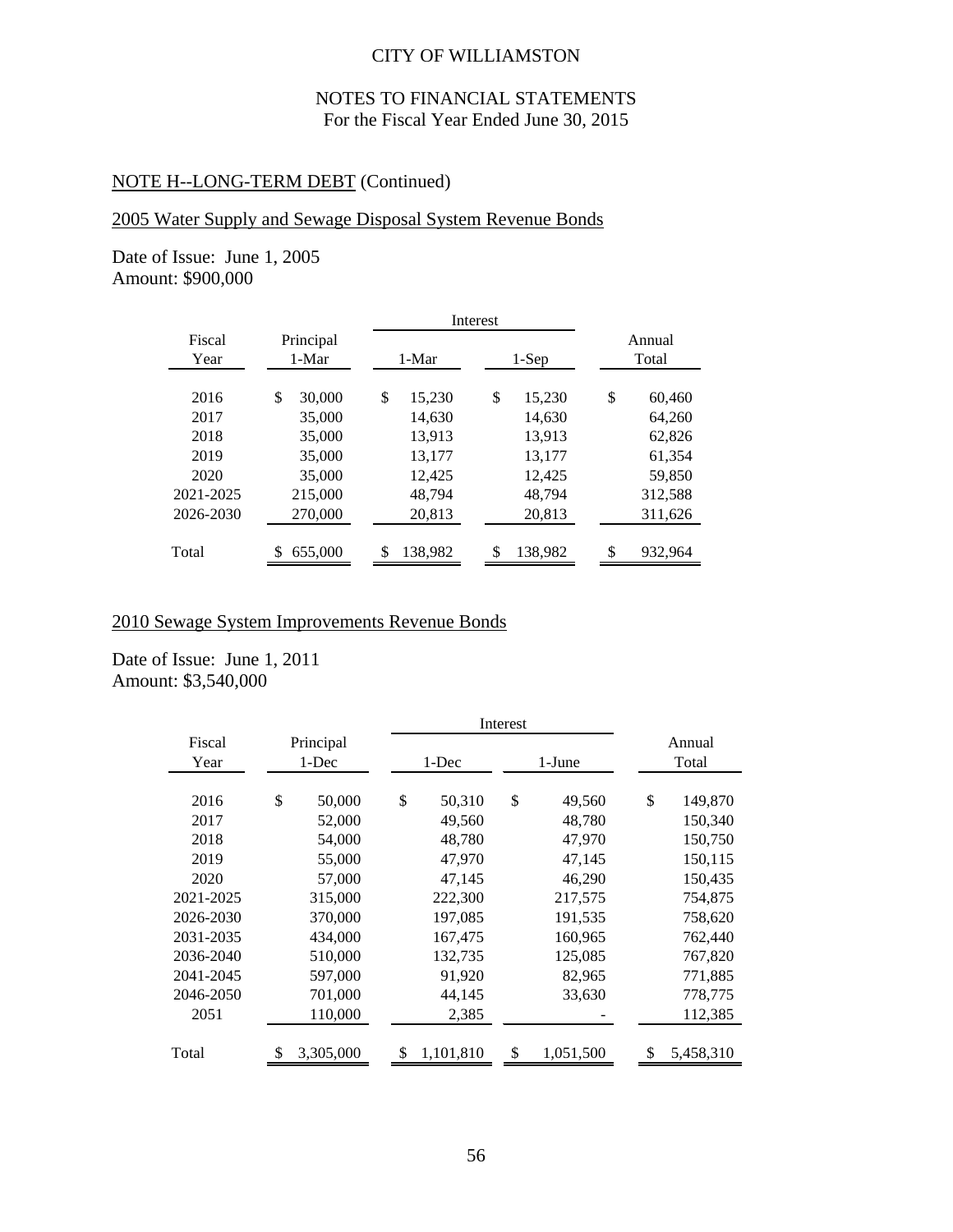# NOTES TO FINANCIAL STATEMENTS For the Fiscal Year Ended June 30, 2015

# NOTE H--LONG-TERM DEBT (Continued)

# 2005 Water Supply and Sewage Disposal System Revenue Bonds

Date of Issue: June 1, 2005 Amount: \$900,000

|                |                    | Interest      |               |                 |
|----------------|--------------------|---------------|---------------|-----------------|
| Fiscal<br>Year | Principal<br>1-Mar | 1-Mar         | $1-Sep$       | Annual<br>Total |
| 2016           | \$<br>30,000       | \$<br>15,230  | \$<br>15,230  | \$<br>60,460    |
| 2017           | 35,000             | 14.630        | 14.630        | 64.260          |
| 2018           | 35,000             | 13,913        | 13,913        | 62,826          |
| 2019           | 35,000             | 13,177        | 13,177        | 61,354          |
| 2020           | 35,000             | 12,425        | 12,425        | 59,850          |
| 2021-2025      | 215,000            | 48.794        | 48,794        | 312,588         |
| 2026-2030      | 270,000            | 20,813        | 20,813        | 311,626         |
| Total          | 655,000            | \$<br>138,982 | \$<br>138,982 | \$<br>932,964   |

#### 2010 Sewage System Improvements Revenue Bonds

Date of Issue: June 1, 2011 Amount: \$3,540,000

|           |                 | Interest        |                 |                 |
|-----------|-----------------|-----------------|-----------------|-----------------|
| Fiscal    | Principal       |                 |                 | Annual          |
| Year      | 1-Dec           | 1-Dec           | 1-June          | Total           |
|           |                 |                 |                 |                 |
| 2016      | \$<br>50,000    | \$<br>50,310    | \$<br>49,560    | \$<br>149,870   |
| 2017      | 52,000          | 49,560          | 48,780          | 150,340         |
| 2018      | 54,000          | 48,780          | 47,970          | 150,750         |
| 2019      | 55,000          | 47,970          | 47,145          | 150,115         |
| 2020      | 57,000          | 47,145          | 46,290          | 150,435         |
| 2021-2025 | 315,000         | 222,300         | 217,575         | 754,875         |
| 2026-2030 | 370,000         | 197,085         | 191,535         | 758,620         |
| 2031-2035 | 434,000         | 167,475         | 160,965         | 762,440         |
| 2036-2040 | 510,000         | 132,735         | 125,085         | 767,820         |
| 2041-2045 | 597,000         | 91,920          | 82,965          | 771,885         |
| 2046-2050 | 701,000         | 44,145          | 33,630          | 778,775         |
| 2051      | 110,000         | 2,385           |                 | 112,385         |
|           |                 |                 |                 |                 |
| Total     | \$<br>3,305,000 | \$<br>1,101,810 | \$<br>1,051,500 | \$<br>5,458,310 |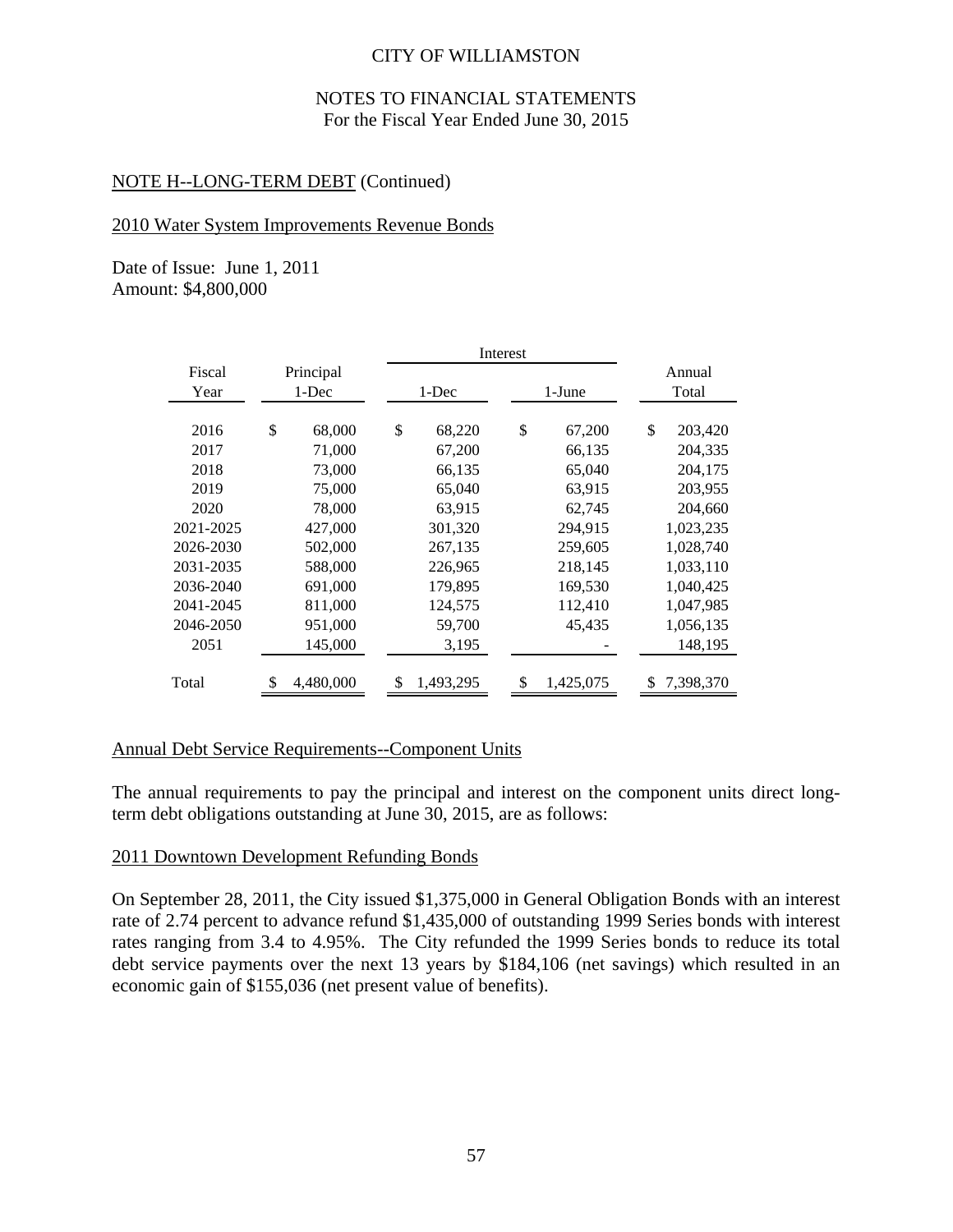# NOTES TO FINANCIAL STATEMENTS For the Fiscal Year Ended June 30, 2015

## NOTE H--LONG-TERM DEBT (Continued)

### 2010 Water System Improvements Revenue Bonds

Date of Issue: June 1, 2011 Amount: \$4,800,000

|                                                  |    |                                          | Interest                                   |                                            |                                                  |
|--------------------------------------------------|----|------------------------------------------|--------------------------------------------|--------------------------------------------|--------------------------------------------------|
| Fiscal<br>Year                                   |    | Principal<br>1-Dec                       | 1-Dec                                      | 1-June                                     | Annual<br>Total                                  |
| 2016<br>2017<br>2018<br>2019                     | \$ | 68,000<br>71,000<br>73,000<br>75,000     | \$<br>68,220<br>67,200<br>66,135<br>65,040 | \$<br>67,200<br>66,135<br>65,040<br>63,915 | \$<br>203,420<br>204,335<br>204,175<br>203,955   |
| 2020<br>2021-2025<br>2026-2030                   |    | 78,000<br>427,000<br>502,000             | 63.915<br>301,320<br>267,135               | 62,745<br>294,915<br>259,605               | 204,660<br>1,023,235<br>1,028,740                |
| 2031-2035<br>2036-2040<br>2041-2045<br>2046-2050 |    | 588,000<br>691,000<br>811,000<br>951,000 | 226,965<br>179,895<br>124,575<br>59,700    | 218,145<br>169,530<br>112,410<br>45,435    | 1,033,110<br>1,040,425<br>1,047,985<br>1,056,135 |
| 2051<br>Total                                    | S  | 145,000<br>4,480,000                     | \$<br>3,195<br>1,493,295                   | \$<br>1,425,075                            | 148,195<br>7,398,370                             |

## Annual Debt Service Requirements--Component Units

The annual requirements to pay the principal and interest on the component units direct longterm debt obligations outstanding at June 30, 2015, are as follows:

## 2011 Downtown Development Refunding Bonds

On September 28, 2011, the City issued \$1,375,000 in General Obligation Bonds with an interest rate of 2.74 percent to advance refund \$1,435,000 of outstanding 1999 Series bonds with interest rates ranging from 3.4 to 4.95%. The City refunded the 1999 Series bonds to reduce its total debt service payments over the next 13 years by \$184,106 (net savings) which resulted in an economic gain of \$155,036 (net present value of benefits).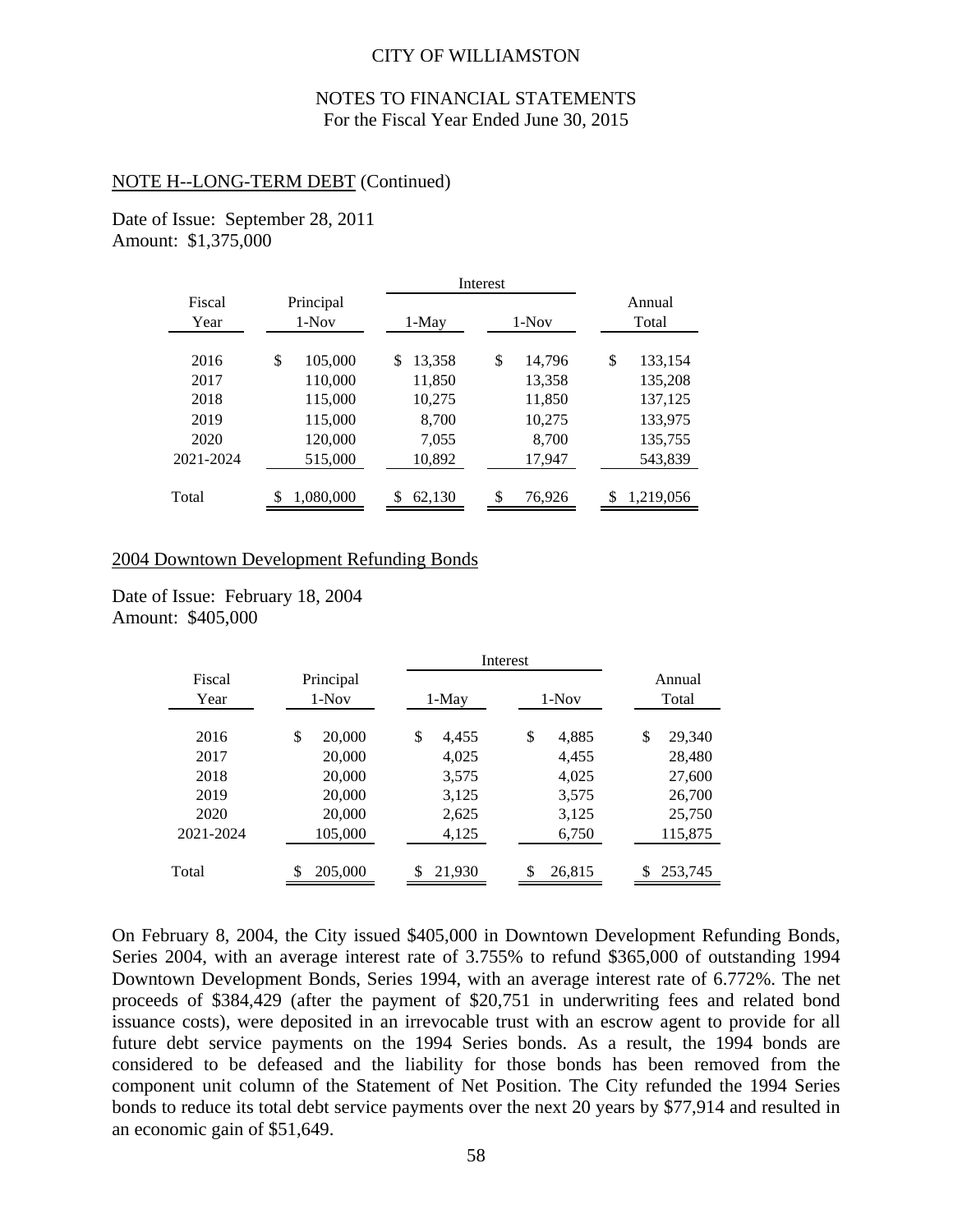### NOTES TO FINANCIAL STATEMENTS For the Fiscal Year Ended June 30, 2015

#### NOTE H--LONG-TERM DEBT (Continued)

Date of Issue: September 28, 2011 Amount: \$1,375,000

|                |                      |     | Interest |     |         |    |                 |
|----------------|----------------------|-----|----------|-----|---------|----|-----------------|
| Fiscal<br>Year | Principal<br>$1-Nov$ |     | 1-May    |     | $1-Nov$ |    | Annual<br>Total |
| 2016           | \$<br>105,000        | \$  | 13,358   | \$  | 14,796  | \$ | 133,154         |
| 2017           | 110,000              |     | 11,850   |     | 13,358  |    | 135,208         |
| 2018           | 115,000              |     | 10,275   |     | 11,850  |    | 137,125         |
| 2019           | 115,000              |     | 8,700    |     | 10,275  |    | 133,975         |
| 2020           | 120,000              |     | 7,055    |     | 8,700   |    | 135,755         |
| 2021-2024      | 515,000              |     | 10,892   |     | 17,947  |    | 543,839         |
| Total          | 1,080,000            | \$. | 62,130   | \$. | 76,926  | \$ | 1,219,056       |

#### 2004 Downtown Development Refunding Bonds

Date of Issue: February 18, 2004 Amount: \$405,000

|                |                      | Interest    |             |                 |  |  |  |  |
|----------------|----------------------|-------------|-------------|-----------------|--|--|--|--|
| Fiscal<br>Year | Principal<br>$1-Nov$ | 1-May       | $1-Nov$     | Annual<br>Total |  |  |  |  |
| 2016           | \$<br>20,000         | \$<br>4.455 | \$<br>4,885 | \$<br>29,340    |  |  |  |  |
| 2017           | 20,000               | 4,025       | 4,455       | 28,480          |  |  |  |  |
| 2018           | 20,000               | 3,575       | 4,025       | 27,600          |  |  |  |  |
| 2019           | 20,000               | 3,125       | 3,575       | 26,700          |  |  |  |  |
| 2020           | 20,000               | 2,625       | 3,125       | 25,750          |  |  |  |  |
| 2021-2024      | 105,000              | 4,125       | 6,750       | 115,875         |  |  |  |  |
| Total          | 205,000              | 21,930      | 26,815      | \$<br>253,745   |  |  |  |  |

On February 8, 2004, the City issued \$405,000 in Downtown Development Refunding Bonds, Series 2004, with an average interest rate of 3.755% to refund \$365,000 of outstanding 1994 Downtown Development Bonds, Series 1994, with an average interest rate of 6.772%. The net proceeds of \$384,429 (after the payment of \$20,751 in underwriting fees and related bond issuance costs), were deposited in an irrevocable trust with an escrow agent to provide for all future debt service payments on the 1994 Series bonds. As a result, the 1994 bonds are considered to be defeased and the liability for those bonds has been removed from the component unit column of the Statement of Net Position. The City refunded the 1994 Series bonds to reduce its total debt service payments over the next 20 years by \$77,914 and resulted in an economic gain of \$51,649.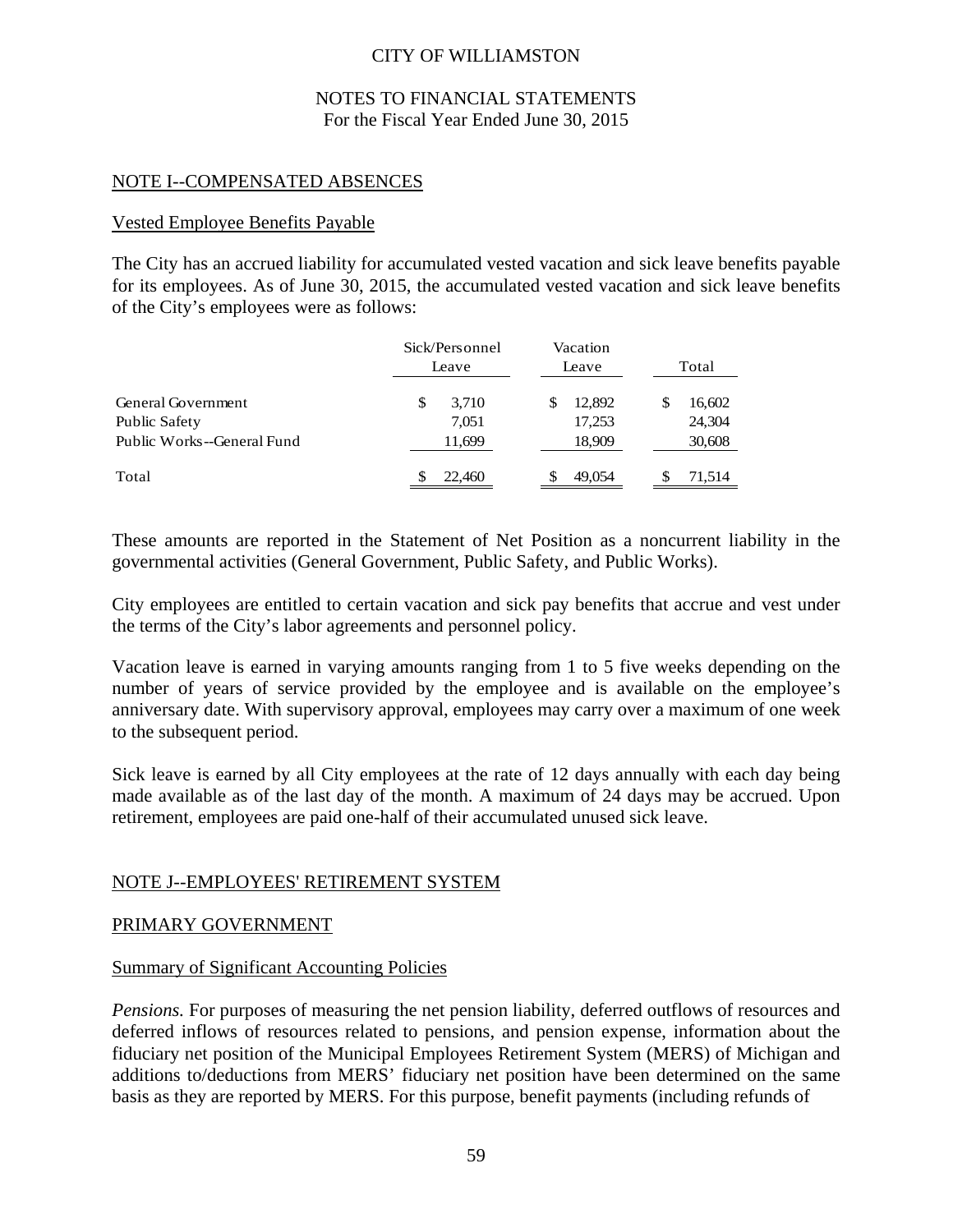# NOTES TO FINANCIAL STATEMENTS For the Fiscal Year Ended June 30, 2015

# NOTE I--COMPENSATED ABSENCES

## Vested Employee Benefits Payable

The City has an accrued liability for accumulated vested vacation and sick leave benefits payable for its employees. As of June 30, 2015, the accumulated vested vacation and sick leave benefits of the City's employees were as follows:

|                            | Sick/Personnel<br>Leave | Vacation<br>Leave | Total       |
|----------------------------|-------------------------|-------------------|-------------|
| General Government         | 3,710<br>S              | 12,892<br>S       | 16,602<br>S |
| <b>Public Safety</b>       | 7,051                   | 17,253            | 24,304      |
| Public Works--General Fund | 11,699                  | 18.909            | 30,608      |
| Total                      | 22,460                  | S<br>49,054       | 71,514      |

These amounts are reported in the Statement of Net Position as a noncurrent liability in the governmental activities (General Government, Public Safety, and Public Works).

City employees are entitled to certain vacation and sick pay benefits that accrue and vest under the terms of the City's labor agreements and personnel policy.

Vacation leave is earned in varying amounts ranging from 1 to 5 five weeks depending on the number of years of service provided by the employee and is available on the employee's anniversary date. With supervisory approval, employees may carry over a maximum of one week to the subsequent period.

Sick leave is earned by all City employees at the rate of 12 days annually with each day being made available as of the last day of the month. A maximum of 24 days may be accrued. Upon retirement, employees are paid one-half of their accumulated unused sick leave.

## NOTE J--EMPLOYEES' RETIREMENT SYSTEM

## PRIMARY GOVERNMENT

## Summary of Significant Accounting Policies

*Pensions.* For purposes of measuring the net pension liability, deferred outflows of resources and deferred inflows of resources related to pensions, and pension expense, information about the fiduciary net position of the Municipal Employees Retirement System (MERS) of Michigan and additions to/deductions from MERS' fiduciary net position have been determined on the same basis as they are reported by MERS. For this purpose, benefit payments (including refunds of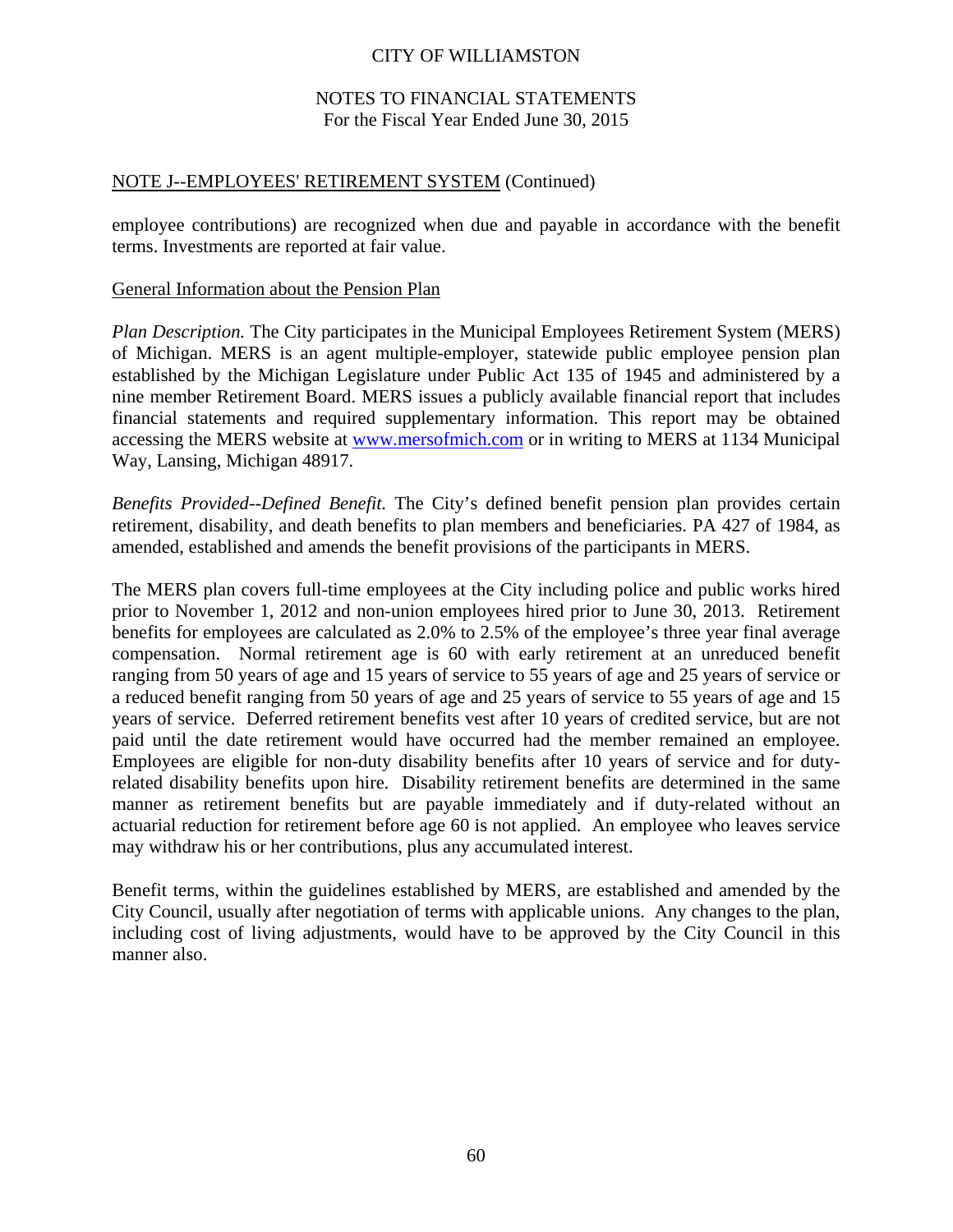# NOTES TO FINANCIAL STATEMENTS For the Fiscal Year Ended June 30, 2015

### NOTE J--EMPLOYEES' RETIREMENT SYSTEM (Continued)

employee contributions) are recognized when due and payable in accordance with the benefit terms. Investments are reported at fair value.

#### General Information about the Pension Plan

*Plan Description.* The City participates in the Municipal Employees Retirement System (MERS) of Michigan. MERS is an agent multiple-employer, statewide public employee pension plan established by the Michigan Legislature under Public Act 135 of 1945 and administered by a nine member Retirement Board. MERS issues a publicly available financial report that includes financial statements and required supplementary information. This report may be obtained accessing the MERS website at www.mersofmich.com or in writing to MERS at 1134 Municipal Way, Lansing, Michigan 48917.

*Benefits Provided--Defined Benefit.* The City's defined benefit pension plan provides certain retirement, disability, and death benefits to plan members and beneficiaries. PA 427 of 1984, as amended, established and amends the benefit provisions of the participants in MERS.

The MERS plan covers full-time employees at the City including police and public works hired prior to November 1, 2012 and non-union employees hired prior to June 30, 2013. Retirement benefits for employees are calculated as 2.0% to 2.5% of the employee's three year final average compensation. Normal retirement age is 60 with early retirement at an unreduced benefit ranging from 50 years of age and 15 years of service to 55 years of age and 25 years of service or a reduced benefit ranging from 50 years of age and 25 years of service to 55 years of age and 15 years of service. Deferred retirement benefits vest after 10 years of credited service, but are not paid until the date retirement would have occurred had the member remained an employee. Employees are eligible for non-duty disability benefits after 10 years of service and for dutyrelated disability benefits upon hire. Disability retirement benefits are determined in the same manner as retirement benefits but are payable immediately and if duty-related without an actuarial reduction for retirement before age 60 is not applied. An employee who leaves service may withdraw his or her contributions, plus any accumulated interest.

Benefit terms, within the guidelines established by MERS, are established and amended by the City Council, usually after negotiation of terms with applicable unions. Any changes to the plan, including cost of living adjustments, would have to be approved by the City Council in this manner also.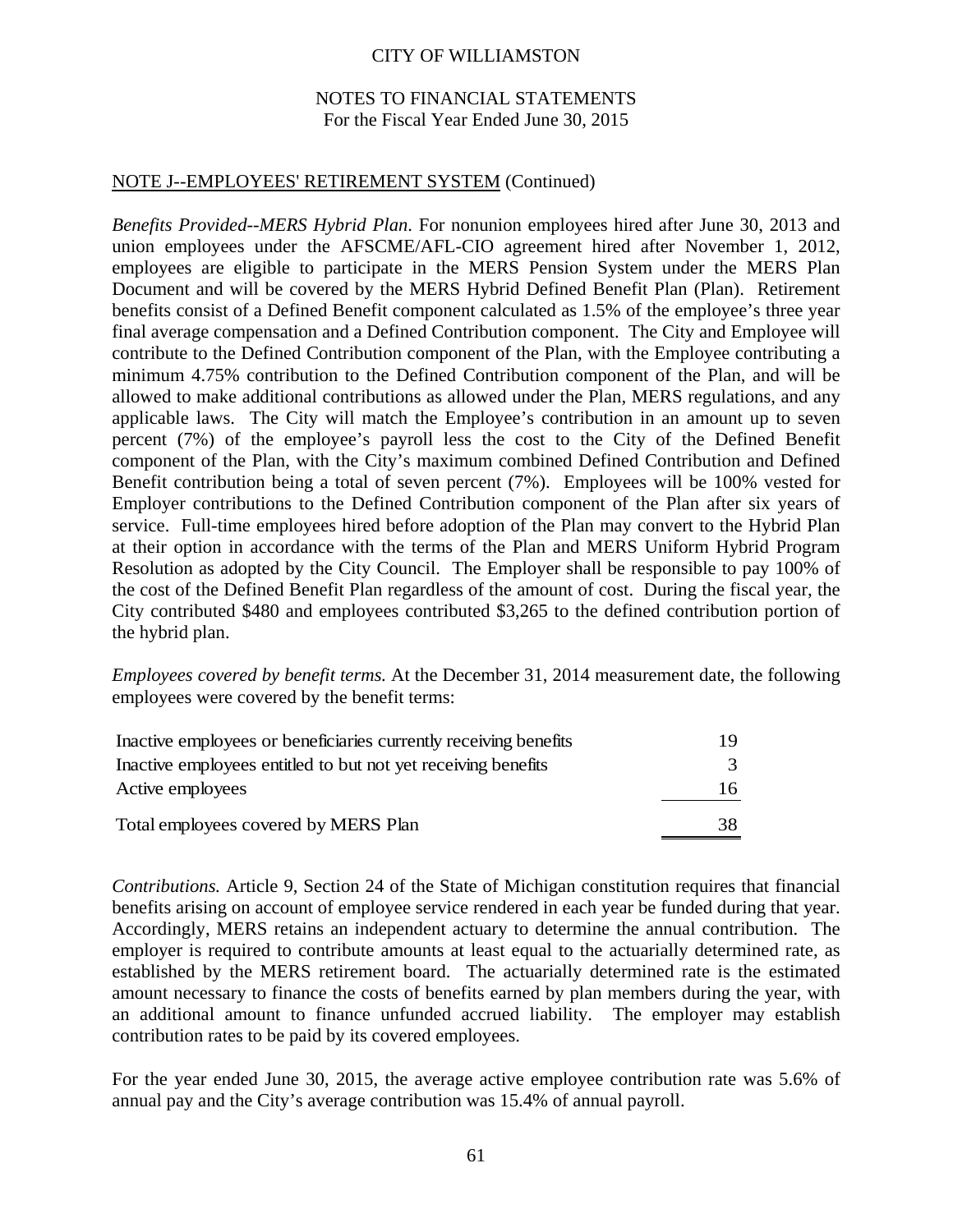## NOTES TO FINANCIAL STATEMENTS For the Fiscal Year Ended June 30, 2015

## NOTE J--EMPLOYEES' RETIREMENT SYSTEM (Continued)

*Benefits Provided--MERS Hybrid Plan*. For nonunion employees hired after June 30, 2013 and union employees under the AFSCME/AFL-CIO agreement hired after November 1, 2012, employees are eligible to participate in the MERS Pension System under the MERS Plan Document and will be covered by the MERS Hybrid Defined Benefit Plan (Plan). Retirement benefits consist of a Defined Benefit component calculated as 1.5% of the employee's three year final average compensation and a Defined Contribution component. The City and Employee will contribute to the Defined Contribution component of the Plan, with the Employee contributing a minimum 4.75% contribution to the Defined Contribution component of the Plan, and will be allowed to make additional contributions as allowed under the Plan, MERS regulations, and any applicable laws. The City will match the Employee's contribution in an amount up to seven percent (7%) of the employee's payroll less the cost to the City of the Defined Benefit component of the Plan, with the City's maximum combined Defined Contribution and Defined Benefit contribution being a total of seven percent (7%). Employees will be 100% vested for Employer contributions to the Defined Contribution component of the Plan after six years of service. Full-time employees hired before adoption of the Plan may convert to the Hybrid Plan at their option in accordance with the terms of the Plan and MERS Uniform Hybrid Program Resolution as adopted by the City Council. The Employer shall be responsible to pay 100% of the cost of the Defined Benefit Plan regardless of the amount of cost. During the fiscal year, the City contributed \$480 and employees contributed \$3,265 to the defined contribution portion of the hybrid plan.

*Employees covered by benefit terms.* At the December 31, 2014 measurement date, the following employees were covered by the benefit terms:

| Inactive employees or beneficiaries currently receiving benefits |    |
|------------------------------------------------------------------|----|
| Inactive employees entitled to but not yet receiving benefits    |    |
| Active employees                                                 | 16 |
| Total employees covered by MERS Plan                             | 38 |

*Contributions.* Article 9, Section 24 of the State of Michigan constitution requires that financial benefits arising on account of employee service rendered in each year be funded during that year. Accordingly, MERS retains an independent actuary to determine the annual contribution. The employer is required to contribute amounts at least equal to the actuarially determined rate, as established by the MERS retirement board. The actuarially determined rate is the estimated amount necessary to finance the costs of benefits earned by plan members during the year, with an additional amount to finance unfunded accrued liability. The employer may establish contribution rates to be paid by its covered employees.

For the year ended June 30, 2015, the average active employee contribution rate was 5.6% of annual pay and the City's average contribution was 15.4% of annual payroll.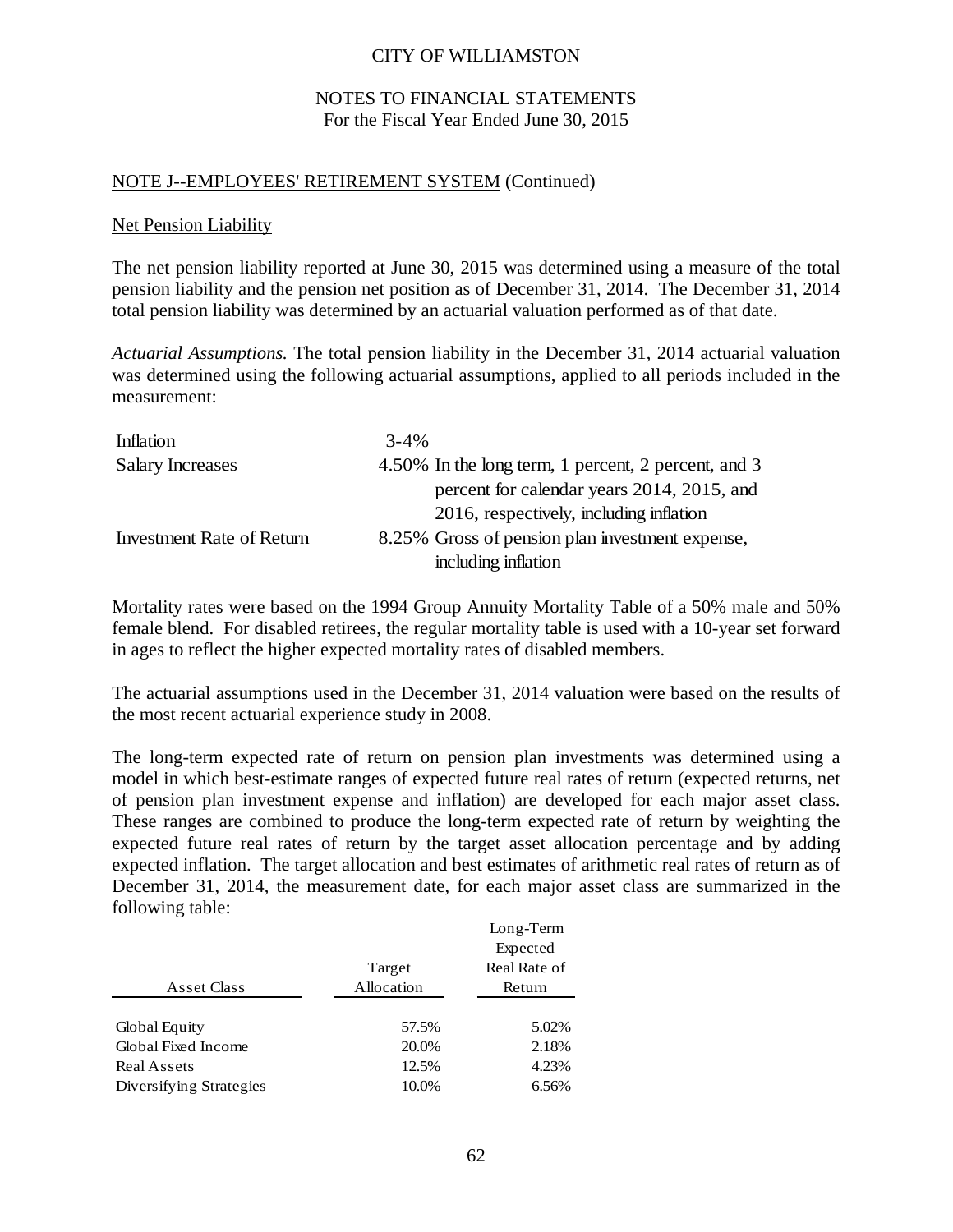# NOTES TO FINANCIAL STATEMENTS For the Fiscal Year Ended June 30, 2015

## NOTE J--EMPLOYEES' RETIREMENT SYSTEM (Continued)

#### Net Pension Liability

The net pension liability reported at June 30, 2015 was determined using a measure of the total pension liability and the pension net position as of December 31, 2014. The December 31, 2014 total pension liability was determined by an actuarial valuation performed as of that date.

*Actuarial Assumptions.* The total pension liability in the December 31, 2014 actuarial valuation was determined using the following actuarial assumptions, applied to all periods included in the measurement:

| Inflation                        | $3 - 4%$ |                                                     |
|----------------------------------|----------|-----------------------------------------------------|
| <b>Salary Increases</b>          |          | 4.50% In the long term, 1 percent, 2 percent, and 3 |
|                                  |          | percent for calendar years 2014, 2015, and          |
|                                  |          | 2016, respectively, including inflation             |
| <b>Investment Rate of Return</b> |          | 8.25% Gross of pension plan investment expense,     |
|                                  |          | including inflation                                 |

Mortality rates were based on the 1994 Group Annuity Mortality Table of a 50% male and 50% female blend. For disabled retirees, the regular mortality table is used with a 10-year set forward in ages to reflect the higher expected mortality rates of disabled members.

The actuarial assumptions used in the December 31, 2014 valuation were based on the results of the most recent actuarial experience study in 2008.

The long-term expected rate of return on pension plan investments was determined using a model in which best-estimate ranges of expected future real rates of return (expected returns, net of pension plan investment expense and inflation) are developed for each major asset class. These ranges are combined to produce the long-term expected rate of return by weighting the expected future real rates of return by the target asset allocation percentage and by adding expected inflation. The target allocation and best estimates of arithmetic real rates of return as of December 31, 2014, the measurement date, for each major asset class are summarized in the following table:

Long-Term

|            | $LO$ $Lg$ - $Lg$ $Lu$ |
|------------|-----------------------|
|            | Expected              |
| Target     | Real Rate of          |
| Allocation | Return                |
|            |                       |
| 57.5%      | 5.02%                 |
| 20.0%      | 2.18%                 |
| 12.5%      | 4.23%                 |
| 10.0%      | 6.56%                 |
|            |                       |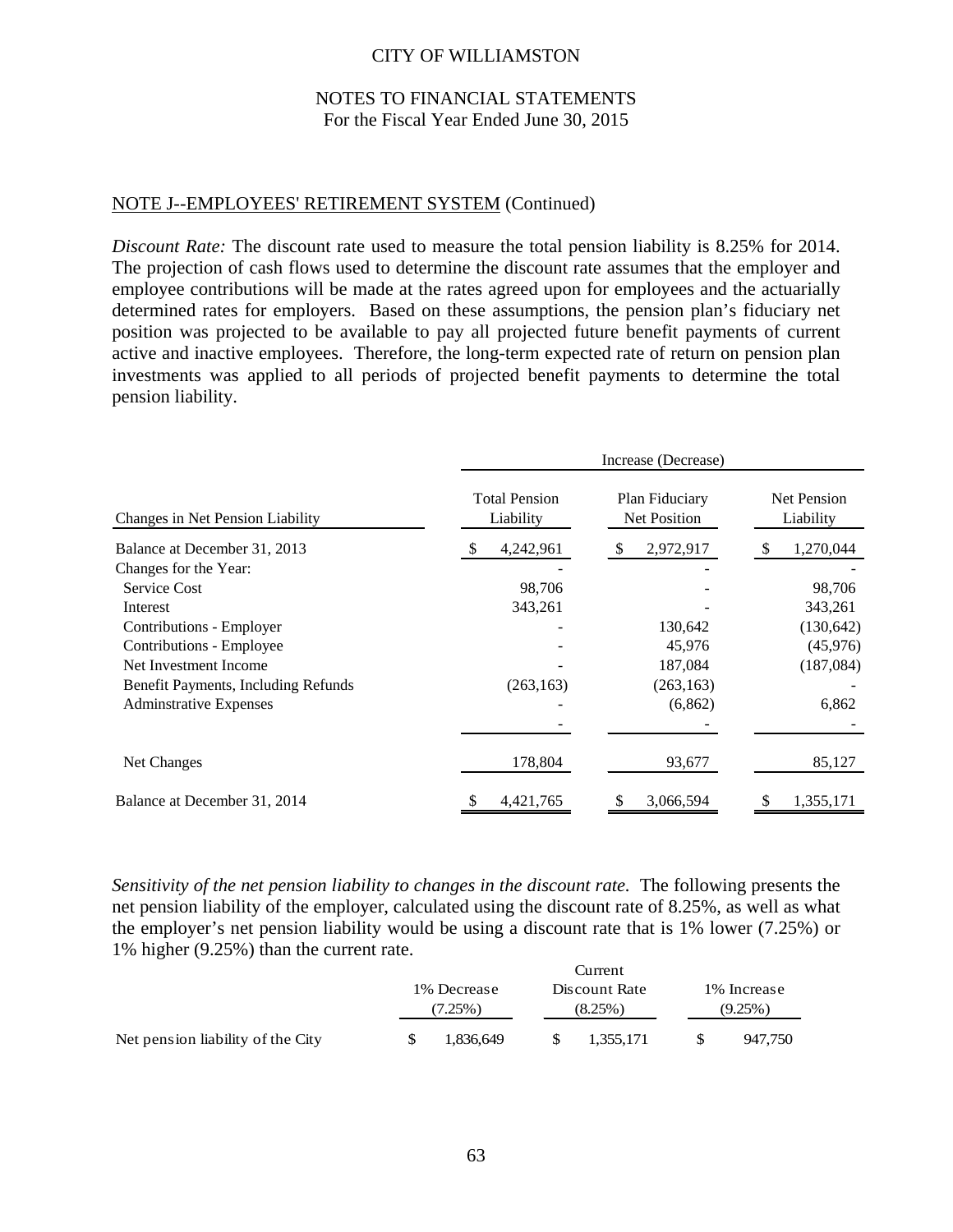## NOTES TO FINANCIAL STATEMENTS For the Fiscal Year Ended June 30, 2015

### NOTE J--EMPLOYEES' RETIREMENT SYSTEM (Continued)

*Discount Rate:* The discount rate used to measure the total pension liability is 8.25% for 2014. The projection of cash flows used to determine the discount rate assumes that the employer and employee contributions will be made at the rates agreed upon for employees and the actuarially determined rates for employers. Based on these assumptions, the pension plan's fiduciary net position was projected to be available to pay all projected future benefit payments of current active and inactive employees. Therefore, the long-term expected rate of return on pension plan investments was applied to all periods of projected benefit payments to determine the total pension liability.

|                                     | Increase (Decrease)               |                                       |                           |  |  |
|-------------------------------------|-----------------------------------|---------------------------------------|---------------------------|--|--|
| Changes in Net Pension Liability    | <b>Total Pension</b><br>Liability | Plan Fiduciary<br><b>Net Position</b> | Net Pension<br>Liability  |  |  |
| Balance at December 31, 2013        | 4,242,961                         | 2,972,917<br>-S                       | 1,270,044<br><sup>8</sup> |  |  |
| Changes for the Year:               |                                   |                                       |                           |  |  |
| <b>Service Cost</b>                 | 98,706                            |                                       | 98,706                    |  |  |
| Interest                            | 343,261                           |                                       | 343,261                   |  |  |
| Contributions - Employer            |                                   | 130,642                               | (130, 642)                |  |  |
| Contributions - Employee            |                                   | 45,976                                | (45,976)                  |  |  |
| Net Investment Income               |                                   | 187,084                               | (187,084)                 |  |  |
| Benefit Payments, Including Refunds | (263, 163)                        | (263, 163)                            |                           |  |  |
| <b>Adminstrative Expenses</b>       |                                   | (6,862)                               | 6,862                     |  |  |
| Net Changes                         | 178,804                           | 93,677                                | 85,127                    |  |  |
| Balance at December 31, 2014        | 4,421,765                         | 3,066,594                             | 1,355,171                 |  |  |

*Sensitivity of the net pension liability to changes in the discount rate.* The following presents the net pension liability of the employer, calculated using the discount rate of 8.25%, as well as what the employer's net pension liability would be using a discount rate that is 1% lower (7.25%) or 1% higher (9.25%) than the current rate.

|                                   |                           |           |                             | Current   |                           |         |
|-----------------------------------|---------------------------|-----------|-----------------------------|-----------|---------------------------|---------|
|                                   | 1% Decrease<br>$7.25\%$ ) |           | Discount Rate<br>$(8.25\%)$ |           | 1% Increase<br>$(9.25\%)$ |         |
| Net pension liability of the City |                           | 1.836.649 |                             | 1,355,171 |                           | 947.750 |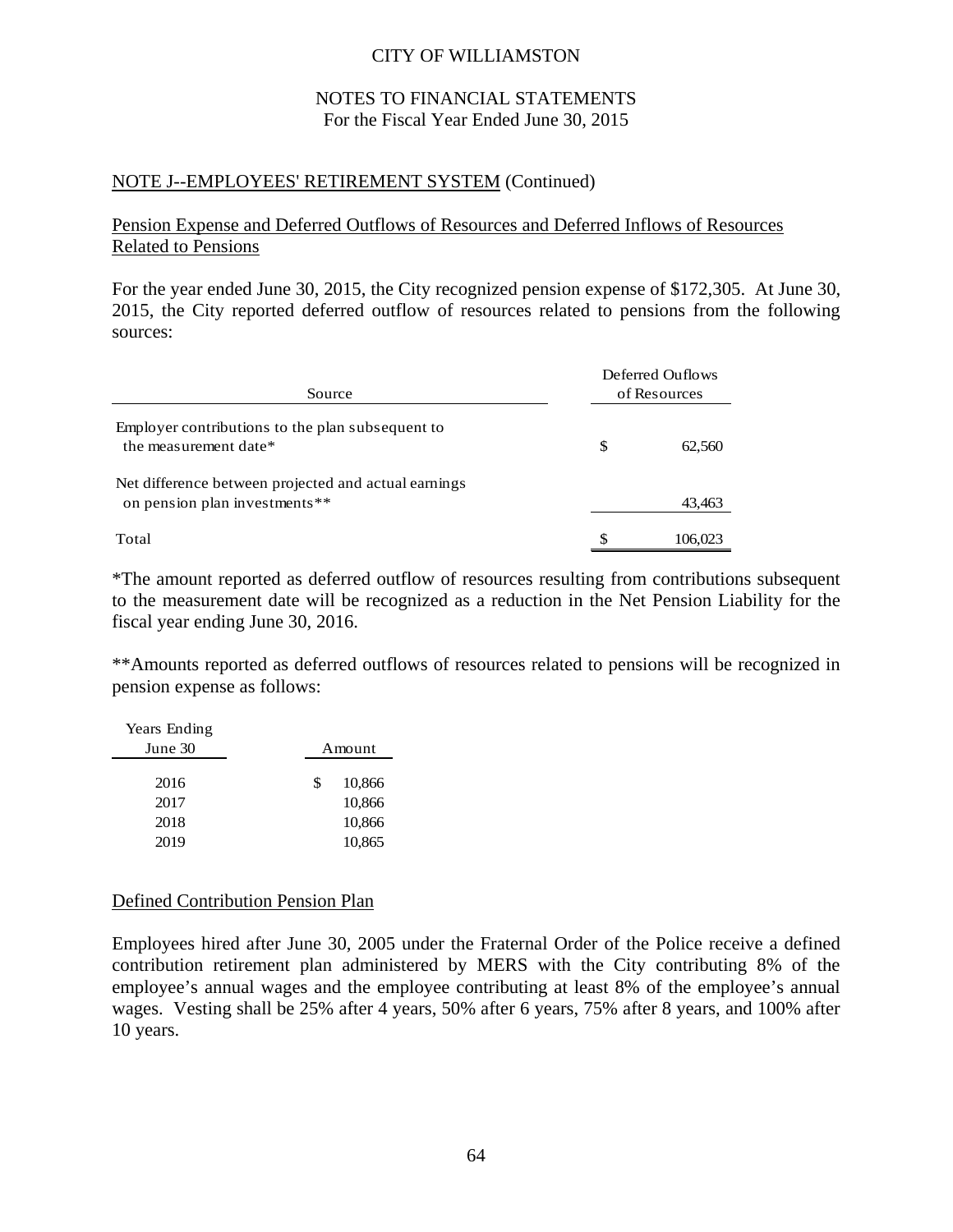# NOTES TO FINANCIAL STATEMENTS For the Fiscal Year Ended June 30, 2015

# NOTE J--EMPLOYEES' RETIREMENT SYSTEM (Continued)

# Pension Expense and Deferred Outflows of Resources and Deferred Inflows of Resources Related to Pensions

For the year ended June 30, 2015, the City recognized pension expense of \$172,305. At June 30, 2015, the City reported deferred outflow of resources related to pensions from the following sources:

| Source                                                                                |   | Deferred Ouflows<br>of Resources |  |
|---------------------------------------------------------------------------------------|---|----------------------------------|--|
| Employer contributions to the plan subsequent to<br>the measurement date*             | S | 62,560                           |  |
| Net difference between projected and actual earnings<br>on pension plan investments** |   | 43,463                           |  |
| Total                                                                                 |   | 106,023                          |  |

\*The amount reported as deferred outflow of resources resulting from contributions subsequent to the measurement date will be recognized as a reduction in the Net Pension Liability for the fiscal year ending June 30, 2016.

\*\*Amounts reported as deferred outflows of resources related to pensions will be recognized in pension expense as follows:

| Years Ending |              |  |  |
|--------------|--------------|--|--|
| June 30      | Amount       |  |  |
| 2016         | \$<br>10,866 |  |  |
| 2017         | 10,866       |  |  |
| 2018         | 10,866       |  |  |
| 2019         | 10,865       |  |  |

## Defined Contribution Pension Plan

Employees hired after June 30, 2005 under the Fraternal Order of the Police receive a defined contribution retirement plan administered by MERS with the City contributing 8% of the employee's annual wages and the employee contributing at least 8% of the employee's annual wages. Vesting shall be 25% after 4 years, 50% after 6 years, 75% after 8 years, and 100% after 10 years.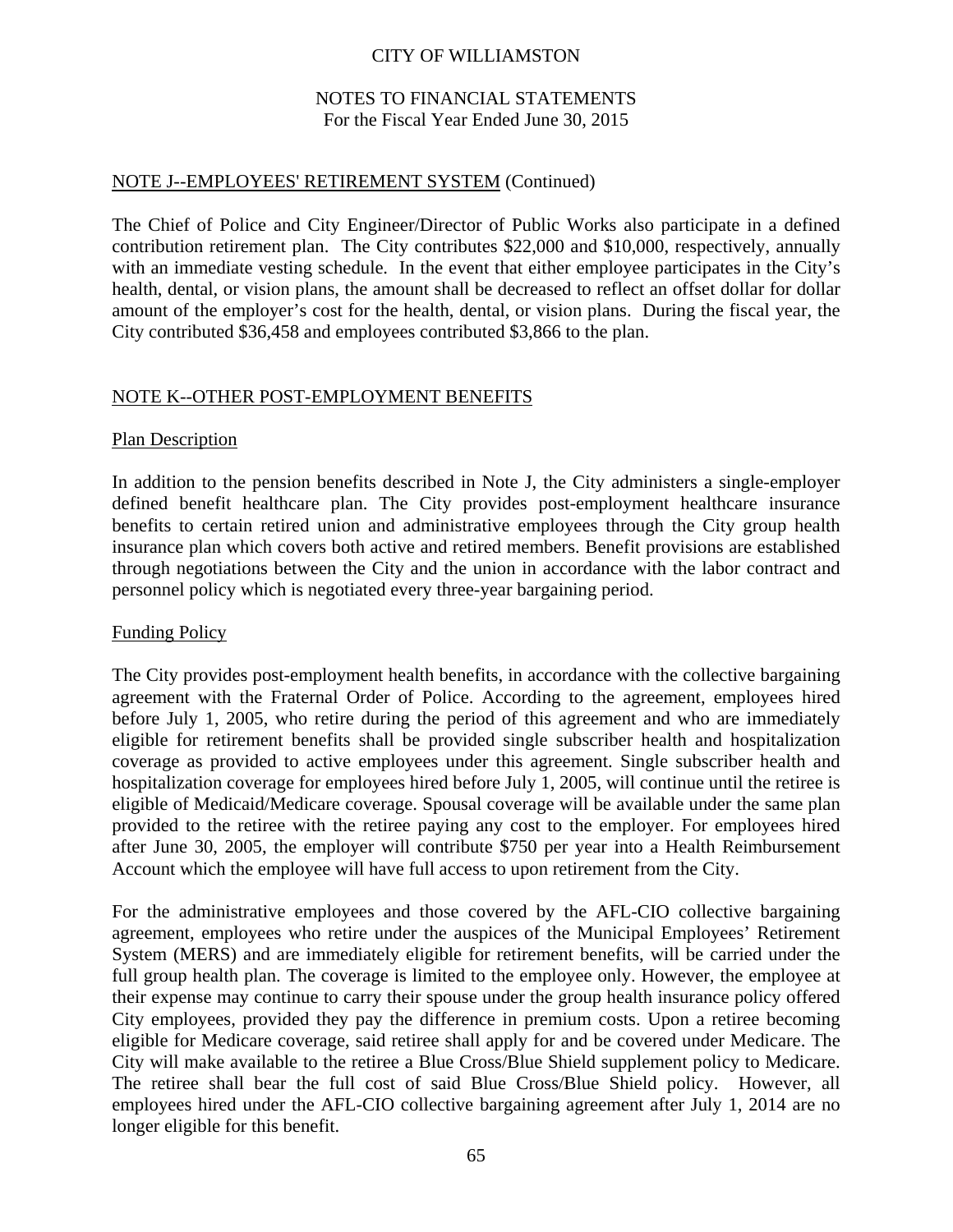## NOTES TO FINANCIAL STATEMENTS For the Fiscal Year Ended June 30, 2015

## NOTE J--EMPLOYEES' RETIREMENT SYSTEM (Continued)

The Chief of Police and City Engineer/Director of Public Works also participate in a defined contribution retirement plan. The City contributes \$22,000 and \$10,000, respectively, annually with an immediate vesting schedule. In the event that either employee participates in the City's health, dental, or vision plans, the amount shall be decreased to reflect an offset dollar for dollar amount of the employer's cost for the health, dental, or vision plans. During the fiscal year, the City contributed \$36,458 and employees contributed \$3,866 to the plan.

### NOTE K--OTHER POST-EMPLOYMENT BENEFITS

### Plan Description

In addition to the pension benefits described in Note J, the City administers a single-employer defined benefit healthcare plan. The City provides post-employment healthcare insurance benefits to certain retired union and administrative employees through the City group health insurance plan which covers both active and retired members. Benefit provisions are established through negotiations between the City and the union in accordance with the labor contract and personnel policy which is negotiated every three-year bargaining period.

## Funding Policy

The City provides post-employment health benefits, in accordance with the collective bargaining agreement with the Fraternal Order of Police. According to the agreement, employees hired before July 1, 2005, who retire during the period of this agreement and who are immediately eligible for retirement benefits shall be provided single subscriber health and hospitalization coverage as provided to active employees under this agreement. Single subscriber health and hospitalization coverage for employees hired before July 1, 2005, will continue until the retiree is eligible of Medicaid/Medicare coverage. Spousal coverage will be available under the same plan provided to the retiree with the retiree paying any cost to the employer. For employees hired after June 30, 2005, the employer will contribute \$750 per year into a Health Reimbursement Account which the employee will have full access to upon retirement from the City.

For the administrative employees and those covered by the AFL-CIO collective bargaining agreement, employees who retire under the auspices of the Municipal Employees' Retirement System (MERS) and are immediately eligible for retirement benefits, will be carried under the full group health plan. The coverage is limited to the employee only. However, the employee at their expense may continue to carry their spouse under the group health insurance policy offered City employees, provided they pay the difference in premium costs. Upon a retiree becoming eligible for Medicare coverage, said retiree shall apply for and be covered under Medicare. The City will make available to the retiree a Blue Cross/Blue Shield supplement policy to Medicare. The retiree shall bear the full cost of said Blue Cross/Blue Shield policy. However, all employees hired under the AFL-CIO collective bargaining agreement after July 1, 2014 are no longer eligible for this benefit.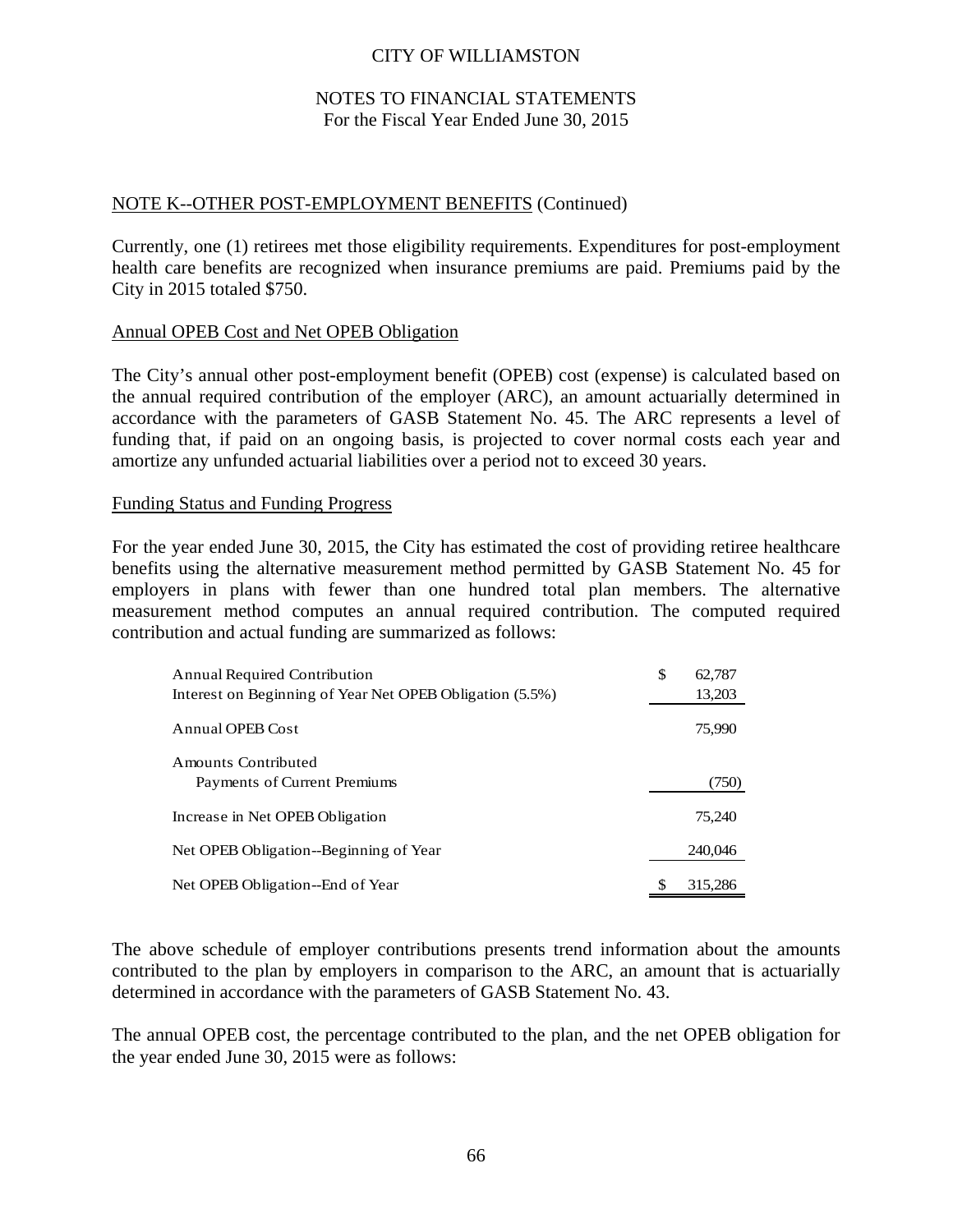## NOTES TO FINANCIAL STATEMENTS For the Fiscal Year Ended June 30, 2015

#### NOTE K--OTHER POST-EMPLOYMENT BENEFITS (Continued)

Currently, one (1) retirees met those eligibility requirements. Expenditures for post-employment health care benefits are recognized when insurance premiums are paid. Premiums paid by the City in 2015 totaled \$750.

### Annual OPEB Cost and Net OPEB Obligation

The City's annual other post-employment benefit (OPEB) cost (expense) is calculated based on the annual required contribution of the employer (ARC), an amount actuarially determined in accordance with the parameters of GASB Statement No. 45. The ARC represents a level of funding that, if paid on an ongoing basis, is projected to cover normal costs each year and amortize any unfunded actuarial liabilities over a period not to exceed 30 years.

#### Funding Status and Funding Progress

For the year ended June 30, 2015, the City has estimated the cost of providing retiree healthcare benefits using the alternative measurement method permitted by GASB Statement No. 45 for employers in plans with fewer than one hundred total plan members. The alternative measurement method computes an annual required contribution. The computed required contribution and actual funding are summarized as follows:

| <b>Annual Required Contribution</b><br>Interest on Beginning of Year Net OPEB Obligation (5.5%) | \$<br>62,787<br>13,203 |
|-------------------------------------------------------------------------------------------------|------------------------|
| <b>Annual OPEB Cost</b>                                                                         | 75,990                 |
| Amounts Contributed<br>Payments of Current Premiums                                             | (750)                  |
| Increase in Net OPEB Obligation                                                                 | 75,240                 |
| Net OPEB Obligation-Beginning of Year                                                           | 240,046                |
| Net OPEB Obligation--End of Year                                                                | \$<br>315,286          |

The above schedule of employer contributions presents trend information about the amounts contributed to the plan by employers in comparison to the ARC, an amount that is actuarially determined in accordance with the parameters of GASB Statement No. 43.

The annual OPEB cost, the percentage contributed to the plan, and the net OPEB obligation for the year ended June 30, 2015 were as follows: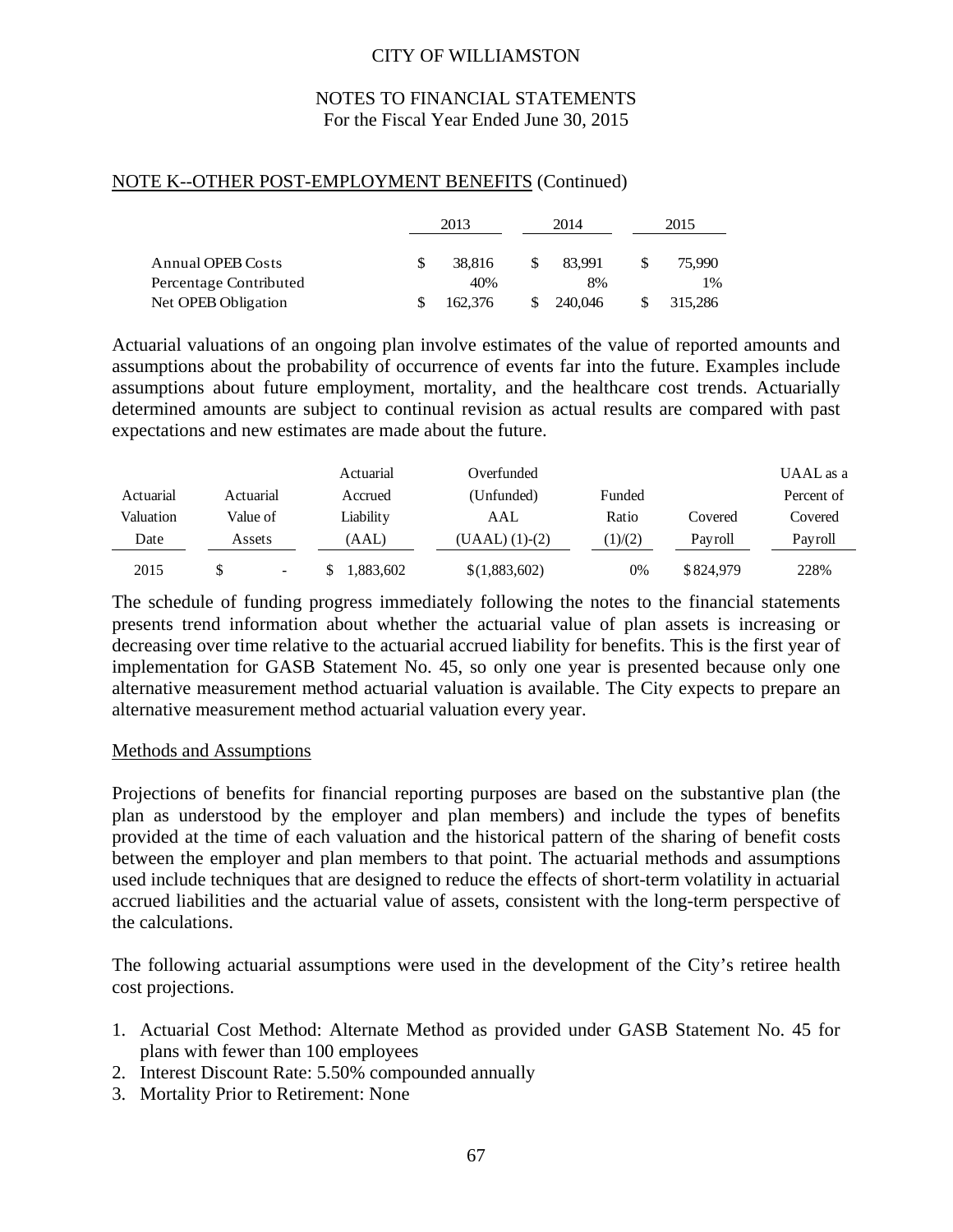## NOTES TO FINANCIAL STATEMENTS For the Fiscal Year Ended June 30, 2015

## NOTE K--OTHER POST-EMPLOYMENT BENEFITS (Continued)

|                        | 2013    |    | 2014    | 2015 |         |  |
|------------------------|---------|----|---------|------|---------|--|
| Annual OPEB Costs      | 38.816  | -S | 83.991  |      | 75.990  |  |
| Percentage Contributed | 40%     |    | 8%      |      | 1%      |  |
| Net OPEB Obligation    | 162,376 |    | 240,046 |      | 315,286 |  |

Actuarial valuations of an ongoing plan involve estimates of the value of reported amounts and assumptions about the probability of occurrence of events far into the future. Examples include assumptions about future employment, mortality, and the healthcare cost trends. Actuarially determined amounts are subject to continual revision as actual results are compared with past expectations and new estimates are made about the future.

|           |                          | Actuarial | Overfunded         |         |           | UAAL as a  |
|-----------|--------------------------|-----------|--------------------|---------|-----------|------------|
| Actuarial | Actuarial                | Accrued   | (Unfunded)         | Funded  |           | Percent of |
| Valuation | Value of                 | Liability | AAL                | Ratio   | Covered   | Covered    |
| Date      | Assets                   | (AAL)     | $(UAAL)$ $(1)-(2)$ | (1)/(2) | Pavroll   | Payroll    |
| 2015      | $\overline{\phantom{a}}$ | 1,883,602 | \$(1,883,602)      | 0%      | \$824,979 | 228%       |

The schedule of funding progress immediately following the notes to the financial statements presents trend information about whether the actuarial value of plan assets is increasing or decreasing over time relative to the actuarial accrued liability for benefits. This is the first year of implementation for GASB Statement No. 45, so only one year is presented because only one alternative measurement method actuarial valuation is available. The City expects to prepare an alternative measurement method actuarial valuation every year.

#### Methods and Assumptions

Projections of benefits for financial reporting purposes are based on the substantive plan (the plan as understood by the employer and plan members) and include the types of benefits provided at the time of each valuation and the historical pattern of the sharing of benefit costs between the employer and plan members to that point. The actuarial methods and assumptions used include techniques that are designed to reduce the effects of short-term volatility in actuarial accrued liabilities and the actuarial value of assets, consistent with the long-term perspective of the calculations.

The following actuarial assumptions were used in the development of the City's retiree health cost projections.

- 1. Actuarial Cost Method: Alternate Method as provided under GASB Statement No. 45 for plans with fewer than 100 employees
- 2. Interest Discount Rate: 5.50% compounded annually
- 3. Mortality Prior to Retirement: None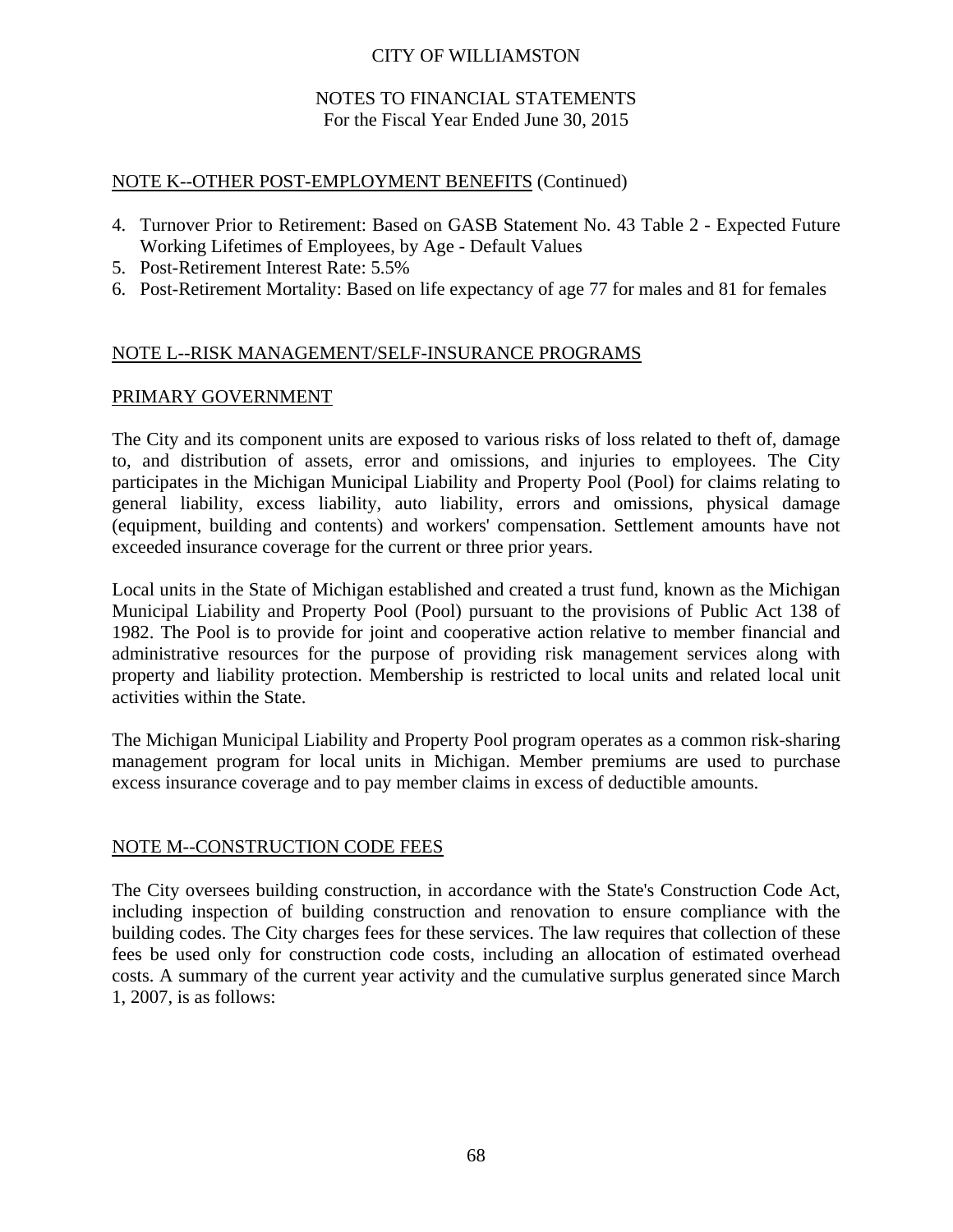## NOTES TO FINANCIAL STATEMENTS For the Fiscal Year Ended June 30, 2015

## NOTE K--OTHER POST-EMPLOYMENT BENEFITS (Continued)

- 4. Turnover Prior to Retirement: Based on GASB Statement No. 43 Table 2 Expected Future Working Lifetimes of Employees, by Age - Default Values
- 5. Post-Retirement Interest Rate: 5.5%
- 6. Post-Retirement Mortality: Based on life expectancy of age 77 for males and 81 for females

## NOTE L--RISK MANAGEMENT/SELF-INSURANCE PROGRAMS

## PRIMARY GOVERNMENT

The City and its component units are exposed to various risks of loss related to theft of, damage to, and distribution of assets, error and omissions, and injuries to employees. The City participates in the Michigan Municipal Liability and Property Pool (Pool) for claims relating to general liability, excess liability, auto liability, errors and omissions, physical damage (equipment, building and contents) and workers' compensation. Settlement amounts have not exceeded insurance coverage for the current or three prior years.

Local units in the State of Michigan established and created a trust fund, known as the Michigan Municipal Liability and Property Pool (Pool) pursuant to the provisions of Public Act 138 of 1982. The Pool is to provide for joint and cooperative action relative to member financial and administrative resources for the purpose of providing risk management services along with property and liability protection. Membership is restricted to local units and related local unit activities within the State.

The Michigan Municipal Liability and Property Pool program operates as a common risk-sharing management program for local units in Michigan. Member premiums are used to purchase excess insurance coverage and to pay member claims in excess of deductible amounts.

## NOTE M--CONSTRUCTION CODE FEES

The City oversees building construction, in accordance with the State's Construction Code Act, including inspection of building construction and renovation to ensure compliance with the building codes. The City charges fees for these services. The law requires that collection of these fees be used only for construction code costs, including an allocation of estimated overhead costs. A summary of the current year activity and the cumulative surplus generated since March 1, 2007, is as follows: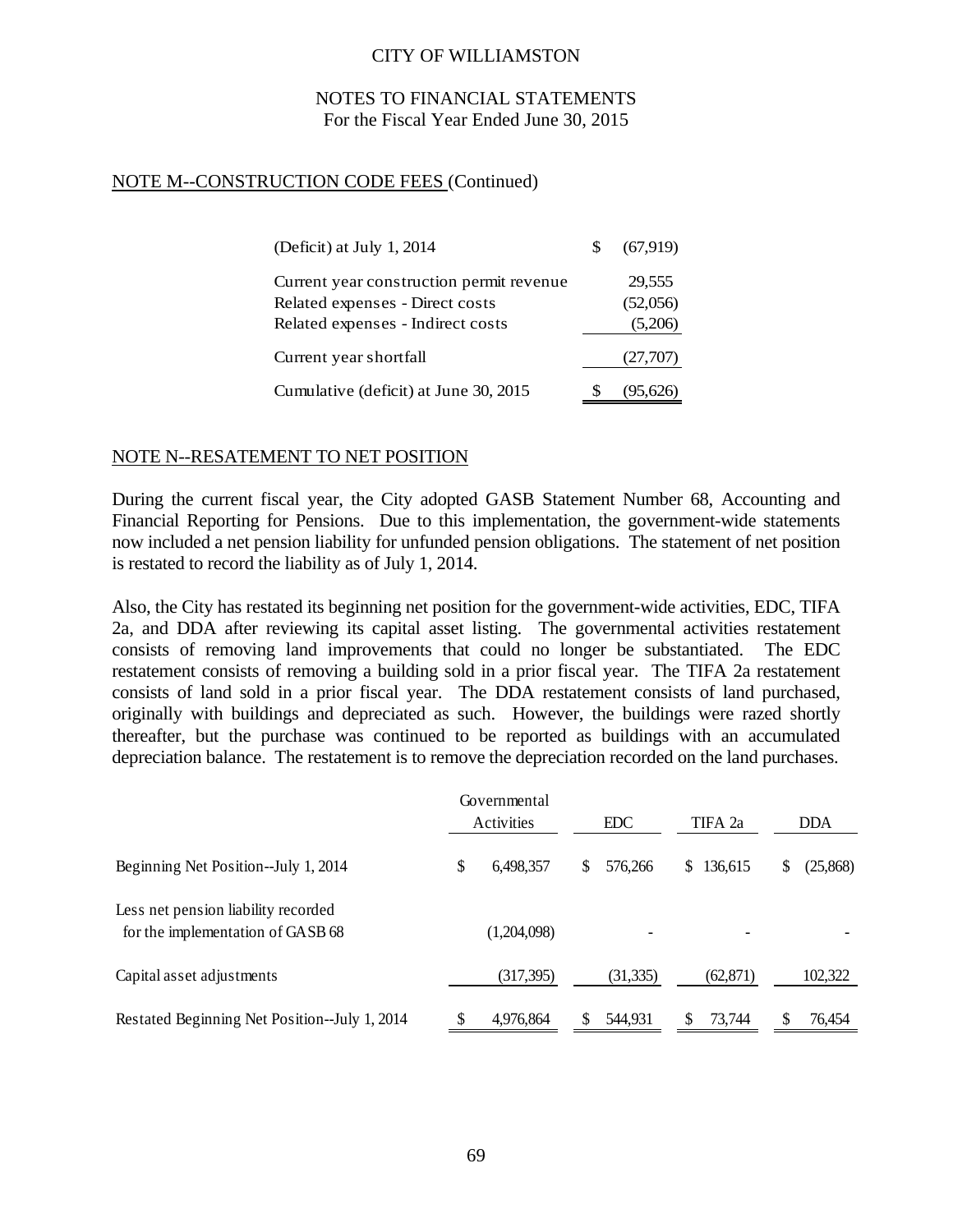## NOTES TO FINANCIAL STATEMENTS For the Fiscal Year Ended June 30, 2015

## NOTE M--CONSTRUCTION CODE FEES (Continued)

| (Deficit) at July 1, 2014                | (67, 919) |
|------------------------------------------|-----------|
| Current year construction permit revenue | 29,555    |
| Related expenses - Direct costs          | (52,056)  |
| Related expenses - Indirect costs        | (5,206)   |
| Current year shortfall                   | (27,707)  |
| Cumulative (deficit) at June 30, 2015    | (95,626)  |

#### NOTE N--RESATEMENT TO NET POSITION

During the current fiscal year, the City adopted GASB Statement Number 68, Accounting and Financial Reporting for Pensions. Due to this implementation, the government-wide statements now included a net pension liability for unfunded pension obligations. The statement of net position is restated to record the liability as of July 1, 2014.

Also, the City has restated its beginning net position for the government-wide activities, EDC, TIFA 2a, and DDA after reviewing its capital asset listing. The governmental activities restatement consists of removing land improvements that could no longer be substantiated. The EDC restatement consists of removing a building sold in a prior fiscal year. The TIFA 2a restatement consists of land sold in a prior fiscal year. The DDA restatement consists of land purchased, originally with buildings and depreciated as such. However, the buildings were razed shortly thereafter, but the purchase was continued to be reported as buildings with an accumulated depreciation balance. The restatement is to remove the depreciation recorded on the land purchases.

|                                                                          | Governmental<br>Activities |   | <b>EDC</b> |    | TIFA 2a   | <b>DDA</b> |          |  |
|--------------------------------------------------------------------------|----------------------------|---|------------|----|-----------|------------|----------|--|
| Beginning Net Position--July 1, 2014                                     | \$<br>6,498,357            | S | 576,266    | S. | 136,615   |            | (25,868) |  |
| Less net pension liability recorded<br>for the implementation of GASB 68 | (1,204,098)                |   |            |    |           |            |          |  |
| Capital asset adjustments                                                | (317, 395)                 |   | (31, 335)  |    | (62, 871) |            | 102,322  |  |
| Restated Beginning Net Position--July 1, 2014                            | 4,976,864                  |   | 544,931    |    | 73,744    |            | 76,454   |  |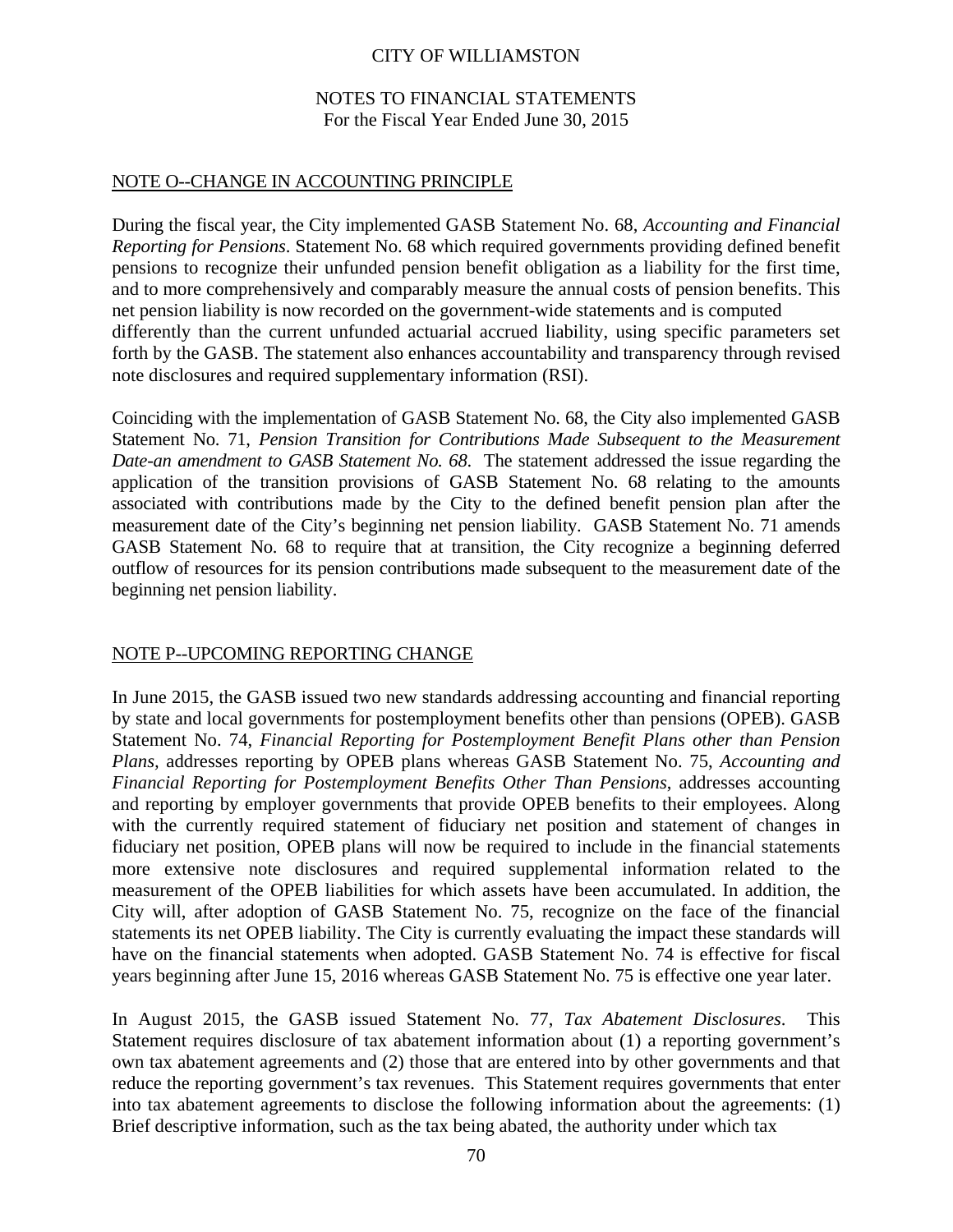## NOTES TO FINANCIAL STATEMENTS For the Fiscal Year Ended June 30, 2015

## NOTE O--CHANGE IN ACCOUNTING PRINCIPLE

During the fiscal year, the City implemented GASB Statement No. 68, *Accounting and Financial Reporting for Pensions*. Statement No. 68 which required governments providing defined benefit pensions to recognize their unfunded pension benefit obligation as a liability for the first time, and to more comprehensively and comparably measure the annual costs of pension benefits. This net pension liability is now recorded on the government-wide statements and is computed differently than the current unfunded actuarial accrued liability, using specific parameters set forth by the GASB. The statement also enhances accountability and transparency through revised note disclosures and required supplementary information (RSI).

Coinciding with the implementation of GASB Statement No. 68, the City also implemented GASB Statement No. 71, *Pension Transition for Contributions Made Subsequent to the Measurement Date-an amendment to GASB Statement No. 68*. The statement addressed the issue regarding the application of the transition provisions of GASB Statement No. 68 relating to the amounts associated with contributions made by the City to the defined benefit pension plan after the measurement date of the City's beginning net pension liability. GASB Statement No. 71 amends GASB Statement No. 68 to require that at transition, the City recognize a beginning deferred outflow of resources for its pension contributions made subsequent to the measurement date of the beginning net pension liability.

## NOTE P--UPCOMING REPORTING CHANGE

In June 2015, the GASB issued two new standards addressing accounting and financial reporting by state and local governments for postemployment benefits other than pensions (OPEB). GASB Statement No. 74, *Financial Reporting for Postemployment Benefit Plans other than Pension Plans,* addresses reporting by OPEB plans whereas GASB Statement No. 75, *Accounting and Financial Reporting for Postemployment Benefits Other Than Pensions*, addresses accounting and reporting by employer governments that provide OPEB benefits to their employees. Along with the currently required statement of fiduciary net position and statement of changes in fiduciary net position, OPEB plans will now be required to include in the financial statements more extensive note disclosures and required supplemental information related to the measurement of the OPEB liabilities for which assets have been accumulated. In addition, the City will, after adoption of GASB Statement No. 75, recognize on the face of the financial statements its net OPEB liability. The City is currently evaluating the impact these standards will have on the financial statements when adopted. GASB Statement No. 74 is effective for fiscal years beginning after June 15, 2016 whereas GASB Statement No. 75 is effective one year later.

In August 2015, the GASB issued Statement No. 77, *Tax Abatement Disclosures*. This Statement requires disclosure of tax abatement information about (1) a reporting government's own tax abatement agreements and (2) those that are entered into by other governments and that reduce the reporting government's tax revenues. This Statement requires governments that enter into tax abatement agreements to disclose the following information about the agreements: (1) Brief descriptive information, such as the tax being abated, the authority under which tax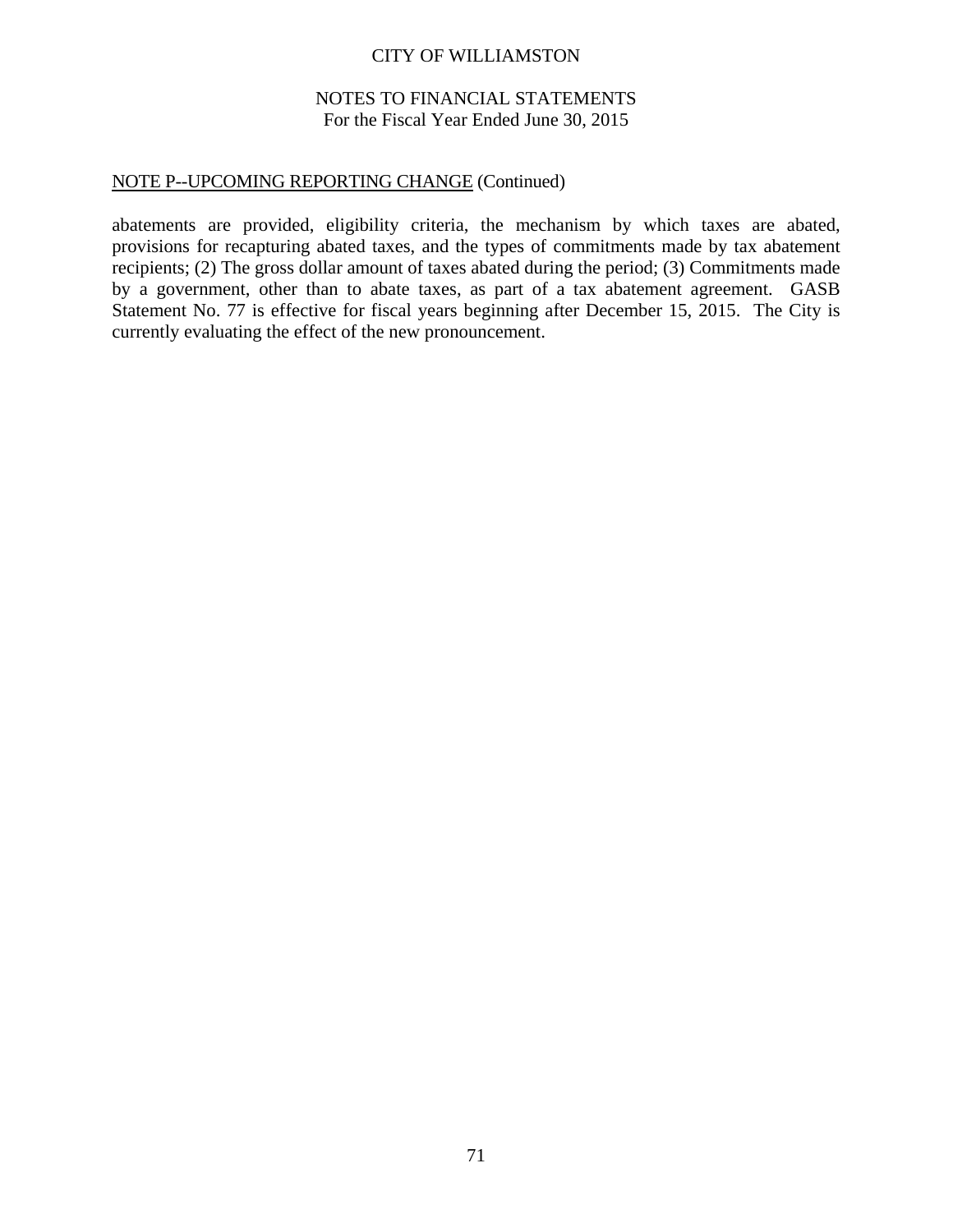## NOTES TO FINANCIAL STATEMENTS For the Fiscal Year Ended June 30, 2015

## NOTE P--UPCOMING REPORTING CHANGE (Continued)

abatements are provided, eligibility criteria, the mechanism by which taxes are abated, provisions for recapturing abated taxes, and the types of commitments made by tax abatement recipients; (2) The gross dollar amount of taxes abated during the period; (3) Commitments made by a government, other than to abate taxes, as part of a tax abatement agreement. GASB Statement No. 77 is effective for fiscal years beginning after December 15, 2015. The City is currently evaluating the effect of the new pronouncement.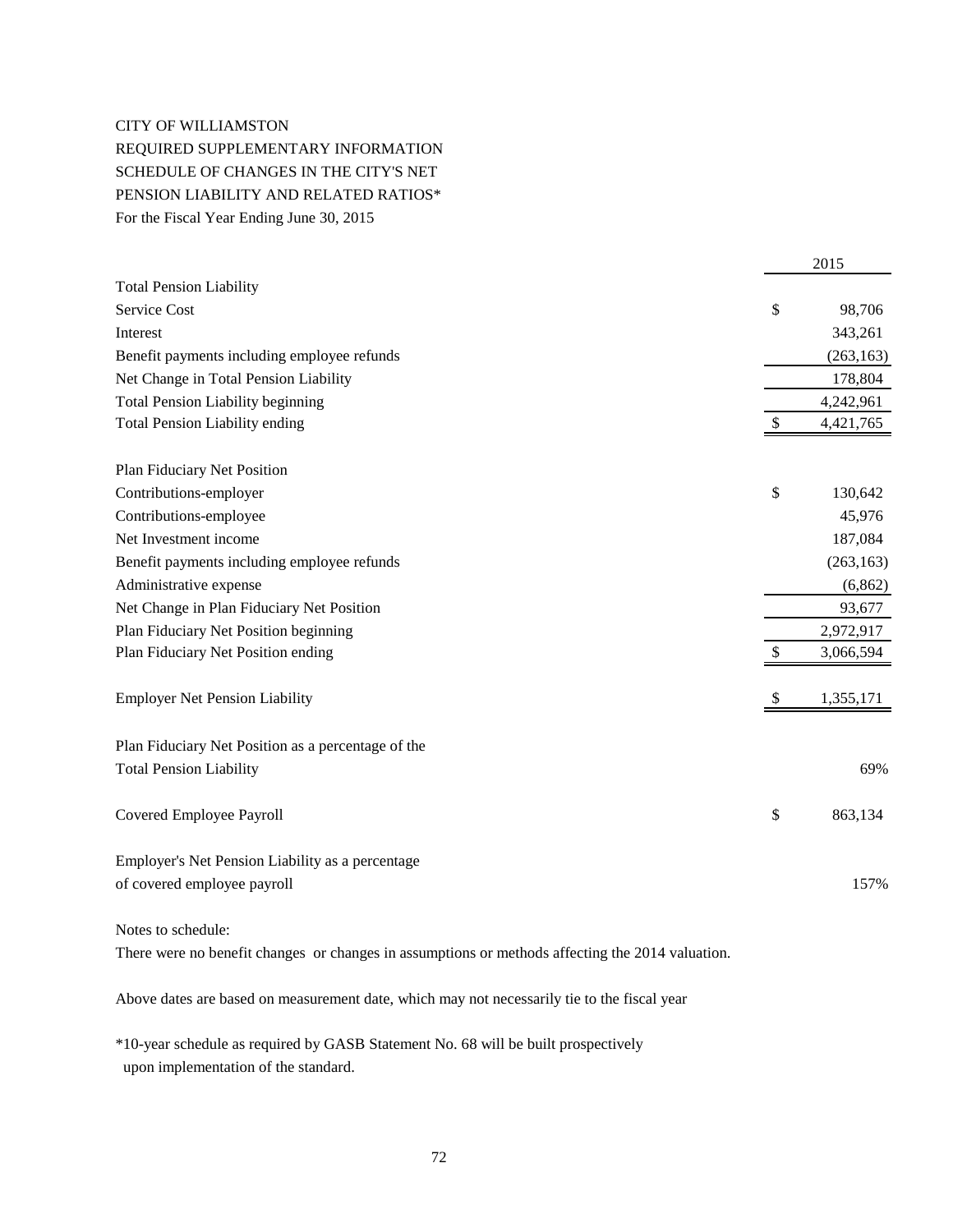REQUIRED SUPPLEMENTARY INFORMATION SCHEDULE OF CHANGES IN THE CITY'S NET PENSION LIABILITY AND RELATED RATIOS\* For the Fiscal Year Ending June 30, 2015

|                                                    |    | 2015       |
|----------------------------------------------------|----|------------|
| <b>Total Pension Liability</b>                     |    |            |
| Service Cost                                       | \$ | 98,706     |
| Interest                                           |    | 343,261    |
| Benefit payments including employee refunds        |    | (263, 163) |
| Net Change in Total Pension Liability              |    | 178,804    |
| <b>Total Pension Liability beginning</b>           |    | 4,242,961  |
| <b>Total Pension Liability ending</b>              | -S | 4,421,765  |
| Plan Fiduciary Net Position                        |    |            |
| Contributions-employer                             | \$ | 130,642    |
| Contributions-employee                             |    | 45,976     |
| Net Investment income                              |    | 187,084    |
| Benefit payments including employee refunds        |    | (263, 163) |
| Administrative expense                             |    | (6, 862)   |
| Net Change in Plan Fiduciary Net Position          |    | 93,677     |
| Plan Fiduciary Net Position beginning              |    | 2,972,917  |
| Plan Fiduciary Net Position ending                 | \$ | 3,066,594  |
| <b>Employer Net Pension Liability</b>              | S  | 1,355,171  |
| Plan Fiduciary Net Position as a percentage of the |    |            |
| <b>Total Pension Liability</b>                     |    | 69%        |
| Covered Employee Payroll                           | \$ | 863,134    |
| Employer's Net Pension Liability as a percentage   |    |            |
| of covered employee payroll                        |    | 157%       |
| Notes to schedule:                                 |    |            |

There were no benefit changes or changes in assumptions or methods affecting the 2014 valuation.

Above dates are based on measurement date, which may not necessarily tie to the fiscal year

\*10-year schedule as required by GASB Statement No. 68 will be built prospectively upon implementation of the standard.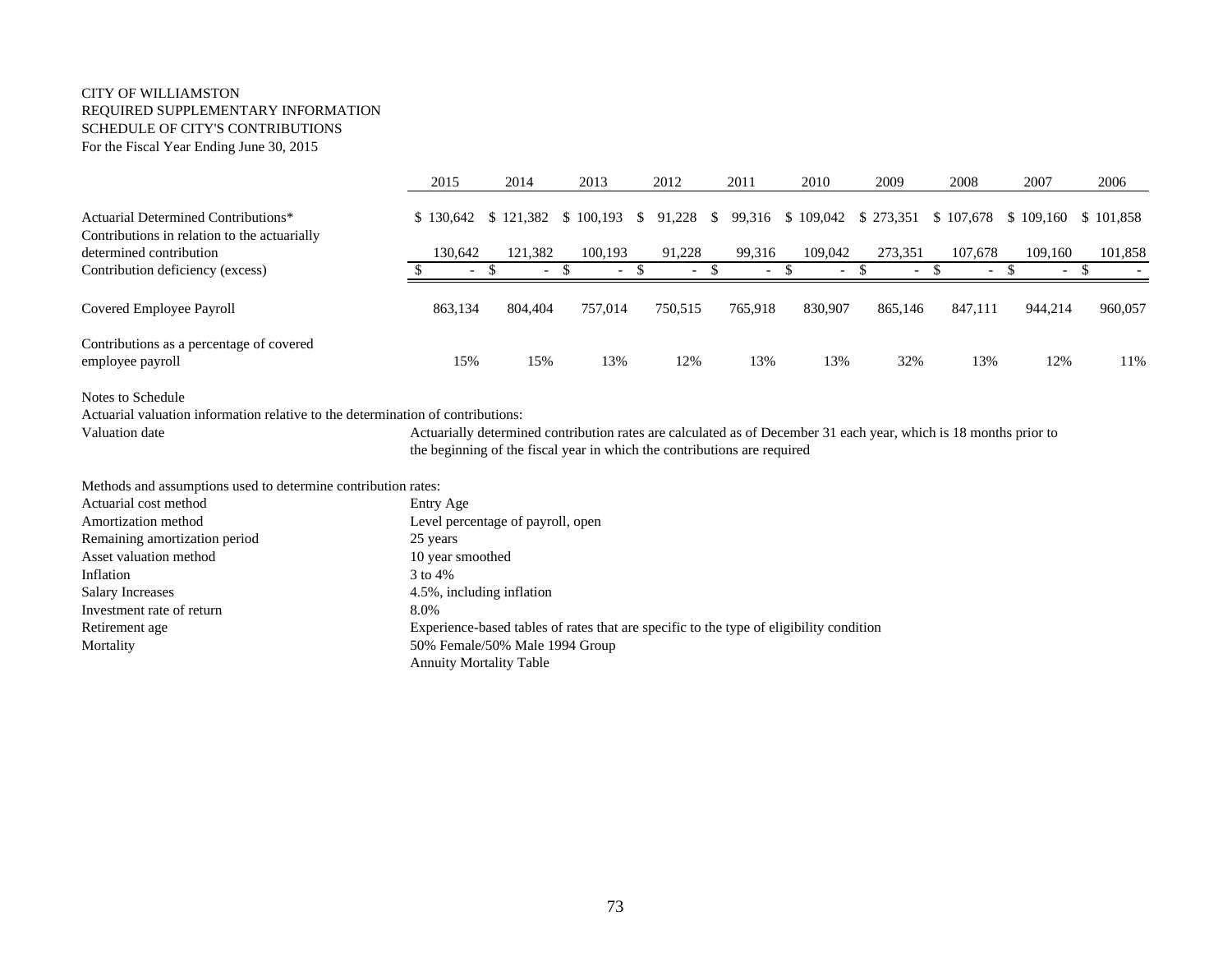#### CITY OF WILLIAMSTONREQUIRED SUPPLEMENTARY INFORMATION SCHEDULE OF CITY'S CONTRIBUTIONSFor the Fiscal Year Ending June 30, 2015

|                                                                                     | 2015                     | 2014                     | 2013                                | 2012                               | 2011                     | 2010                         | 2009                     | 2008                     | 2007                     | 2006      |
|-------------------------------------------------------------------------------------|--------------------------|--------------------------|-------------------------------------|------------------------------------|--------------------------|------------------------------|--------------------------|--------------------------|--------------------------|-----------|
| Actuarial Determined Contributions*<br>Contributions in relation to the actuarially | \$130.642                | \$121.382                | \$100.193                           | 91,228<br>S.                       | $\mathbf{s}$             | 99,316 \$ 109,042 \$ 273,351 |                          | \$107.678                | \$109.160                | \$101.858 |
| determined contribution<br>Contribution deficiency (excess)                         | 130.642                  | 121,382                  | 100,193<br>$\overline{\phantom{a}}$ | 91.228<br>$\overline{\phantom{0}}$ | 99.316                   | 109,042                      | 273,351                  | 107,678                  | 109,160                  | 101,858   |
|                                                                                     | $\overline{\phantom{0}}$ | $\overline{\phantom{0}}$ |                                     |                                    | $\overline{\phantom{0}}$ | $\overline{\phantom{0}}$     | $\overline{\phantom{0}}$ | $\overline{\phantom{a}}$ | $\overline{\phantom{0}}$ |           |
| Covered Employee Payroll                                                            | 863,134                  | 804,404                  | 757,014                             | 750.515                            | 765,918                  | 830,907                      | 865,146                  | 847,111                  | 944,214                  | 960,057   |
| Contributions as a percentage of covered<br>employee payroll                        | 15%                      | 15%                      | 13%                                 | 12%                                | 13%                      | 13%                          | 32%                      | 13%                      | 12%                      | 11%       |

Notes to Schedule

Actuarial valuation information relative to the determination of contributions:

Valuation date **Actuarially determined contribution rates are calculated as of December 31 each year, which is 18 months prior to** the beginning of the fiscal year in which the contributions are required

Methods and assumptions used to determine contribution rates:

| Actuarial cost method         | Entry Age                                                                               |
|-------------------------------|-----------------------------------------------------------------------------------------|
| Amortization method           | Level percentage of payroll, open                                                       |
| Remaining amortization period | 25 years                                                                                |
| Asset valuation method        | 10 year smoothed                                                                        |
| Inflation                     | 3 to 4%                                                                                 |
| <b>Salary Increases</b>       | 4.5%, including inflation                                                               |
| Investment rate of return     | 8.0%                                                                                    |
| Retirement age                | Experience-based tables of rates that are specific to the type of eligibility condition |
| Mortality                     | 50% Female/50% Male 1994 Group                                                          |
|                               | <b>Annuity Mortality Table</b>                                                          |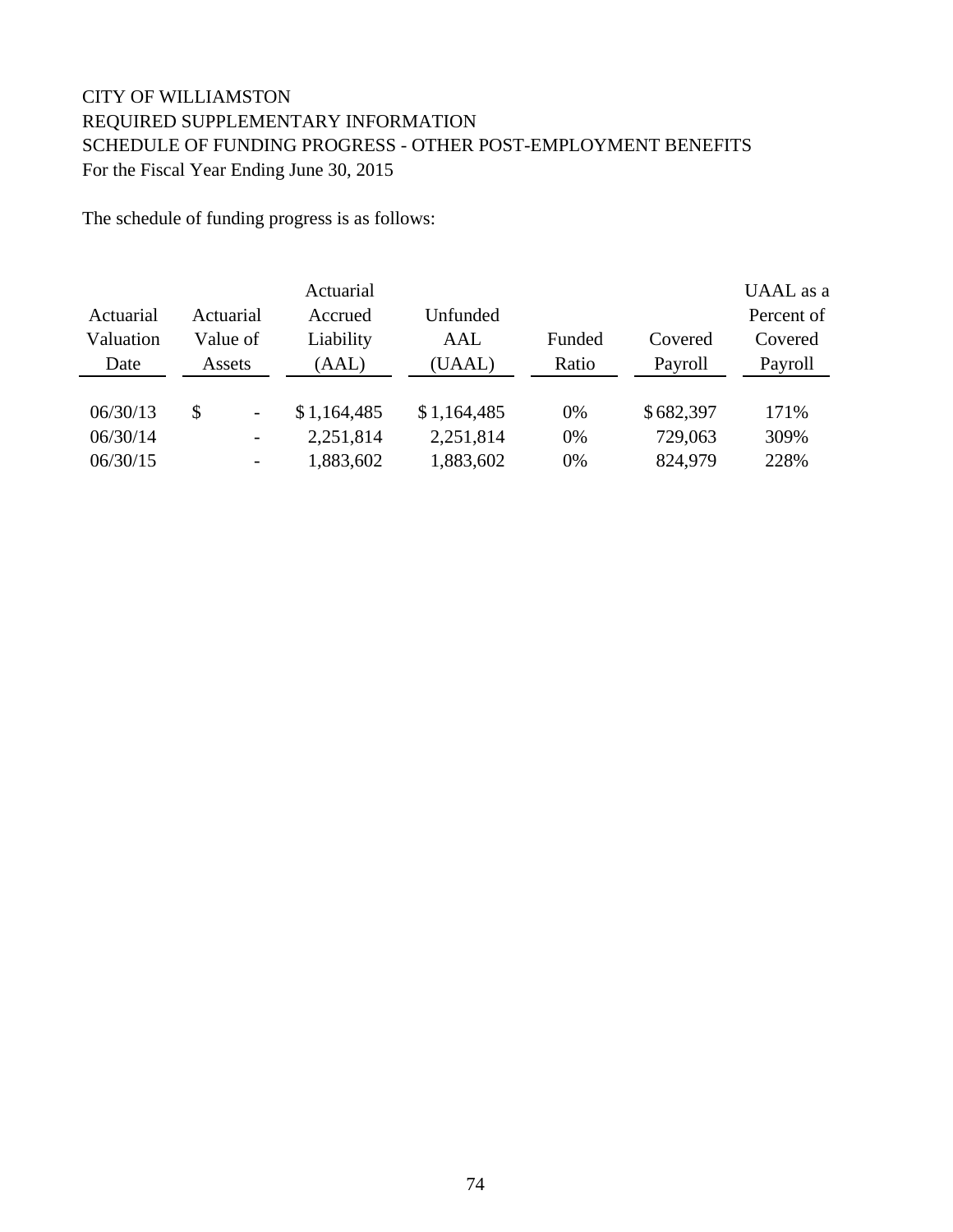# CITY OF WILLIAMSTON REQUIRED SUPPLEMENTARY INFORMATION SCHEDULE OF FUNDING PROGRESS - OTHER POST-EMPLOYMENT BENEFITS For the Fiscal Year Ending June 30, 2015

The schedule of funding progress is as follows:

| Actuarial<br>Valuation<br>Date   | Actuarial<br>Assets | Value of                                             | Actuarial<br>Accrued<br>Liability<br>(AAL) | Unfunded<br>AAL<br>(UAAL)             | Funded<br>Ratio | Covered<br>Payroll              | UAAL as a<br>Percent of<br>Covered<br>Payroll |
|----------------------------------|---------------------|------------------------------------------------------|--------------------------------------------|---------------------------------------|-----------------|---------------------------------|-----------------------------------------------|
| 06/30/13<br>06/30/14<br>06/30/15 | \$                  | $\overline{\phantom{a}}$<br>$\overline{\phantom{a}}$ | \$1,164,485<br>2,251,814<br>1,883,602      | \$1,164,485<br>2,251,814<br>1,883,602 | 0%<br>0%<br>0%  | \$682,397<br>729,063<br>824,979 | 171%<br>309%<br>228%                          |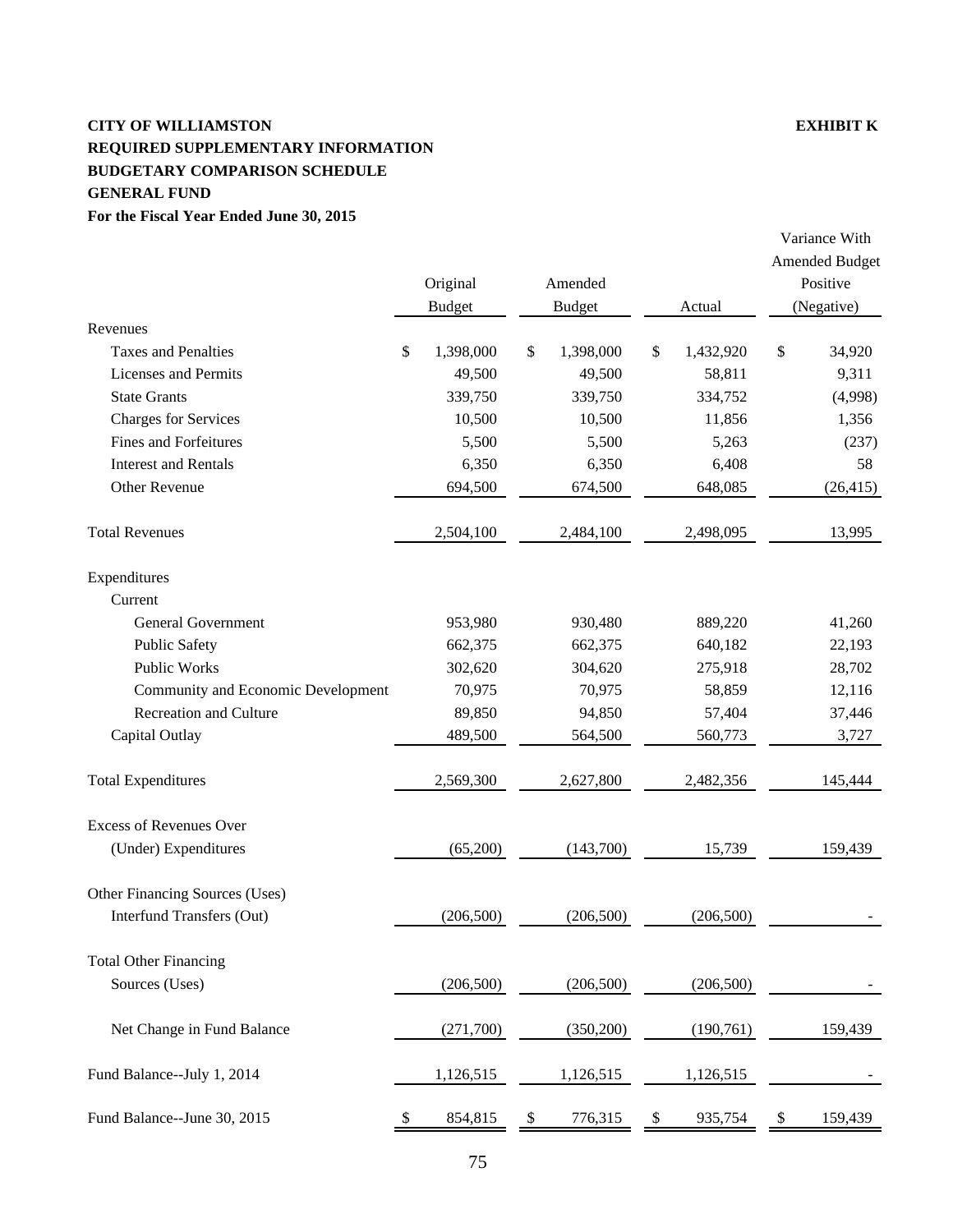# **CITY OF WILLIAMSTON EXHIBIT K REQUIRED SUPPLEMENTARY INFORMATION BUDGETARY COMPARISON SCHEDULE GENERAL FUND**

## **For the Fiscal Year Ended June 30, 2015**

|                                    | Original |               | Amended |               |                           |            | <b>Amended Budget</b><br>Positive |            |
|------------------------------------|----------|---------------|---------|---------------|---------------------------|------------|-----------------------------------|------------|
| Revenues                           |          | <b>Budget</b> |         | <b>Budget</b> |                           | Actual     |                                   | (Negative) |
| <b>Taxes and Penalties</b>         | \$       | 1,398,000     | \$      | 1,398,000     | \$                        | 1,432,920  | \$                                | 34,920     |
| Licenses and Permits               |          | 49,500        |         | 49,500        |                           | 58,811     |                                   | 9,311      |
| <b>State Grants</b>                |          | 339,750       |         | 339,750       |                           | 334,752    |                                   | (4,998)    |
| <b>Charges for Services</b>        |          | 10,500        |         | 10,500        |                           | 11,856     |                                   | 1,356      |
| <b>Fines and Forfeitures</b>       |          | 5,500         |         | 5,500         |                           | 5,263      |                                   | (237)      |
| <b>Interest and Rentals</b>        |          | 6,350         |         | 6,350         |                           | 6,408      |                                   | 58         |
| Other Revenue                      |          | 694,500       |         | 674,500       |                           | 648,085    |                                   | (26, 415)  |
| <b>Total Revenues</b>              |          | 2,504,100     |         | 2,484,100     |                           | 2,498,095  |                                   | 13,995     |
| Expenditures                       |          |               |         |               |                           |            |                                   |            |
| Current                            |          |               |         |               |                           |            |                                   |            |
| <b>General Government</b>          |          | 953,980       |         | 930,480       |                           | 889,220    |                                   | 41,260     |
| <b>Public Safety</b>               |          | 662,375       |         | 662,375       |                           | 640,182    |                                   | 22,193     |
| Public Works                       |          | 302,620       |         | 304,620       |                           | 275,918    |                                   | 28,702     |
| Community and Economic Development |          | 70,975        |         | 70,975        |                           | 58,859     |                                   | 12,116     |
| <b>Recreation and Culture</b>      |          | 89,850        |         | 94,850        |                           | 57,404     |                                   | 37,446     |
| Capital Outlay                     |          | 489,500       |         | 564,500       |                           | 560,773    |                                   | 3,727      |
| <b>Total Expenditures</b>          |          | 2,569,300     |         | 2,627,800     |                           | 2,482,356  |                                   | 145,444    |
| <b>Excess of Revenues Over</b>     |          |               |         |               |                           |            |                                   |            |
| (Under) Expenditures               |          | (65,200)      |         | (143,700)     |                           | 15,739     |                                   | 159,439    |
| Other Financing Sources (Uses)     |          |               |         |               |                           |            |                                   |            |
| Interfund Transfers (Out)          |          | (206, 500)    |         | (206, 500)    |                           | (206, 500) |                                   |            |
| <b>Total Other Financing</b>       |          |               |         |               |                           |            |                                   |            |
| Sources (Uses)                     |          | (206, 500)    |         | (206, 500)    |                           | (206, 500) |                                   |            |
| Net Change in Fund Balance         |          | (271,700)     |         | (350,200)     |                           | (190, 761) |                                   | 159,439    |
| Fund Balance--July 1, 2014         |          | 1,126,515     |         | 1,126,515     |                           | 1,126,515  |                                   |            |
| Fund Balance--June 30, 2015        | \$       | 854,815       | \$      | 776,315       | $\boldsymbol{\mathsf{S}}$ | 935,754    | $\boldsymbol{\mathcal{S}}$        | 159,439    |

Variance With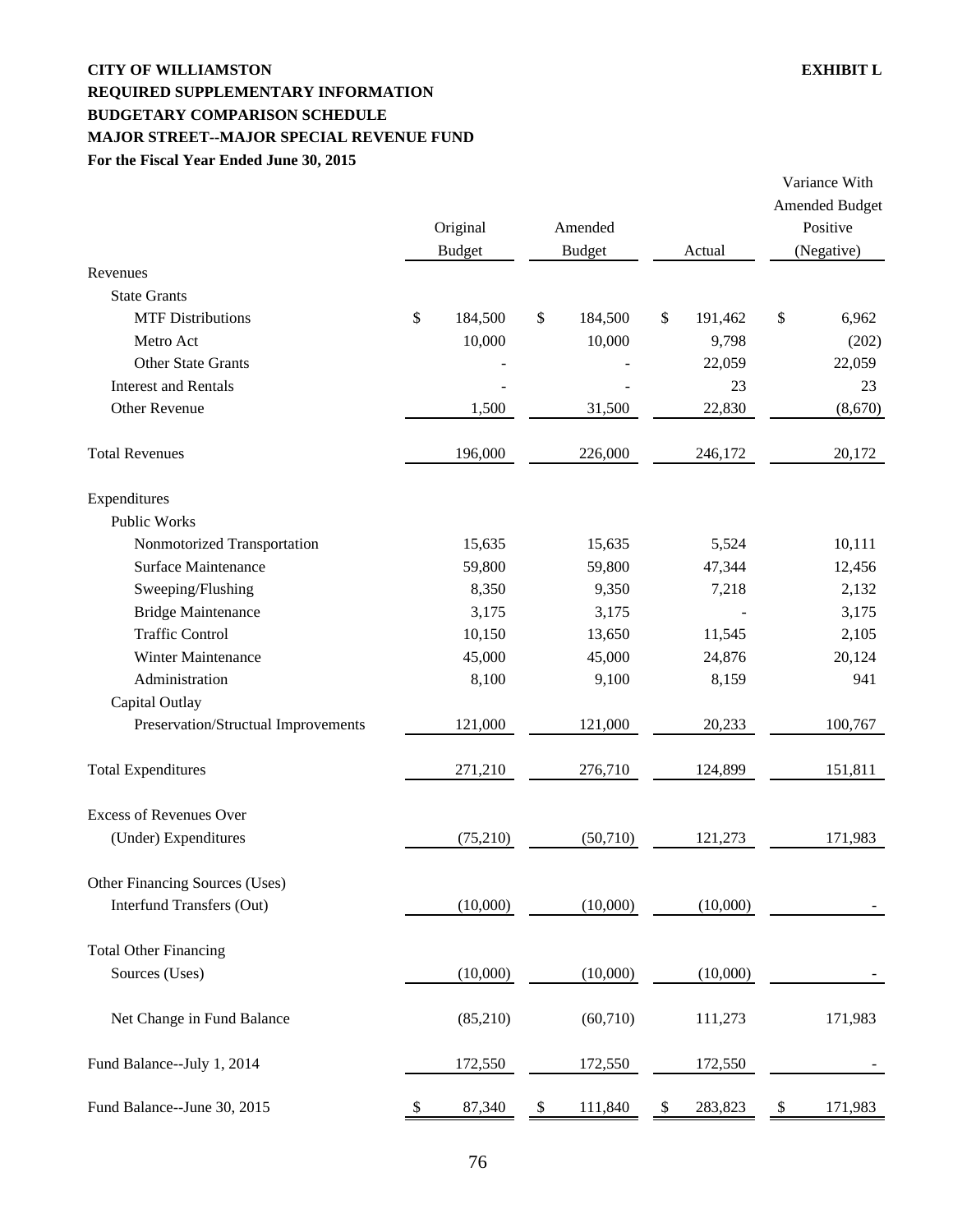## **CITY OF WILLIAMSTON EXHIBIT L REQUIRED SUPPLEMENTARY INFORMATION BUDGETARY COMPARISON SCHEDULE MAJOR STREET--MAJOR SPECIAL REVENUE FUND For the Fiscal Year Ended June 30, 2015**

|                                     | Original<br><b>Budget</b> |                           | Amended<br><b>Budget</b> | Actual        | Variance With<br><b>Amended Budget</b><br>Positive<br>(Negative) |
|-------------------------------------|---------------------------|---------------------------|--------------------------|---------------|------------------------------------------------------------------|
| Revenues                            |                           |                           |                          |               |                                                                  |
| <b>State Grants</b>                 |                           |                           |                          |               |                                                                  |
| <b>MTF Distributions</b>            | \$<br>184,500             | \$                        | 184,500                  | \$<br>191,462 | \$<br>6,962                                                      |
| Metro Act                           | 10,000                    |                           | 10,000                   | 9,798         | (202)                                                            |
| <b>Other State Grants</b>           |                           |                           |                          | 22,059        | 22,059                                                           |
| <b>Interest and Rentals</b>         |                           |                           |                          | 23            | 23                                                               |
| <b>Other Revenue</b>                | 1,500                     |                           | 31,500                   | 22,830        | (8,670)                                                          |
| <b>Total Revenues</b>               | 196,000                   |                           | 226,000                  | 246,172       | 20,172                                                           |
| Expenditures                        |                           |                           |                          |               |                                                                  |
| Public Works                        |                           |                           |                          |               |                                                                  |
| Nonmotorized Transportation         | 15,635                    |                           | 15,635                   | 5,524         | 10,111                                                           |
| <b>Surface Maintenance</b>          | 59,800                    |                           | 59,800                   | 47,344        | 12,456                                                           |
| Sweeping/Flushing                   | 8,350                     |                           | 9,350                    | 7,218         | 2,132                                                            |
| <b>Bridge Maintenance</b>           | 3,175                     |                           | 3,175                    |               | 3,175                                                            |
| <b>Traffic Control</b>              | 10,150                    |                           | 13,650                   | 11,545        | 2,105                                                            |
| Winter Maintenance                  | 45,000                    |                           | 45,000                   | 24,876        | 20,124                                                           |
| Administration                      | 8,100                     |                           | 9,100                    | 8,159         | 941                                                              |
| Capital Outlay                      |                           |                           |                          |               |                                                                  |
| Preservation/Structual Improvements | 121,000                   |                           | 121,000                  | 20,233        | 100,767                                                          |
| <b>Total Expenditures</b>           | 271,210                   |                           | 276,710                  | 124,899       | 151,811                                                          |
| <b>Excess of Revenues Over</b>      |                           |                           |                          |               |                                                                  |
| (Under) Expenditures                | (75,210)                  |                           | (50, 710)                | 121,273       | 171,983                                                          |
| Other Financing Sources (Uses)      |                           |                           |                          |               |                                                                  |
| Interfund Transfers (Out)           | (10,000)                  |                           | (10,000)                 | (10,000)      |                                                                  |
| <b>Total Other Financing</b>        |                           |                           |                          |               |                                                                  |
| Sources (Uses)                      | (10,000)                  |                           | (10,000)                 | (10,000)      |                                                                  |
| Net Change in Fund Balance          | (85,210)                  |                           | (60, 710)                | 111,273       | 171,983                                                          |
| Fund Balance--July 1, 2014          | 172,550                   |                           | 172,550                  | 172,550       |                                                                  |
| Fund Balance--June 30, 2015         | \$<br>87,340              | $\boldsymbol{\mathsf{S}}$ | 111,840                  | \$<br>283,823 | \$<br>171,983                                                    |

76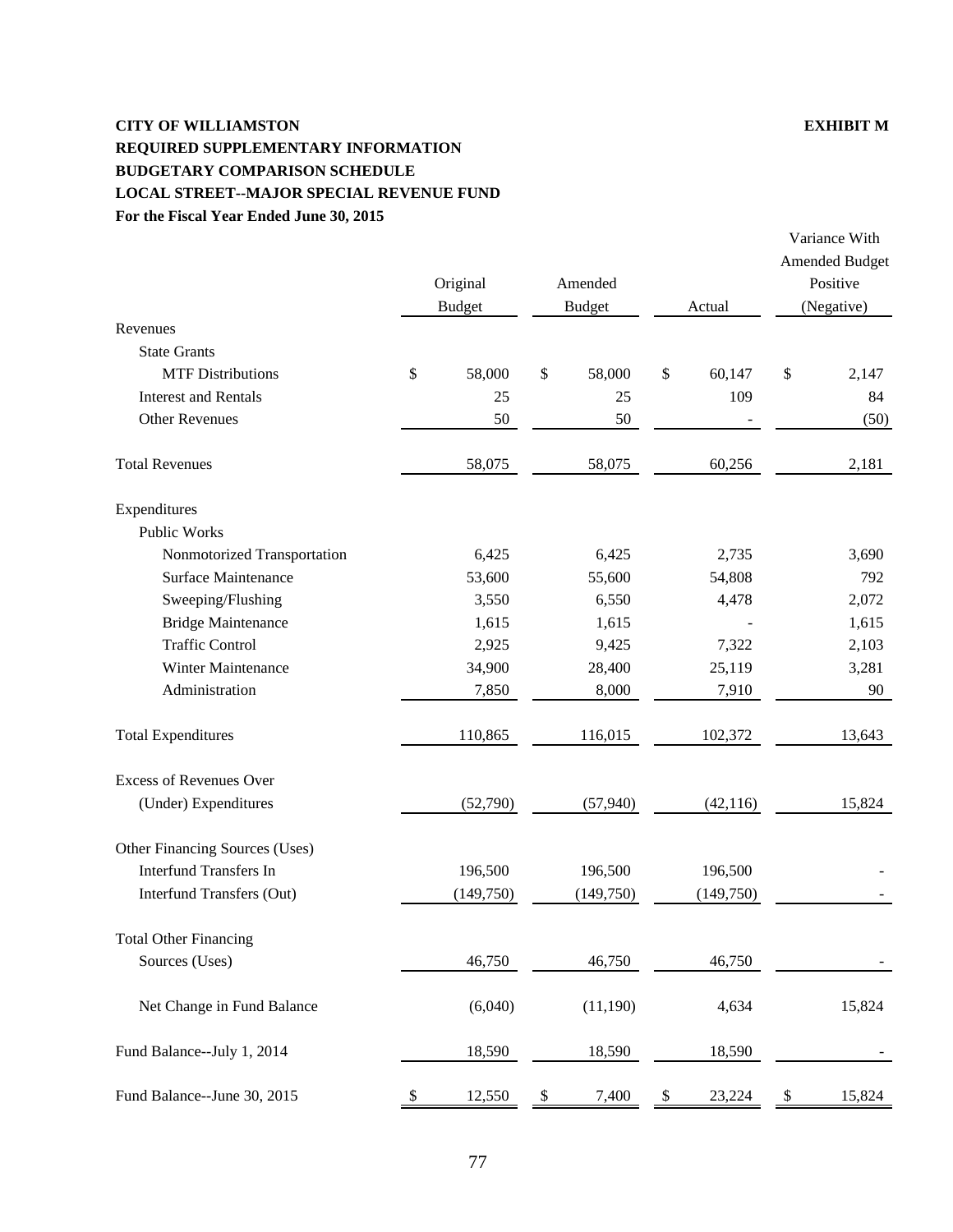## **CITY OF WILLIAMSTON EXHIBIT M REQUIRED SUPPLEMENTARY INFORMATION BUDGETARY COMPARISON SCHEDULE LOCAL STREET--MAJOR SPECIAL REVENUE FUND For the Fiscal Year Ended June 30, 2015**

|                                | Original<br><b>Budget</b> |           | Amended<br><b>Budget</b> |           | Actual |           |      | <b>Amended Budget</b><br>Positive<br>(Negative) |
|--------------------------------|---------------------------|-----------|--------------------------|-----------|--------|-----------|------|-------------------------------------------------|
| Revenues                       |                           |           |                          |           |        |           |      |                                                 |
| <b>State Grants</b>            |                           |           |                          |           |        |           |      |                                                 |
| <b>MTF Distributions</b>       | \$                        | 58,000    | $\$$                     | 58,000    | \$     | 60,147    | \$   | 2,147                                           |
| <b>Interest and Rentals</b>    |                           | 25        |                          | 25        |        | 109       |      | 84                                              |
| <b>Other Revenues</b>          |                           | 50        |                          | 50        |        |           |      | (50)                                            |
| <b>Total Revenues</b>          |                           | 58,075    |                          | 58,075    |        | 60,256    |      | 2,181                                           |
| Expenditures                   |                           |           |                          |           |        |           |      |                                                 |
| <b>Public Works</b>            |                           |           |                          |           |        |           |      |                                                 |
| Nonmotorized Transportation    |                           | 6,425     |                          | 6,425     |        | 2,735     |      | 3,690                                           |
| <b>Surface Maintenance</b>     |                           | 53,600    |                          | 55,600    |        | 54,808    |      | 792                                             |
| Sweeping/Flushing              |                           | 3,550     |                          | 6,550     |        | 4,478     |      | 2,072                                           |
| <b>Bridge Maintenance</b>      |                           | 1,615     |                          | 1,615     |        |           |      | 1,615                                           |
| <b>Traffic Control</b>         |                           | 2,925     |                          | 9,425     |        | 7,322     |      | 2,103                                           |
| <b>Winter Maintenance</b>      |                           | 34,900    |                          | 28,400    |        | 25,119    |      | 3,281                                           |
| Administration                 |                           | 7,850     |                          | 8,000     |        | 7,910     |      | 90                                              |
| <b>Total Expenditures</b>      |                           | 110,865   |                          | 116,015   |        | 102,372   |      | 13,643                                          |
| <b>Excess of Revenues Over</b> |                           |           |                          |           |        |           |      |                                                 |
| (Under) Expenditures           |                           | (52,790)  |                          | (57, 940) |        | (42, 116) |      | 15,824                                          |
| Other Financing Sources (Uses) |                           |           |                          |           |        |           |      |                                                 |
| <b>Interfund Transfers In</b>  |                           | 196,500   |                          | 196,500   |        | 196,500   |      |                                                 |
| Interfund Transfers (Out)      |                           | (149,750) |                          | (149,750) |        | (149,750) |      |                                                 |
| <b>Total Other Financing</b>   |                           |           |                          |           |        |           |      |                                                 |
| Sources (Uses)                 |                           | 46,750    |                          | 46,750    |        | 46,750    |      |                                                 |
| Net Change in Fund Balance     |                           | (6,040)   |                          | (11, 190) |        | 4,634     |      | 15,824                                          |
| Fund Balance--July 1, 2014     |                           | 18,590    |                          | 18,590    |        | 18,590    |      |                                                 |
| Fund Balance--June 30, 2015    | \$                        | 12,550    | \$                       | 7,400     | \$     | 23,224    | $\$$ | 15,824                                          |

Variance With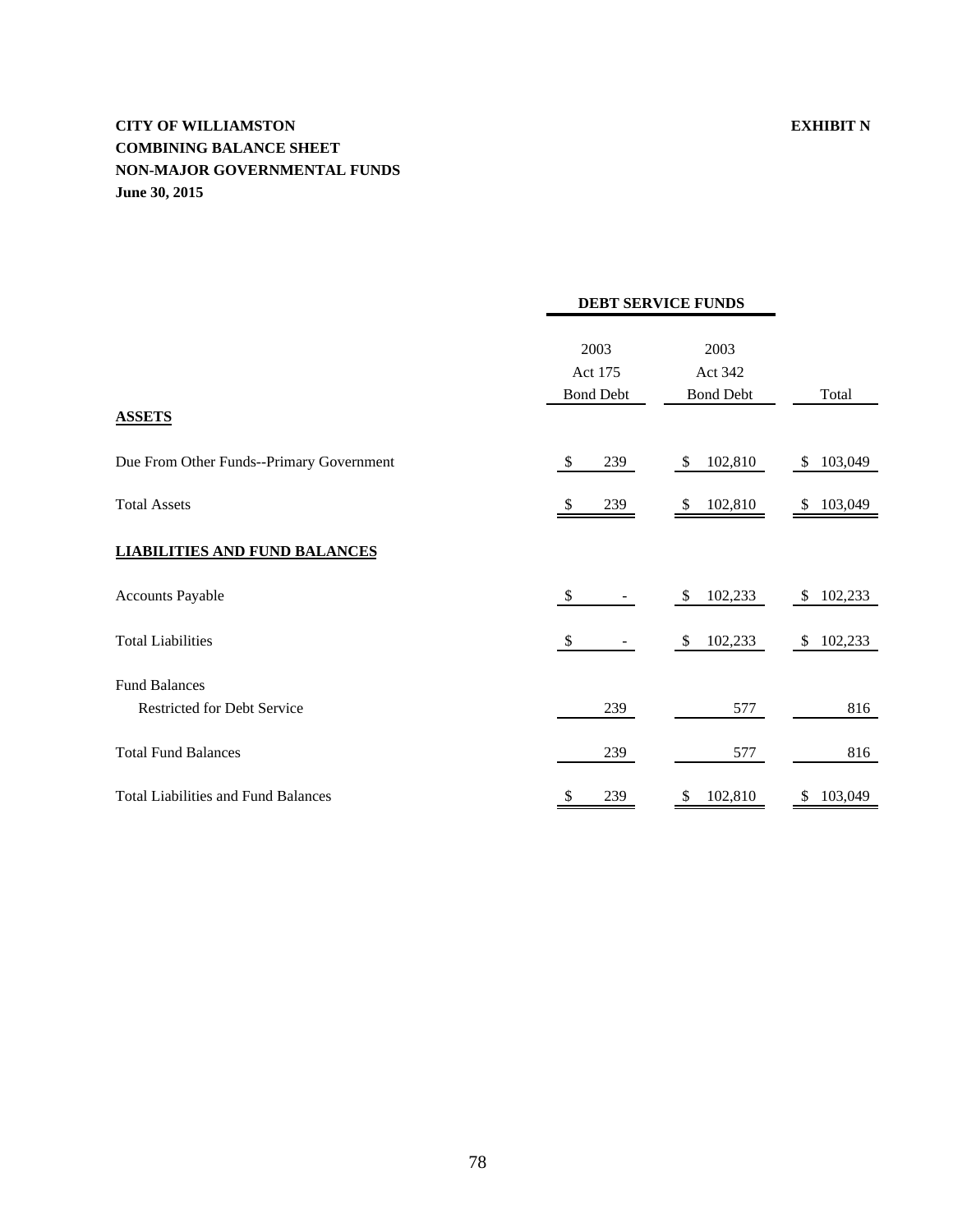## **CITY OF WILLIAMSTON EXHIBIT N COMBINING BALANCE SHEET NON-MAJOR GOVERNMENTAL FUNDS June 30, 2015**

|                                            | <b>DEBT SERVICE FUNDS</b>           |                                     |               |
|--------------------------------------------|-------------------------------------|-------------------------------------|---------------|
|                                            | 2003<br>Act 175<br><b>Bond Debt</b> | 2003<br>Act 342<br><b>Bond Debt</b> | Total         |
| <b>ASSETS</b>                              |                                     |                                     |               |
| Due From Other Funds--Primary Government   | \$<br>239                           | 102,810<br>\$                       | 103,049<br>\$ |
| <b>Total Assets</b>                        | 239                                 | 102,810                             | 103,049<br>S  |
| <b>LIABILITIES AND FUND BALANCES</b>       |                                     |                                     |               |
| Accounts Payable                           | \$                                  | 102,233<br>\$                       | \$102,233     |
| <b>Total Liabilities</b>                   | \$                                  | 102,233<br><sup>\$</sup>            | 102,233<br>\$ |
| <b>Fund Balances</b>                       |                                     |                                     |               |
| <b>Restricted for Debt Service</b>         | 239                                 | 577                                 | 816           |
| <b>Total Fund Balances</b>                 | 239                                 | 577                                 | 816           |
| <b>Total Liabilities and Fund Balances</b> | 239<br>S                            | 102,810                             | 103,049<br>\$ |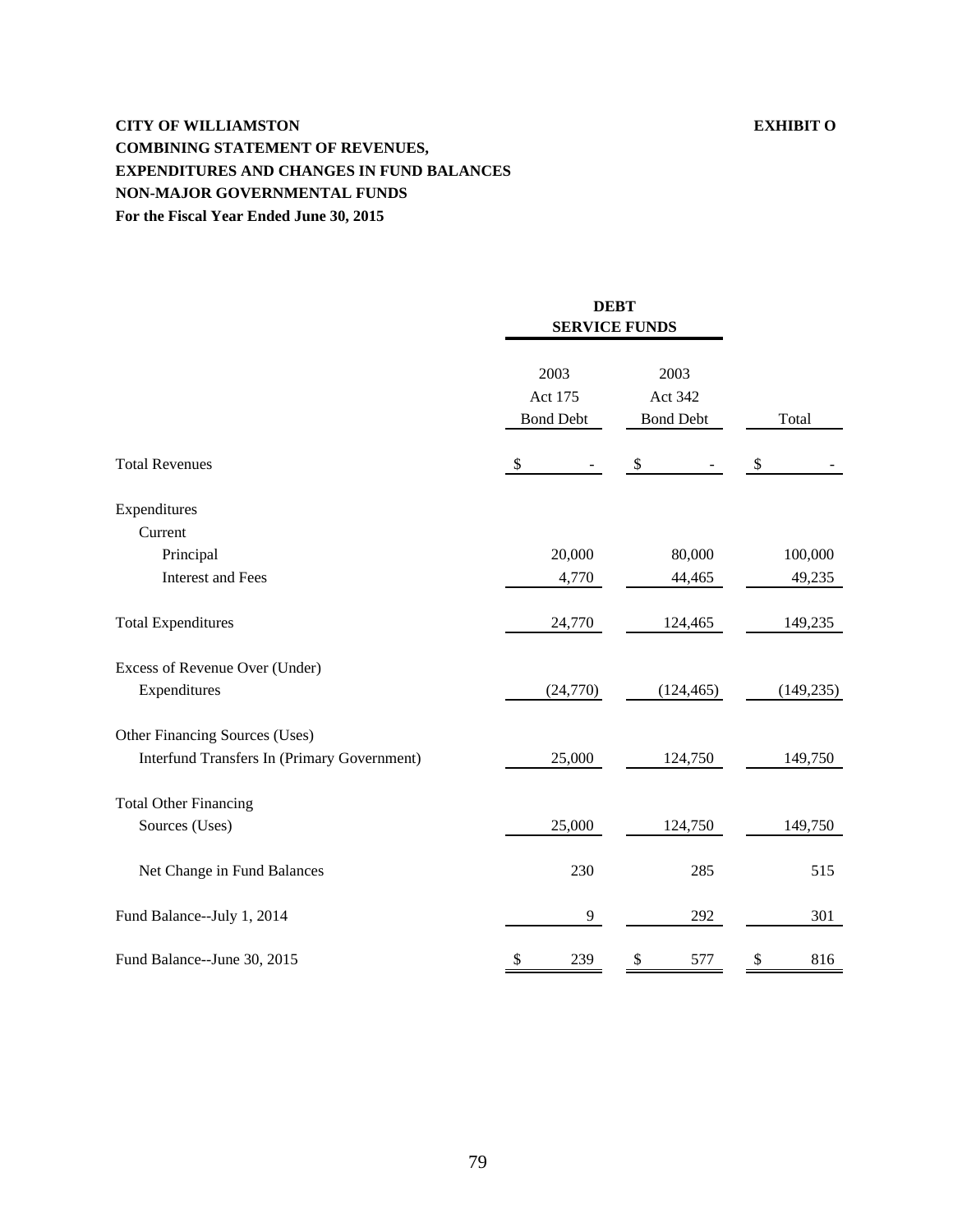## **CITY OF WILLIAMSTON EXHIBIT O COMBINING STATEMENT OF REVENUES, EXPENDITURES AND CHANGES IN FUND BALANCES NON-MAJOR GOVERNMENTAL FUNDS For the Fiscal Year Ended June 30, 2015**

|                                                                                      | <b>DEBT</b><br><b>SERVICE FUNDS</b> |                                     |            |
|--------------------------------------------------------------------------------------|-------------------------------------|-------------------------------------|------------|
|                                                                                      | 2003<br>Act 175<br><b>Bond Debt</b> | 2003<br>Act 342<br><b>Bond Debt</b> | Total      |
| <b>Total Revenues</b>                                                                | $\$\,$                              | $\mathbb{S}$                        | $\$$       |
| Expenditures<br>Current                                                              |                                     |                                     |            |
| Principal                                                                            | 20,000                              | 80,000                              | 100,000    |
| <b>Interest and Fees</b>                                                             | 4,770                               | 44,465                              | 49,235     |
| <b>Total Expenditures</b>                                                            | 24,770                              | 124,465                             | 149,235    |
| Excess of Revenue Over (Under)<br>Expenditures                                       | (24,770)                            | (124, 465)                          | (149, 235) |
| Other Financing Sources (Uses)<br><b>Interfund Transfers In (Primary Government)</b> | 25,000                              | 124,750                             | 149,750    |
| <b>Total Other Financing</b>                                                         |                                     |                                     |            |
| Sources (Uses)                                                                       | 25,000                              | 124,750                             | 149,750    |
| Net Change in Fund Balances                                                          | 230                                 | 285                                 | 515        |
| Fund Balance--July 1, 2014                                                           | 9                                   | 292                                 | 301        |
| Fund Balance--June 30, 2015                                                          | \$<br>239                           | \$<br>577                           | 816<br>\$  |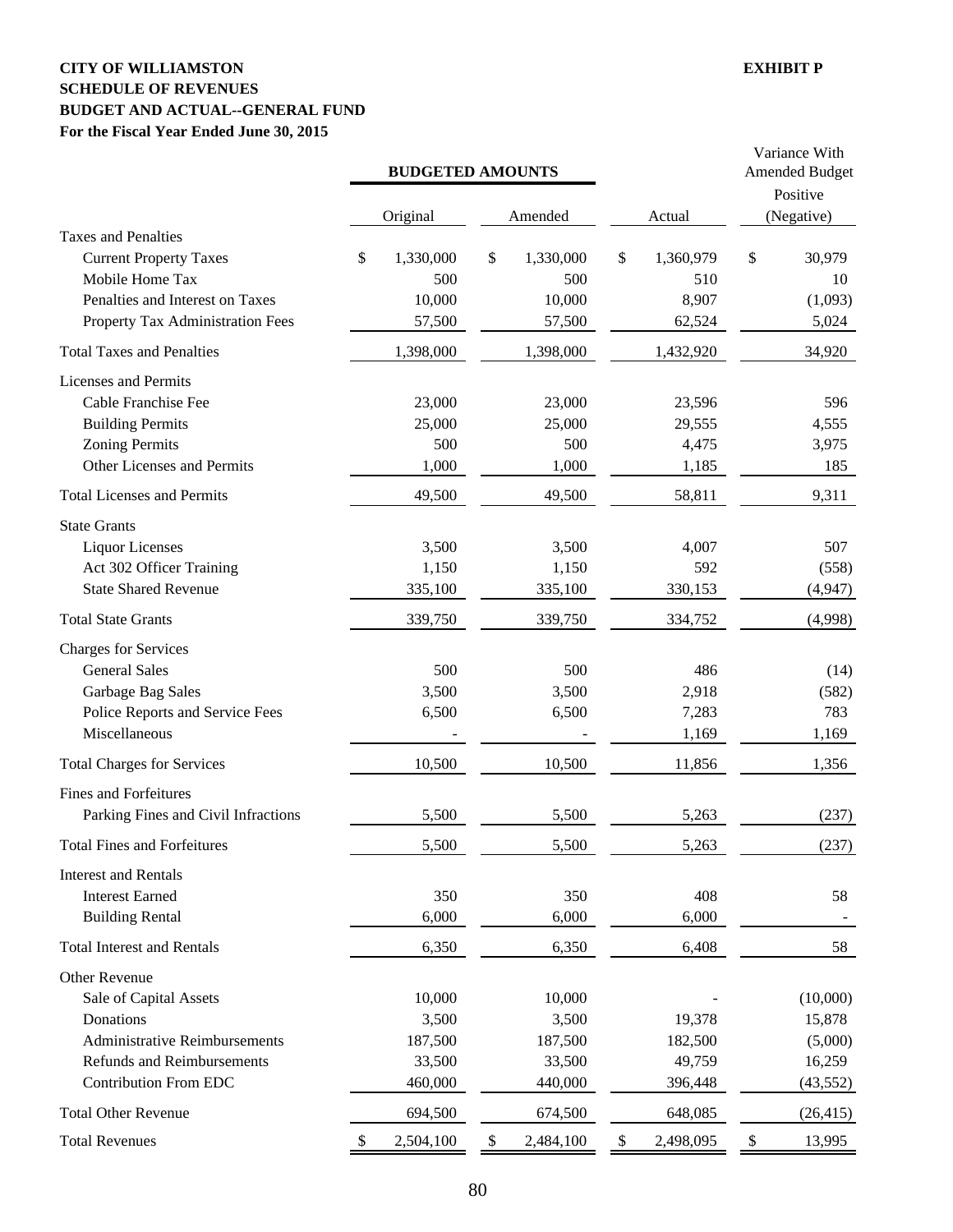## **CITY OF WILLIAMSTON EXHIBIT P SCHEDULE OF REVENUES BUDGET AND ACTUAL--GENERAL FUND For the Fiscal Year Ended June 30, 2015**

|                                                                                                                                                                   | <b>BUDGETED AMOUNTS</b>                         |                                                 |                                           | Variance With<br><b>Amended Budget</b><br>Positive   |  |
|-------------------------------------------------------------------------------------------------------------------------------------------------------------------|-------------------------------------------------|-------------------------------------------------|-------------------------------------------|------------------------------------------------------|--|
|                                                                                                                                                                   | Original                                        | Amended                                         | Actual                                    | (Negative)                                           |  |
| <b>Taxes and Penalties</b><br><b>Current Property Taxes</b><br>Mobile Home Tax<br>Penalties and Interest on Taxes<br>Property Tax Administration Fees             | \$<br>1,330,000<br>500<br>10,000<br>57,500      | \$<br>1,330,000<br>500<br>10,000<br>57,500      | \$<br>1,360,979<br>510<br>8,907<br>62,524 | \$<br>30,979<br>10<br>(1,093)<br>5,024               |  |
| <b>Total Taxes and Penalties</b>                                                                                                                                  | 1,398,000                                       | 1,398,000                                       | 1,432,920                                 | 34,920                                               |  |
| Licenses and Permits<br>Cable Franchise Fee<br><b>Building Permits</b><br><b>Zoning Permits</b><br>Other Licenses and Permits                                     | 23,000<br>25,000<br>500<br>1,000                | 23,000<br>25,000<br>500<br>1,000                | 23,596<br>29,555<br>4,475<br>1,185        | 596<br>4,555<br>3,975<br>185                         |  |
| <b>Total Licenses and Permits</b>                                                                                                                                 | 49,500                                          | 49,500                                          | 58,811                                    | 9,311                                                |  |
| <b>State Grants</b><br><b>Liquor Licenses</b><br>Act 302 Officer Training<br><b>State Shared Revenue</b>                                                          | 3,500<br>1,150<br>335,100                       | 3,500<br>1,150<br>335,100                       | 4,007<br>592<br>330,153                   | 507<br>(558)<br>(4,947)                              |  |
| <b>Total State Grants</b>                                                                                                                                         | 339,750                                         | 339,750                                         | 334,752                                   | (4,998)                                              |  |
| <b>Charges for Services</b><br><b>General Sales</b><br>Garbage Bag Sales<br>Police Reports and Service Fees<br>Miscellaneous<br><b>Total Charges for Services</b> | 500<br>3,500<br>6,500<br>10,500                 | 500<br>3,500<br>6,500<br>10,500                 | 486<br>2,918<br>7,283<br>1,169<br>11,856  | (14)<br>(582)<br>783<br>1,169<br>1,356               |  |
|                                                                                                                                                                   |                                                 |                                                 |                                           |                                                      |  |
| <b>Fines and Forfeitures</b><br>Parking Fines and Civil Infractions<br><b>Total Fines and Forfeitures</b>                                                         | 5,500<br>5,500                                  | 5,500<br>5,500                                  | 5,263<br>5,263                            | (237)<br>(237)                                       |  |
| <b>Interest and Rentals</b><br><b>Interest Earned</b><br><b>Building Rental</b>                                                                                   | 350<br>6,000                                    | 350<br>6,000                                    | 408<br>6,000                              | 58                                                   |  |
| <b>Total Interest and Rentals</b>                                                                                                                                 | 6,350                                           | 6,350                                           | 6,408                                     | 58                                                   |  |
| Other Revenue<br>Sale of Capital Assets<br>Donations<br><b>Administrative Reimbursements</b><br>Refunds and Reimbursements<br><b>Contribution From EDC</b>        | 10,000<br>3,500<br>187,500<br>33,500<br>460,000 | 10,000<br>3,500<br>187,500<br>33,500<br>440,000 | 19,378<br>182,500<br>49,759<br>396,448    | (10,000)<br>15,878<br>(5,000)<br>16,259<br>(43, 552) |  |
| <b>Total Other Revenue</b>                                                                                                                                        | 694,500                                         | 674,500                                         | 648,085                                   | (26, 415)                                            |  |
| <b>Total Revenues</b>                                                                                                                                             | 2,504,100<br>S                                  | 2,484,100<br>\$                                 | \$<br>2,498,095                           | 13,995<br>\$                                         |  |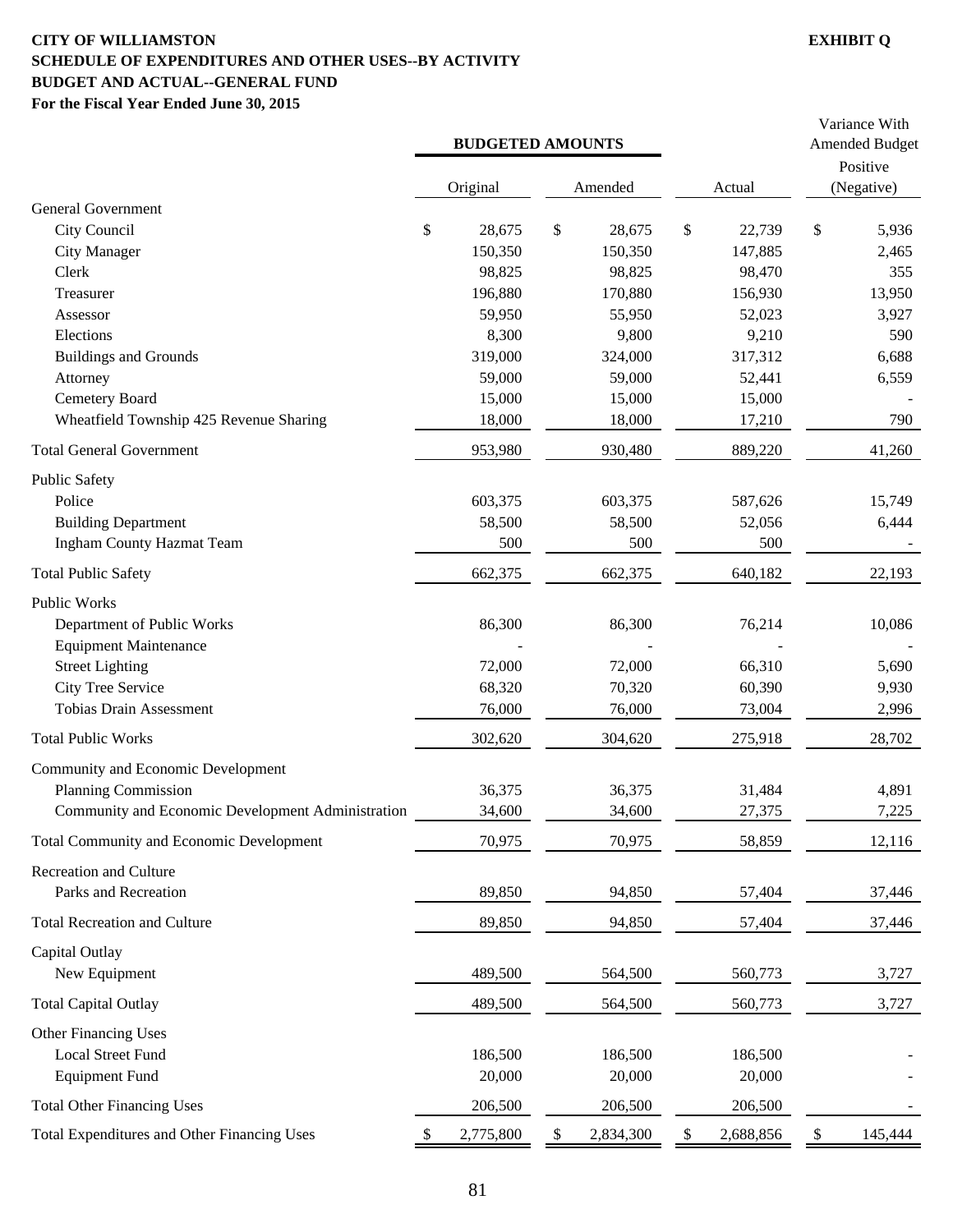## **CITY OF WILLIAMSTON EXHIBIT Q SCHEDULE OF EXPENDITURES AND OTHER USES--BY ACTIVITY BUDGET AND ACTUAL--GENERAL FUND For the Fiscal Year Ended June 30, 2015**

|                                                             | <b>BUDGETED AMOUNTS</b> |                   |                   |                   | Variance With<br><b>Amended Budget</b><br>Positive |              |
|-------------------------------------------------------------|-------------------------|-------------------|-------------------|-------------------|----------------------------------------------------|--------------|
|                                                             |                         | Original          | Amended           | Actual            |                                                    | (Negative)   |
| <b>General Government</b>                                   |                         |                   |                   |                   |                                                    |              |
| City Council                                                | \$                      | 28,675            | \$<br>28,675      | \$<br>22,739      | \$                                                 | 5,936        |
| <b>City Manager</b><br>Clerk                                |                         | 150,350<br>98,825 | 150,350<br>98,825 | 147,885<br>98,470 |                                                    | 2,465<br>355 |
| Treasurer                                                   |                         | 196,880           | 170,880           | 156,930           |                                                    | 13,950       |
| Assessor                                                    |                         | 59,950            | 55,950            | 52,023            |                                                    | 3,927        |
| Elections                                                   |                         | 8,300             | 9,800             | 9,210             |                                                    | 590          |
| <b>Buildings and Grounds</b>                                |                         | 319,000           | 324,000           | 317,312           |                                                    | 6,688        |
| Attorney                                                    |                         | 59,000            | 59,000            | 52,441            |                                                    | 6,559        |
| Cemetery Board                                              |                         | 15,000            | 15,000            | 15,000            |                                                    |              |
| Wheatfield Township 425 Revenue Sharing                     |                         | 18,000            | 18,000            | 17,210            |                                                    | 790          |
| <b>Total General Government</b>                             |                         | 953,980           | 930,480           | 889,220           |                                                    | 41,260       |
| <b>Public Safety</b>                                        |                         |                   |                   |                   |                                                    |              |
| Police                                                      |                         | 603,375           | 603,375           | 587,626           |                                                    | 15,749       |
| <b>Building Department</b>                                  |                         | 58,500            | 58,500            | 52,056            |                                                    | 6,444        |
| <b>Ingham County Hazmat Team</b>                            |                         | 500               | 500               | 500               |                                                    |              |
| <b>Total Public Safety</b>                                  |                         | 662,375           | 662,375           | 640,182           |                                                    | 22,193       |
| Public Works                                                |                         |                   |                   |                   |                                                    |              |
| Department of Public Works                                  |                         | 86,300            | 86,300            | 76,214            |                                                    | 10,086       |
| <b>Equipment Maintenance</b>                                |                         |                   |                   |                   |                                                    |              |
| <b>Street Lighting</b>                                      |                         | 72,000            | 72,000            | 66,310            |                                                    | 5,690        |
| City Tree Service                                           |                         | 68,320            | 70,320            | 60,390            |                                                    | 9,930        |
| <b>Tobias Drain Assessment</b>                              |                         | 76,000            | 76,000            | 73,004            |                                                    | 2,996        |
| <b>Total Public Works</b>                                   |                         | 302,620           | 304,620           | 275,918           |                                                    | 28,702       |
| Community and Economic Development                          |                         |                   |                   |                   |                                                    |              |
| Planning Commission                                         |                         | 36,375            | 36,375            | 31,484            |                                                    | 4,891        |
| Community and Economic Development Administration           |                         | 34,600            | 34,600            | 27,375            |                                                    | 7,225        |
| <b>Total Community and Economic Development</b>             |                         | 70,975            | 70,975            | 58,859            |                                                    | 12,116       |
| Recreation and Culture                                      |                         |                   |                   |                   |                                                    |              |
| Parks and Recreation<br><b>Total Recreation and Culture</b> |                         | 89,850<br>89,850  | 94,850            | 57,404            |                                                    | 37,446       |
|                                                             |                         |                   | 94,850            | 57,404            |                                                    | 37,446       |
| Capital Outlay<br>New Equipment                             |                         | 489,500           | 564,500           | 560,773           |                                                    | 3,727        |
| <b>Total Capital Outlay</b>                                 |                         | 489,500           | 564,500           | 560,773           |                                                    | 3,727        |
| <b>Other Financing Uses</b>                                 |                         |                   |                   |                   |                                                    |              |
| <b>Local Street Fund</b>                                    |                         | 186,500           | 186,500           | 186,500           |                                                    |              |
| <b>Equipment Fund</b>                                       |                         | 20,000            | 20,000            | 20,000            |                                                    |              |
| <b>Total Other Financing Uses</b>                           |                         | 206,500           | 206,500           | 206,500           |                                                    |              |
| <b>Total Expenditures and Other Financing Uses</b>          | \$                      | 2,775,800         | \$<br>2,834,300   | \$<br>2,688,856   | \$                                                 | 145,444      |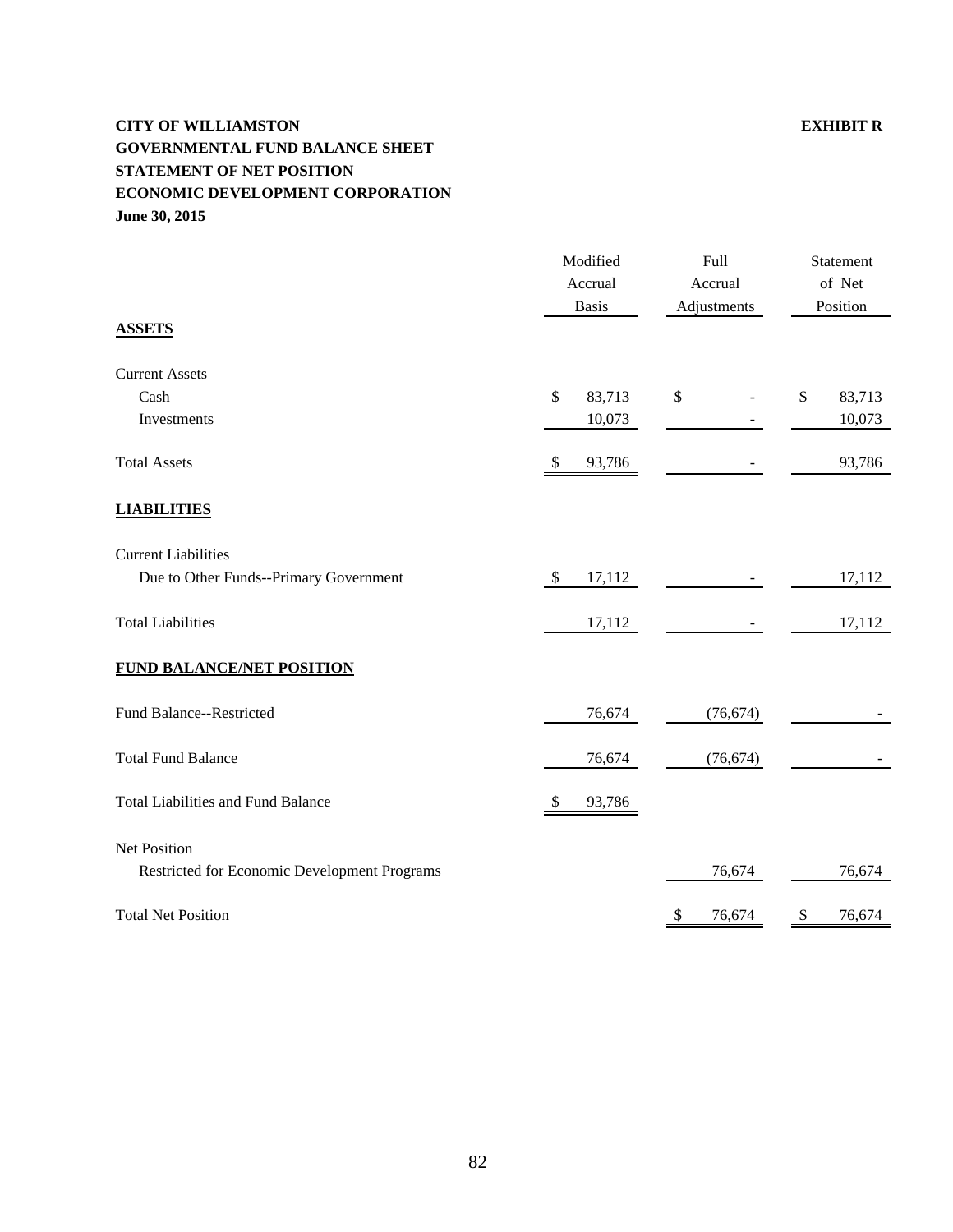## **CITY OF WILLIAMSTON EXHIBIT R GOVERNMENTAL FUND BALANCE SHEET STATEMENT OF NET POSITION ECONOMIC DEVELOPMENT CORPORATION June 30, 2015**

|                                              | Modified<br>Accrual<br><b>Basis</b> | Full<br>Accrual<br>Adjustments | Statement<br>of Net<br>Position |
|----------------------------------------------|-------------------------------------|--------------------------------|---------------------------------|
| <b>ASSETS</b>                                |                                     |                                |                                 |
| <b>Current Assets</b>                        |                                     |                                |                                 |
| Cash<br>Investments                          | \$<br>83,713<br>10,073              | \$<br>$\overline{\phantom{a}}$ | \$<br>83,713<br>10,073          |
| <b>Total Assets</b>                          | 93,786                              |                                | 93,786                          |
| <b>LIABILITIES</b>                           |                                     |                                |                                 |
| <b>Current Liabilities</b>                   |                                     |                                |                                 |
| Due to Other Funds--Primary Government       | \$<br>17,112                        |                                | 17,112                          |
| <b>Total Liabilities</b>                     | 17,112                              |                                | 17,112                          |
| <b>FUND BALANCE/NET POSITION</b>             |                                     |                                |                                 |
| Fund Balance--Restricted                     | 76,674                              | (76, 674)                      |                                 |
| <b>Total Fund Balance</b>                    | 76,674                              | (76, 674)                      |                                 |
| <b>Total Liabilities and Fund Balance</b>    | \$<br>93,786                        |                                |                                 |
| Net Position                                 |                                     |                                |                                 |
| Restricted for Economic Development Programs |                                     | 76,674                         | 76,674                          |
| <b>Total Net Position</b>                    |                                     | \$<br>76,674                   | \$<br>76,674                    |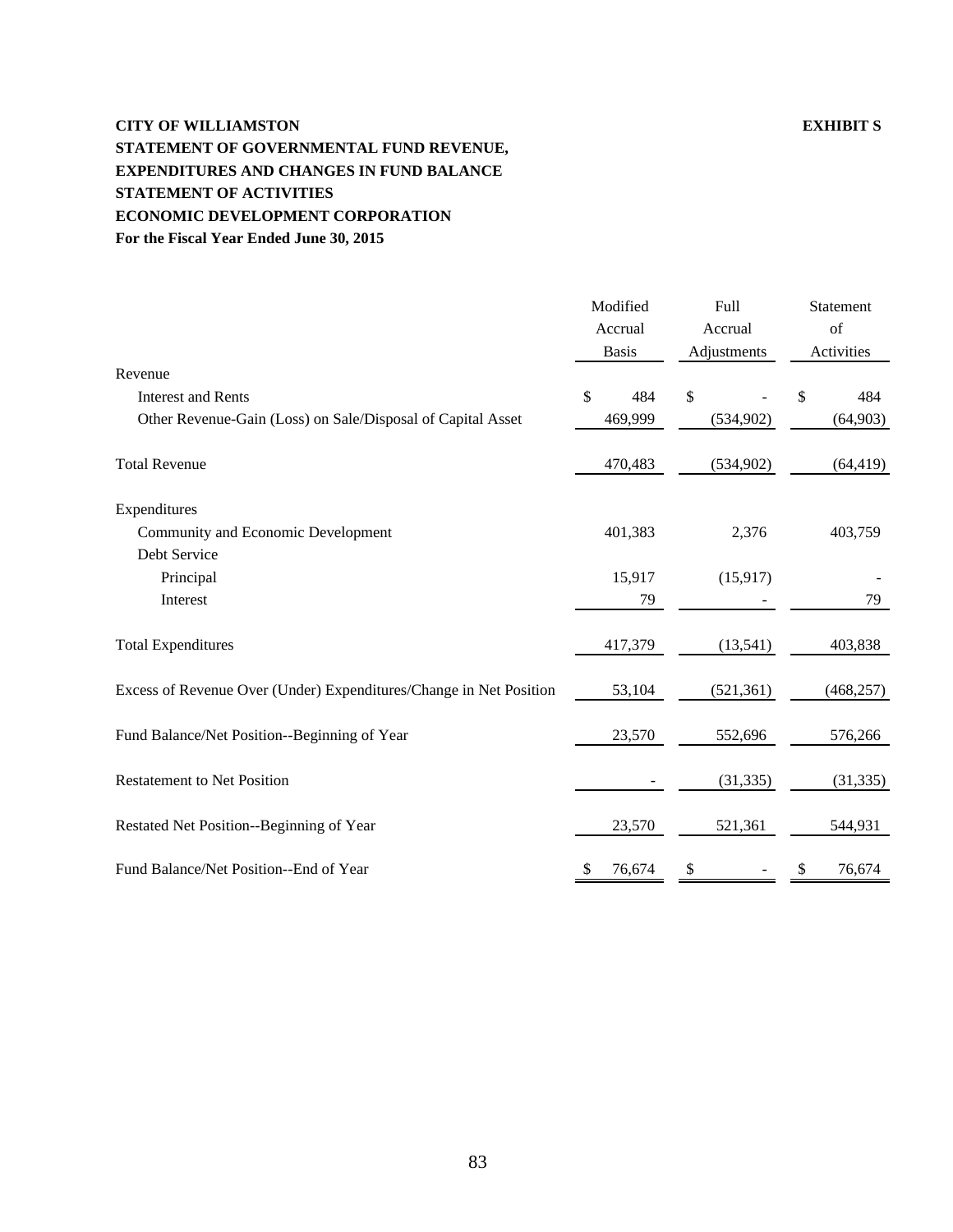## **CITY OF WILLIAMSTON EXHIBIT S STATEMENT OF GOVERNMENTAL FUND REVENUE, EXPENDITURES AND CHANGES IN FUND BALANCE STATEMENT OF ACTIVITIES ECONOMIC DEVELOPMENT CORPORATION For the Fiscal Year Ended June 30, 2015**

|                                                                    | Modified<br>Accrual<br><b>Basis</b> | Full<br>Accrual<br>Adjustments | Statement<br>of<br>Activities |  |
|--------------------------------------------------------------------|-------------------------------------|--------------------------------|-------------------------------|--|
| Revenue                                                            |                                     |                                |                               |  |
| <b>Interest and Rents</b>                                          | 484<br>\$                           | \$                             | \$<br>484                     |  |
| Other Revenue-Gain (Loss) on Sale/Disposal of Capital Asset        | 469,999                             | (534,902)                      | (64, 903)                     |  |
| <b>Total Revenue</b>                                               | 470,483                             | (534,902)                      | (64, 419)                     |  |
| Expenditures                                                       |                                     |                                |                               |  |
| Community and Economic Development                                 | 401,383                             | 2,376                          | 403,759                       |  |
| Debt Service                                                       |                                     |                                |                               |  |
| Principal                                                          | 15,917                              | (15, 917)                      |                               |  |
| Interest                                                           | 79                                  |                                | 79                            |  |
| <b>Total Expenditures</b>                                          | 417,379                             | (13, 541)                      | 403,838                       |  |
| Excess of Revenue Over (Under) Expenditures/Change in Net Position | 53,104                              | (521, 361)                     | (468, 257)                    |  |
| Fund Balance/Net Position--Beginning of Year                       | 23,570                              | 552,696                        | 576,266                       |  |
| <b>Restatement to Net Position</b>                                 |                                     | (31, 335)                      | (31, 335)                     |  |
| Restated Net Position--Beginning of Year                           | 23,570                              | 521,361                        | 544,931                       |  |
| Fund Balance/Net Position--End of Year                             | 76,674                              | S                              | 76,674<br>S                   |  |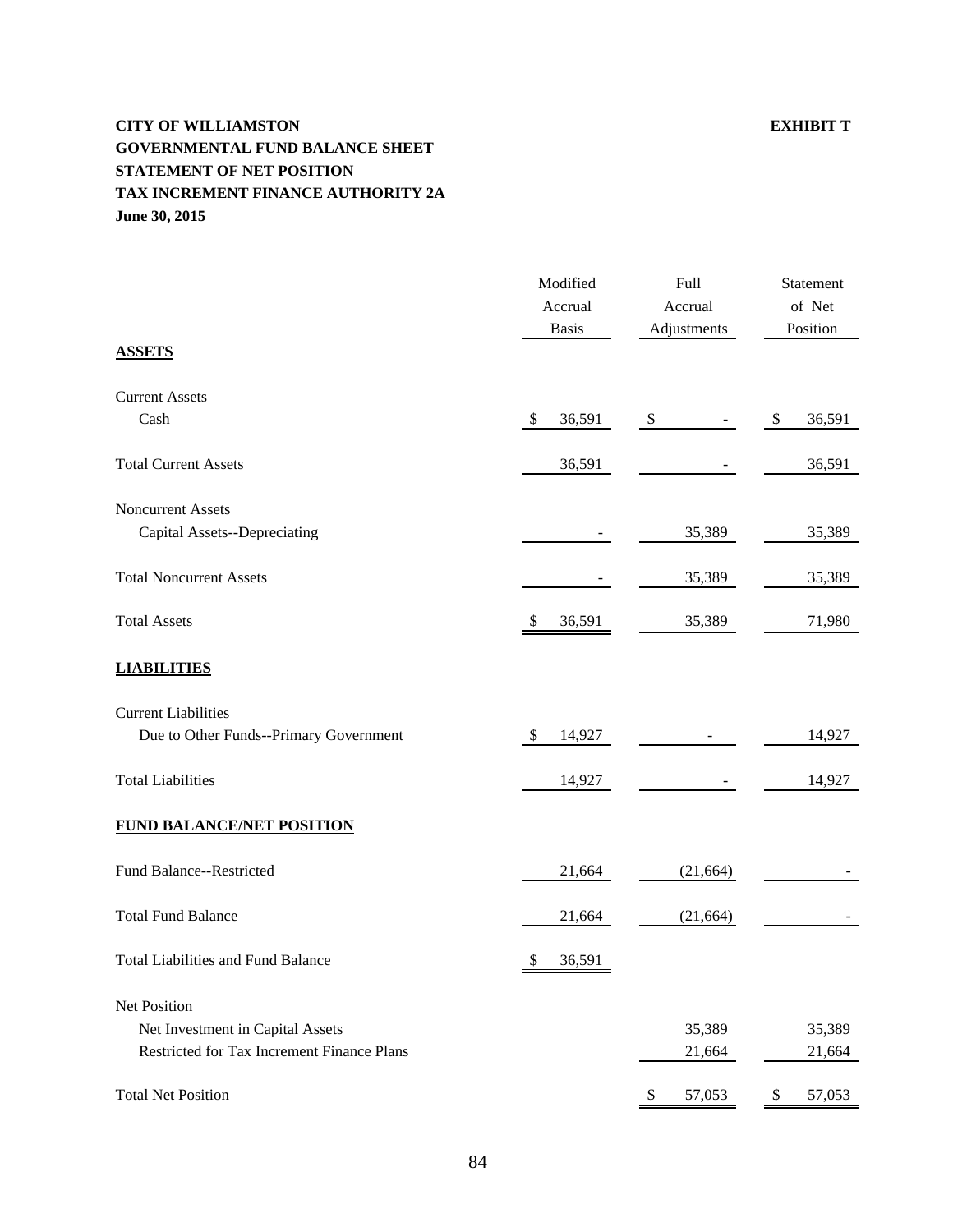## **CITY OF WILLIAMSTON EXHIBIT T GOVERNMENTAL FUND BALANCE SHEET STATEMENT OF NET POSITION TAX INCREMENT FINANCE AUTHORITY 2A June 30, 2015**

|                                            | Modified<br>Accrual<br><b>Basis</b> | Full<br>Accrual<br>Adjustments | Statement<br>of Net<br>Position     |  |
|--------------------------------------------|-------------------------------------|--------------------------------|-------------------------------------|--|
| <b>ASSETS</b>                              |                                     |                                |                                     |  |
| <b>Current Assets</b>                      |                                     |                                |                                     |  |
| Cash                                       | \$<br>36,591                        | \$                             | - \$<br>36,591                      |  |
| <b>Total Current Assets</b>                | 36,591                              |                                | 36,591                              |  |
| Noncurrent Assets                          |                                     |                                |                                     |  |
| Capital Assets--Depreciating               |                                     | 35,389                         | 35,389                              |  |
| <b>Total Noncurrent Assets</b>             |                                     | 35,389                         | 35,389                              |  |
| <b>Total Assets</b>                        | 36,591<br>\$                        | 35,389                         | 71,980                              |  |
| <b>LIABILITIES</b>                         |                                     |                                |                                     |  |
| <b>Current Liabilities</b>                 |                                     |                                |                                     |  |
| Due to Other Funds--Primary Government     | $\mathcal{S}$<br>14,927             |                                | 14,927                              |  |
| <b>Total Liabilities</b>                   | 14,927                              |                                | 14,927                              |  |
| <b>FUND BALANCE/NET POSITION</b>           |                                     |                                |                                     |  |
| Fund Balance--Restricted                   | 21,664                              | (21, 664)                      |                                     |  |
| <b>Total Fund Balance</b>                  | 21,664                              | (21, 664)                      |                                     |  |
| <b>Total Liabilities and Fund Balance</b>  | \$<br>36,591                        |                                |                                     |  |
| Net Position                               |                                     |                                |                                     |  |
| Net Investment in Capital Assets           |                                     | 35,389                         | 35,389                              |  |
| Restricted for Tax Increment Finance Plans |                                     | 21,664                         | 21,664                              |  |
| <b>Total Net Position</b>                  |                                     | 57,053<br>\$                   | $\boldsymbol{\mathsf{S}}$<br>57,053 |  |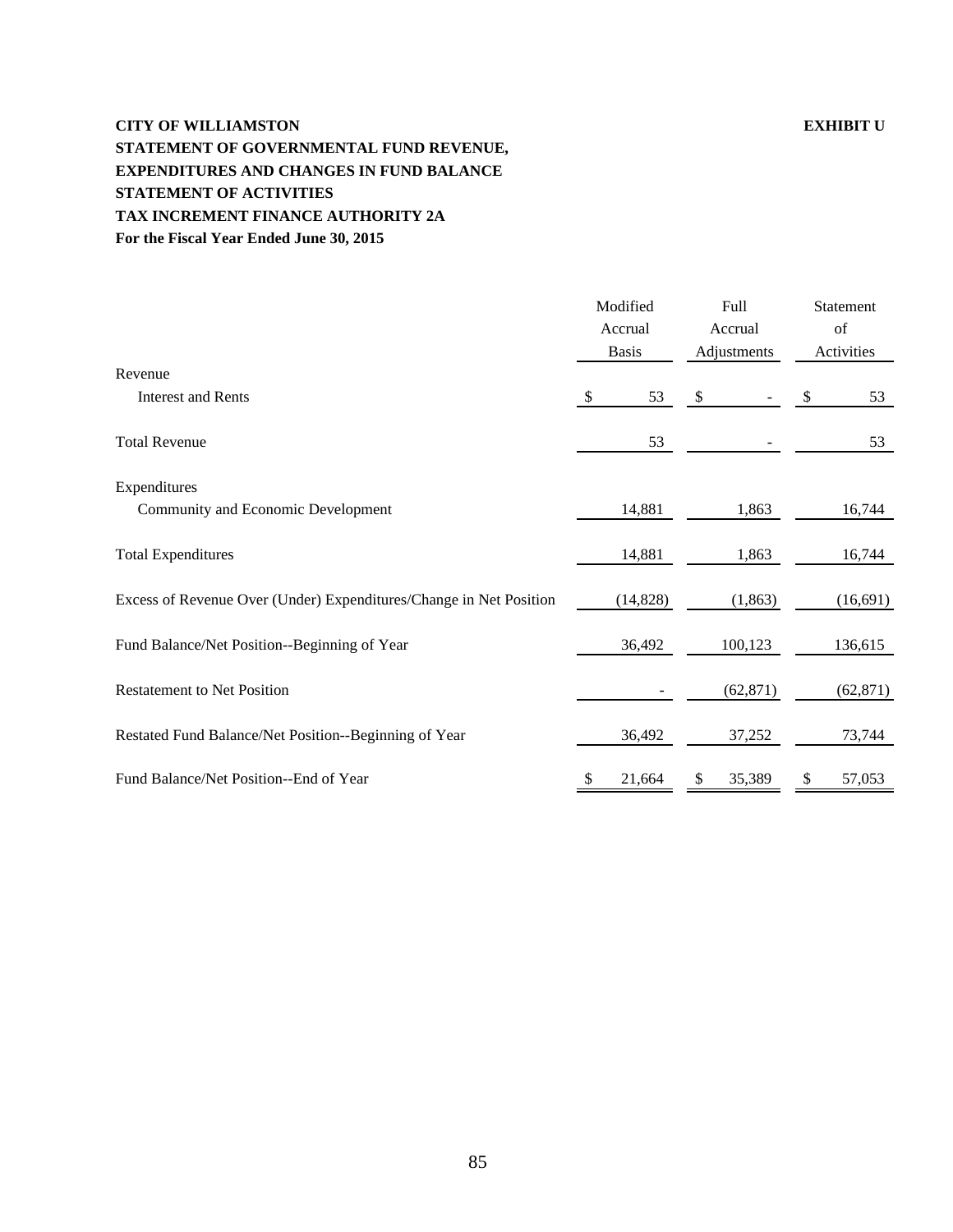## **CITY OF WILLIAMSTON EXHIBIT U STATEMENT OF GOVERNMENTAL FUND REVENUE, EXPENDITURES AND CHANGES IN FUND BALANCE STATEMENT OF ACTIVITIES TAX INCREMENT FINANCE AUTHORITY 2A For the Fiscal Year Ended June 30, 2015**

|                                                                    | Modified<br>Accrual<br><b>Basis</b> | Full<br>Accrual<br>Adjustments | Statement<br>of<br>Activities |
|--------------------------------------------------------------------|-------------------------------------|--------------------------------|-------------------------------|
| Revenue                                                            |                                     |                                |                               |
| <b>Interest and Rents</b>                                          | 53<br>\$                            | \$                             | \$<br>53                      |
| <b>Total Revenue</b>                                               | 53                                  |                                | 53                            |
| Expenditures                                                       |                                     |                                |                               |
| Community and Economic Development                                 | 14,881                              | 1,863                          | 16,744                        |
| <b>Total Expenditures</b>                                          | 14,881                              | 1,863                          | 16,744                        |
| Excess of Revenue Over (Under) Expenditures/Change in Net Position | (14, 828)                           | (1, 863)                       | (16,691)                      |
| Fund Balance/Net Position--Beginning of Year                       | 36,492                              | 100,123                        | 136,615                       |
| <b>Restatement to Net Position</b>                                 |                                     | (62, 871)                      | (62, 871)                     |
| Restated Fund Balance/Net Position--Beginning of Year              | 36,492                              | 37,252                         | 73,744                        |
| Fund Balance/Net Position--End of Year                             | 21,664                              | 35,389                         | 57,053<br>S                   |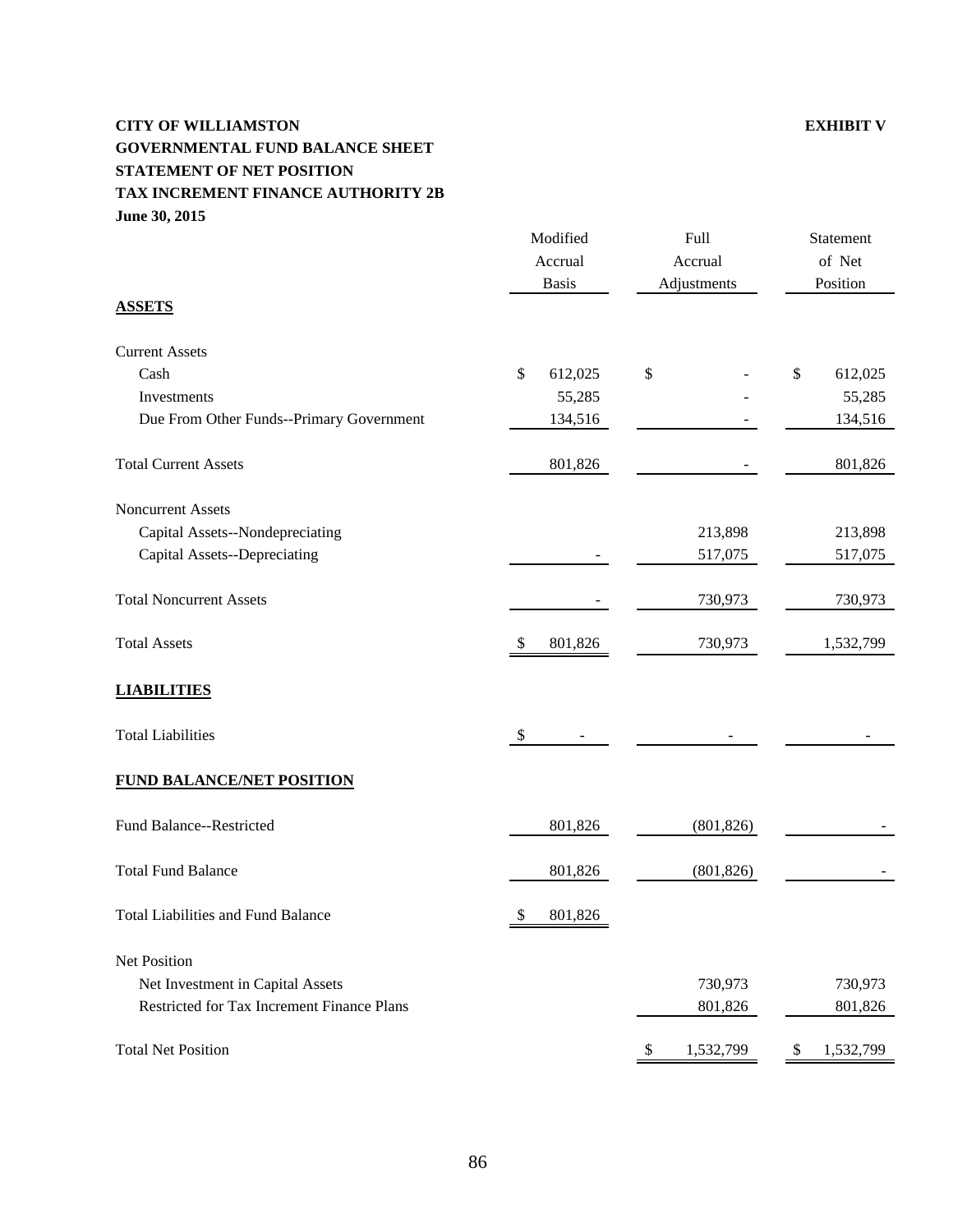## **CITY OF WILLIAMSTON EXHIBIT V GOVERNMENTAL FUND BALANCE SHEET STATEMENT OF NET POSITION TAX INCREMENT FINANCE AUTHORITY 2B June 30, 2015**

| <b>ASSETS</b>                              | Modified<br>Full<br>Accrual<br>Accrual<br><b>Basis</b><br>Adjustments |                  | Statement<br>of Net<br>Position |  |
|--------------------------------------------|-----------------------------------------------------------------------|------------------|---------------------------------|--|
| <b>Current Assets</b>                      |                                                                       |                  |                                 |  |
| Cash                                       | \$<br>612,025                                                         | \$               | \$<br>612,025                   |  |
| Investments                                | 55,285                                                                |                  | 55,285                          |  |
| Due From Other Funds--Primary Government   | 134,516                                                               |                  | 134,516                         |  |
| <b>Total Current Assets</b>                | 801,826                                                               |                  | 801,826                         |  |
| Noncurrent Assets                          |                                                                       |                  |                                 |  |
| Capital Assets--Nondepreciating            |                                                                       | 213,898          | 213,898                         |  |
| <b>Capital Assets--Depreciating</b>        |                                                                       | 517,075          | 517,075                         |  |
| <b>Total Noncurrent Assets</b>             |                                                                       | 730,973          | 730,973                         |  |
| <b>Total Assets</b>                        | 801,826<br>$\sqrt[6]{\frac{1}{2}}$                                    | 730,973          | 1,532,799                       |  |
| <b>LIABILITIES</b>                         |                                                                       |                  |                                 |  |
| <b>Total Liabilities</b>                   | \$                                                                    |                  |                                 |  |
| <b>FUND BALANCE/NET POSITION</b>           |                                                                       |                  |                                 |  |
| Fund Balance--Restricted                   | 801,826                                                               | (801, 826)       |                                 |  |
| <b>Total Fund Balance</b>                  | 801,826                                                               | (801, 826)       |                                 |  |
| <b>Total Liabilities and Fund Balance</b>  | 801,826<br>\$                                                         |                  |                                 |  |
| Net Position                               |                                                                       |                  |                                 |  |
| Net Investment in Capital Assets           |                                                                       | 730,973          | 730,973                         |  |
| Restricted for Tax Increment Finance Plans |                                                                       | 801,826          | 801,826                         |  |
| <b>Total Net Position</b>                  |                                                                       | 1,532,799<br>-\$ | 1,532,799<br>\$                 |  |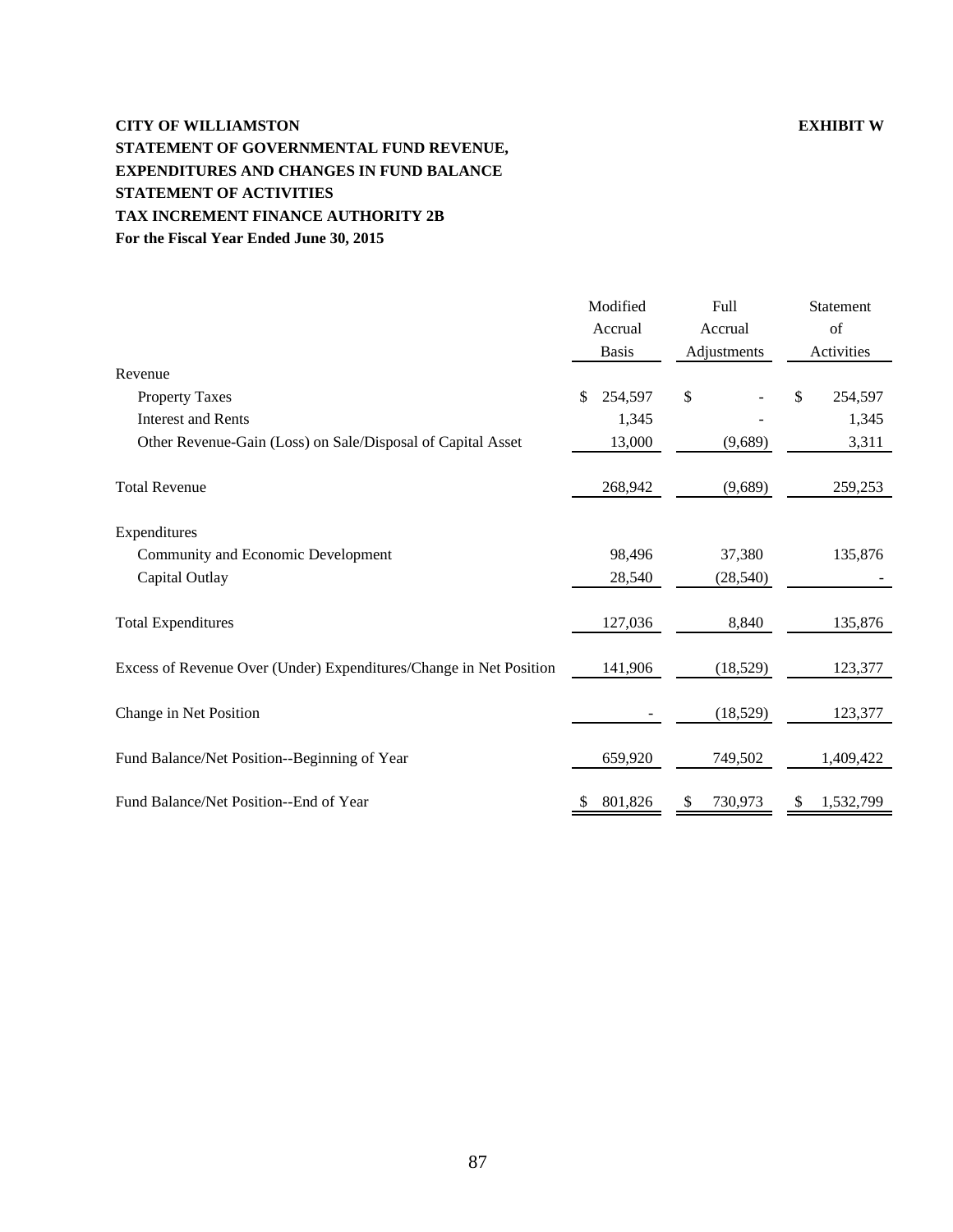## **CITY OF WILLIAMSTON EXHIBIT W STATEMENT OF GOVERNMENTAL FUND REVENUE, EXPENDITURES AND CHANGES IN FUND BALANCE STATEMENT OF ACTIVITIES TAX INCREMENT FINANCE AUTHORITY 2B For the Fiscal Year Ended June 30, 2015**

|                                                                    | Modified      | Full         | Statement       |
|--------------------------------------------------------------------|---------------|--------------|-----------------|
|                                                                    | Accrual       | Accrual      | of              |
|                                                                    | <b>Basis</b>  | Adjustments  | Activities      |
| Revenue                                                            |               |              |                 |
| <b>Property Taxes</b>                                              | 254,597<br>\$ | \$           | \$<br>254,597   |
| <b>Interest and Rents</b>                                          | 1,345         |              | 1,345           |
| Other Revenue-Gain (Loss) on Sale/Disposal of Capital Asset        | 13,000        | (9,689)      | 3,311           |
| <b>Total Revenue</b>                                               | 268,942       | (9,689)      | 259,253         |
| Expenditures                                                       |               |              |                 |
| Community and Economic Development                                 | 98,496        | 37,380       | 135,876         |
| Capital Outlay                                                     | 28,540        | (28, 540)    |                 |
| <b>Total Expenditures</b>                                          | 127,036       | 8,840        | 135,876         |
| Excess of Revenue Over (Under) Expenditures/Change in Net Position | 141,906       | (18, 529)    | 123,377         |
| Change in Net Position                                             |               | (18, 529)    | 123,377         |
| Fund Balance/Net Position--Beginning of Year                       | 659,920       | 749,502      | 1,409,422       |
| Fund Balance/Net Position--End of Year                             | 801,826       | 730,973<br>S | \$<br>1,532,799 |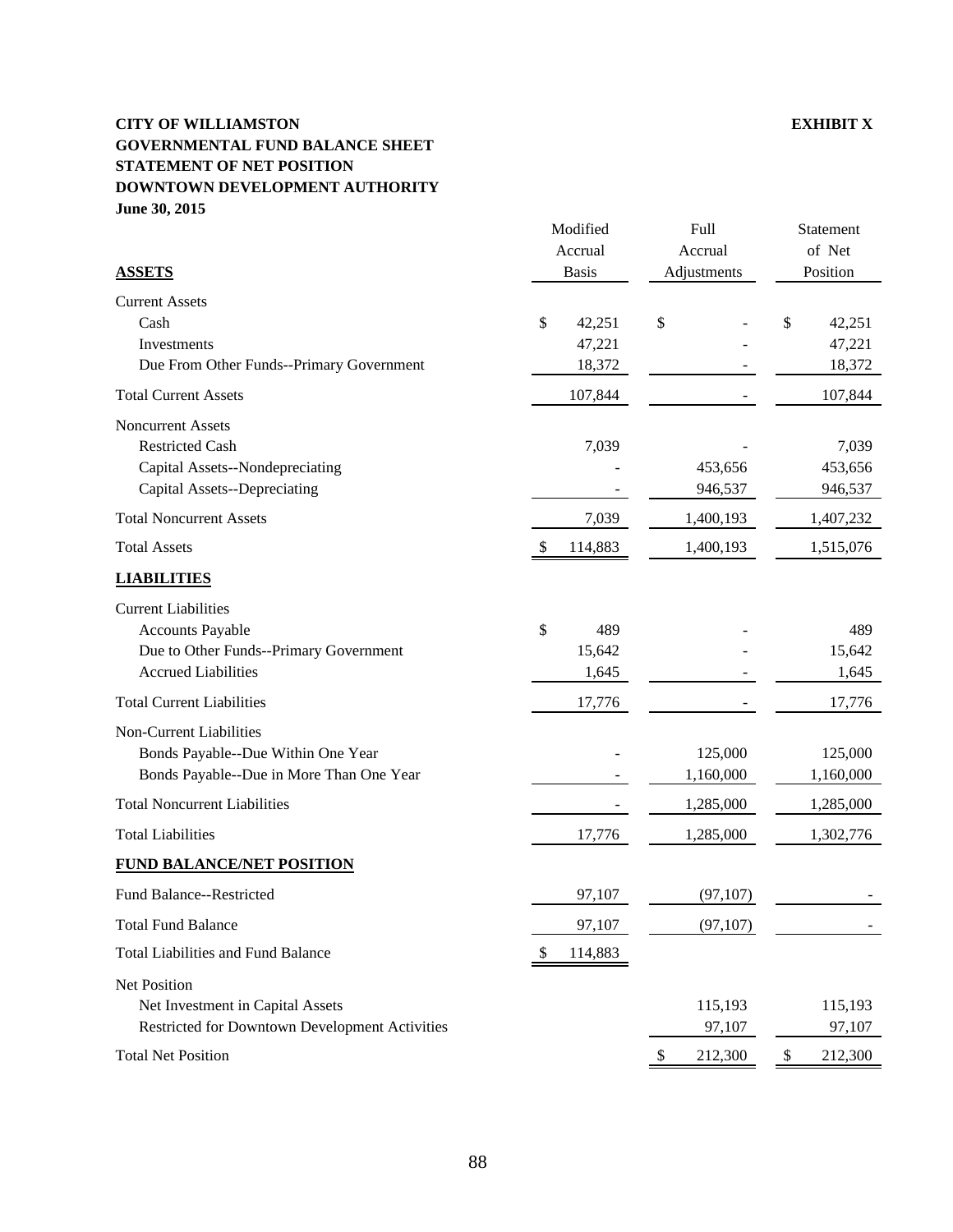## **CITY OF WILLIAMSTON EXHIBIT X GOVERNMENTAL FUND BALANCE SHEET STATEMENT OF NET POSITION DOWNTOWN DEVELOPMENT AUTHORITY June 30, 2015**

|                                                                                                                        | Modified<br>Accrual              | Full<br>Accrual      | Statement<br>of Net              |
|------------------------------------------------------------------------------------------------------------------------|----------------------------------|----------------------|----------------------------------|
| <b>ASSETS</b>                                                                                                          | <b>Basis</b>                     | Adjustments          | Position                         |
| <b>Current Assets</b><br>Cash<br>Investments<br>Due From Other Funds--Primary Government                               | \$<br>42,251<br>47,221<br>18,372 | \$                   | \$<br>42,251<br>47,221<br>18,372 |
| <b>Total Current Assets</b>                                                                                            | 107,844                          |                      | 107,844                          |
| <b>Noncurrent Assets</b><br><b>Restricted Cash</b><br>Capital Assets--Nondepreciating<br>Capital Assets--Depreciating  | 7,039                            | 453,656<br>946,537   | 7,039<br>453,656<br>946,537      |
| <b>Total Noncurrent Assets</b>                                                                                         | 7,039                            | 1,400,193            | 1,407,232                        |
| <b>Total Assets</b>                                                                                                    | 114,883<br>\$                    | 1,400,193            | 1,515,076                        |
| <b>LIABILITIES</b>                                                                                                     |                                  |                      |                                  |
| <b>Current Liabilities</b><br>Accounts Payable<br>Due to Other Funds--Primary Government<br><b>Accrued Liabilities</b> | \$<br>489<br>15,642<br>1,645     |                      | 489<br>15,642<br>1,645           |
| <b>Total Current Liabilities</b>                                                                                       | 17,776                           |                      | 17,776                           |
| Non-Current Liabilities<br>Bonds Payable--Due Within One Year<br>Bonds Payable--Due in More Than One Year              |                                  | 125,000<br>1,160,000 | 125,000<br>1,160,000             |
| <b>Total Noncurrent Liabilities</b>                                                                                    |                                  | 1,285,000            | 1,285,000                        |
| <b>Total Liabilities</b>                                                                                               | 17,776                           | 1,285,000            | 1,302,776                        |
| <b>FUND BALANCE/NET POSITION</b>                                                                                       |                                  |                      |                                  |
| <b>Fund Balance--Restricted</b>                                                                                        | 97,107                           | (97, 107)            |                                  |
| <b>Total Fund Balance</b>                                                                                              | 97,107                           | (97, 107)            |                                  |
| <b>Total Liabilities and Fund Balance</b>                                                                              | 114,883                          |                      |                                  |
| Net Position<br>Net Investment in Capital Assets<br>Restricted for Downtown Development Activities                     |                                  | 115,193<br>97,107    | 115,193<br>97,107                |
| <b>Total Net Position</b>                                                                                              |                                  | 212,300              | 212,300<br>P.                    |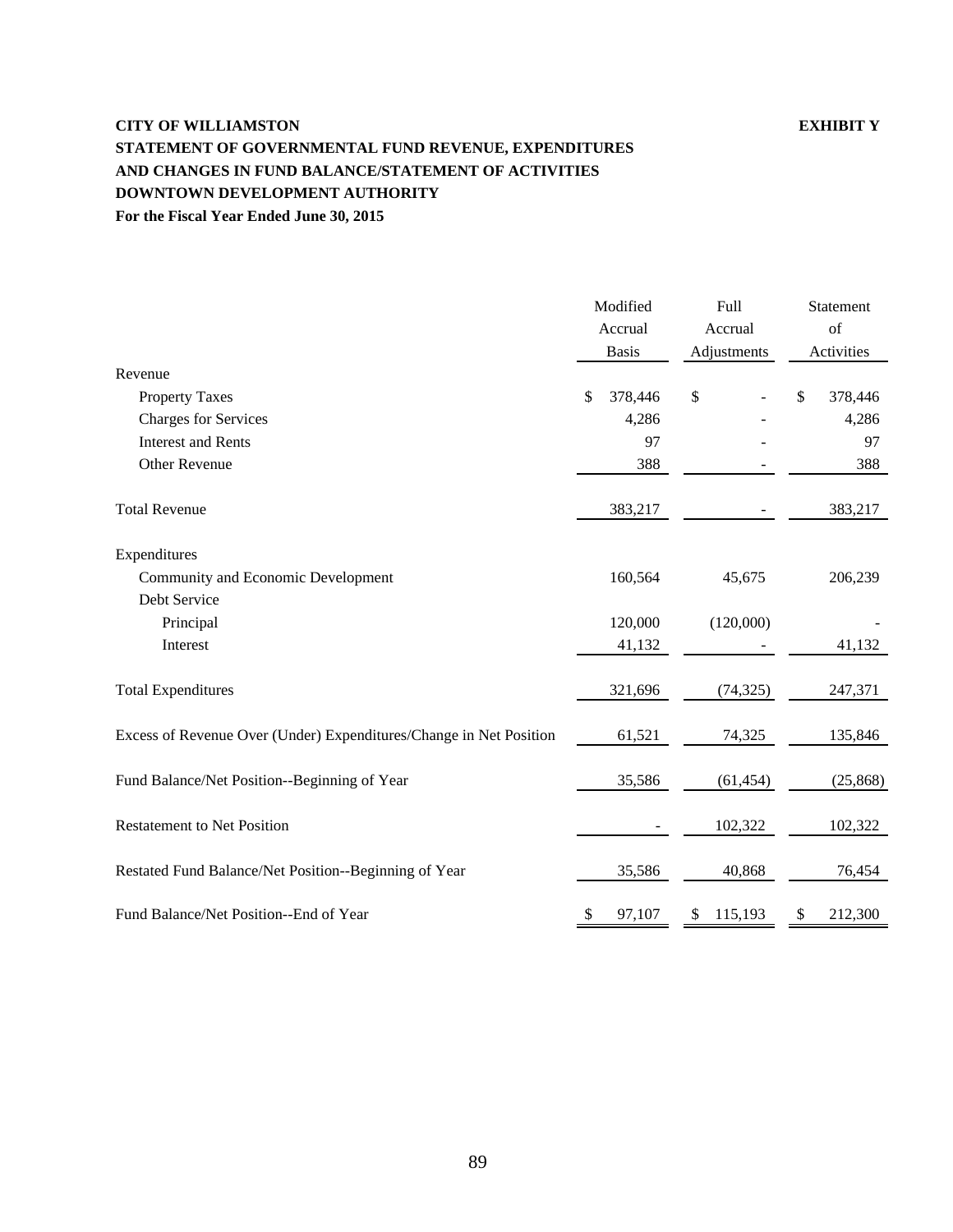# **CITY OF WILLIAMSTON EXHIBIT Y STATEMENT OF GOVERNMENTAL FUND REVENUE, EXPENDITURES AND CHANGES IN FUND BALANCE/STATEMENT OF ACTIVITIES DOWNTOWN DEVELOPMENT AUTHORITY**

**For the Fiscal Year Ended June 30, 2015**

|                                                                    | Modified<br>Accrual<br><b>Basis</b> | Full<br>Accrual<br>Adjustments | Statement<br>of<br>Activities |  |
|--------------------------------------------------------------------|-------------------------------------|--------------------------------|-------------------------------|--|
| Revenue                                                            |                                     |                                |                               |  |
| <b>Property Taxes</b>                                              | 378,446<br>\$                       | \$                             | \$<br>378,446                 |  |
| <b>Charges for Services</b>                                        | 4,286                               |                                | 4,286                         |  |
| <b>Interest and Rents</b>                                          | 97                                  |                                | 97                            |  |
| Other Revenue                                                      | 388                                 |                                | 388                           |  |
| <b>Total Revenue</b>                                               | 383,217                             |                                | 383,217                       |  |
| Expenditures                                                       |                                     |                                |                               |  |
| Community and Economic Development                                 | 160,564                             | 45,675                         | 206,239                       |  |
| Debt Service                                                       |                                     |                                |                               |  |
| Principal                                                          | 120,000                             | (120,000)                      |                               |  |
| Interest                                                           | 41,132                              |                                | 41,132                        |  |
| <b>Total Expenditures</b>                                          | 321,696                             | (74, 325)                      | 247,371                       |  |
| Excess of Revenue Over (Under) Expenditures/Change in Net Position | 61,521                              | 74,325                         | 135,846                       |  |
| Fund Balance/Net Position--Beginning of Year                       | 35,586                              | (61, 454)                      | (25, 868)                     |  |
| <b>Restatement to Net Position</b>                                 |                                     | 102,322                        | 102,322                       |  |
| Restated Fund Balance/Net Position--Beginning of Year              | 35,586                              | 40,868                         | 76,454                        |  |
| Fund Balance/Net Position--End of Year                             | 97,107<br>\$                        | 115,193<br>\$                  | 212,300<br>\$                 |  |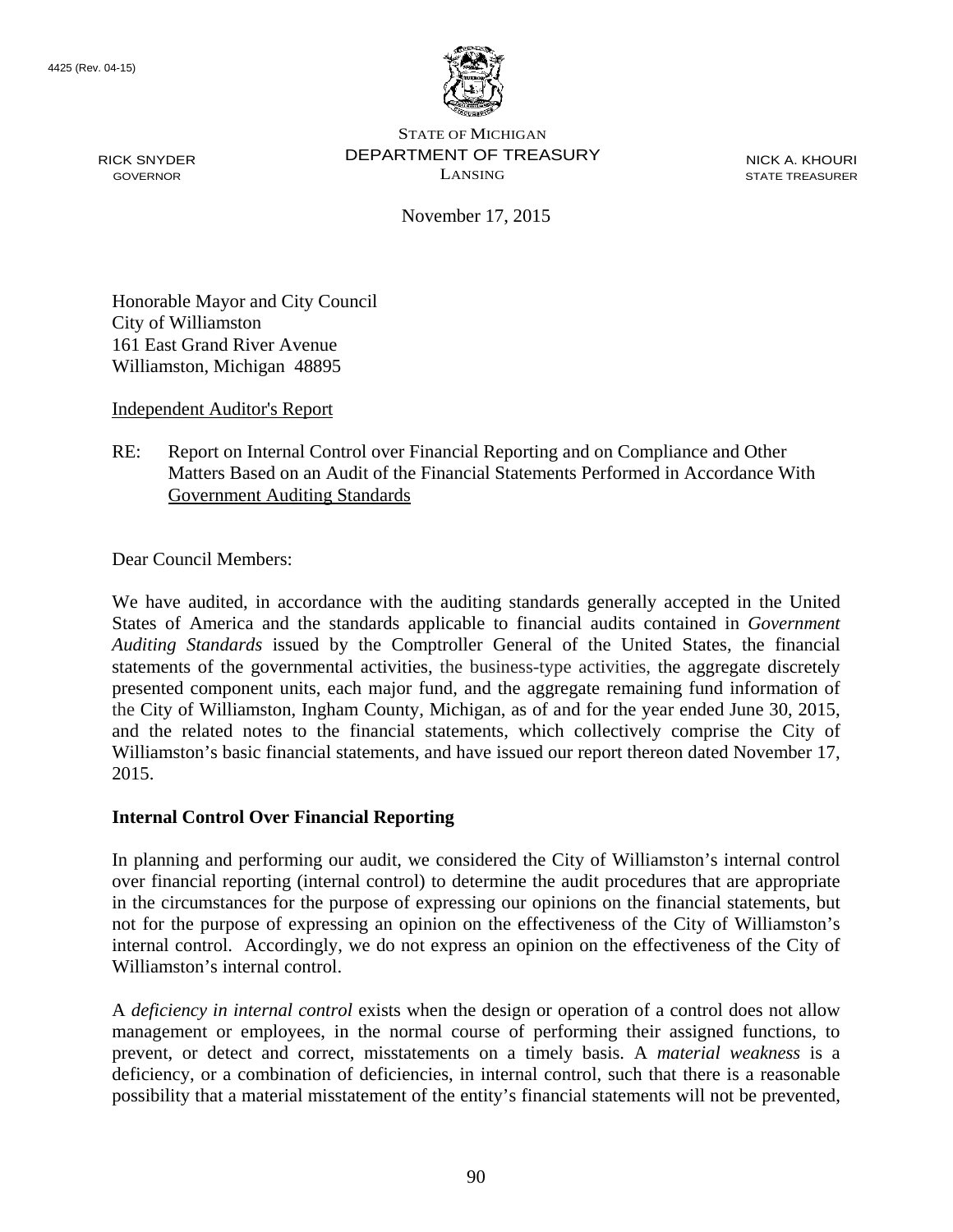RICK SNYDER GOVERNOR



STATE OF MICHIGAN DEPARTMENT OF TREASURY LANSING

NICK A. KHOURI STATE TREASURER

November 17, 2015

Honorable Mayor and City Council City of Williamston 161 East Grand River Avenue Williamston, Michigan 48895

Independent Auditor's Report

## RE: Report on Internal Control over Financial Reporting and on Compliance and Other Matters Based on an Audit of the Financial Statements Performed in Accordance With Government Auditing Standards

Dear Council Members:

We have audited, in accordance with the auditing standards generally accepted in the United States of America and the standards applicable to financial audits contained in *Government Auditing Standards* issued by the Comptroller General of the United States, the financial statements of the governmental activities, the business-type activities, the aggregate discretely presented component units, each major fund, and the aggregate remaining fund information of the City of Williamston, Ingham County, Michigan, as of and for the year ended June 30, 2015, and the related notes to the financial statements, which collectively comprise the City of Williamston's basic financial statements, and have issued our report thereon dated November 17, 2015.

## **Internal Control Over Financial Reporting**

In planning and performing our audit, we considered the City of Williamston's internal control over financial reporting (internal control) to determine the audit procedures that are appropriate in the circumstances for the purpose of expressing our opinions on the financial statements, but not for the purpose of expressing an opinion on the effectiveness of the City of Williamston's internal control. Accordingly, we do not express an opinion on the effectiveness of the City of Williamston's internal control.

A *deficiency in internal control* exists when the design or operation of a control does not allow management or employees, in the normal course of performing their assigned functions, to prevent, or detect and correct, misstatements on a timely basis. A *material weakness* is a deficiency, or a combination of deficiencies, in internal control, such that there is a reasonable possibility that a material misstatement of the entity's financial statements will not be prevented,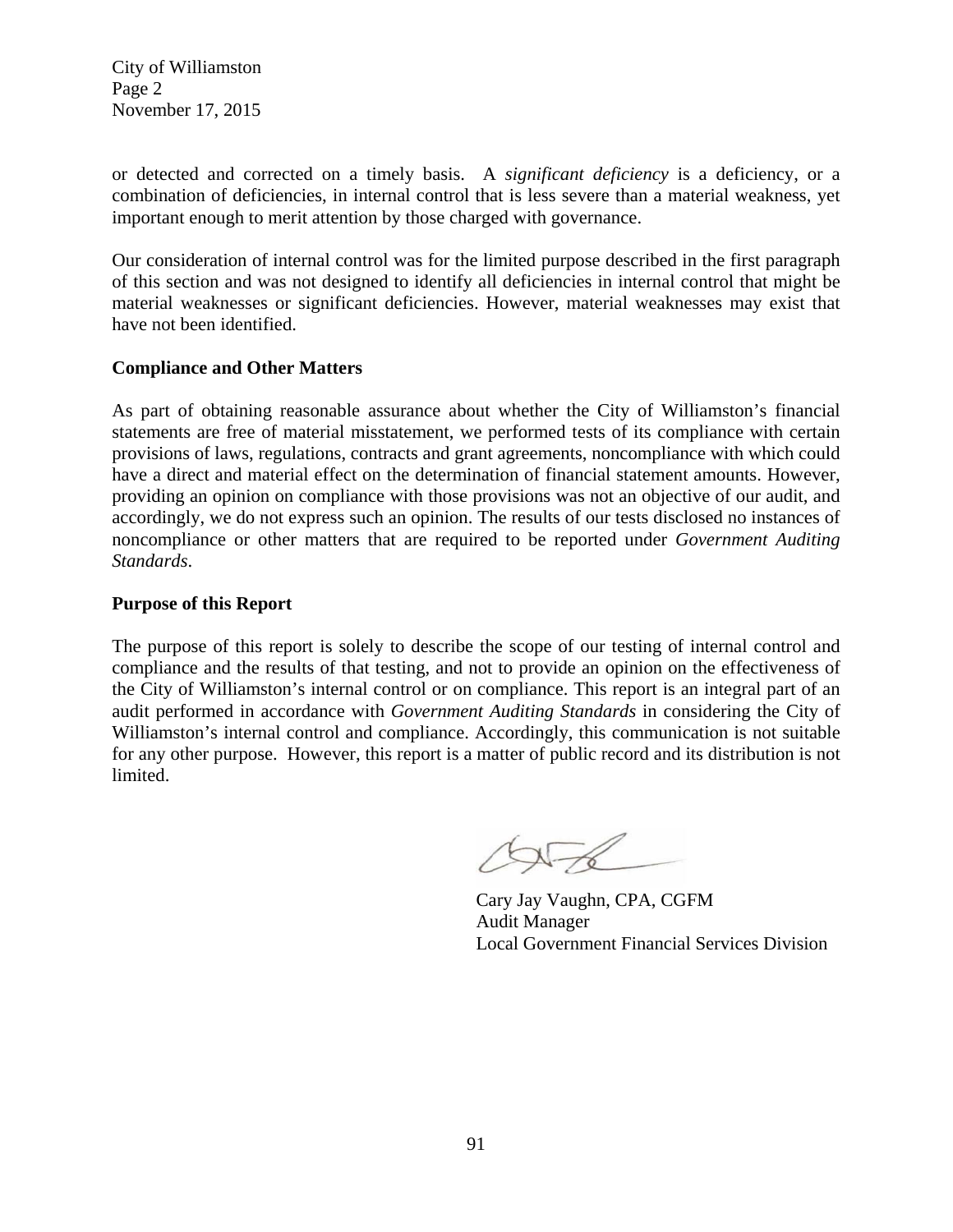City of Williamston Page 2 November 17, 2015

or detected and corrected on a timely basis. A *significant deficiency* is a deficiency, or a combination of deficiencies, in internal control that is less severe than a material weakness, yet important enough to merit attention by those charged with governance.

Our consideration of internal control was for the limited purpose described in the first paragraph of this section and was not designed to identify all deficiencies in internal control that might be material weaknesses or significant deficiencies. However, material weaknesses may exist that have not been identified.

## **Compliance and Other Matters**

As part of obtaining reasonable assurance about whether the City of Williamston's financial statements are free of material misstatement, we performed tests of its compliance with certain provisions of laws, regulations, contracts and grant agreements, noncompliance with which could have a direct and material effect on the determination of financial statement amounts. However, providing an opinion on compliance with those provisions was not an objective of our audit, and accordingly, we do not express such an opinion. The results of our tests disclosed no instances of noncompliance or other matters that are required to be reported under *Government Auditing Standards*.

## **Purpose of this Report**

The purpose of this report is solely to describe the scope of our testing of internal control and compliance and the results of that testing, and not to provide an opinion on the effectiveness of the City of Williamston's internal control or on compliance. This report is an integral part of an audit performed in accordance with *Government Auditing Standards* in considering the City of Williamston's internal control and compliance. Accordingly, this communication is not suitable for any other purpose. However, this report is a matter of public record and its distribution is not limited.

 $\sqrt{\sqrt{6}}$ 

Cary Jay Vaughn, CPA, CGFM Audit Manager Local Government Financial Services Division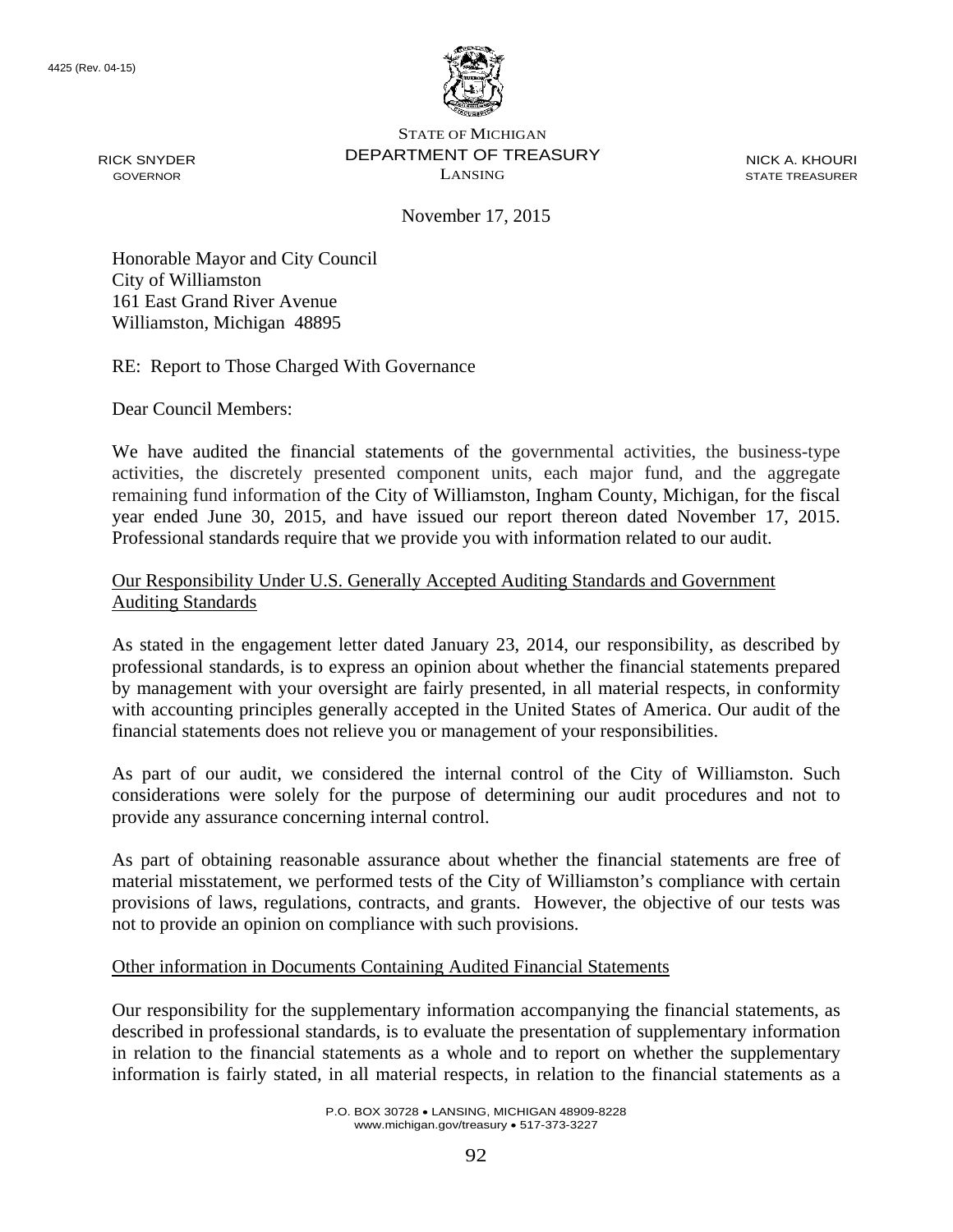

RICK SNYDER GOVERNOR

STATE OF MICHIGAN DEPARTMENT OF TREASURY LANSING

NICK A. KHOURI STATE TREASURER

November 17, 2015

Honorable Mayor and City Council City of Williamston 161 East Grand River Avenue Williamston, Michigan 48895

RE: Report to Those Charged With Governance

Dear Council Members:

We have audited the financial statements of the governmental activities, the business-type activities, the discretely presented component units, each major fund, and the aggregate remaining fund information of the City of Williamston, Ingham County, Michigan, for the fiscal year ended June 30, 2015, and have issued our report thereon dated November 17, 2015. Professional standards require that we provide you with information related to our audit.

## Our Responsibility Under U.S. Generally Accepted Auditing Standards and Government Auditing Standards

As stated in the engagement letter dated January 23, 2014, our responsibility, as described by professional standards, is to express an opinion about whether the financial statements prepared by management with your oversight are fairly presented, in all material respects, in conformity with accounting principles generally accepted in the United States of America. Our audit of the financial statements does not relieve you or management of your responsibilities.

As part of our audit, we considered the internal control of the City of Williamston. Such considerations were solely for the purpose of determining our audit procedures and not to provide any assurance concerning internal control.

As part of obtaining reasonable assurance about whether the financial statements are free of material misstatement, we performed tests of the City of Williamston's compliance with certain provisions of laws, regulations, contracts, and grants. However, the objective of our tests was not to provide an opinion on compliance with such provisions.

## Other information in Documents Containing Audited Financial Statements

Our responsibility for the supplementary information accompanying the financial statements, as described in professional standards, is to evaluate the presentation of supplementary information in relation to the financial statements as a whole and to report on whether the supplementary information is fairly stated, in all material respects, in relation to the financial statements as a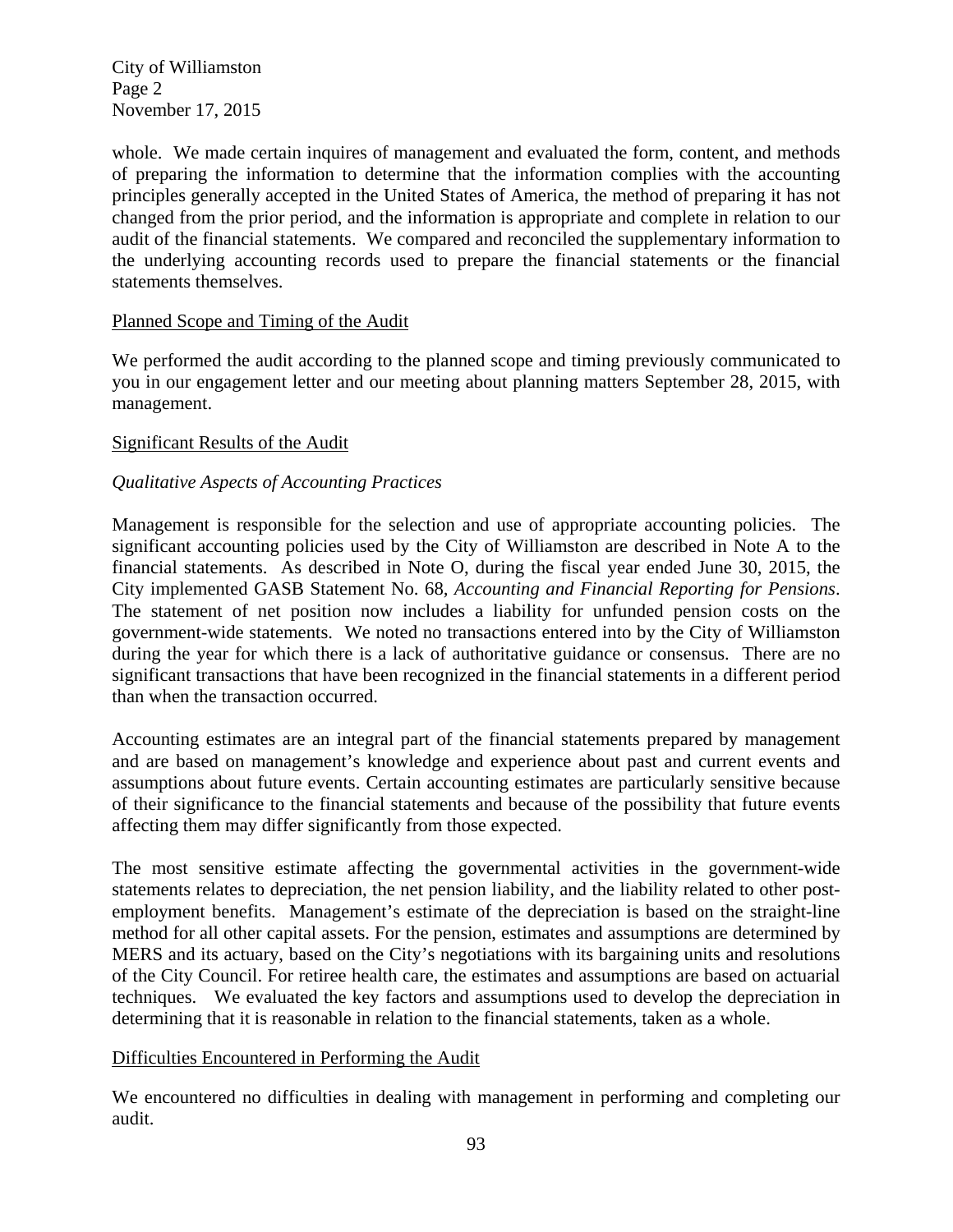City of Williamston Page 2 November 17, 2015

whole. We made certain inquires of management and evaluated the form, content, and methods of preparing the information to determine that the information complies with the accounting principles generally accepted in the United States of America, the method of preparing it has not changed from the prior period, and the information is appropriate and complete in relation to our audit of the financial statements. We compared and reconciled the supplementary information to the underlying accounting records used to prepare the financial statements or the financial statements themselves.

## Planned Scope and Timing of the Audit

We performed the audit according to the planned scope and timing previously communicated to you in our engagement letter and our meeting about planning matters September 28, 2015, with management.

## Significant Results of the Audit

## *Qualitative Aspects of Accounting Practices*

Management is responsible for the selection and use of appropriate accounting policies. The significant accounting policies used by the City of Williamston are described in Note A to the financial statements. As described in Note O, during the fiscal year ended June 30, 2015, the City implemented GASB Statement No. 68*, Accounting and Financial Reporting for Pensions*. The statement of net position now includes a liability for unfunded pension costs on the government-wide statements. We noted no transactions entered into by the City of Williamston during the year for which there is a lack of authoritative guidance or consensus. There are no significant transactions that have been recognized in the financial statements in a different period than when the transaction occurred.

Accounting estimates are an integral part of the financial statements prepared by management and are based on management's knowledge and experience about past and current events and assumptions about future events. Certain accounting estimates are particularly sensitive because of their significance to the financial statements and because of the possibility that future events affecting them may differ significantly from those expected.

The most sensitive estimate affecting the governmental activities in the government-wide statements relates to depreciation, the net pension liability, and the liability related to other postemployment benefits. Management's estimate of the depreciation is based on the straight-line method for all other capital assets. For the pension, estimates and assumptions are determined by MERS and its actuary, based on the City's negotiations with its bargaining units and resolutions of the City Council. For retiree health care, the estimates and assumptions are based on actuarial techniques. We evaluated the key factors and assumptions used to develop the depreciation in determining that it is reasonable in relation to the financial statements, taken as a whole.

## Difficulties Encountered in Performing the Audit

We encountered no difficulties in dealing with management in performing and completing our audit.